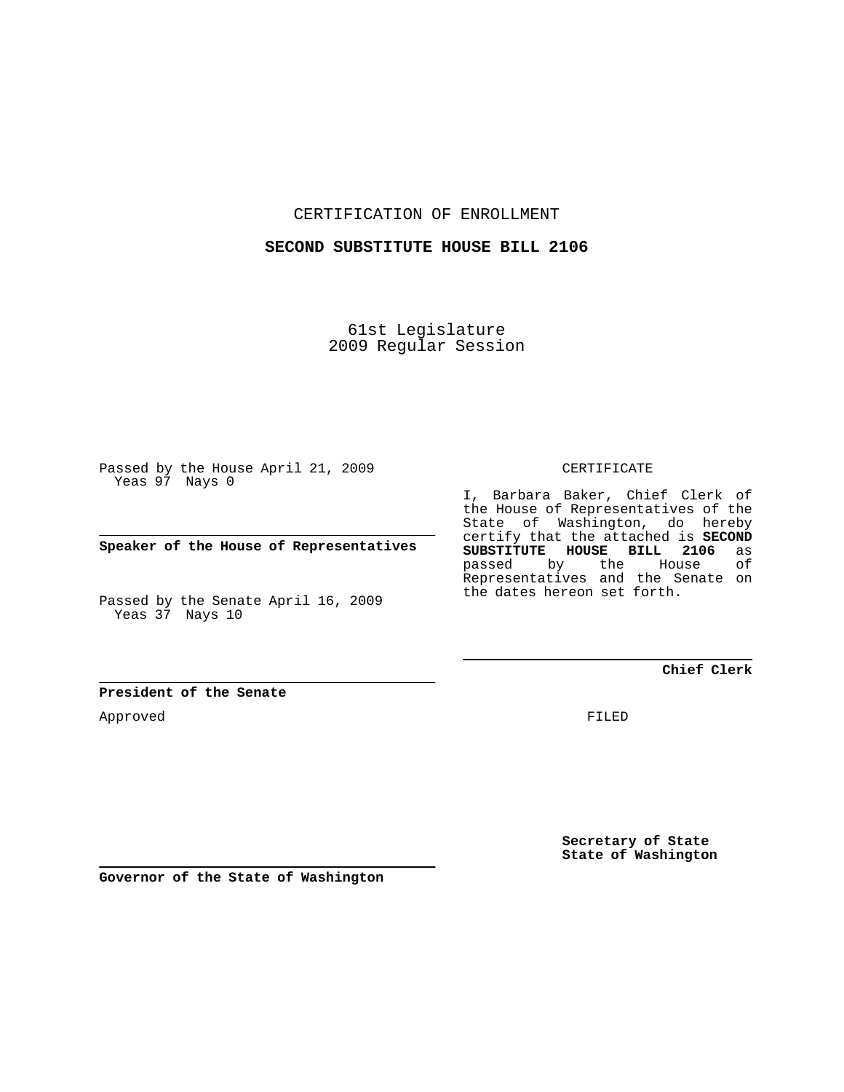CERTIFICATION OF ENROLLMENT

## **SECOND SUBSTITUTE HOUSE BILL 2106**

61st Legislature 2009 Regular Session

Passed by the House April 21, 2009 Yeas 97 Nays 0

**Speaker of the House of Representatives**

Passed by the Senate April 16, 2009 Yeas 37 Nays 10

I, Barbara Baker, Chief Clerk of the House of Representatives of the State of Washington, do hereby certify that the attached is **SECOND SUBSTITUTE HOUSE BILL 2106** as **House** Representatives and the Senate on the dates hereon set forth.

CERTIFICATE

**Chief Clerk**

**President of the Senate**

Approved

FILED

**Secretary of State State of Washington**

**Governor of the State of Washington**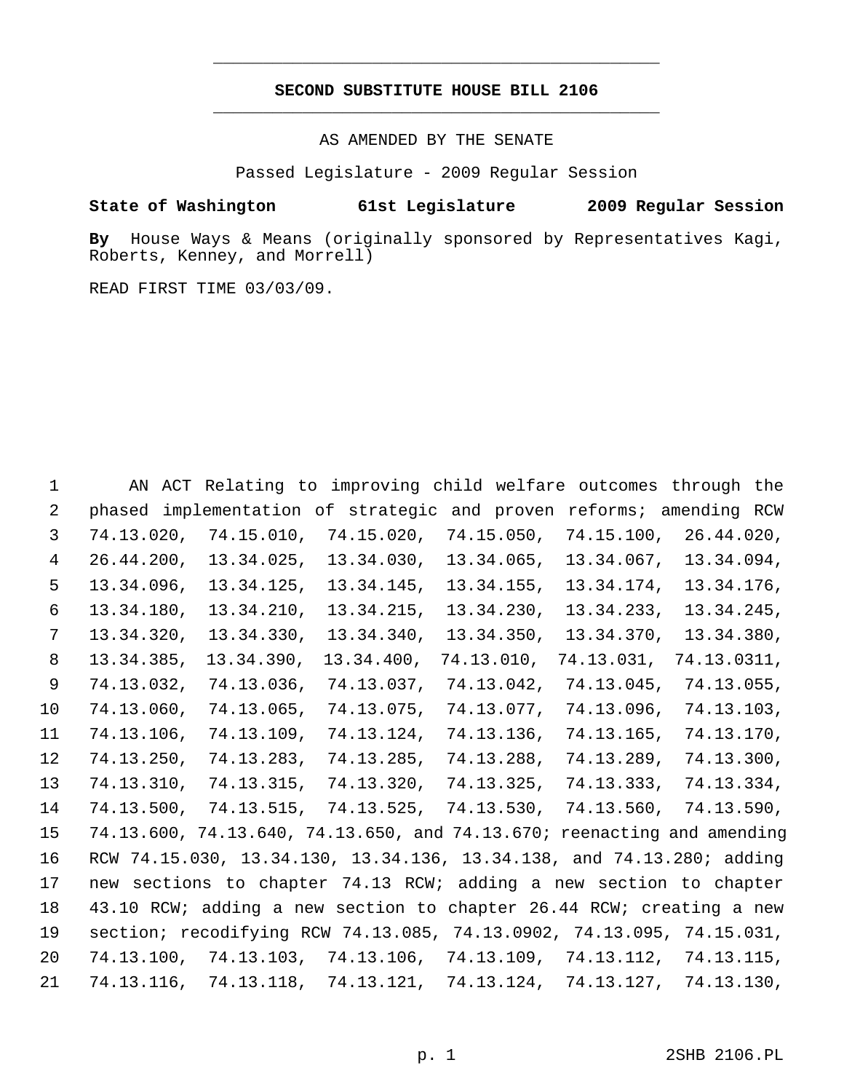## **SECOND SUBSTITUTE HOUSE BILL 2106** \_\_\_\_\_\_\_\_\_\_\_\_\_\_\_\_\_\_\_\_\_\_\_\_\_\_\_\_\_\_\_\_\_\_\_\_\_\_\_\_\_\_\_\_\_

\_\_\_\_\_\_\_\_\_\_\_\_\_\_\_\_\_\_\_\_\_\_\_\_\_\_\_\_\_\_\_\_\_\_\_\_\_\_\_\_\_\_\_\_\_

AS AMENDED BY THE SENATE

Passed Legislature - 2009 Regular Session

## **State of Washington 61st Legislature 2009 Regular Session**

**By** House Ways & Means (originally sponsored by Representatives Kagi, Roberts, Kenney, and Morrell)

READ FIRST TIME 03/03/09.

| $\mathbf{1}$   |            |                       | AN ACT Relating to improving child welfare outcomes through the         |            |            |                                  |
|----------------|------------|-----------------------|-------------------------------------------------------------------------|------------|------------|----------------------------------|
| 2              |            |                       | phased implementation of strategic and proven reforms; amending RCW     |            |            |                                  |
| 3              |            |                       | 74.13.020, 74.15.010, 74.15.020, 74.15.050, 74.15.100, 26.44.020,       |            |            |                                  |
| $\overline{4}$ | 26.44.200, |                       | $13.34.025$ , $13.34.030$ , $13.34.065$ ,                               |            |            | 13.34.067, 13.34.094,            |
| 5              | 13.34.096, | 13.34.125, 13.34.145, |                                                                         | 13.34.155, |            | 13.34.174, 13.34.176,            |
| 6              | 13.34.180, |                       | 13.34.210, 13.34.215,                                                   | 13.34.230, | 13.34.233, | 13.34.245,                       |
| 7              | 13.34.320, | 13.34.330,            | 13.34.340,                                                              |            |            | 13.34.350, 13.34.370, 13.34.380, |
| 8              | 13.34.385, | 13.34.390,            | 13.34.400,                                                              | 74.13.010, | 74.13.031, | 74.13.0311,                      |
| 9              | 74.13.032, | 74.13.036,            | 74.13.037,                                                              | 74.13.042, | 74.13.045, | 74.13.055,                       |
| 10             | 74.13.060, | 74.13.065,            | 74.13.075,                                                              | 74.13.077, | 74.13.096, | 74.13.103,                       |
| 11             | 74.13.106, | 74.13.109,            | 74.13.124,                                                              | 74.13.136, | 74.13.165, | 74.13.170,                       |
| 12             | 74.13.250, |                       | 74.13.283, 74.13.285, 74.13.288,                                        |            |            | 74.13.289, 74.13.300,            |
| 13             |            |                       | 74.13.310, 74.13.315, 74.13.320, 74.13.325,                             |            |            | 74.13.333, 74.13.334,            |
| 14             |            |                       | 74.13.500, 74.13.515, 74.13.525, 74.13.530, 74.13.560, 74.13.590,       |            |            |                                  |
| 15             |            |                       | 74.13.600, 74.13.640, 74.13.650, and 74.13.670; reenacting and amending |            |            |                                  |
| 16             |            |                       | RCW 74.15.030, 13.34.130, 13.34.136, 13.34.138, and 74.13.280; adding   |            |            |                                  |
| 17             |            |                       | new sections to chapter 74.13 RCW; adding a new section to chapter      |            |            |                                  |
| 18             |            |                       | 43.10 RCW; adding a new section to chapter 26.44 RCW; creating a new    |            |            |                                  |
| 19             |            |                       | section; recodifying RCW 74.13.085, 74.13.0902, 74.13.095, 74.15.031,   |            |            |                                  |
| 20             |            |                       | 74.13.100, 74.13.103, 74.13.106, 74.13.109, 74.13.112, 74.13.115,       |            |            |                                  |
| 21             |            |                       | 74.13.116, 74.13.118, 74.13.121, 74.13.124, 74.13.127, 74.13.130,       |            |            |                                  |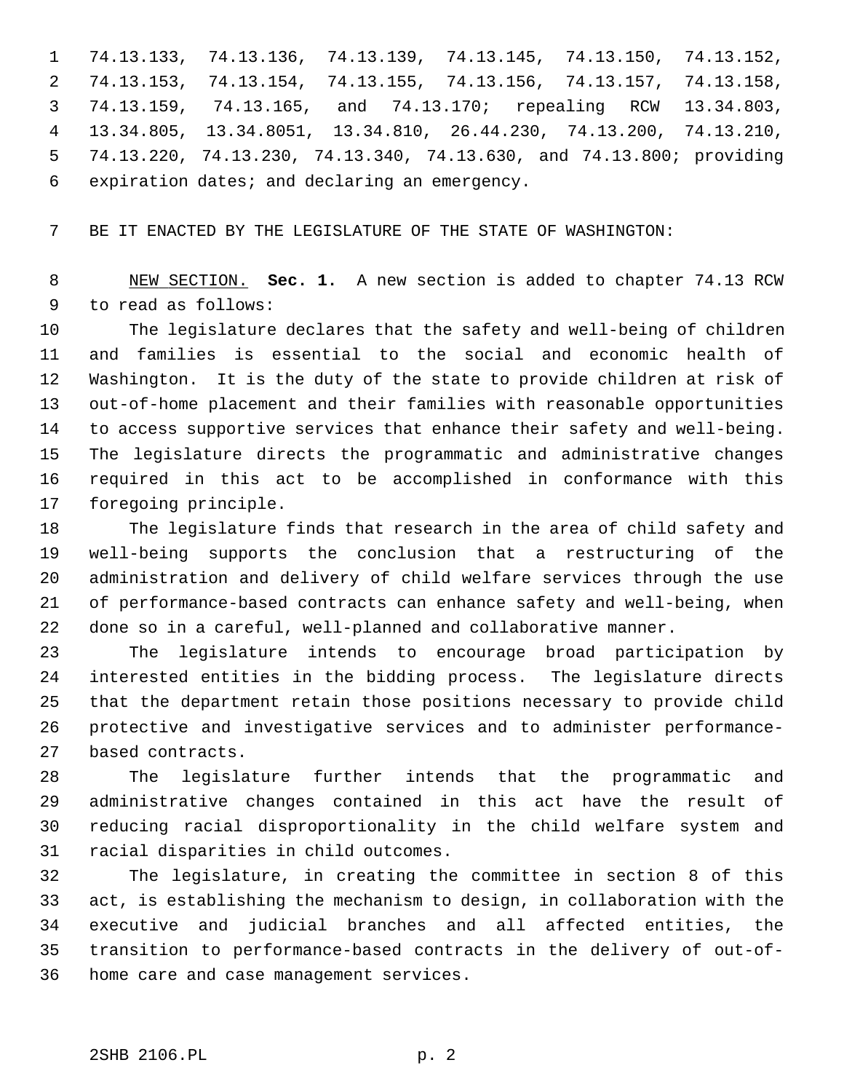1 74.13.133, 74.13.136, 74.13.139, 74.13.145, 74.13.150, 74.13.152, 2 74.13.153, 74.13.154, 74.13.155, 74.13.156, 74.13.157, 74.13.158, 3 74.13.159, 74.13.165, and 74.13.170; repealing RCW 13.34.803, 4 13.34.805, 13.34.8051, 13.34.810, 26.44.230, 74.13.200, 74.13.210, 5 74.13.220, 74.13.230, 74.13.340, 74.13.630, and 74.13.800; providing 6 expiration dates; and declaring an emergency.

7 BE IT ENACTED BY THE LEGISLATURE OF THE STATE OF WASHINGTON:

 8 NEW SECTION. **Sec. 1.** A new section is added to chapter 74.13 RCW 9 to read as follows:

10 The legislature declares that the safety and well-being of children 11 and families is essential to the social and economic health of 12 Washington. It is the duty of the state to provide children at risk of 13 out-of-home placement and their families with reasonable opportunities 14 to access supportive services that enhance their safety and well-being. 15 The legislature directs the programmatic and administrative changes 16 required in this act to be accomplished in conformance with this 17 foregoing principle.

18 The legislature finds that research in the area of child safety and 19 well-being supports the conclusion that a restructuring of the 20 administration and delivery of child welfare services through the use 21 of performance-based contracts can enhance safety and well-being, when 22 done so in a careful, well-planned and collaborative manner.

23 The legislature intends to encourage broad participation by 24 interested entities in the bidding process. The legislature directs 25 that the department retain those positions necessary to provide child 26 protective and investigative services and to administer performance-27 based contracts.

28 The legislature further intends that the programmatic and 29 administrative changes contained in this act have the result of 30 reducing racial disproportionality in the child welfare system and 31 racial disparities in child outcomes.

32 The legislature, in creating the committee in section 8 of this 33 act, is establishing the mechanism to design, in collaboration with the 34 executive and judicial branches and all affected entities, the 35 transition to performance-based contracts in the delivery of out-of-36 home care and case management services.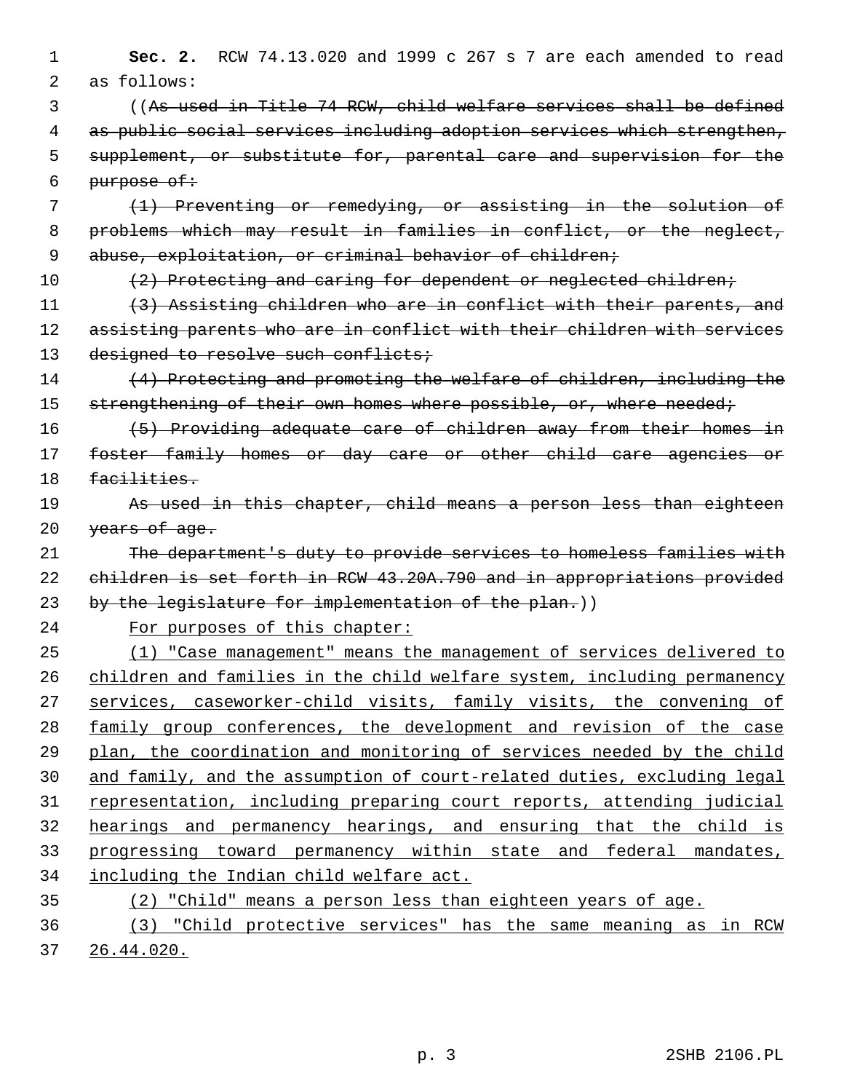1 **Sec. 2.** RCW 74.13.020 and 1999 c 267 s 7 are each amended to read 2 as follows: 3 ((As used in Title 74 RCW, child welfare services shall be defined 4 as public social services including adoption services which strengthen, 5 supplement, or substitute for, parental care and supervision for the 6 purpose of: 7 (1) Preventing or remedying, or assisting in the solution of 8 problems which may result in families in conflict, or the neglect, 9 abuse, exploitation, or criminal behavior of children; 10 (2) Protecting and caring for dependent or neglected children; 11 (3) Assisting children who are in conflict with their parents, and 12 assisting parents who are in conflict with their children with services 13 designed to resolve such conflicts; 14 (4) Protecting and promoting the welfare of children, including the 15 strengthening of their own homes where possible, or, where needed; 16 (5) Providing adequate care of children away from their homes in 17 foster family homes or day care or other child care agencies or 18 facilities. 19 As used in this chapter, child means a person less than eighteen 20 years of age. 21 The department's duty to provide services to homeless families with 22 children is set forth in RCW 43.20A.790 and in appropriations provided 23 by the legislature for implementation of the plan.)) 24 For purposes of this chapter: 25 (1) "Case management" means the management of services delivered to 26 children and families in the child welfare system, including permanency 27 services, caseworker-child visits, family visits, the convening of 28 family group conferences, the development and revision of the case 29 plan, the coordination and monitoring of services needed by the child 30 and family, and the assumption of court-related duties, excluding legal 31 representation, including preparing court reports, attending judicial 32 hearings and permanency hearings, and ensuring that the child is 33 progressing toward permanency within state and federal mandates, 34 including the Indian child welfare act. 35 (2) "Child" means a person less than eighteen years of age. 36 (3) "Child protective services" has the same meaning as in RCW

37 26.44.020.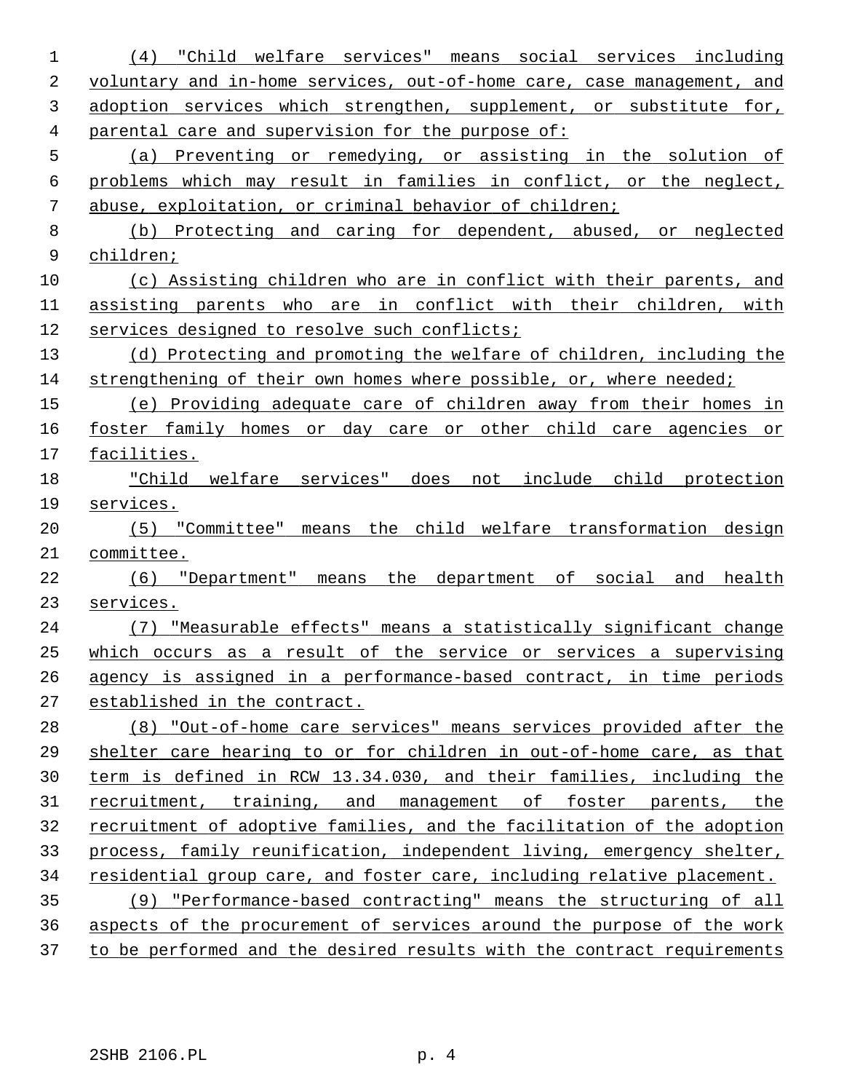| $\mathbf{1}$ | (4) "Child welfare services" means social services including           |  |  |  |  |  |
|--------------|------------------------------------------------------------------------|--|--|--|--|--|
| 2            | voluntary and in-home services, out-of-home care, case management, and |  |  |  |  |  |
| 3            | adoption services which strengthen, supplement, or substitute for,     |  |  |  |  |  |
| 4            | parental care and supervision for the purpose of:                      |  |  |  |  |  |
| 5            | (a) Preventing or remedying, or assisting in the solution of           |  |  |  |  |  |
| 6            | problems which may result in families in conflict, or the neglect,     |  |  |  |  |  |
| 7            | abuse, exploitation, or criminal behavior of children;                 |  |  |  |  |  |
| 8            | (b) Protecting and caring for dependent, abused, or neglected          |  |  |  |  |  |
| 9            | children;                                                              |  |  |  |  |  |
| 10           | (c) Assisting children who are in conflict with their parents, and     |  |  |  |  |  |
| 11           | assisting parents who are in conflict with their children, with        |  |  |  |  |  |
| 12           | services designed to resolve such conflicts;                           |  |  |  |  |  |
| 13           | (d) Protecting and promoting the welfare of children, including the    |  |  |  |  |  |
| 14           | strengthening of their own homes where possible, or, where needed;     |  |  |  |  |  |
| 15           | (e) Providing adequate care of children away from their homes in       |  |  |  |  |  |
| 16           | foster family homes or day care or other child care agencies or        |  |  |  |  |  |
| 17           | facilities.                                                            |  |  |  |  |  |
| 18           | "Child welfare services" does not include child protection             |  |  |  |  |  |
| 19           | services.                                                              |  |  |  |  |  |
| 20           | (5) "Committee" means the child welfare transformation design          |  |  |  |  |  |
| 21           | committee.                                                             |  |  |  |  |  |
| 22           | (6) "Department" means the department of social and health             |  |  |  |  |  |
| 23           | services.                                                              |  |  |  |  |  |
| 24           | (7) "Measurable effects" means a statistically significant change      |  |  |  |  |  |
| 25           | which occurs as a result of the service or services a supervising      |  |  |  |  |  |
| 26           | agency is assigned in a performance-based contract, in time periods    |  |  |  |  |  |
| 27           | established in the contract.                                           |  |  |  |  |  |
| 28           | (8) "Out-of-home care services" means services provided after the      |  |  |  |  |  |
| 29           | shelter care hearing to or for children in out-of-home care, as that   |  |  |  |  |  |
| 30           | term is defined in RCW 13.34.030, and their families, including the    |  |  |  |  |  |
| 31           | recruitment, training, and management of foster parents, the           |  |  |  |  |  |
| 32           | recruitment of adoptive families, and the facilitation of the adoption |  |  |  |  |  |
| 33           | process, family reunification, independent living, emergency shelter,  |  |  |  |  |  |
| 34           | residential group care, and foster care, including relative placement. |  |  |  |  |  |
| 35           | (9) "Performance-based contracting" means the structuring of all       |  |  |  |  |  |
| 36           | aspects of the procurement of services around the purpose of the work  |  |  |  |  |  |
| 37           | to be performed and the desired results with the contract requirements |  |  |  |  |  |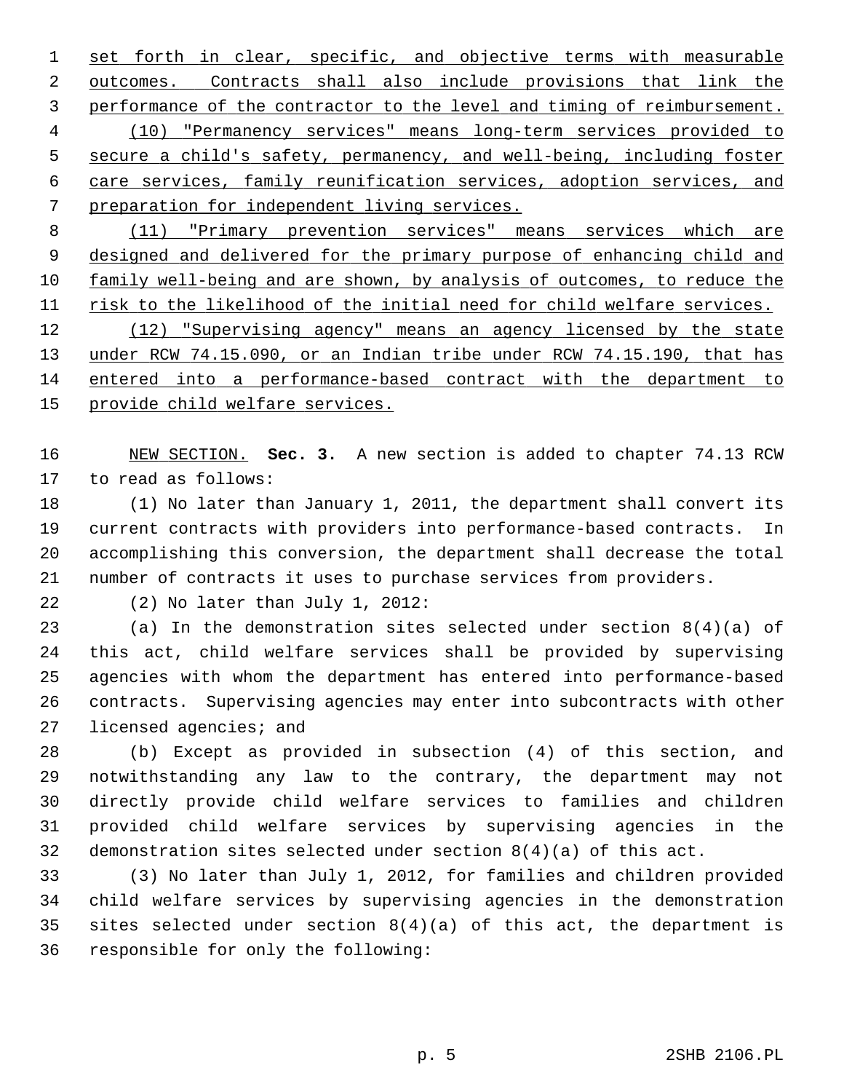set forth in clear, specific, and objective terms with measurable outcomes. Contracts shall also include provisions that link the 3 performance of the contractor to the level and timing of reimbursement. (10) "Permanency services" means long-term services provided to secure a child's safety, permanency, and well-being, including foster care services, family reunification services, adoption services, and preparation for independent living services.

8 (11) "Primary prevention services" means services which are designed and delivered for the primary purpose of enhancing child and family well-being and are shown, by analysis of outcomes, to reduce the risk to the likelihood of the initial need for child welfare services.

 (12) "Supervising agency" means an agency licensed by the state under RCW 74.15.090, or an Indian tribe under RCW 74.15.190, that has entered into a performance-based contract with the department to provide child welfare services.

16 NEW SECTION. **Sec. 3.** A new section is added to chapter 74.13 RCW 17 to read as follows:

18 (1) No later than January 1, 2011, the department shall convert its 19 current contracts with providers into performance-based contracts. In 20 accomplishing this conversion, the department shall decrease the total 21 number of contracts it uses to purchase services from providers.

22 (2) No later than July 1, 2012:

23 (a) In the demonstration sites selected under section 8(4)(a) of 24 this act, child welfare services shall be provided by supervising 25 agencies with whom the department has entered into performance-based 26 contracts. Supervising agencies may enter into subcontracts with other 27 licensed agencies; and

28 (b) Except as provided in subsection (4) of this section, and 29 notwithstanding any law to the contrary, the department may not 30 directly provide child welfare services to families and children 31 provided child welfare services by supervising agencies in the 32 demonstration sites selected under section 8(4)(a) of this act.

33 (3) No later than July 1, 2012, for families and children provided 34 child welfare services by supervising agencies in the demonstration 35 sites selected under section  $8(4)(a)$  of this act, the department is 36 responsible for only the following: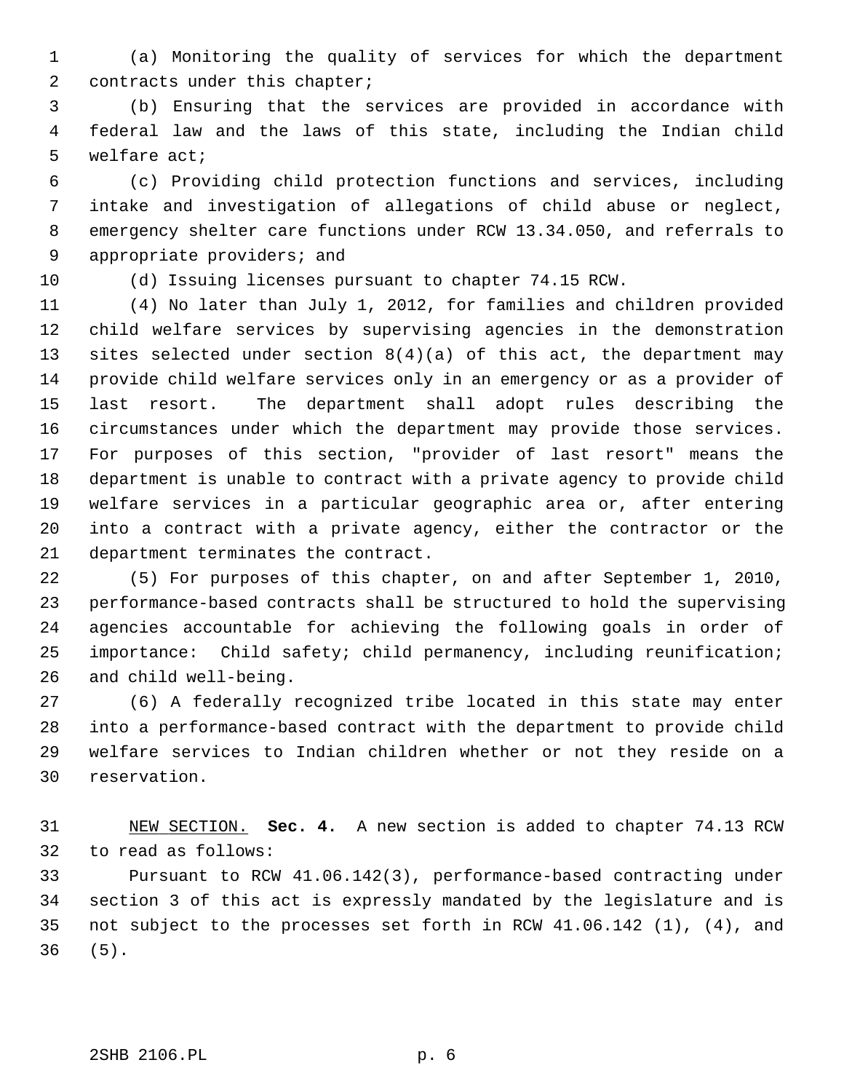1 (a) Monitoring the quality of services for which the department 2 contracts under this chapter;

 3 (b) Ensuring that the services are provided in accordance with 4 federal law and the laws of this state, including the Indian child 5 welfare act;

 6 (c) Providing child protection functions and services, including 7 intake and investigation of allegations of child abuse or neglect, 8 emergency shelter care functions under RCW 13.34.050, and referrals to 9 appropriate providers; and

10 (d) Issuing licenses pursuant to chapter 74.15 RCW.

11 (4) No later than July 1, 2012, for families and children provided 12 child welfare services by supervising agencies in the demonstration 13 sites selected under section 8(4)(a) of this act, the department may 14 provide child welfare services only in an emergency or as a provider of 15 last resort. The department shall adopt rules describing the 16 circumstances under which the department may provide those services. 17 For purposes of this section, "provider of last resort" means the 18 department is unable to contract with a private agency to provide child 19 welfare services in a particular geographic area or, after entering 20 into a contract with a private agency, either the contractor or the 21 department terminates the contract.

22 (5) For purposes of this chapter, on and after September 1, 2010, 23 performance-based contracts shall be structured to hold the supervising 24 agencies accountable for achieving the following goals in order of 25 importance: Child safety; child permanency, including reunification; 26 and child well-being.

27 (6) A federally recognized tribe located in this state may enter 28 into a performance-based contract with the department to provide child 29 welfare services to Indian children whether or not they reside on a 30 reservation.

31 NEW SECTION. **Sec. 4.** A new section is added to chapter 74.13 RCW 32 to read as follows:

33 Pursuant to RCW 41.06.142(3), performance-based contracting under 34 section 3 of this act is expressly mandated by the legislature and is 35 not subject to the processes set forth in RCW 41.06.142 (1), (4), and 36 (5).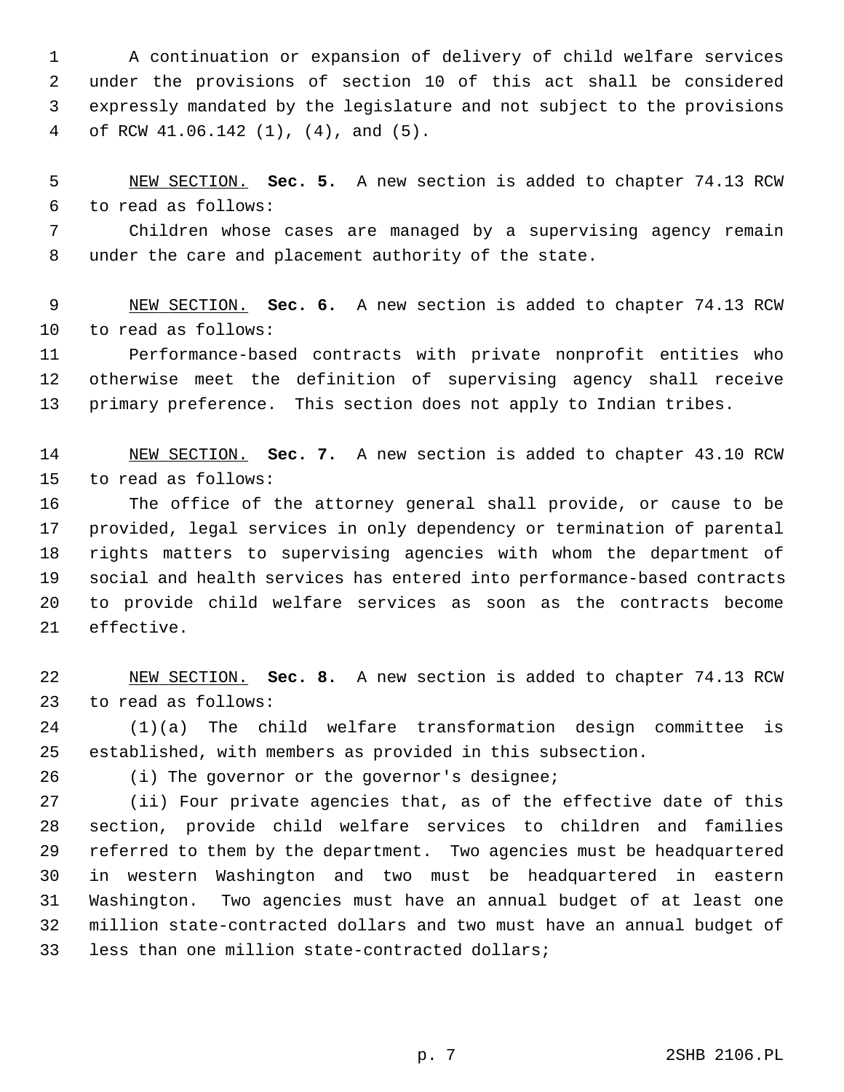1 A continuation or expansion of delivery of child welfare services 2 under the provisions of section 10 of this act shall be considered 3 expressly mandated by the legislature and not subject to the provisions 4 of RCW 41.06.142 (1), (4), and (5).

 5 NEW SECTION. **Sec. 5.** A new section is added to chapter 74.13 RCW 6 to read as follows:

 7 Children whose cases are managed by a supervising agency remain 8 under the care and placement authority of the state.

 9 NEW SECTION. **Sec. 6.** A new section is added to chapter 74.13 RCW 10 to read as follows:

11 Performance-based contracts with private nonprofit entities who 12 otherwise meet the definition of supervising agency shall receive 13 primary preference. This section does not apply to Indian tribes.

14 NEW SECTION. **Sec. 7.** A new section is added to chapter 43.10 RCW 15 to read as follows:

16 The office of the attorney general shall provide, or cause to be 17 provided, legal services in only dependency or termination of parental 18 rights matters to supervising agencies with whom the department of 19 social and health services has entered into performance-based contracts 20 to provide child welfare services as soon as the contracts become 21 effective.

22 NEW SECTION. **Sec. 8.** A new section is added to chapter 74.13 RCW 23 to read as follows:

24 (1)(a) The child welfare transformation design committee is 25 established, with members as provided in this subsection.

26 (i) The governor or the governor's designee;

27 (ii) Four private agencies that, as of the effective date of this 28 section, provide child welfare services to children and families 29 referred to them by the department. Two agencies must be headquartered 30 in western Washington and two must be headquartered in eastern 31 Washington. Two agencies must have an annual budget of at least one 32 million state-contracted dollars and two must have an annual budget of 33 less than one million state-contracted dollars;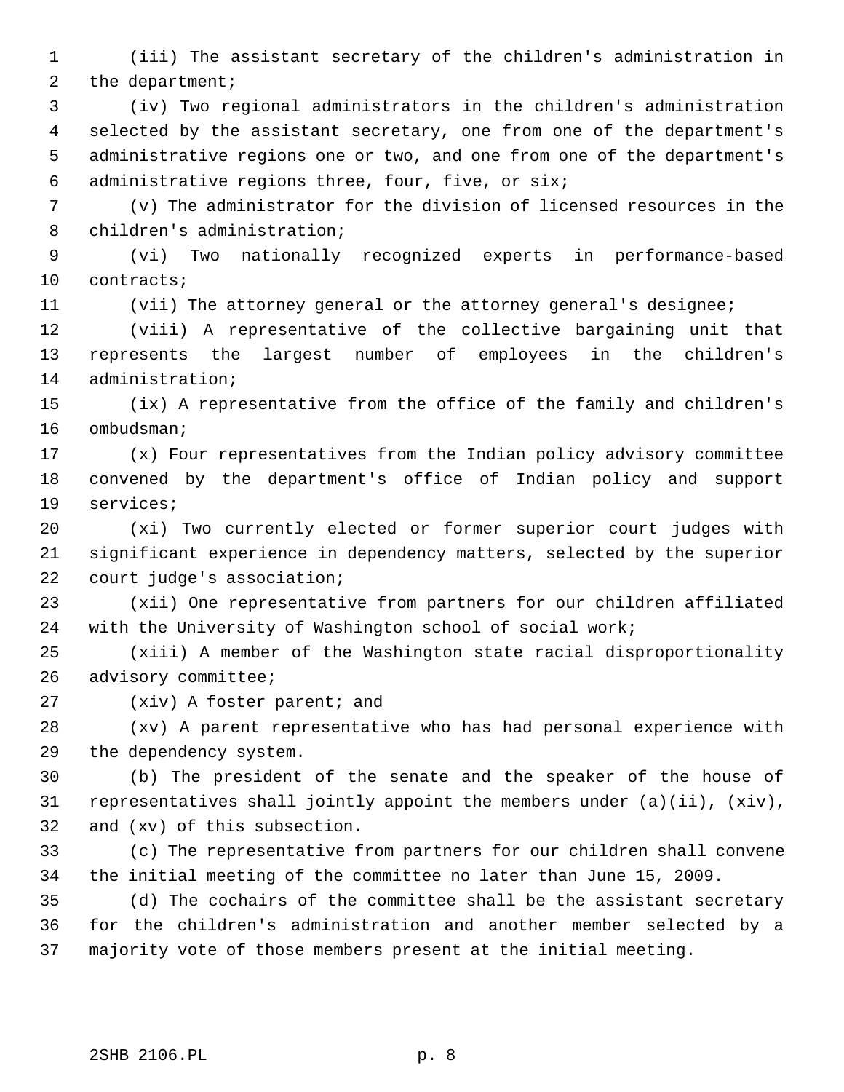1 (iii) The assistant secretary of the children's administration in 2 the department;

 3 (iv) Two regional administrators in the children's administration 4 selected by the assistant secretary, one from one of the department's 5 administrative regions one or two, and one from one of the department's 6 administrative regions three, four, five, or six;

 7 (v) The administrator for the division of licensed resources in the 8 children's administration;

 9 (vi) Two nationally recognized experts in performance-based 10 contracts;

11 (vii) The attorney general or the attorney general's designee;

12 (viii) A representative of the collective bargaining unit that 13 represents the largest number of employees in the children's 14 administration;

15 (ix) A representative from the office of the family and children's 16 ombudsman;

17 (x) Four representatives from the Indian policy advisory committee 18 convened by the department's office of Indian policy and support 19 services;

20 (xi) Two currently elected or former superior court judges with 21 significant experience in dependency matters, selected by the superior 22 court judge's association;

23 (xii) One representative from partners for our children affiliated 24 with the University of Washington school of social work;

25 (xiii) A member of the Washington state racial disproportionality 26 advisory committee;

27 (xiv) A foster parent; and

28 (xv) A parent representative who has had personal experience with 29 the dependency system.

30 (b) The president of the senate and the speaker of the house of 31 representatives shall jointly appoint the members under (a)(ii), (xiv), 32 and (xv) of this subsection.

33 (c) The representative from partners for our children shall convene 34 the initial meeting of the committee no later than June 15, 2009.

35 (d) The cochairs of the committee shall be the assistant secretary 36 for the children's administration and another member selected by a 37 majority vote of those members present at the initial meeting.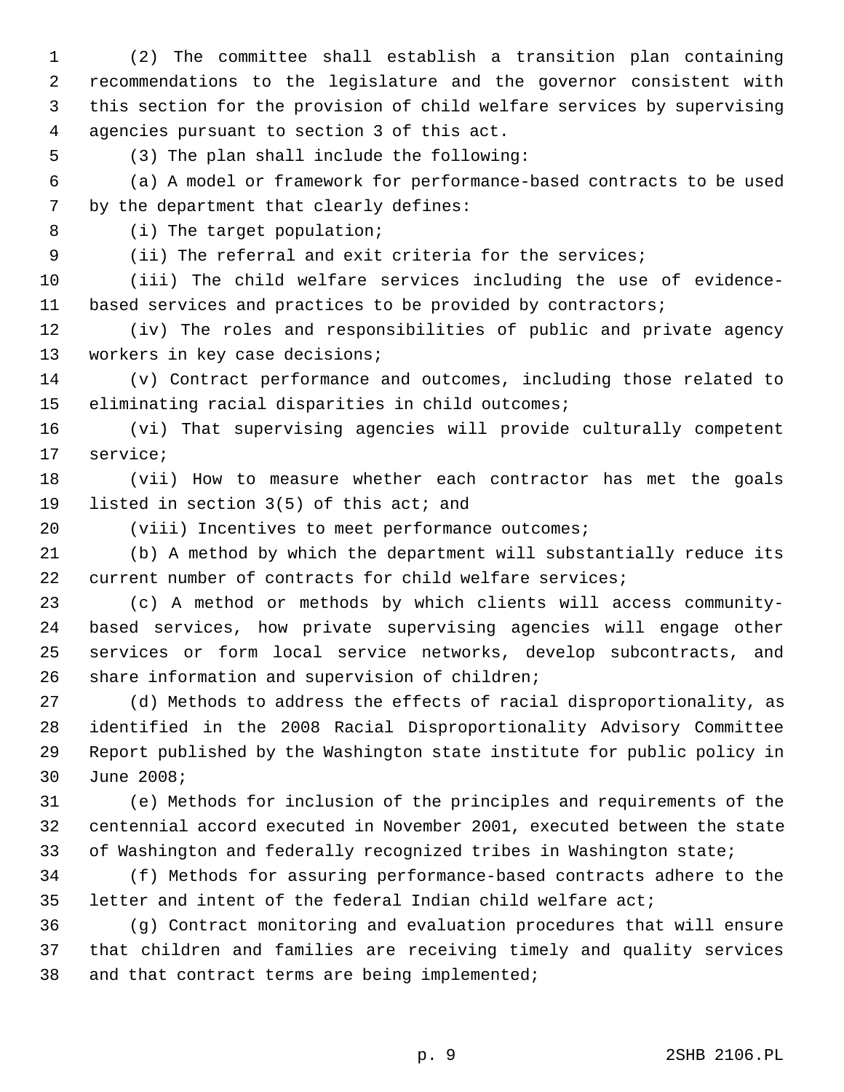1 (2) The committee shall establish a transition plan containing 2 recommendations to the legislature and the governor consistent with 3 this section for the provision of child welfare services by supervising 4 agencies pursuant to section 3 of this act.

5 (3) The plan shall include the following:

 6 (a) A model or framework for performance-based contracts to be used 7 by the department that clearly defines:

8 (i) The target population;

9 (ii) The referral and exit criteria for the services;

10 (iii) The child welfare services including the use of evidence-11 based services and practices to be provided by contractors;

12 (iv) The roles and responsibilities of public and private agency 13 workers in key case decisions;

14 (v) Contract performance and outcomes, including those related to 15 eliminating racial disparities in child outcomes;

16 (vi) That supervising agencies will provide culturally competent 17 service;

18 (vii) How to measure whether each contractor has met the goals 19 listed in section 3(5) of this act; and

20 (viii) Incentives to meet performance outcomes;

21 (b) A method by which the department will substantially reduce its 22 current number of contracts for child welfare services;

23 (c) A method or methods by which clients will access community-24 based services, how private supervising agencies will engage other 25 services or form local service networks, develop subcontracts, and 26 share information and supervision of children;

27 (d) Methods to address the effects of racial disproportionality, as 28 identified in the 2008 Racial Disproportionality Advisory Committee 29 Report published by the Washington state institute for public policy in 30 June 2008;

31 (e) Methods for inclusion of the principles and requirements of the 32 centennial accord executed in November 2001, executed between the state 33 of Washington and federally recognized tribes in Washington state;

34 (f) Methods for assuring performance-based contracts adhere to the 35 letter and intent of the federal Indian child welfare act;

36 (g) Contract monitoring and evaluation procedures that will ensure 37 that children and families are receiving timely and quality services 38 and that contract terms are being implemented;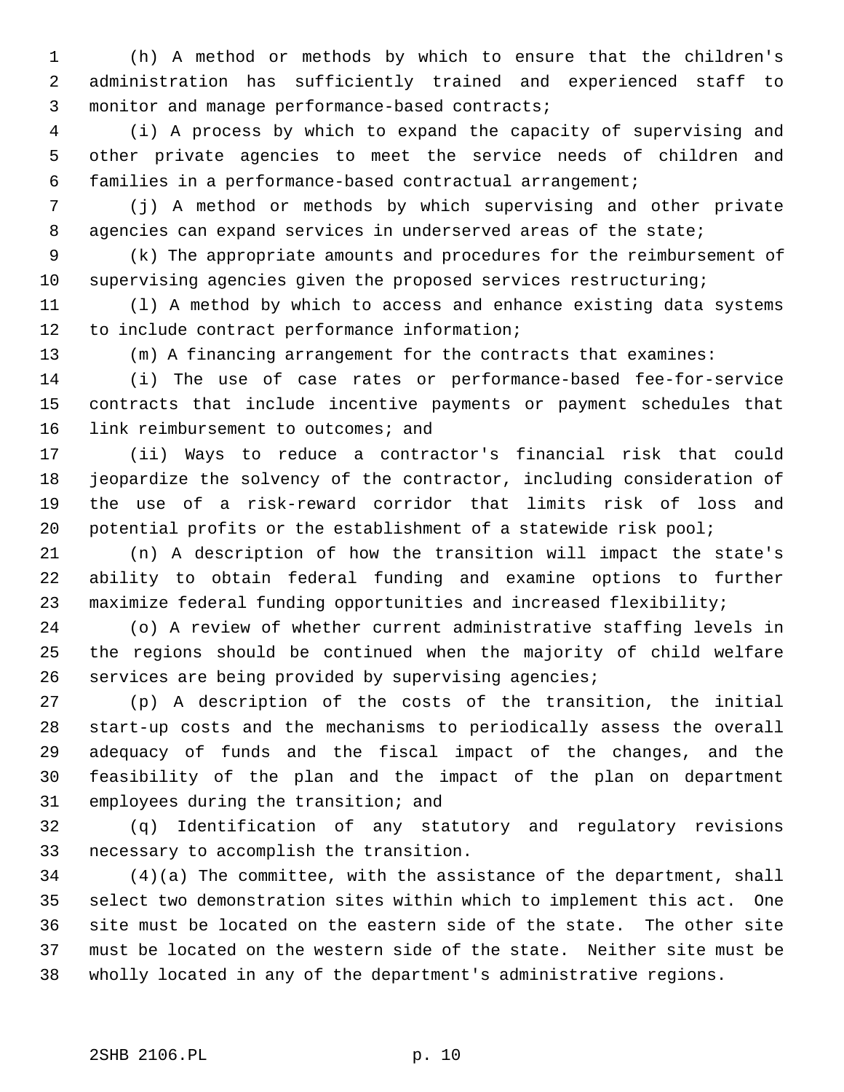1 (h) A method or methods by which to ensure that the children's 2 administration has sufficiently trained and experienced staff to 3 monitor and manage performance-based contracts;

 4 (i) A process by which to expand the capacity of supervising and 5 other private agencies to meet the service needs of children and 6 families in a performance-based contractual arrangement;

 7 (j) A method or methods by which supervising and other private 8 agencies can expand services in underserved areas of the state;

 9 (k) The appropriate amounts and procedures for the reimbursement of 10 supervising agencies given the proposed services restructuring;

11 (l) A method by which to access and enhance existing data systems 12 to include contract performance information;

13 (m) A financing arrangement for the contracts that examines:

14 (i) The use of case rates or performance-based fee-for-service 15 contracts that include incentive payments or payment schedules that 16 link reimbursement to outcomes; and

17 (ii) Ways to reduce a contractor's financial risk that could 18 jeopardize the solvency of the contractor, including consideration of 19 the use of a risk-reward corridor that limits risk of loss and 20 potential profits or the establishment of a statewide risk pool;

21 (n) A description of how the transition will impact the state's 22 ability to obtain federal funding and examine options to further 23 maximize federal funding opportunities and increased flexibility;

24 (o) A review of whether current administrative staffing levels in 25 the regions should be continued when the majority of child welfare 26 services are being provided by supervising agencies;

27 (p) A description of the costs of the transition, the initial 28 start-up costs and the mechanisms to periodically assess the overall 29 adequacy of funds and the fiscal impact of the changes, and the 30 feasibility of the plan and the impact of the plan on department 31 employees during the transition; and

32 (q) Identification of any statutory and regulatory revisions 33 necessary to accomplish the transition.

34 (4)(a) The committee, with the assistance of the department, shall 35 select two demonstration sites within which to implement this act. One 36 site must be located on the eastern side of the state. The other site 37 must be located on the western side of the state. Neither site must be 38 wholly located in any of the department's administrative regions.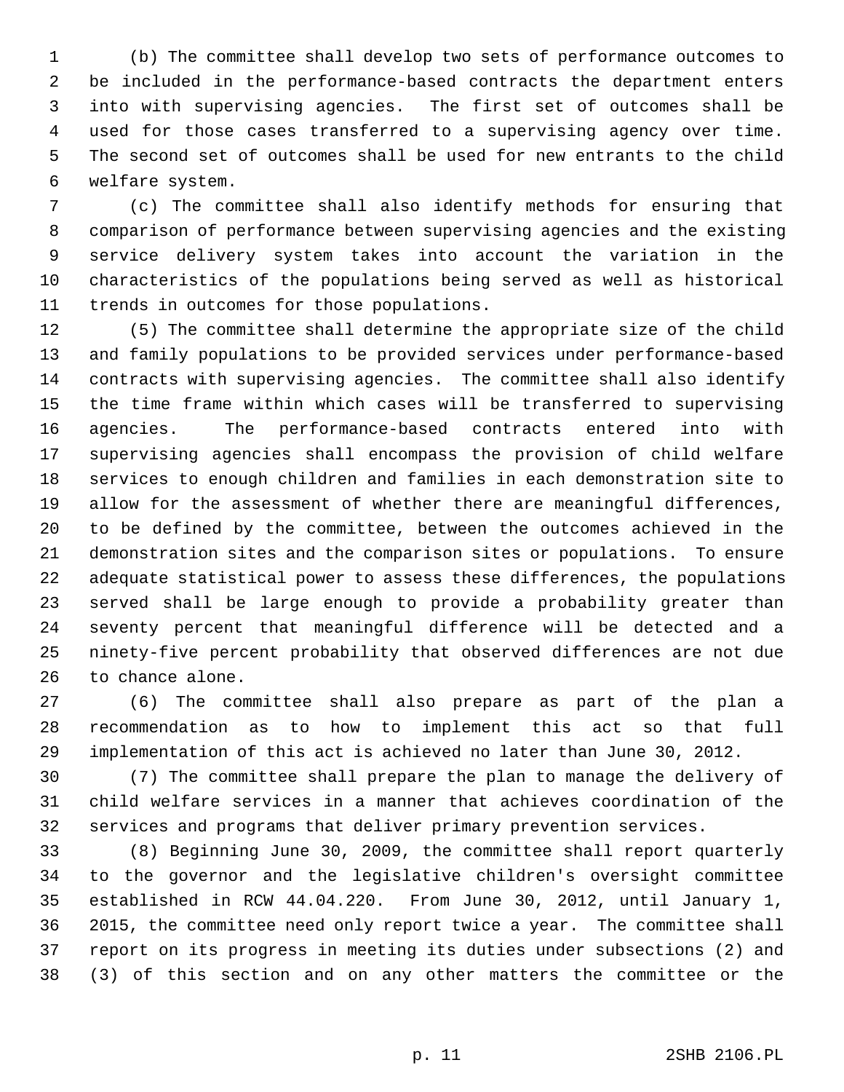1 (b) The committee shall develop two sets of performance outcomes to 2 be included in the performance-based contracts the department enters 3 into with supervising agencies. The first set of outcomes shall be 4 used for those cases transferred to a supervising agency over time. 5 The second set of outcomes shall be used for new entrants to the child 6 welfare system.

 7 (c) The committee shall also identify methods for ensuring that 8 comparison of performance between supervising agencies and the existing 9 service delivery system takes into account the variation in the 10 characteristics of the populations being served as well as historical 11 trends in outcomes for those populations.

12 (5) The committee shall determine the appropriate size of the child 13 and family populations to be provided services under performance-based 14 contracts with supervising agencies. The committee shall also identify 15 the time frame within which cases will be transferred to supervising 16 agencies. The performance-based contracts entered into with 17 supervising agencies shall encompass the provision of child welfare 18 services to enough children and families in each demonstration site to 19 allow for the assessment of whether there are meaningful differences, 20 to be defined by the committee, between the outcomes achieved in the 21 demonstration sites and the comparison sites or populations. To ensure 22 adequate statistical power to assess these differences, the populations 23 served shall be large enough to provide a probability greater than 24 seventy percent that meaningful difference will be detected and a 25 ninety-five percent probability that observed differences are not due 26 to chance alone.

27 (6) The committee shall also prepare as part of the plan a 28 recommendation as to how to implement this act so that full 29 implementation of this act is achieved no later than June 30, 2012.

30 (7) The committee shall prepare the plan to manage the delivery of 31 child welfare services in a manner that achieves coordination of the 32 services and programs that deliver primary prevention services.

33 (8) Beginning June 30, 2009, the committee shall report quarterly 34 to the governor and the legislative children's oversight committee 35 established in RCW 44.04.220. From June 30, 2012, until January 1, 36 2015, the committee need only report twice a year. The committee shall 37 report on its progress in meeting its duties under subsections (2) and 38 (3) of this section and on any other matters the committee or the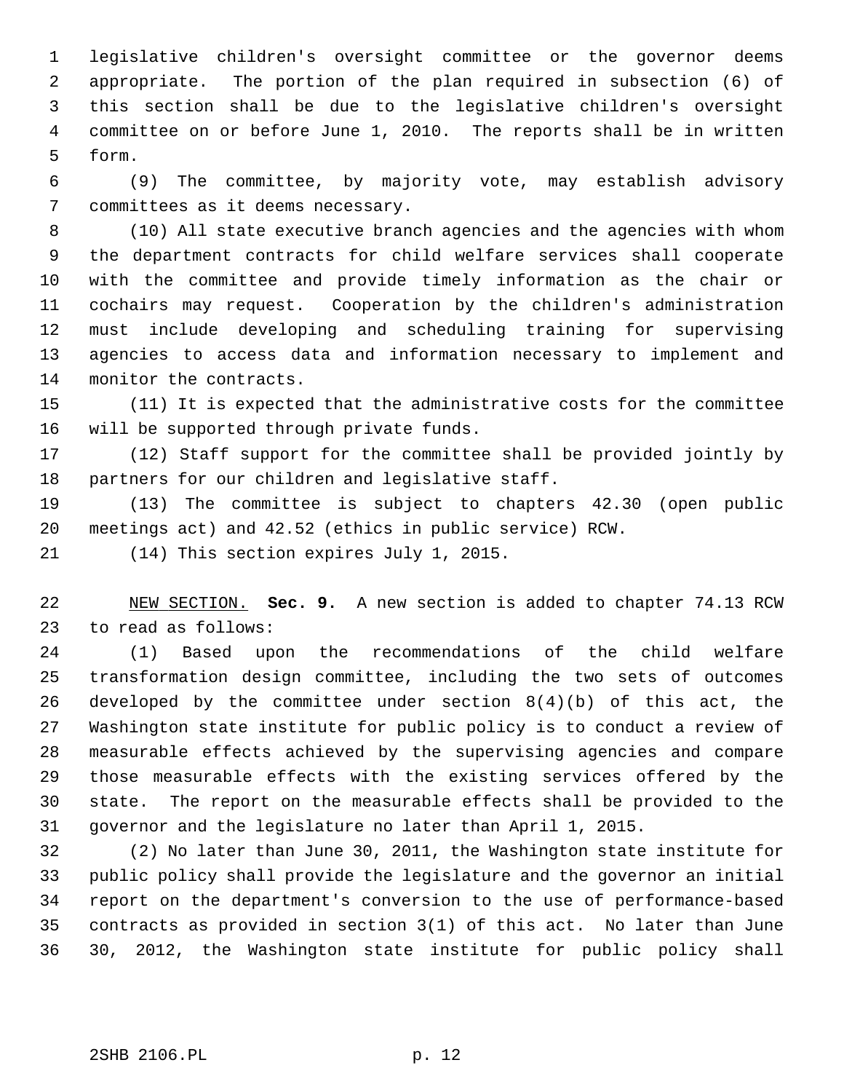1 legislative children's oversight committee or the governor deems 2 appropriate. The portion of the plan required in subsection (6) of 3 this section shall be due to the legislative children's oversight 4 committee on or before June 1, 2010. The reports shall be in written 5 form.

 6 (9) The committee, by majority vote, may establish advisory 7 committees as it deems necessary.

 8 (10) All state executive branch agencies and the agencies with whom 9 the department contracts for child welfare services shall cooperate 10 with the committee and provide timely information as the chair or 11 cochairs may request. Cooperation by the children's administration 12 must include developing and scheduling training for supervising 13 agencies to access data and information necessary to implement and 14 monitor the contracts.

15 (11) It is expected that the administrative costs for the committee 16 will be supported through private funds.

17 (12) Staff support for the committee shall be provided jointly by 18 partners for our children and legislative staff.

19 (13) The committee is subject to chapters 42.30 (open public 20 meetings act) and 42.52 (ethics in public service) RCW.

21 (14) This section expires July 1, 2015.

22 NEW SECTION. **Sec. 9.** A new section is added to chapter 74.13 RCW 23 to read as follows:

24 (1) Based upon the recommendations of the child welfare 25 transformation design committee, including the two sets of outcomes 26 developed by the committee under section  $8(4)(b)$  of this act, the 27 Washington state institute for public policy is to conduct a review of 28 measurable effects achieved by the supervising agencies and compare 29 those measurable effects with the existing services offered by the 30 state. The report on the measurable effects shall be provided to the 31 governor and the legislature no later than April 1, 2015.

32 (2) No later than June 30, 2011, the Washington state institute for 33 public policy shall provide the legislature and the governor an initial 34 report on the department's conversion to the use of performance-based 35 contracts as provided in section 3(1) of this act. No later than June 36 30, 2012, the Washington state institute for public policy shall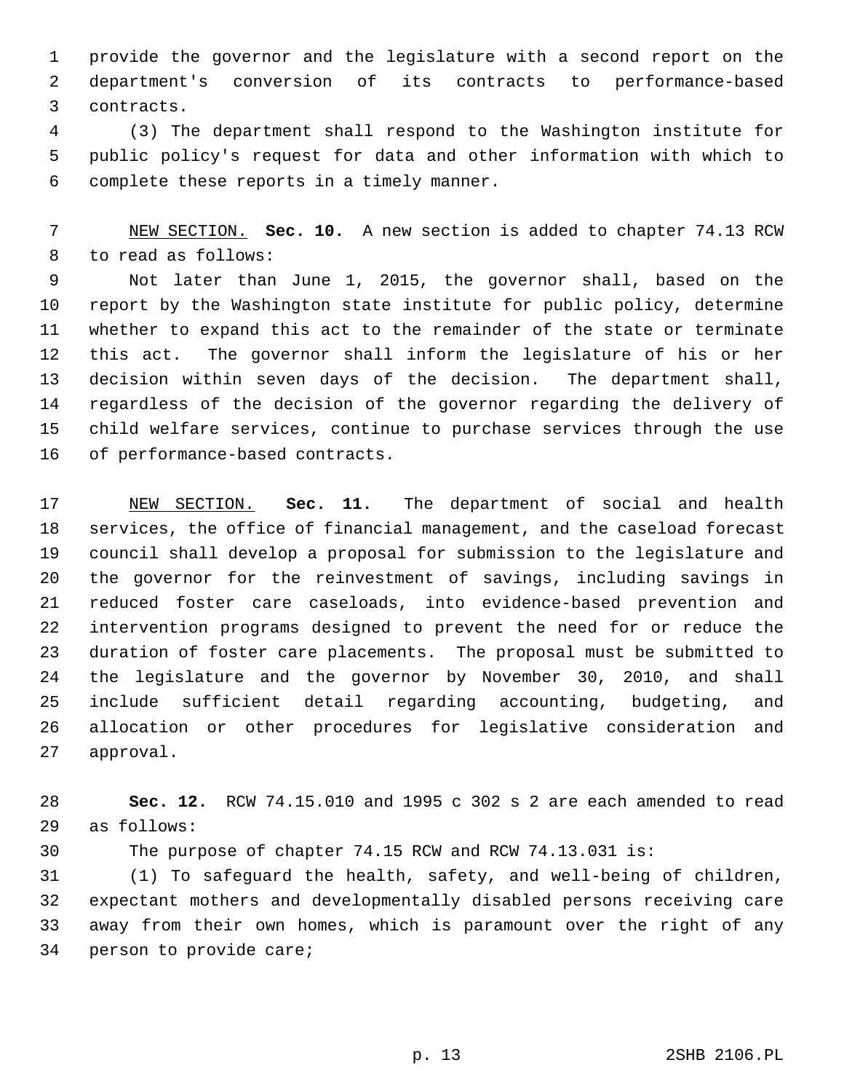1 provide the governor and the legislature with a second report on the 2 department's conversion of its contracts to performance-based 3 contracts.

 4 (3) The department shall respond to the Washington institute for 5 public policy's request for data and other information with which to 6 complete these reports in a timely manner.

 7 NEW SECTION. **Sec. 10.** A new section is added to chapter 74.13 RCW 8 to read as follows:

 9 Not later than June 1, 2015, the governor shall, based on the 10 report by the Washington state institute for public policy, determine 11 whether to expand this act to the remainder of the state or terminate 12 this act. The governor shall inform the legislature of his or her 13 decision within seven days of the decision. The department shall, 14 regardless of the decision of the governor regarding the delivery of 15 child welfare services, continue to purchase services through the use 16 of performance-based contracts.

17 NEW SECTION. **Sec. 11.** The department of social and health 18 services, the office of financial management, and the caseload forecast 19 council shall develop a proposal for submission to the legislature and 20 the governor for the reinvestment of savings, including savings in 21 reduced foster care caseloads, into evidence-based prevention and 22 intervention programs designed to prevent the need for or reduce the 23 duration of foster care placements. The proposal must be submitted to 24 the legislature and the governor by November 30, 2010, and shall 25 include sufficient detail regarding accounting, budgeting, and 26 allocation or other procedures for legislative consideration and 27 approval.

28 **Sec. 12.** RCW 74.15.010 and 1995 c 302 s 2 are each amended to read 29 as follows:

30 The purpose of chapter 74.15 RCW and RCW 74.13.031 is:

31 (1) To safeguard the health, safety, and well-being of children, 32 expectant mothers and developmentally disabled persons receiving care 33 away from their own homes, which is paramount over the right of any 34 person to provide care;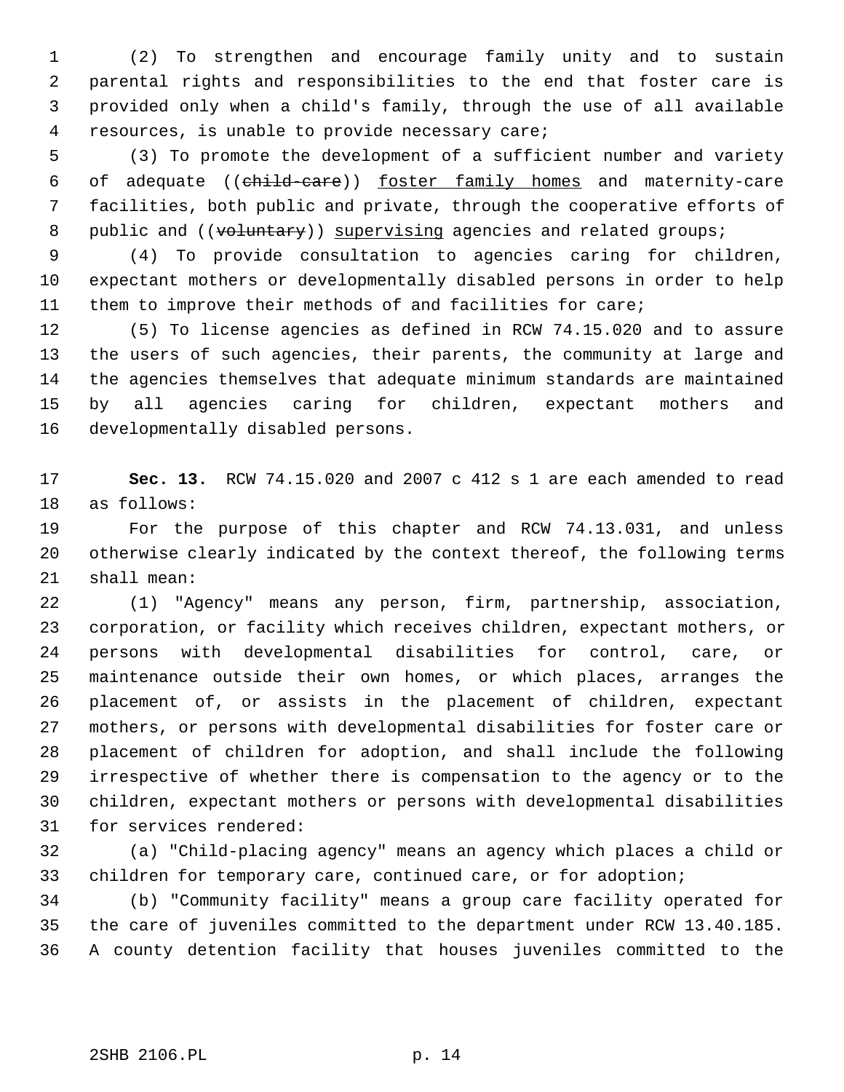1 (2) To strengthen and encourage family unity and to sustain 2 parental rights and responsibilities to the end that foster care is 3 provided only when a child's family, through the use of all available 4 resources, is unable to provide necessary care;

 5 (3) To promote the development of a sufficient number and variety 6 of adequate ((child-care)) foster family homes and maternity-care 7 facilities, both public and private, through the cooperative efforts of 8 public and ((voluntary)) supervising agencies and related groups;

 9 (4) To provide consultation to agencies caring for children, 10 expectant mothers or developmentally disabled persons in order to help 11 them to improve their methods of and facilities for care;

12 (5) To license agencies as defined in RCW 74.15.020 and to assure 13 the users of such agencies, their parents, the community at large and 14 the agencies themselves that adequate minimum standards are maintained 15 by all agencies caring for children, expectant mothers and 16 developmentally disabled persons.

17 **Sec. 13.** RCW 74.15.020 and 2007 c 412 s 1 are each amended to read 18 as follows:

19 For the purpose of this chapter and RCW 74.13.031, and unless 20 otherwise clearly indicated by the context thereof, the following terms 21 shall mean:

22 (1) "Agency" means any person, firm, partnership, association, 23 corporation, or facility which receives children, expectant mothers, or 24 persons with developmental disabilities for control, care, or 25 maintenance outside their own homes, or which places, arranges the 26 placement of, or assists in the placement of children, expectant 27 mothers, or persons with developmental disabilities for foster care or 28 placement of children for adoption, and shall include the following 29 irrespective of whether there is compensation to the agency or to the 30 children, expectant mothers or persons with developmental disabilities 31 for services rendered:

32 (a) "Child-placing agency" means an agency which places a child or 33 children for temporary care, continued care, or for adoption;

34 (b) "Community facility" means a group care facility operated for 35 the care of juveniles committed to the department under RCW 13.40.185. 36 A county detention facility that houses juveniles committed to the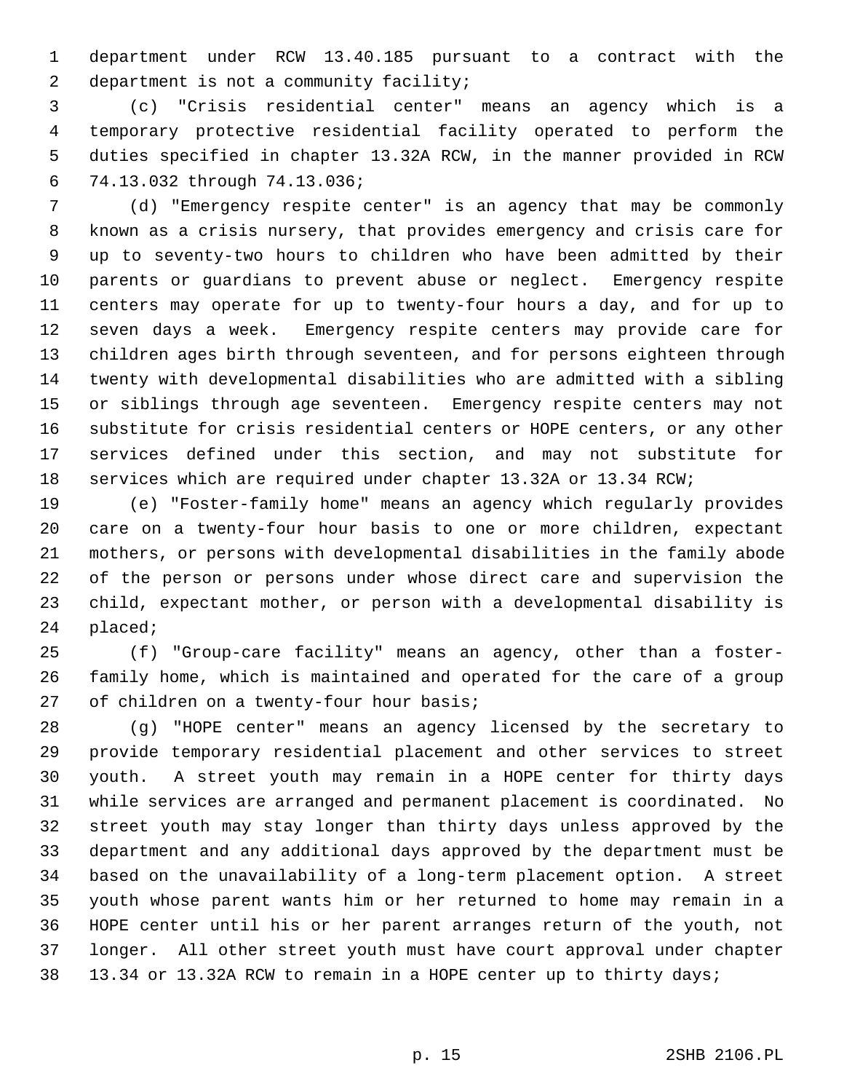1 department under RCW 13.40.185 pursuant to a contract with the 2 department is not a community facility;

 3 (c) "Crisis residential center" means an agency which is a 4 temporary protective residential facility operated to perform the 5 duties specified in chapter 13.32A RCW, in the manner provided in RCW 6 74.13.032 through 74.13.036;

 7 (d) "Emergency respite center" is an agency that may be commonly 8 known as a crisis nursery, that provides emergency and crisis care for 9 up to seventy-two hours to children who have been admitted by their 10 parents or guardians to prevent abuse or neglect. Emergency respite 11 centers may operate for up to twenty-four hours a day, and for up to 12 seven days a week. Emergency respite centers may provide care for 13 children ages birth through seventeen, and for persons eighteen through 14 twenty with developmental disabilities who are admitted with a sibling 15 or siblings through age seventeen. Emergency respite centers may not 16 substitute for crisis residential centers or HOPE centers, or any other 17 services defined under this section, and may not substitute for 18 services which are required under chapter 13.32A or 13.34 RCW;

19 (e) "Foster-family home" means an agency which regularly provides 20 care on a twenty-four hour basis to one or more children, expectant 21 mothers, or persons with developmental disabilities in the family abode 22 of the person or persons under whose direct care and supervision the 23 child, expectant mother, or person with a developmental disability is 24 placed;

25 (f) "Group-care facility" means an agency, other than a foster-26 family home, which is maintained and operated for the care of a group 27 of children on a twenty-four hour basis;

28 (g) "HOPE center" means an agency licensed by the secretary to 29 provide temporary residential placement and other services to street 30 youth. A street youth may remain in a HOPE center for thirty days 31 while services are arranged and permanent placement is coordinated. No 32 street youth may stay longer than thirty days unless approved by the 33 department and any additional days approved by the department must be 34 based on the unavailability of a long-term placement option. A street 35 youth whose parent wants him or her returned to home may remain in a 36 HOPE center until his or her parent arranges return of the youth, not 37 longer. All other street youth must have court approval under chapter 38 13.34 or 13.32A RCW to remain in a HOPE center up to thirty days;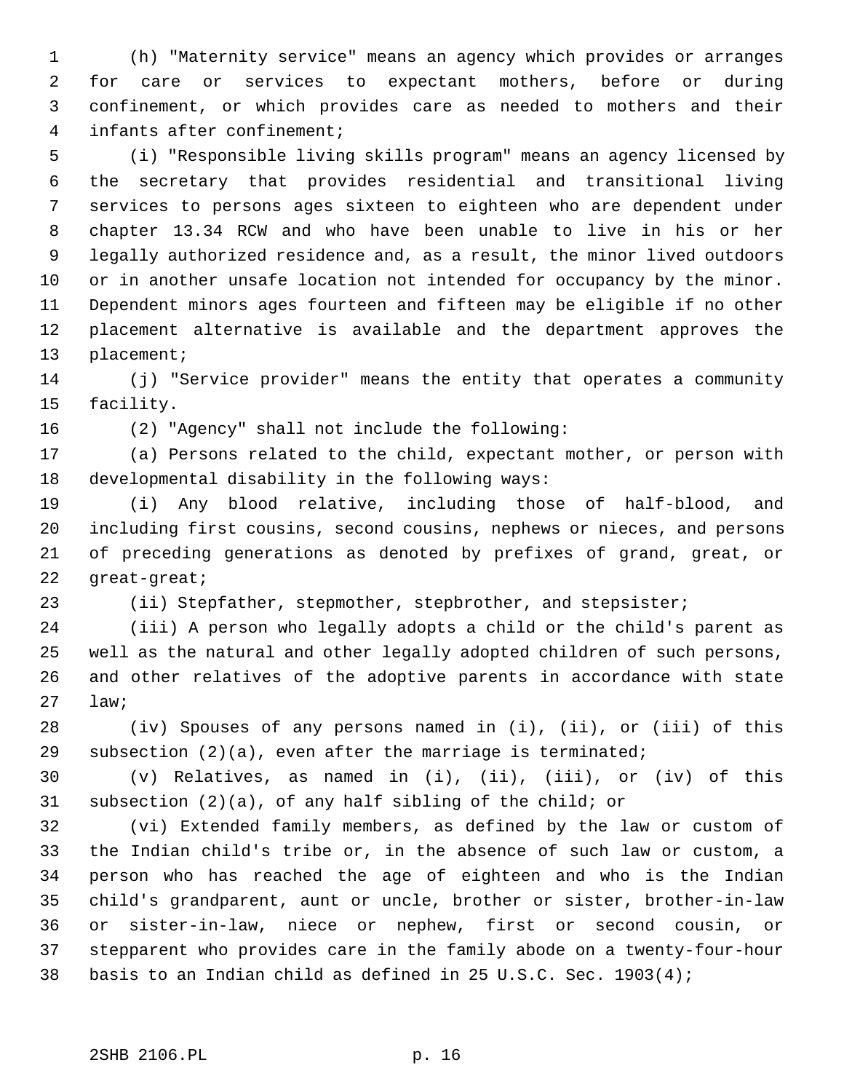1 (h) "Maternity service" means an agency which provides or arranges 2 for care or services to expectant mothers, before or during 3 confinement, or which provides care as needed to mothers and their 4 infants after confinement;

 5 (i) "Responsible living skills program" means an agency licensed by 6 the secretary that provides residential and transitional living 7 services to persons ages sixteen to eighteen who are dependent under 8 chapter 13.34 RCW and who have been unable to live in his or her 9 legally authorized residence and, as a result, the minor lived outdoors 10 or in another unsafe location not intended for occupancy by the minor. 11 Dependent minors ages fourteen and fifteen may be eligible if no other 12 placement alternative is available and the department approves the 13 placement;

14 (j) "Service provider" means the entity that operates a community 15 facility.

16 (2) "Agency" shall not include the following:

17 (a) Persons related to the child, expectant mother, or person with 18 developmental disability in the following ways:

19 (i) Any blood relative, including those of half-blood, and 20 including first cousins, second cousins, nephews or nieces, and persons 21 of preceding generations as denoted by prefixes of grand, great, or 22 great-great;

23 (ii) Stepfather, stepmother, stepbrother, and stepsister;

24 (iii) A person who legally adopts a child or the child's parent as 25 well as the natural and other legally adopted children of such persons, 26 and other relatives of the adoptive parents in accordance with state 27 law;

28 (iv) Spouses of any persons named in (i), (ii), or (iii) of this 29 subsection  $(2)(a)$ , even after the marriage is terminated;

30 (v) Relatives, as named in (i), (ii), (iii), or (iv) of this 31 subsection (2)(a), of any half sibling of the child; or

32 (vi) Extended family members, as defined by the law or custom of 33 the Indian child's tribe or, in the absence of such law or custom, a 34 person who has reached the age of eighteen and who is the Indian 35 child's grandparent, aunt or uncle, brother or sister, brother-in-law 36 or sister-in-law, niece or nephew, first or second cousin, or 37 stepparent who provides care in the family abode on a twenty-four-hour 38 basis to an Indian child as defined in 25 U.S.C. Sec. 1903(4);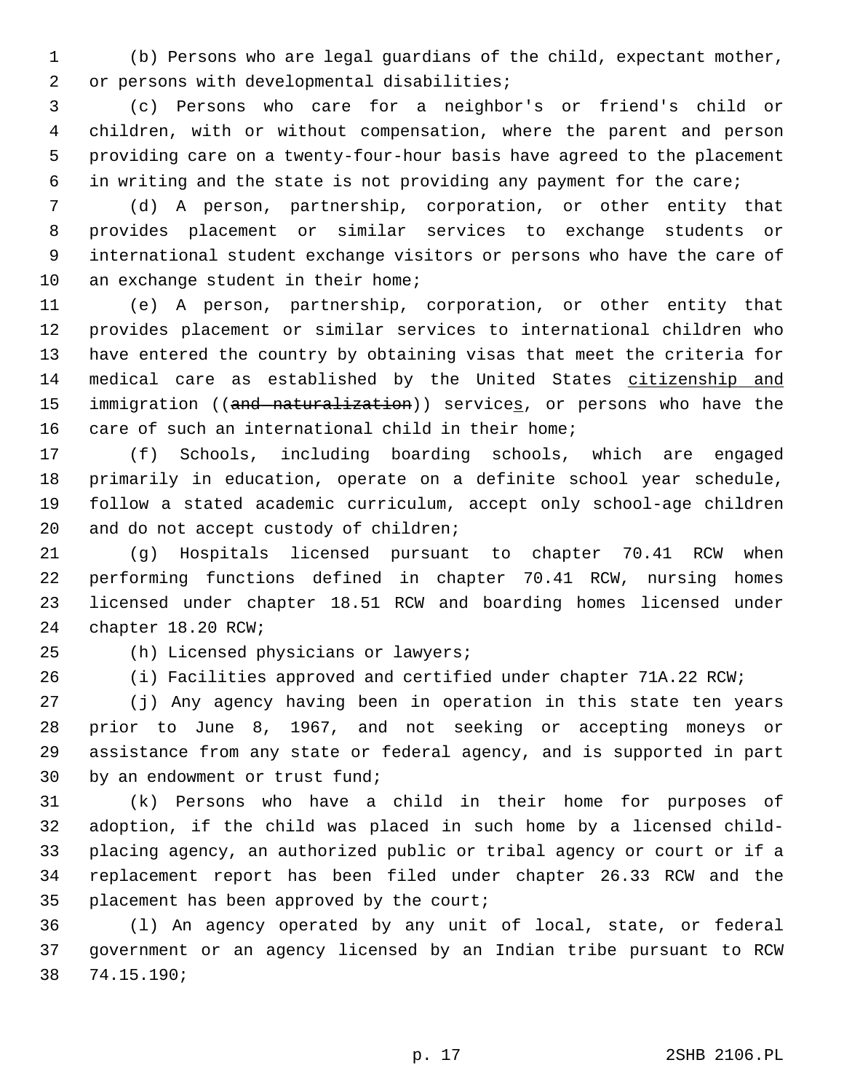1 (b) Persons who are legal guardians of the child, expectant mother, 2 or persons with developmental disabilities;

 3 (c) Persons who care for a neighbor's or friend's child or 4 children, with or without compensation, where the parent and person 5 providing care on a twenty-four-hour basis have agreed to the placement 6 in writing and the state is not providing any payment for the care;

 7 (d) A person, partnership, corporation, or other entity that 8 provides placement or similar services to exchange students or 9 international student exchange visitors or persons who have the care of 10 an exchange student in their home;

11 (e) A person, partnership, corporation, or other entity that 12 provides placement or similar services to international children who 13 have entered the country by obtaining visas that meet the criteria for 14 medical care as established by the United States citizenship and 15 immigration ((and naturalization)) services, or persons who have the 16 care of such an international child in their home;

17 (f) Schools, including boarding schools, which are engaged 18 primarily in education, operate on a definite school year schedule, 19 follow a stated academic curriculum, accept only school-age children 20 and do not accept custody of children;

21 (g) Hospitals licensed pursuant to chapter 70.41 RCW when 22 performing functions defined in chapter 70.41 RCW, nursing homes 23 licensed under chapter 18.51 RCW and boarding homes licensed under 24 chapter 18.20 RCW;

25 (h) Licensed physicians or lawyers;

26 (i) Facilities approved and certified under chapter 71A.22 RCW;

27 (j) Any agency having been in operation in this state ten years 28 prior to June 8, 1967, and not seeking or accepting moneys or 29 assistance from any state or federal agency, and is supported in part 30 by an endowment or trust fund;

31 (k) Persons who have a child in their home for purposes of 32 adoption, if the child was placed in such home by a licensed child-33 placing agency, an authorized public or tribal agency or court or if a 34 replacement report has been filed under chapter 26.33 RCW and the 35 placement has been approved by the court;

36 (l) An agency operated by any unit of local, state, or federal 37 government or an agency licensed by an Indian tribe pursuant to RCW 38 74.15.190;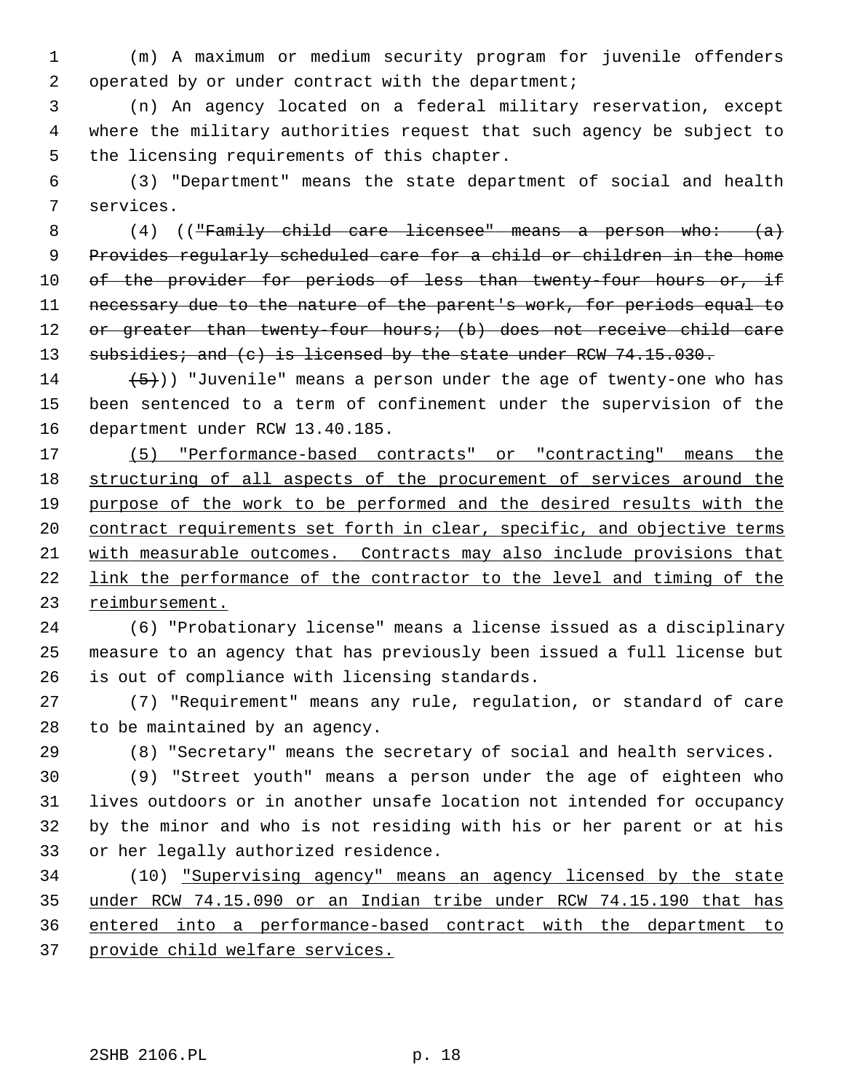1 (m) A maximum or medium security program for juvenile offenders 2 operated by or under contract with the department;

 3 (n) An agency located on a federal military reservation, except 4 where the military authorities request that such agency be subject to 5 the licensing requirements of this chapter.

 6 (3) "Department" means the state department of social and health 7 services.

 8 (4) (("Family child care licensee" means a person who: (a) 9 Provides regularly scheduled care for a child or children in the home 10 of the provider for periods of less than twenty-four hours or, if 11 necessary due to the nature of the parent's work, for periods equal to 12 or greater than twenty-four hours; (b) does not receive child care 13 subsidies; and (c) is licensed by the state under RCW 74.15.030.

14  $(5)$ ) "Juvenile" means a person under the age of twenty-one who has 15 been sentenced to a term of confinement under the supervision of the 16 department under RCW 13.40.185.

 (5) "Performance-based contracts" or "contracting" means the structuring of all aspects of the procurement of services around the purpose of the work to be performed and the desired results with the 20 contract requirements set forth in clear, specific, and objective terms with measurable outcomes. Contracts may also include provisions that link the performance of the contractor to the level and timing of the reimbursement.

24 (6) "Probationary license" means a license issued as a disciplinary 25 measure to an agency that has previously been issued a full license but 26 is out of compliance with licensing standards.

27 (7) "Requirement" means any rule, regulation, or standard of care 28 to be maintained by an agency.

29 (8) "Secretary" means the secretary of social and health services.

30 (9) "Street youth" means a person under the age of eighteen who 31 lives outdoors or in another unsafe location not intended for occupancy 32 by the minor and who is not residing with his or her parent or at his 33 or her legally authorized residence.

34 (10) "Supervising agency" means an agency licensed by the state under RCW 74.15.090 or an Indian tribe under RCW 74.15.190 that has entered into a performance-based contract with the department to provide child welfare services.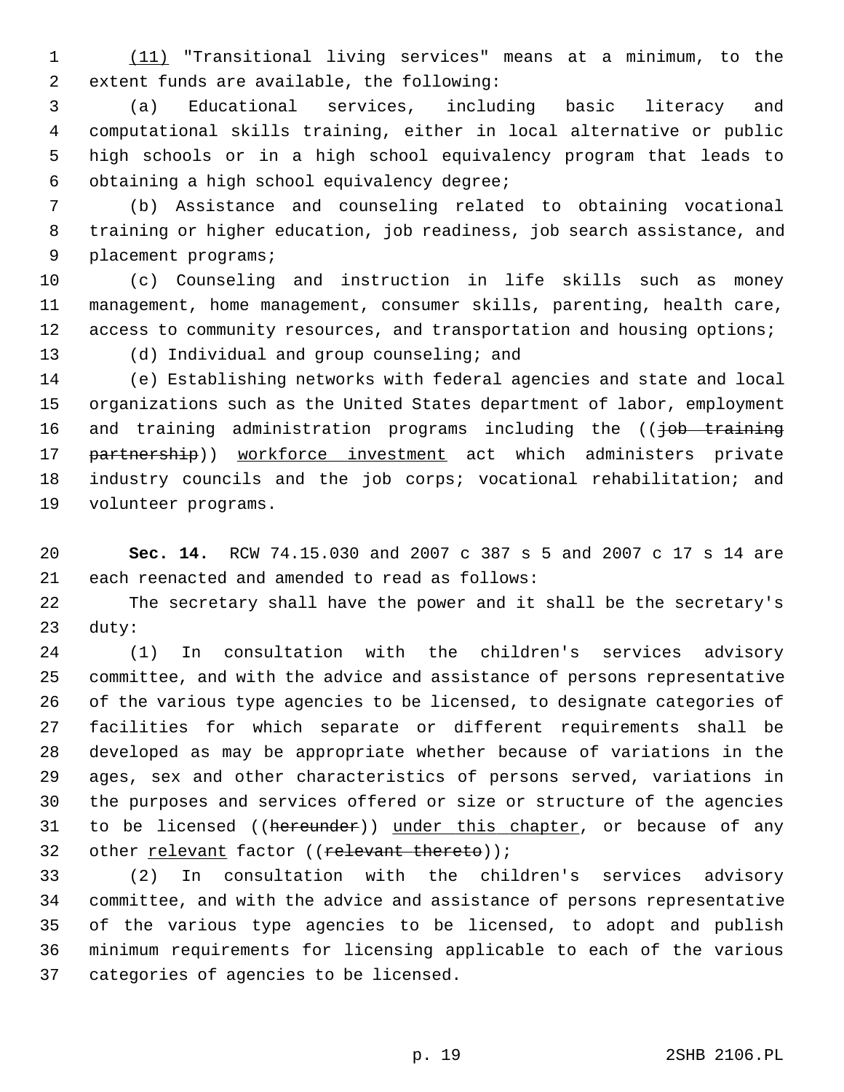1 (11) "Transitional living services" means at a minimum, to the 2 extent funds are available, the following:

 3 (a) Educational services, including basic literacy and 4 computational skills training, either in local alternative or public 5 high schools or in a high school equivalency program that leads to 6 obtaining a high school equivalency degree;

 7 (b) Assistance and counseling related to obtaining vocational 8 training or higher education, job readiness, job search assistance, and 9 placement programs;

10 (c) Counseling and instruction in life skills such as money 11 management, home management, consumer skills, parenting, health care, 12 access to community resources, and transportation and housing options;

13 (d) Individual and group counseling; and

14 (e) Establishing networks with federal agencies and state and local 15 organizations such as the United States department of labor, employment 16 and training administration programs including the ((job training 17 partnership)) workforce investment act which administers private 18 industry councils and the job corps; vocational rehabilitation; and 19 volunteer programs.

20 **Sec. 14.** RCW 74.15.030 and 2007 c 387 s 5 and 2007 c 17 s 14 are 21 each reenacted and amended to read as follows:

22 The secretary shall have the power and it shall be the secretary's 23 duty:

24 (1) In consultation with the children's services advisory 25 committee, and with the advice and assistance of persons representative 26 of the various type agencies to be licensed, to designate categories of 27 facilities for which separate or different requirements shall be 28 developed as may be appropriate whether because of variations in the 29 ages, sex and other characteristics of persons served, variations in 30 the purposes and services offered or size or structure of the agencies 31 to be licensed ((hereunder)) under this chapter, or because of any 32 other relevant factor ((relevant thereto));

33 (2) In consultation with the children's services advisory 34 committee, and with the advice and assistance of persons representative 35 of the various type agencies to be licensed, to adopt and publish 36 minimum requirements for licensing applicable to each of the various 37 categories of agencies to be licensed.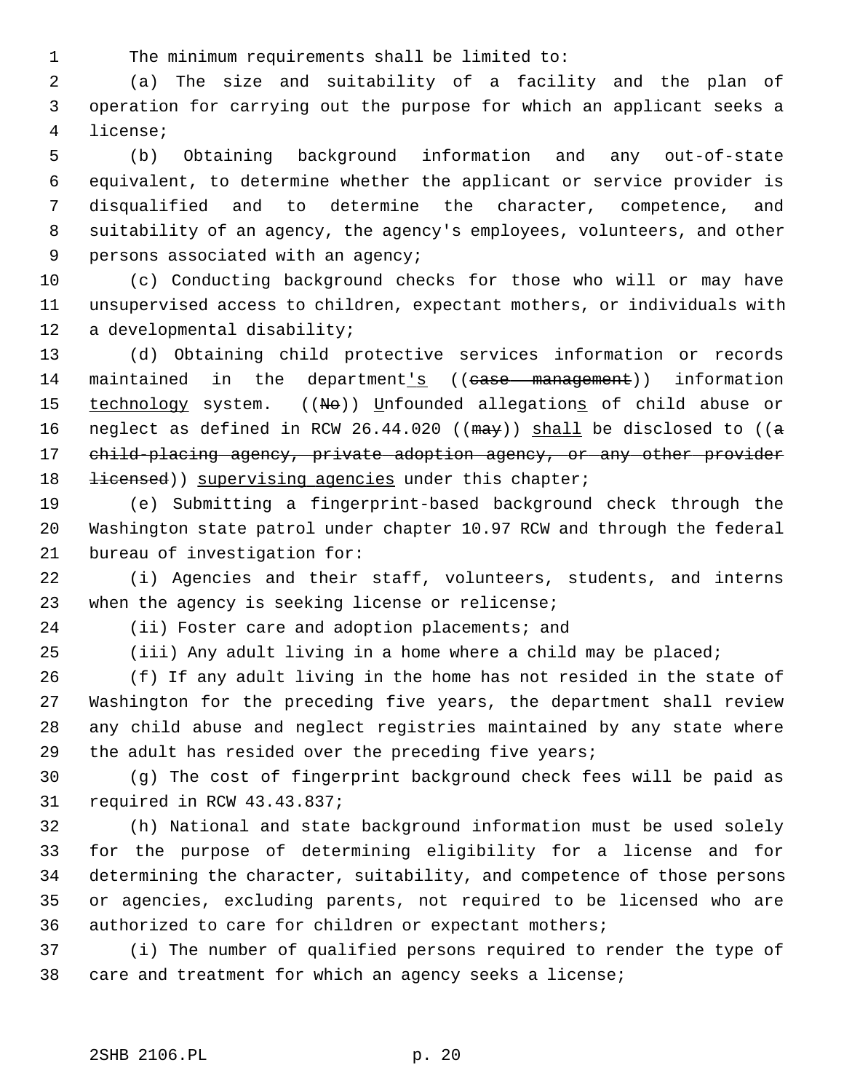1 The minimum requirements shall be limited to:

 2 (a) The size and suitability of a facility and the plan of 3 operation for carrying out the purpose for which an applicant seeks a 4 license;

 5 (b) Obtaining background information and any out-of-state 6 equivalent, to determine whether the applicant or service provider is 7 disqualified and to determine the character, competence, and 8 suitability of an agency, the agency's employees, volunteers, and other 9 persons associated with an agency;

10 (c) Conducting background checks for those who will or may have 11 unsupervised access to children, expectant mothers, or individuals with 12 a developmental disability;

13 (d) Obtaining child protective services information or records 14 maintained in the department's ((case management)) information 15 technology system. ((No)) Unfounded allegations of child abuse or 16 neglect as defined in RCW 26.44.020 (( $\frac{may}{ may}$ ) shall be disclosed to (( $\frac{a}{ }$ ) 17 child-placing agency, private adoption agency, or any other provider 18 <del>licensed</del>)) supervising agencies under this chapter;

19 (e) Submitting a fingerprint-based background check through the 20 Washington state patrol under chapter 10.97 RCW and through the federal 21 bureau of investigation for:

22 (i) Agencies and their staff, volunteers, students, and interns 23 when the agency is seeking license or relicense;

24 (ii) Foster care and adoption placements; and

25 (iii) Any adult living in a home where a child may be placed;

26 (f) If any adult living in the home has not resided in the state of 27 Washington for the preceding five years, the department shall review 28 any child abuse and neglect registries maintained by any state where 29 the adult has resided over the preceding five years;

30 (g) The cost of fingerprint background check fees will be paid as 31 required in RCW 43.43.837;

32 (h) National and state background information must be used solely 33 for the purpose of determining eligibility for a license and for 34 determining the character, suitability, and competence of those persons 35 or agencies, excluding parents, not required to be licensed who are 36 authorized to care for children or expectant mothers;

37 (i) The number of qualified persons required to render the type of 38 care and treatment for which an agency seeks a license;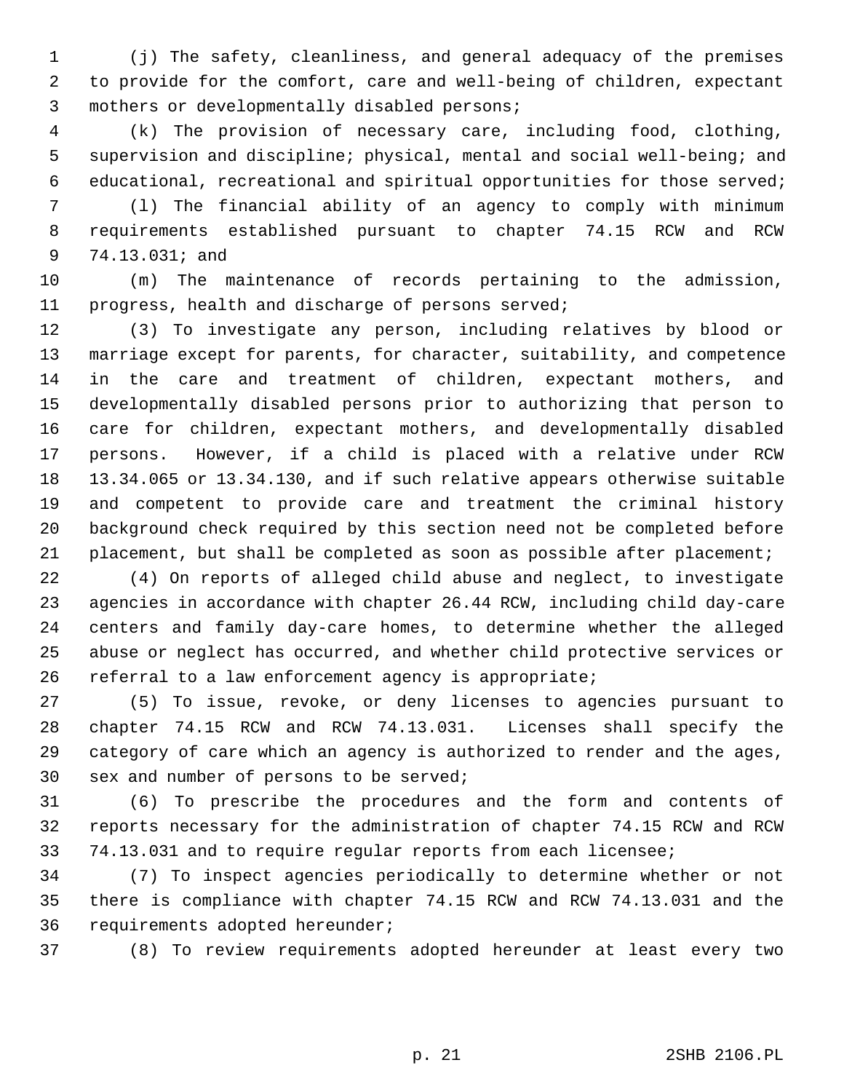1 (j) The safety, cleanliness, and general adequacy of the premises 2 to provide for the comfort, care and well-being of children, expectant 3 mothers or developmentally disabled persons;

 4 (k) The provision of necessary care, including food, clothing, 5 supervision and discipline; physical, mental and social well-being; and 6 educational, recreational and spiritual opportunities for those served;

 7 (l) The financial ability of an agency to comply with minimum 8 requirements established pursuant to chapter 74.15 RCW and RCW 9 74.13.031; and

10 (m) The maintenance of records pertaining to the admission, 11 progress, health and discharge of persons served;

12 (3) To investigate any person, including relatives by blood or 13 marriage except for parents, for character, suitability, and competence 14 in the care and treatment of children, expectant mothers, and 15 developmentally disabled persons prior to authorizing that person to 16 care for children, expectant mothers, and developmentally disabled 17 persons. However, if a child is placed with a relative under RCW 18 13.34.065 or 13.34.130, and if such relative appears otherwise suitable 19 and competent to provide care and treatment the criminal history 20 background check required by this section need not be completed before 21 placement, but shall be completed as soon as possible after placement;

22 (4) On reports of alleged child abuse and neglect, to investigate 23 agencies in accordance with chapter 26.44 RCW, including child day-care 24 centers and family day-care homes, to determine whether the alleged 25 abuse or neglect has occurred, and whether child protective services or 26 referral to a law enforcement agency is appropriate;

27 (5) To issue, revoke, or deny licenses to agencies pursuant to 28 chapter 74.15 RCW and RCW 74.13.031. Licenses shall specify the 29 category of care which an agency is authorized to render and the ages, 30 sex and number of persons to be served;

31 (6) To prescribe the procedures and the form and contents of 32 reports necessary for the administration of chapter 74.15 RCW and RCW 33 74.13.031 and to require regular reports from each licensee;

34 (7) To inspect agencies periodically to determine whether or not 35 there is compliance with chapter 74.15 RCW and RCW 74.13.031 and the 36 requirements adopted hereunder;

37 (8) To review requirements adopted hereunder at least every two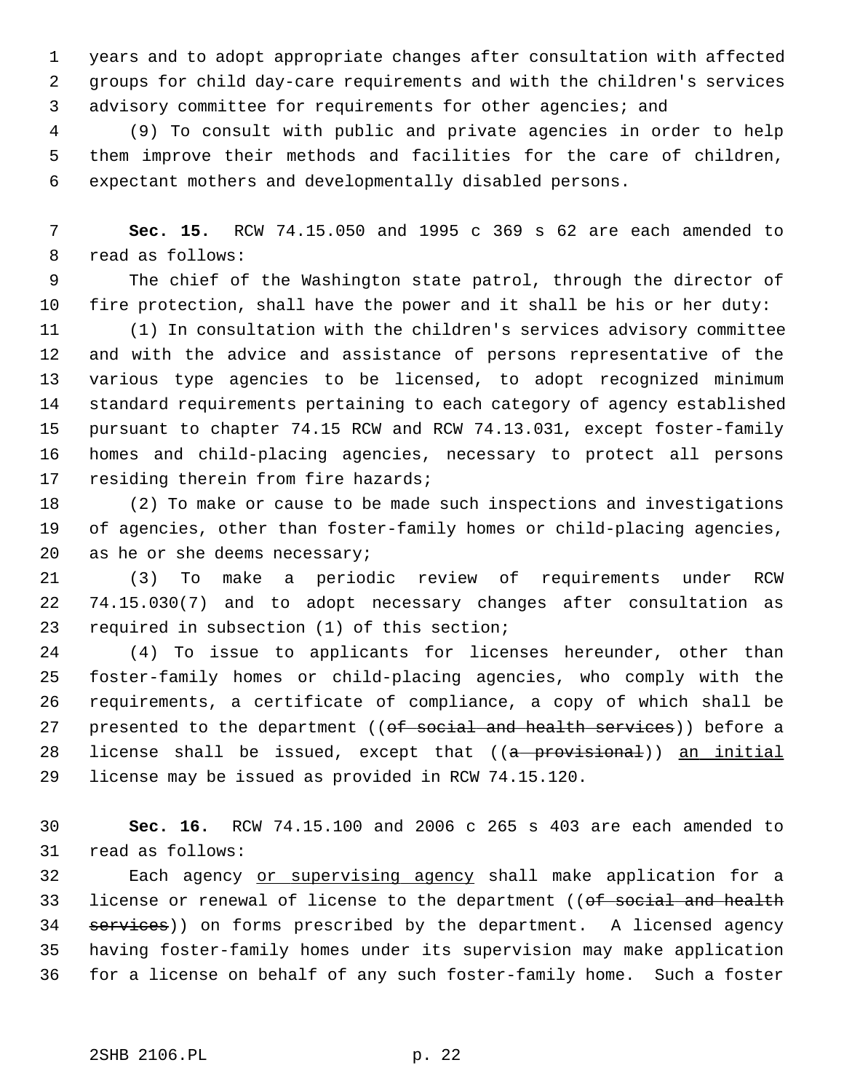1 years and to adopt appropriate changes after consultation with affected 2 groups for child day-care requirements and with the children's services 3 advisory committee for requirements for other agencies; and

 4 (9) To consult with public and private agencies in order to help 5 them improve their methods and facilities for the care of children, 6 expectant mothers and developmentally disabled persons.

 7 **Sec. 15.** RCW 74.15.050 and 1995 c 369 s 62 are each amended to 8 read as follows:

 9 The chief of the Washington state patrol, through the director of 10 fire protection, shall have the power and it shall be his or her duty:

11 (1) In consultation with the children's services advisory committee 12 and with the advice and assistance of persons representative of the 13 various type agencies to be licensed, to adopt recognized minimum 14 standard requirements pertaining to each category of agency established 15 pursuant to chapter 74.15 RCW and RCW 74.13.031, except foster-family 16 homes and child-placing agencies, necessary to protect all persons 17 residing therein from fire hazards;

18 (2) To make or cause to be made such inspections and investigations 19 of agencies, other than foster-family homes or child-placing agencies, 20 as he or she deems necessary;

21 (3) To make a periodic review of requirements under RCW 22 74.15.030(7) and to adopt necessary changes after consultation as 23 required in subsection (1) of this section;

24 (4) To issue to applicants for licenses hereunder, other than 25 foster-family homes or child-placing agencies, who comply with the 26 requirements, a certificate of compliance, a copy of which shall be 27 presented to the department ((of social and health services)) before a 28 license shall be issued, except that  $((a -$ pro $v$ isional)) an initial 29 license may be issued as provided in RCW 74.15.120.

30 **Sec. 16.** RCW 74.15.100 and 2006 c 265 s 403 are each amended to 31 read as follows:

32 Each agency or supervising agency shall make application for a 33 license or renewal of license to the department ((of social and health 34 services)) on forms prescribed by the department. A licensed agency 35 having foster-family homes under its supervision may make application 36 for a license on behalf of any such foster-family home. Such a foster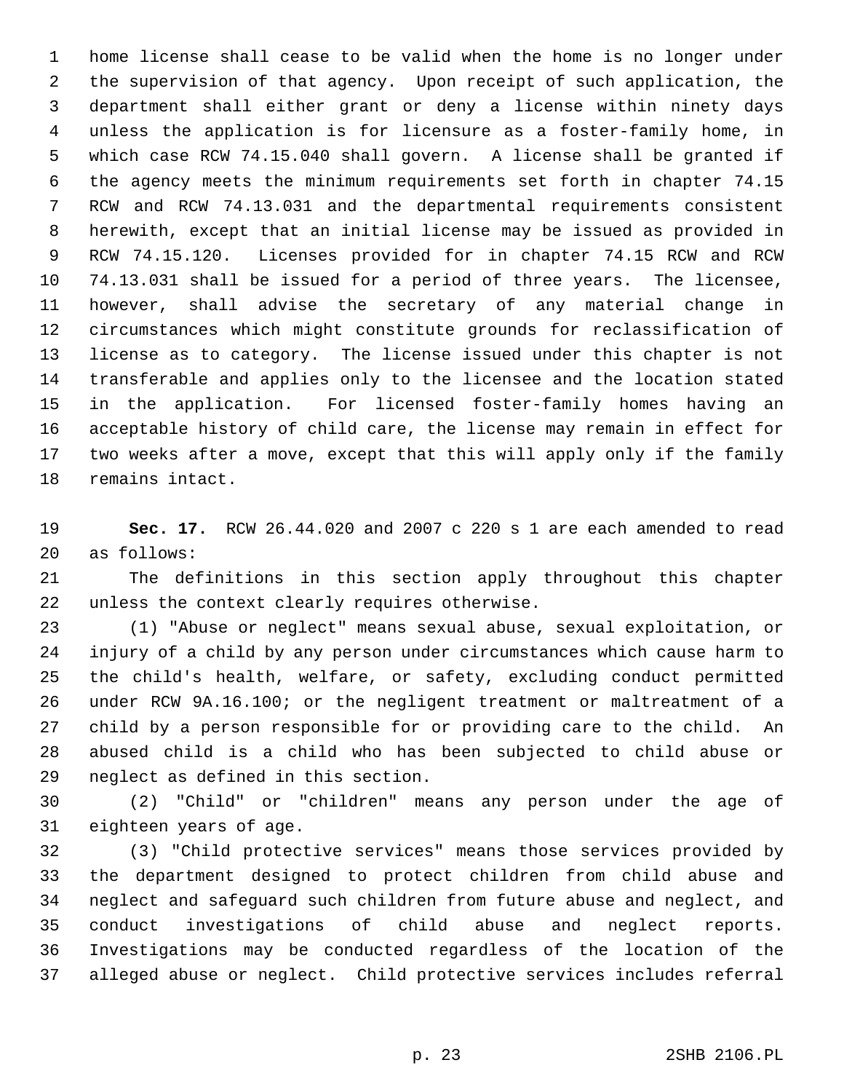1 home license shall cease to be valid when the home is no longer under 2 the supervision of that agency. Upon receipt of such application, the 3 department shall either grant or deny a license within ninety days 4 unless the application is for licensure as a foster-family home, in 5 which case RCW 74.15.040 shall govern. A license shall be granted if 6 the agency meets the minimum requirements set forth in chapter 74.15 7 RCW and RCW 74.13.031 and the departmental requirements consistent 8 herewith, except that an initial license may be issued as provided in 9 RCW 74.15.120. Licenses provided for in chapter 74.15 RCW and RCW 10 74.13.031 shall be issued for a period of three years. The licensee, 11 however, shall advise the secretary of any material change in 12 circumstances which might constitute grounds for reclassification of 13 license as to category. The license issued under this chapter is not 14 transferable and applies only to the licensee and the location stated 15 in the application. For licensed foster-family homes having an 16 acceptable history of child care, the license may remain in effect for 17 two weeks after a move, except that this will apply only if the family 18 remains intact.

19 **Sec. 17.** RCW 26.44.020 and 2007 c 220 s 1 are each amended to read 20 as follows:

21 The definitions in this section apply throughout this chapter 22 unless the context clearly requires otherwise.

23 (1) "Abuse or neglect" means sexual abuse, sexual exploitation, or 24 injury of a child by any person under circumstances which cause harm to 25 the child's health, welfare, or safety, excluding conduct permitted 26 under RCW 9A.16.100; or the negligent treatment or maltreatment of a 27 child by a person responsible for or providing care to the child. An 28 abused child is a child who has been subjected to child abuse or 29 neglect as defined in this section.

30 (2) "Child" or "children" means any person under the age of 31 eighteen years of age.

32 (3) "Child protective services" means those services provided by 33 the department designed to protect children from child abuse and 34 neglect and safeguard such children from future abuse and neglect, and 35 conduct investigations of child abuse and neglect reports. 36 Investigations may be conducted regardless of the location of the 37 alleged abuse or neglect. Child protective services includes referral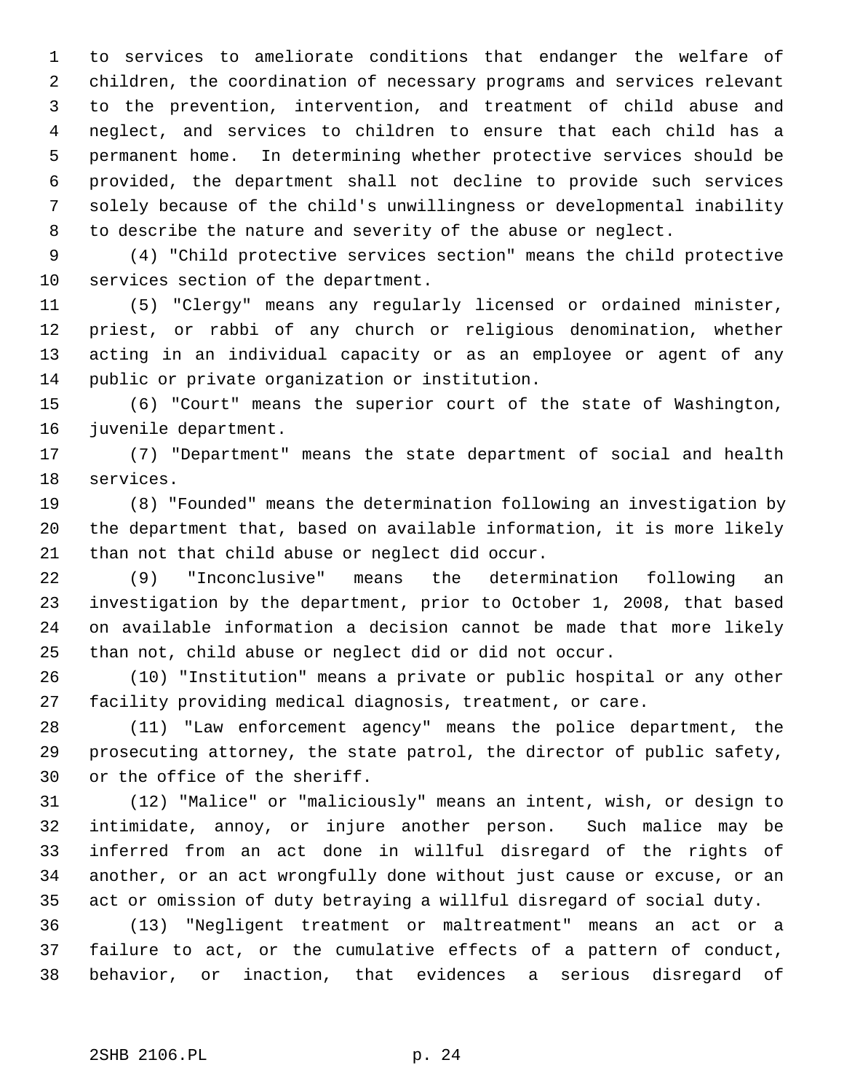1 to services to ameliorate conditions that endanger the welfare of 2 children, the coordination of necessary programs and services relevant 3 to the prevention, intervention, and treatment of child abuse and 4 neglect, and services to children to ensure that each child has a 5 permanent home. In determining whether protective services should be 6 provided, the department shall not decline to provide such services 7 solely because of the child's unwillingness or developmental inability 8 to describe the nature and severity of the abuse or neglect.

 9 (4) "Child protective services section" means the child protective 10 services section of the department.

11 (5) "Clergy" means any regularly licensed or ordained minister, 12 priest, or rabbi of any church or religious denomination, whether 13 acting in an individual capacity or as an employee or agent of any 14 public or private organization or institution.

15 (6) "Court" means the superior court of the state of Washington, 16 juvenile department.

17 (7) "Department" means the state department of social and health 18 services.

19 (8) "Founded" means the determination following an investigation by 20 the department that, based on available information, it is more likely 21 than not that child abuse or neglect did occur.

22 (9) "Inconclusive" means the determination following an 23 investigation by the department, prior to October 1, 2008, that based 24 on available information a decision cannot be made that more likely 25 than not, child abuse or neglect did or did not occur.

26 (10) "Institution" means a private or public hospital or any other 27 facility providing medical diagnosis, treatment, or care.

28 (11) "Law enforcement agency" means the police department, the 29 prosecuting attorney, the state patrol, the director of public safety, 30 or the office of the sheriff.

31 (12) "Malice" or "maliciously" means an intent, wish, or design to 32 intimidate, annoy, or injure another person. Such malice may be 33 inferred from an act done in willful disregard of the rights of 34 another, or an act wrongfully done without just cause or excuse, or an 35 act or omission of duty betraying a willful disregard of social duty.

36 (13) "Negligent treatment or maltreatment" means an act or a 37 failure to act, or the cumulative effects of a pattern of conduct, 38 behavior, or inaction, that evidences a serious disregard of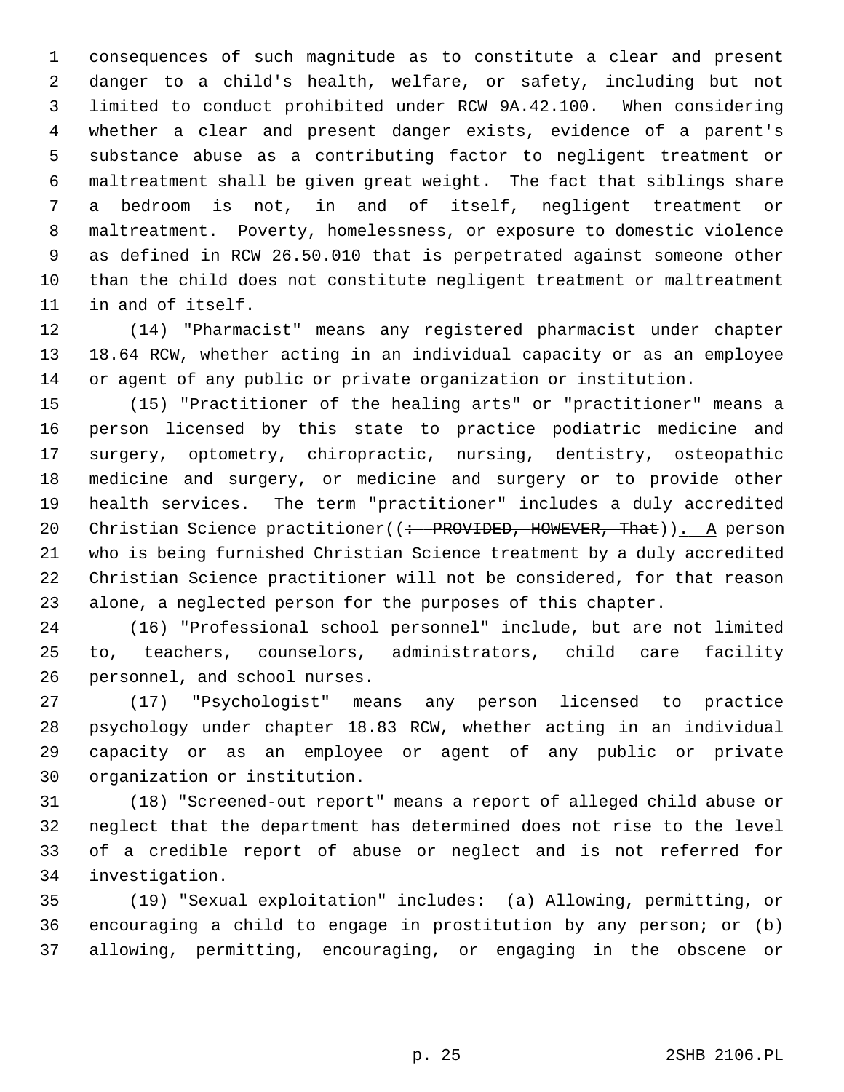1 consequences of such magnitude as to constitute a clear and present 2 danger to a child's health, welfare, or safety, including but not 3 limited to conduct prohibited under RCW 9A.42.100. When considering 4 whether a clear and present danger exists, evidence of a parent's 5 substance abuse as a contributing factor to negligent treatment or 6 maltreatment shall be given great weight. The fact that siblings share 7 a bedroom is not, in and of itself, negligent treatment or 8 maltreatment. Poverty, homelessness, or exposure to domestic violence 9 as defined in RCW 26.50.010 that is perpetrated against someone other 10 than the child does not constitute negligent treatment or maltreatment 11 in and of itself.

12 (14) "Pharmacist" means any registered pharmacist under chapter 13 18.64 RCW, whether acting in an individual capacity or as an employee 14 or agent of any public or private organization or institution.

15 (15) "Practitioner of the healing arts" or "practitioner" means a 16 person licensed by this state to practice podiatric medicine and 17 surgery, optometry, chiropractic, nursing, dentistry, osteopathic 18 medicine and surgery, or medicine and surgery or to provide other 19 health services. The term "practitioner" includes a duly accredited 20 Christian Science practitioner((: PROVIDED, HOWEVER, That)). A person 21 who is being furnished Christian Science treatment by a duly accredited 22 Christian Science practitioner will not be considered, for that reason 23 alone, a neglected person for the purposes of this chapter.

24 (16) "Professional school personnel" include, but are not limited 25 to, teachers, counselors, administrators, child care facility 26 personnel, and school nurses.

27 (17) "Psychologist" means any person licensed to practice 28 psychology under chapter 18.83 RCW, whether acting in an individual 29 capacity or as an employee or agent of any public or private 30 organization or institution.

31 (18) "Screened-out report" means a report of alleged child abuse or 32 neglect that the department has determined does not rise to the level 33 of a credible report of abuse or neglect and is not referred for 34 investigation.

35 (19) "Sexual exploitation" includes: (a) Allowing, permitting, or 36 encouraging a child to engage in prostitution by any person; or (b) 37 allowing, permitting, encouraging, or engaging in the obscene or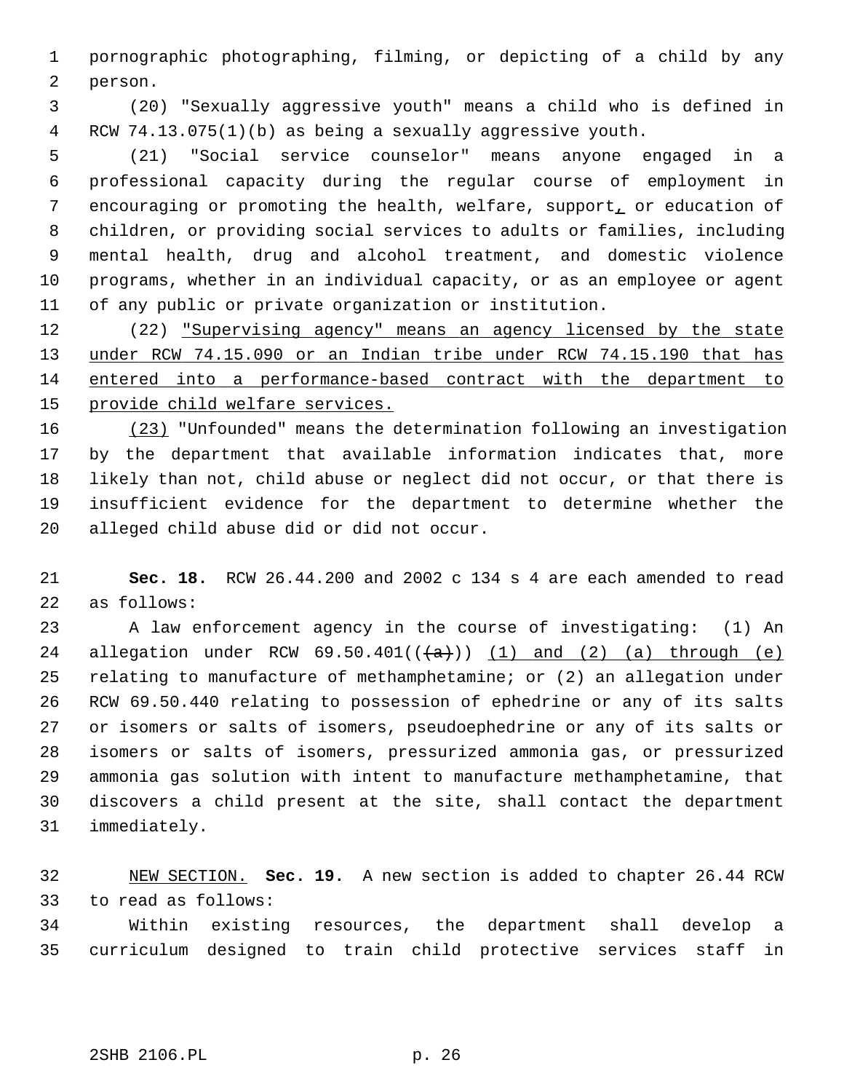1 pornographic photographing, filming, or depicting of a child by any 2 person.

 3 (20) "Sexually aggressive youth" means a child who is defined in 4 RCW 74.13.075(1)(b) as being a sexually aggressive youth.

 5 (21) "Social service counselor" means anyone engaged in a 6 professional capacity during the regular course of employment in 7 encouraging or promoting the health, welfare, support, or education of 8 children, or providing social services to adults or families, including 9 mental health, drug and alcohol treatment, and domestic violence 10 programs, whether in an individual capacity, or as an employee or agent 11 of any public or private organization or institution.

12 (22) "Supervising agency" means an agency licensed by the state under RCW 74.15.090 or an Indian tribe under RCW 74.15.190 that has entered into a performance-based contract with the department to provide child welfare services.

16 (23) "Unfounded" means the determination following an investigation 17 by the department that available information indicates that, more 18 likely than not, child abuse or neglect did not occur, or that there is 19 insufficient evidence for the department to determine whether the 20 alleged child abuse did or did not occur.

21 **Sec. 18.** RCW 26.44.200 and 2002 c 134 s 4 are each amended to read 22 as follows:

23 A law enforcement agency in the course of investigating: (1) An 24 allegation under RCW  $69.50.401(\text{(a)})$  (1) and (2) (a) through (e) 25 relating to manufacture of methamphetamine; or (2) an allegation under 26 RCW 69.50.440 relating to possession of ephedrine or any of its salts 27 or isomers or salts of isomers, pseudoephedrine or any of its salts or 28 isomers or salts of isomers, pressurized ammonia gas, or pressurized 29 ammonia gas solution with intent to manufacture methamphetamine, that 30 discovers a child present at the site, shall contact the department 31 immediately.

32 NEW SECTION. **Sec. 19.** A new section is added to chapter 26.44 RCW 33 to read as follows:

34 Within existing resources, the department shall develop a 35 curriculum designed to train child protective services staff in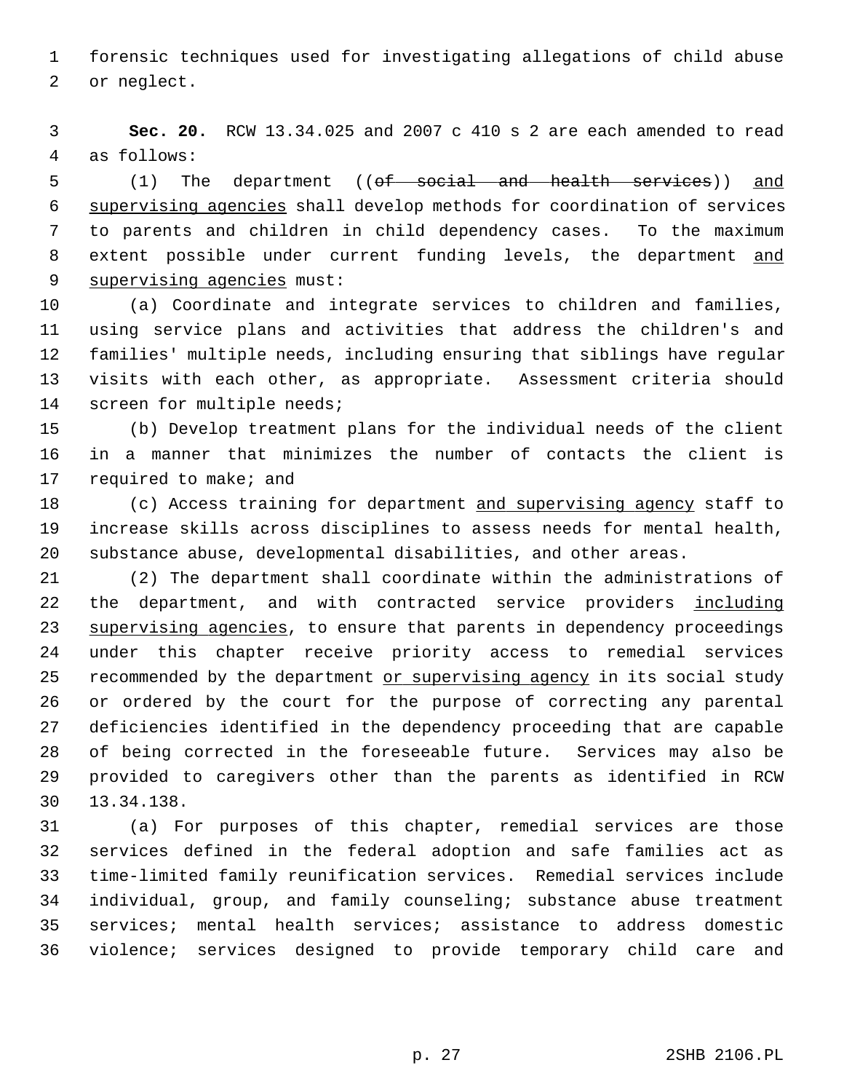1 forensic techniques used for investigating allegations of child abuse 2 or neglect.

 3 **Sec. 20.** RCW 13.34.025 and 2007 c 410 s 2 are each amended to read 4 as follows:

 5 (1) The department ((of social and health services)) and 6 supervising agencies shall develop methods for coordination of services 7 to parents and children in child dependency cases. To the maximum 8 extent possible under current funding levels, the department and 9 supervising agencies must:

10 (a) Coordinate and integrate services to children and families, 11 using service plans and activities that address the children's and 12 families' multiple needs, including ensuring that siblings have regular 13 visits with each other, as appropriate. Assessment criteria should 14 screen for multiple needs;

15 (b) Develop treatment plans for the individual needs of the client 16 in a manner that minimizes the number of contacts the client is 17 required to make; and

18 (c) Access training for department and supervising agency staff to 19 increase skills across disciplines to assess needs for mental health, 20 substance abuse, developmental disabilities, and other areas.

21 (2) The department shall coordinate within the administrations of 22 the department, and with contracted service providers including 23 supervising agencies, to ensure that parents in dependency proceedings 24 under this chapter receive priority access to remedial services 25 recommended by the department or supervising agency in its social study 26 or ordered by the court for the purpose of correcting any parental 27 deficiencies identified in the dependency proceeding that are capable 28 of being corrected in the foreseeable future. Services may also be 29 provided to caregivers other than the parents as identified in RCW 30 13.34.138.

31 (a) For purposes of this chapter, remedial services are those 32 services defined in the federal adoption and safe families act as 33 time-limited family reunification services. Remedial services include 34 individual, group, and family counseling; substance abuse treatment 35 services; mental health services; assistance to address domestic 36 violence; services designed to provide temporary child care and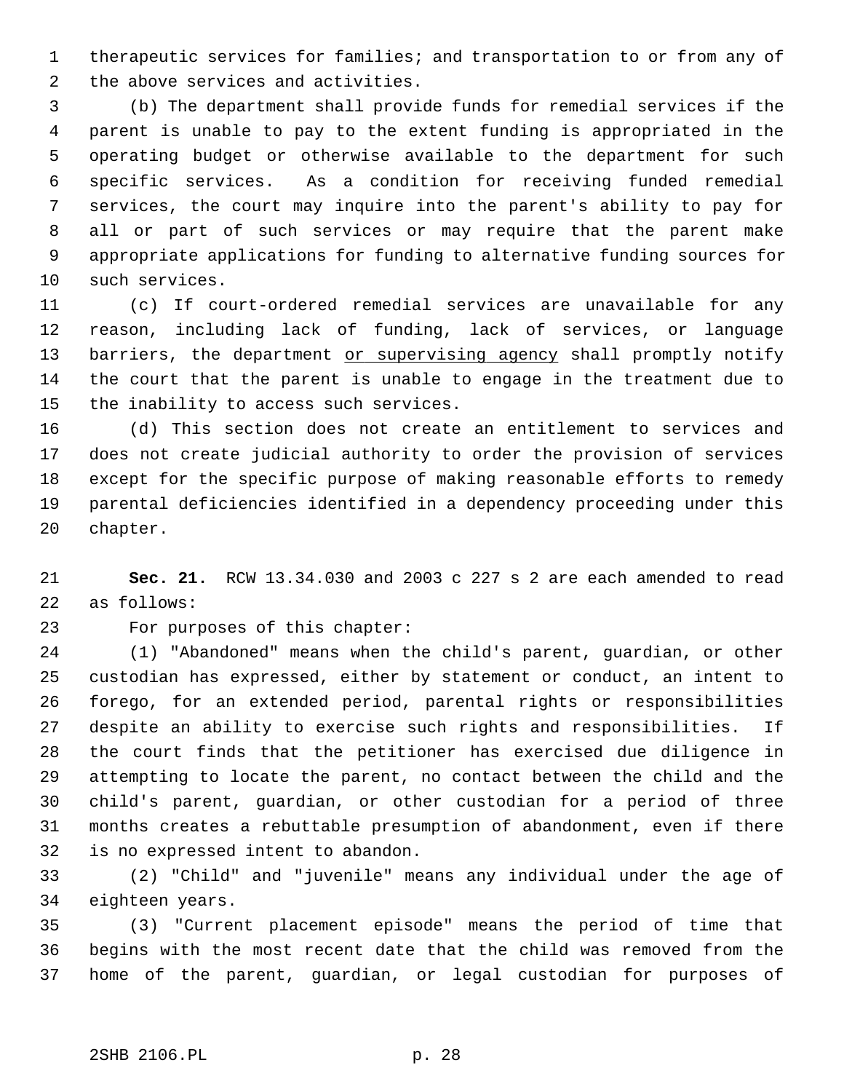1 therapeutic services for families; and transportation to or from any of 2 the above services and activities.

 3 (b) The department shall provide funds for remedial services if the 4 parent is unable to pay to the extent funding is appropriated in the 5 operating budget or otherwise available to the department for such 6 specific services. As a condition for receiving funded remedial 7 services, the court may inquire into the parent's ability to pay for 8 all or part of such services or may require that the parent make 9 appropriate applications for funding to alternative funding sources for 10 such services.

11 (c) If court-ordered remedial services are unavailable for any 12 reason, including lack of funding, lack of services, or language 13 barriers, the department or supervising agency shall promptly notify 14 the court that the parent is unable to engage in the treatment due to 15 the inability to access such services.

16 (d) This section does not create an entitlement to services and 17 does not create judicial authority to order the provision of services 18 except for the specific purpose of making reasonable efforts to remedy 19 parental deficiencies identified in a dependency proceeding under this 20 chapter.

21 **Sec. 21.** RCW 13.34.030 and 2003 c 227 s 2 are each amended to read 22 as follows:

23 For purposes of this chapter:

24 (1) "Abandoned" means when the child's parent, guardian, or other 25 custodian has expressed, either by statement or conduct, an intent to 26 forego, for an extended period, parental rights or responsibilities 27 despite an ability to exercise such rights and responsibilities. If 28 the court finds that the petitioner has exercised due diligence in 29 attempting to locate the parent, no contact between the child and the 30 child's parent, guardian, or other custodian for a period of three 31 months creates a rebuttable presumption of abandonment, even if there 32 is no expressed intent to abandon.

33 (2) "Child" and "juvenile" means any individual under the age of 34 eighteen years.

35 (3) "Current placement episode" means the period of time that 36 begins with the most recent date that the child was removed from the 37 home of the parent, guardian, or legal custodian for purposes of

## 2SHB 2106.PL p. 28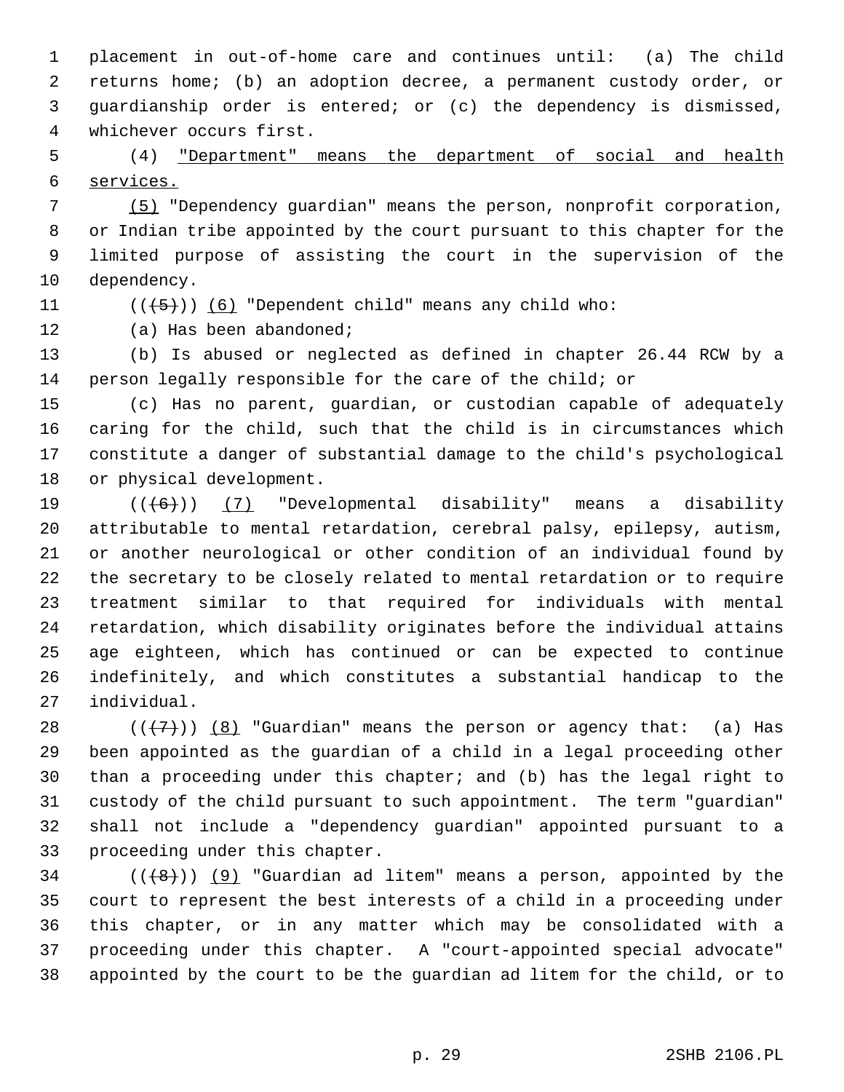1 placement in out-of-home care and continues until: (a) The child 2 returns home; (b) an adoption decree, a permanent custody order, or 3 guardianship order is entered; or (c) the dependency is dismissed, 4 whichever occurs first.

 5 (4) "Department" means the department of social and health 6 services.

 7 (5) "Dependency guardian" means the person, nonprofit corporation, 8 or Indian tribe appointed by the court pursuant to this chapter for the 9 limited purpose of assisting the court in the supervision of the 10 dependency.

11  $((\left\langle 5 \right\rangle))$  (6) "Dependent child" means any child who:

12 (a) Has been abandoned;

13 (b) Is abused or neglected as defined in chapter 26.44 RCW by a 14 person legally responsible for the care of the child; or

15 (c) Has no parent, guardian, or custodian capable of adequately 16 caring for the child, such that the child is in circumstances which 17 constitute a danger of substantial damage to the child's psychological 18 or physical development.

19  $((+6))$  (7) "Developmental disability" means a disability 20 attributable to mental retardation, cerebral palsy, epilepsy, autism, 21 or another neurological or other condition of an individual found by 22 the secretary to be closely related to mental retardation or to require 23 treatment similar to that required for individuals with mental 24 retardation, which disability originates before the individual attains 25 age eighteen, which has continued or can be expected to continue 26 indefinitely, and which constitutes a substantial handicap to the 27 individual.

28  $((+7))$   $(8)$  "Guardian" means the person or agency that: (a) Has 29 been appointed as the guardian of a child in a legal proceeding other 30 than a proceeding under this chapter; and (b) has the legal right to 31 custody of the child pursuant to such appointment. The term "guardian" 32 shall not include a "dependency guardian" appointed pursuant to a 33 proceeding under this chapter.

 $34$  (( $\left(\frac{48}{1}\right)$ ) (9) "Guardian ad litem" means a person, appointed by the 35 court to represent the best interests of a child in a proceeding under 36 this chapter, or in any matter which may be consolidated with a 37 proceeding under this chapter. A "court-appointed special advocate" 38 appointed by the court to be the guardian ad litem for the child, or to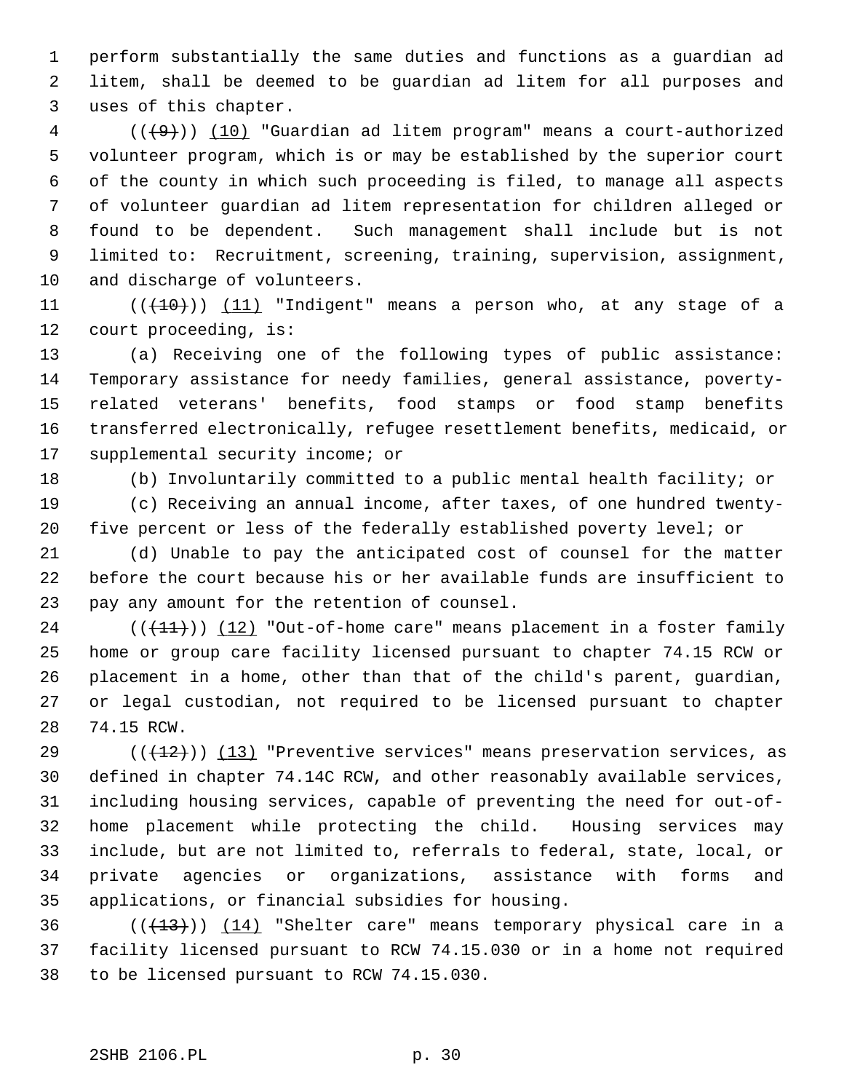1 perform substantially the same duties and functions as a guardian ad 2 litem, shall be deemed to be guardian ad litem for all purposes and 3 uses of this chapter.

 $4$  ( $(\frac{49}{10})$  'Guardian ad litem program" means a court-authorized 5 volunteer program, which is or may be established by the superior court 6 of the county in which such proceeding is filed, to manage all aspects 7 of volunteer guardian ad litem representation for children alleged or 8 found to be dependent. Such management shall include but is not 9 limited to: Recruitment, screening, training, supervision, assignment, 10 and discharge of volunteers.

11  $((+10))$   $(11)$  "Indigent" means a person who, at any stage of a 12 court proceeding, is:

13 (a) Receiving one of the following types of public assistance: 14 Temporary assistance for needy families, general assistance, poverty-15 related veterans' benefits, food stamps or food stamp benefits 16 transferred electronically, refugee resettlement benefits, medicaid, or 17 supplemental security income; or

18 (b) Involuntarily committed to a public mental health facility; or

19 (c) Receiving an annual income, after taxes, of one hundred twenty-20 five percent or less of the federally established poverty level; or

21 (d) Unable to pay the anticipated cost of counsel for the matter 22 before the court because his or her available funds are insufficient to 23 pay any amount for the retention of counsel.

24  $((+1)^{n})$  (12) "Out-of-home care" means placement in a foster family 25 home or group care facility licensed pursuant to chapter 74.15 RCW or 26 placement in a home, other than that of the child's parent, guardian, 27 or legal custodian, not required to be licensed pursuant to chapter 28 74.15 RCW.

29  $((+12))$  (13) "Preventive services" means preservation services, as 30 defined in chapter 74.14C RCW, and other reasonably available services, 31 including housing services, capable of preventing the need for out-of-32 home placement while protecting the child. Housing services may 33 include, but are not limited to, referrals to federal, state, local, or 34 private agencies or organizations, assistance with forms and 35 applications, or financial subsidies for housing.

 $36$  (( $(13)$ )) (14) "Shelter care" means temporary physical care in a 37 facility licensed pursuant to RCW 74.15.030 or in a home not required 38 to be licensed pursuant to RCW 74.15.030.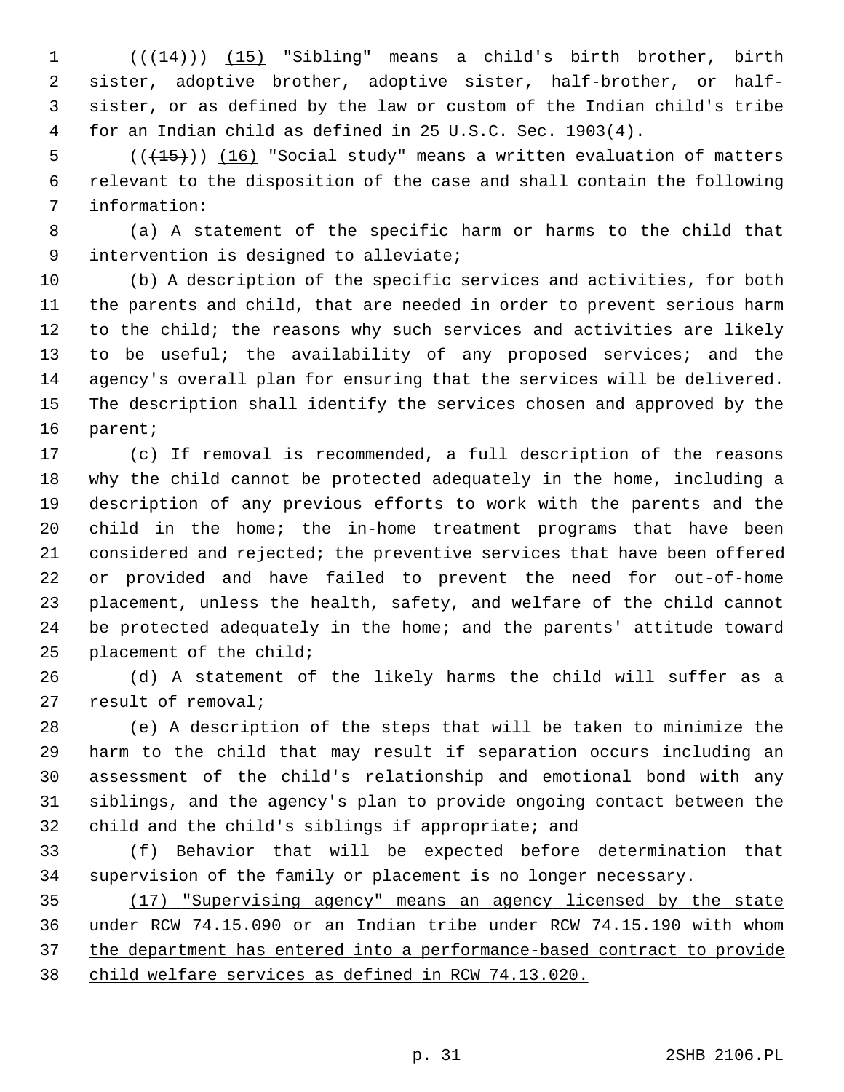1  $((+14))$  (15) "Sibling" means a child's birth brother, birth 2 sister, adoptive brother, adoptive sister, half-brother, or half- 3 sister, or as defined by the law or custom of the Indian child's tribe 4 for an Indian child as defined in 25 U.S.C. Sec. 1903(4).

5  $((+15))$  (16) "Social study" means a written evaluation of matters 6 relevant to the disposition of the case and shall contain the following 7 information:

 8 (a) A statement of the specific harm or harms to the child that 9 intervention is designed to alleviate;

10 (b) A description of the specific services and activities, for both 11 the parents and child, that are needed in order to prevent serious harm 12 to the child; the reasons why such services and activities are likely 13 to be useful; the availability of any proposed services; and the 14 agency's overall plan for ensuring that the services will be delivered. 15 The description shall identify the services chosen and approved by the 16 parent;

17 (c) If removal is recommended, a full description of the reasons 18 why the child cannot be protected adequately in the home, including a 19 description of any previous efforts to work with the parents and the 20 child in the home; the in-home treatment programs that have been 21 considered and rejected; the preventive services that have been offered 22 or provided and have failed to prevent the need for out-of-home 23 placement, unless the health, safety, and welfare of the child cannot 24 be protected adequately in the home; and the parents' attitude toward 25 placement of the child;

26 (d) A statement of the likely harms the child will suffer as a 27 result of removal;

28 (e) A description of the steps that will be taken to minimize the 29 harm to the child that may result if separation occurs including an 30 assessment of the child's relationship and emotional bond with any 31 siblings, and the agency's plan to provide ongoing contact between the 32 child and the child's siblings if appropriate; and

33 (f) Behavior that will be expected before determination that 34 supervision of the family or placement is no longer necessary.

 (17) "Supervising agency" means an agency licensed by the state under RCW 74.15.090 or an Indian tribe under RCW 74.15.190 with whom the department has entered into a performance-based contract to provide child welfare services as defined in RCW 74.13.020.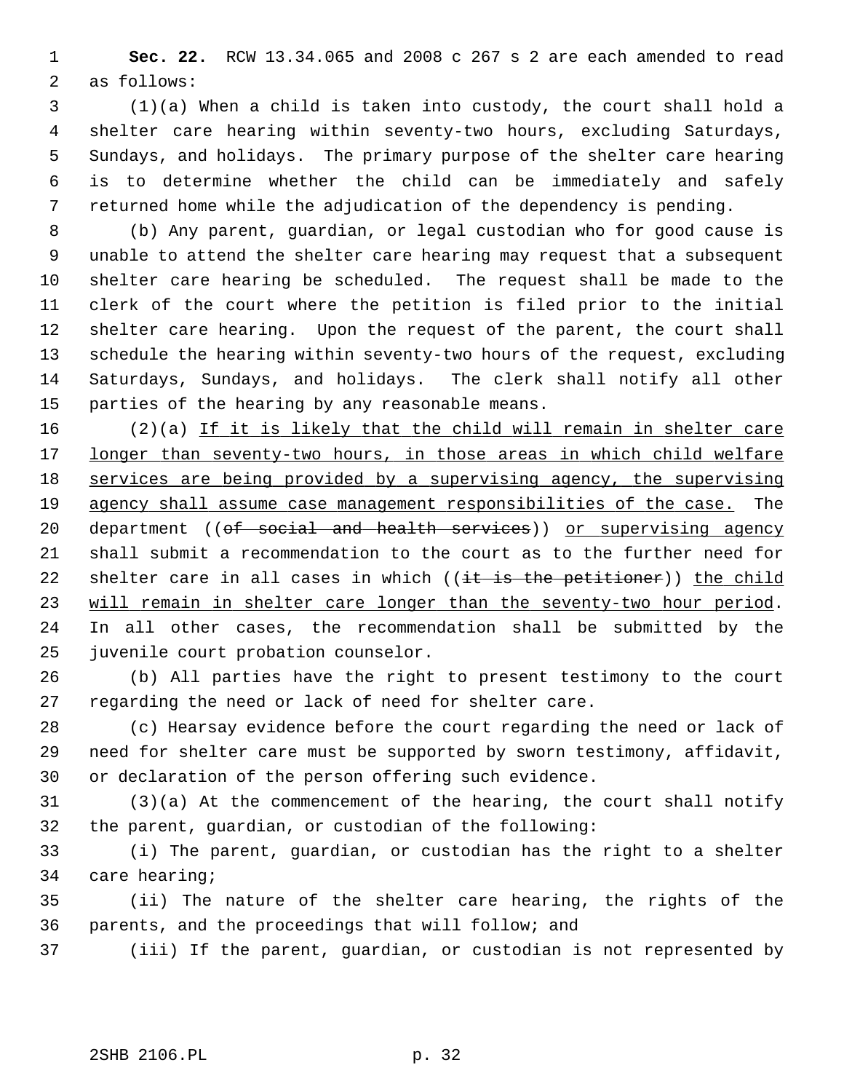1 **Sec. 22.** RCW 13.34.065 and 2008 c 267 s 2 are each amended to read 2 as follows:

 3 (1)(a) When a child is taken into custody, the court shall hold a 4 shelter care hearing within seventy-two hours, excluding Saturdays, 5 Sundays, and holidays. The primary purpose of the shelter care hearing 6 is to determine whether the child can be immediately and safely 7 returned home while the adjudication of the dependency is pending.

 8 (b) Any parent, guardian, or legal custodian who for good cause is 9 unable to attend the shelter care hearing may request that a subsequent 10 shelter care hearing be scheduled. The request shall be made to the 11 clerk of the court where the petition is filed prior to the initial 12 shelter care hearing. Upon the request of the parent, the court shall 13 schedule the hearing within seventy-two hours of the request, excluding 14 Saturdays, Sundays, and holidays. The clerk shall notify all other 15 parties of the hearing by any reasonable means.

16 (2)(a) If it is likely that the child will remain in shelter care 17 longer than seventy-two hours, in those areas in which child welfare 18 services are being provided by a supervising agency, the supervising 19 agency shall assume case management responsibilities of the case. The 20 department ((of social and health services)) or supervising agency 21 shall submit a recommendation to the court as to the further need for 22 shelter care in all cases in which  $((it is the *petitioner*))$  the child 23 will remain in shelter care longer than the seventy-two hour period. 24 In all other cases, the recommendation shall be submitted by the 25 juvenile court probation counselor.

26 (b) All parties have the right to present testimony to the court 27 regarding the need or lack of need for shelter care.

28 (c) Hearsay evidence before the court regarding the need or lack of 29 need for shelter care must be supported by sworn testimony, affidavit, 30 or declaration of the person offering such evidence.

31 (3)(a) At the commencement of the hearing, the court shall notify 32 the parent, guardian, or custodian of the following:

33 (i) The parent, guardian, or custodian has the right to a shelter 34 care hearing;

35 (ii) The nature of the shelter care hearing, the rights of the 36 parents, and the proceedings that will follow; and

37 (iii) If the parent, guardian, or custodian is not represented by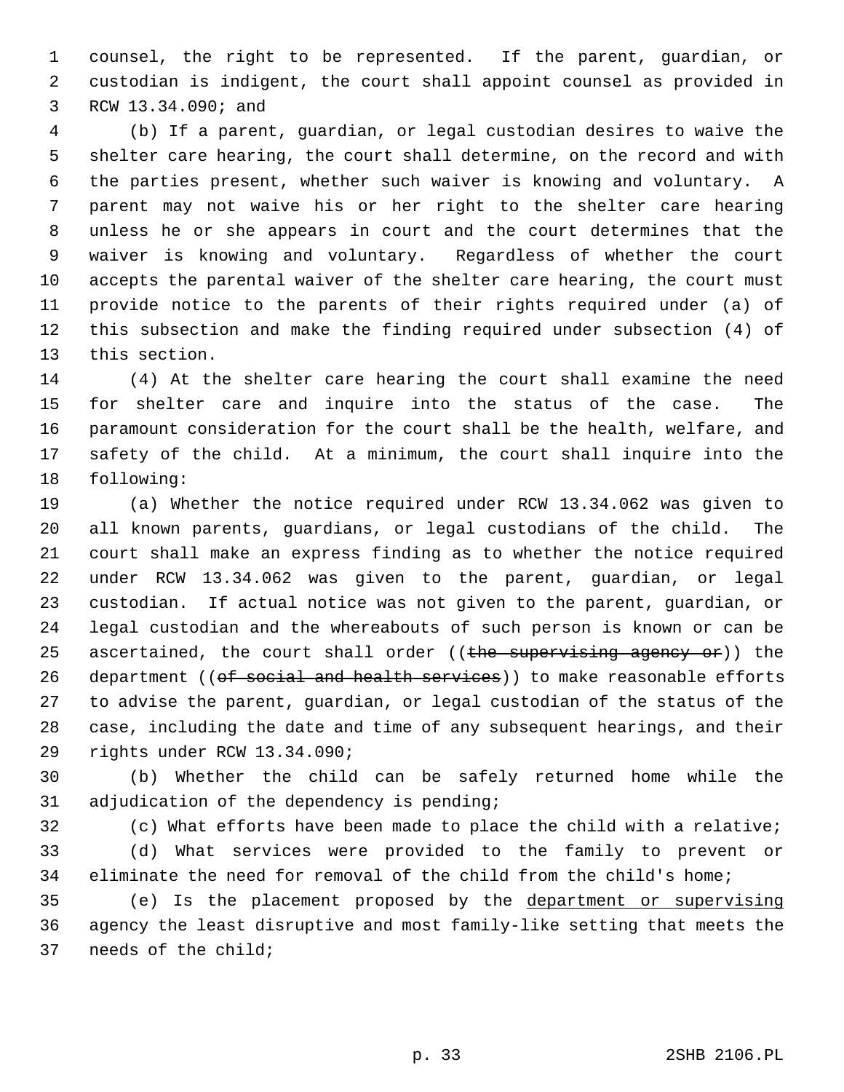1 counsel, the right to be represented. If the parent, guardian, or 2 custodian is indigent, the court shall appoint counsel as provided in 3 RCW 13.34.090; and

 4 (b) If a parent, guardian, or legal custodian desires to waive the 5 shelter care hearing, the court shall determine, on the record and with 6 the parties present, whether such waiver is knowing and voluntary. A 7 parent may not waive his or her right to the shelter care hearing 8 unless he or she appears in court and the court determines that the 9 waiver is knowing and voluntary. Regardless of whether the court 10 accepts the parental waiver of the shelter care hearing, the court must 11 provide notice to the parents of their rights required under (a) of 12 this subsection and make the finding required under subsection (4) of 13 this section.

14 (4) At the shelter care hearing the court shall examine the need 15 for shelter care and inquire into the status of the case. The 16 paramount consideration for the court shall be the health, welfare, and 17 safety of the child. At a minimum, the court shall inquire into the 18 following:

19 (a) Whether the notice required under RCW 13.34.062 was given to 20 all known parents, guardians, or legal custodians of the child. The 21 court shall make an express finding as to whether the notice required 22 under RCW 13.34.062 was given to the parent, guardian, or legal 23 custodian. If actual notice was not given to the parent, guardian, or 24 legal custodian and the whereabouts of such person is known or can be 25 ascertained, the court shall order ((the supervising agency or)) the 26 department (( $of$  social and health services)) to make reasonable efforts 27 to advise the parent, guardian, or legal custodian of the status of the 28 case, including the date and time of any subsequent hearings, and their 29 rights under RCW 13.34.090;

30 (b) Whether the child can be safely returned home while the 31 adjudication of the dependency is pending;

32 (c) What efforts have been made to place the child with a relative; 33 (d) What services were provided to the family to prevent or 34 eliminate the need for removal of the child from the child's home;

35 (e) Is the placement proposed by the department or supervising 36 agency the least disruptive and most family-like setting that meets the 37 needs of the child;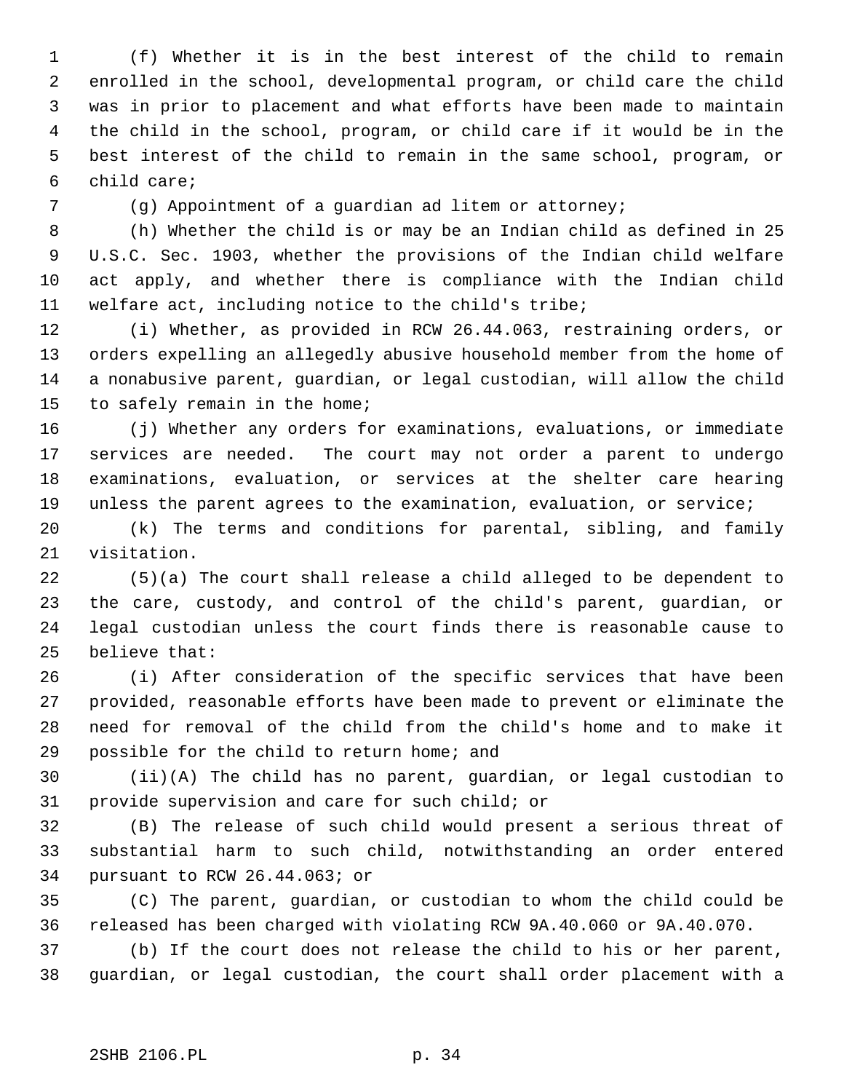1 (f) Whether it is in the best interest of the child to remain 2 enrolled in the school, developmental program, or child care the child 3 was in prior to placement and what efforts have been made to maintain 4 the child in the school, program, or child care if it would be in the 5 best interest of the child to remain in the same school, program, or 6 child care;

7 (g) Appointment of a guardian ad litem or attorney;

 8 (h) Whether the child is or may be an Indian child as defined in 25 9 U.S.C. Sec. 1903, whether the provisions of the Indian child welfare 10 act apply, and whether there is compliance with the Indian child 11 welfare act, including notice to the child's tribe;

12 (i) Whether, as provided in RCW 26.44.063, restraining orders, or 13 orders expelling an allegedly abusive household member from the home of 14 a nonabusive parent, guardian, or legal custodian, will allow the child 15 to safely remain in the home;

16 (j) Whether any orders for examinations, evaluations, or immediate 17 services are needed. The court may not order a parent to undergo 18 examinations, evaluation, or services at the shelter care hearing 19 unless the parent agrees to the examination, evaluation, or service;

20 (k) The terms and conditions for parental, sibling, and family 21 visitation.

22 (5)(a) The court shall release a child alleged to be dependent to 23 the care, custody, and control of the child's parent, guardian, or 24 legal custodian unless the court finds there is reasonable cause to 25 believe that:

26 (i) After consideration of the specific services that have been 27 provided, reasonable efforts have been made to prevent or eliminate the 28 need for removal of the child from the child's home and to make it 29 possible for the child to return home; and

30 (ii)(A) The child has no parent, guardian, or legal custodian to 31 provide supervision and care for such child; or

32 (B) The release of such child would present a serious threat of 33 substantial harm to such child, notwithstanding an order entered 34 pursuant to RCW 26.44.063; or

35 (C) The parent, guardian, or custodian to whom the child could be 36 released has been charged with violating RCW 9A.40.060 or 9A.40.070.

37 (b) If the court does not release the child to his or her parent, 38 guardian, or legal custodian, the court shall order placement with a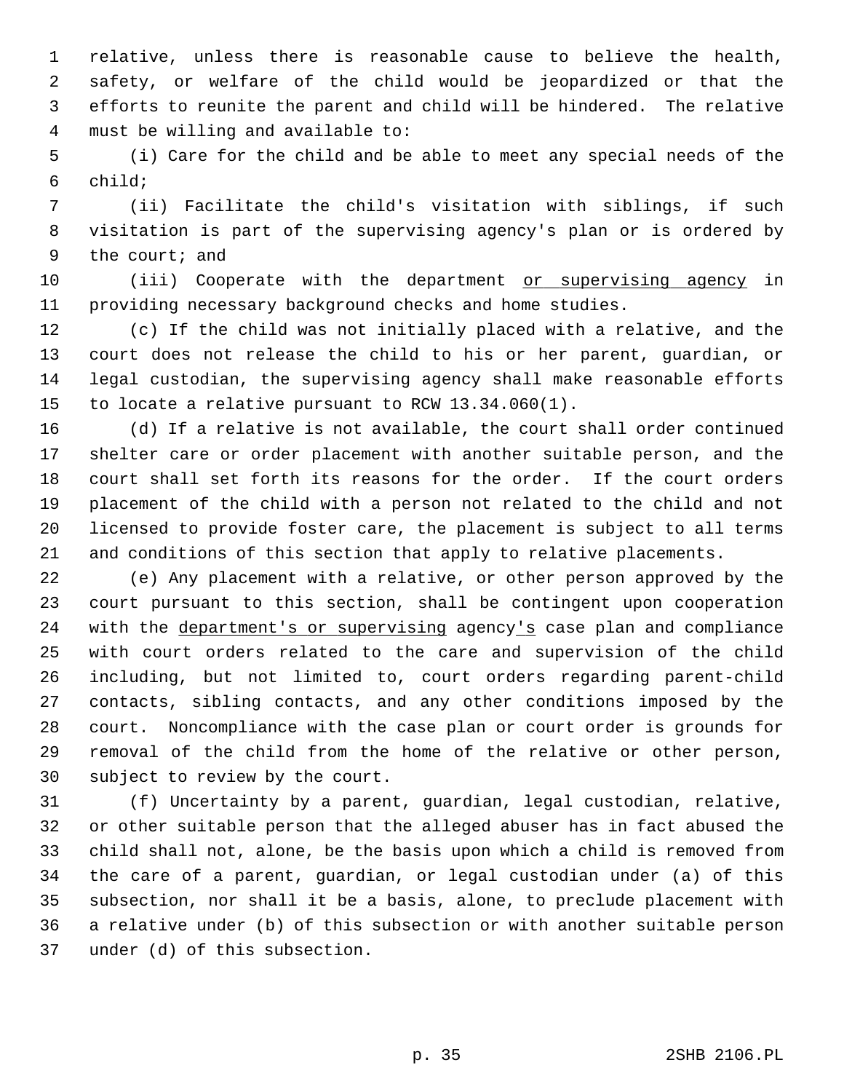1 relative, unless there is reasonable cause to believe the health, 2 safety, or welfare of the child would be jeopardized or that the 3 efforts to reunite the parent and child will be hindered. The relative 4 must be willing and available to:

 5 (i) Care for the child and be able to meet any special needs of the 6 child;

 7 (ii) Facilitate the child's visitation with siblings, if such 8 visitation is part of the supervising agency's plan or is ordered by 9 the court; and

10 (iii) Cooperate with the department or supervising agency in 11 providing necessary background checks and home studies.

12 (c) If the child was not initially placed with a relative, and the 13 court does not release the child to his or her parent, guardian, or 14 legal custodian, the supervising agency shall make reasonable efforts 15 to locate a relative pursuant to RCW 13.34.060(1).

16 (d) If a relative is not available, the court shall order continued 17 shelter care or order placement with another suitable person, and the 18 court shall set forth its reasons for the order. If the court orders 19 placement of the child with a person not related to the child and not 20 licensed to provide foster care, the placement is subject to all terms 21 and conditions of this section that apply to relative placements.

22 (e) Any placement with a relative, or other person approved by the 23 court pursuant to this section, shall be contingent upon cooperation 24 with the department's or supervising agency's case plan and compliance 25 with court orders related to the care and supervision of the child 26 including, but not limited to, court orders regarding parent-child 27 contacts, sibling contacts, and any other conditions imposed by the 28 court. Noncompliance with the case plan or court order is grounds for 29 removal of the child from the home of the relative or other person, 30 subject to review by the court.

31 (f) Uncertainty by a parent, guardian, legal custodian, relative, 32 or other suitable person that the alleged abuser has in fact abused the 33 child shall not, alone, be the basis upon which a child is removed from 34 the care of a parent, guardian, or legal custodian under (a) of this 35 subsection, nor shall it be a basis, alone, to preclude placement with 36 a relative under (b) of this subsection or with another suitable person 37 under (d) of this subsection.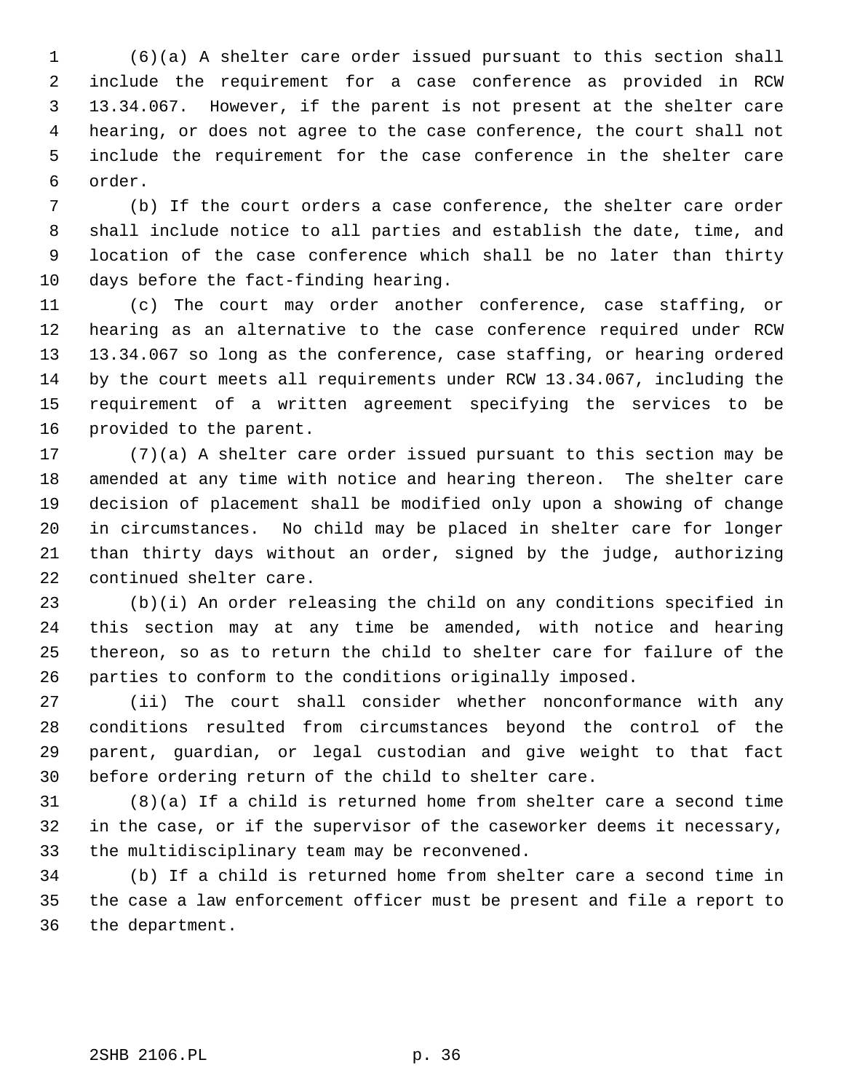1 (6)(a) A shelter care order issued pursuant to this section shall 2 include the requirement for a case conference as provided in RCW 3 13.34.067. However, if the parent is not present at the shelter care 4 hearing, or does not agree to the case conference, the court shall not 5 include the requirement for the case conference in the shelter care 6 order.

 7 (b) If the court orders a case conference, the shelter care order 8 shall include notice to all parties and establish the date, time, and 9 location of the case conference which shall be no later than thirty 10 days before the fact-finding hearing.

11 (c) The court may order another conference, case staffing, or 12 hearing as an alternative to the case conference required under RCW 13 13.34.067 so long as the conference, case staffing, or hearing ordered 14 by the court meets all requirements under RCW 13.34.067, including the 15 requirement of a written agreement specifying the services to be 16 provided to the parent.

17 (7)(a) A shelter care order issued pursuant to this section may be 18 amended at any time with notice and hearing thereon. The shelter care 19 decision of placement shall be modified only upon a showing of change 20 in circumstances. No child may be placed in shelter care for longer 21 than thirty days without an order, signed by the judge, authorizing 22 continued shelter care.

23 (b)(i) An order releasing the child on any conditions specified in 24 this section may at any time be amended, with notice and hearing 25 thereon, so as to return the child to shelter care for failure of the 26 parties to conform to the conditions originally imposed.

27 (ii) The court shall consider whether nonconformance with any 28 conditions resulted from circumstances beyond the control of the 29 parent, guardian, or legal custodian and give weight to that fact 30 before ordering return of the child to shelter care.

31 (8)(a) If a child is returned home from shelter care a second time 32 in the case, or if the supervisor of the caseworker deems it necessary, 33 the multidisciplinary team may be reconvened.

34 (b) If a child is returned home from shelter care a second time in 35 the case a law enforcement officer must be present and file a report to 36 the department.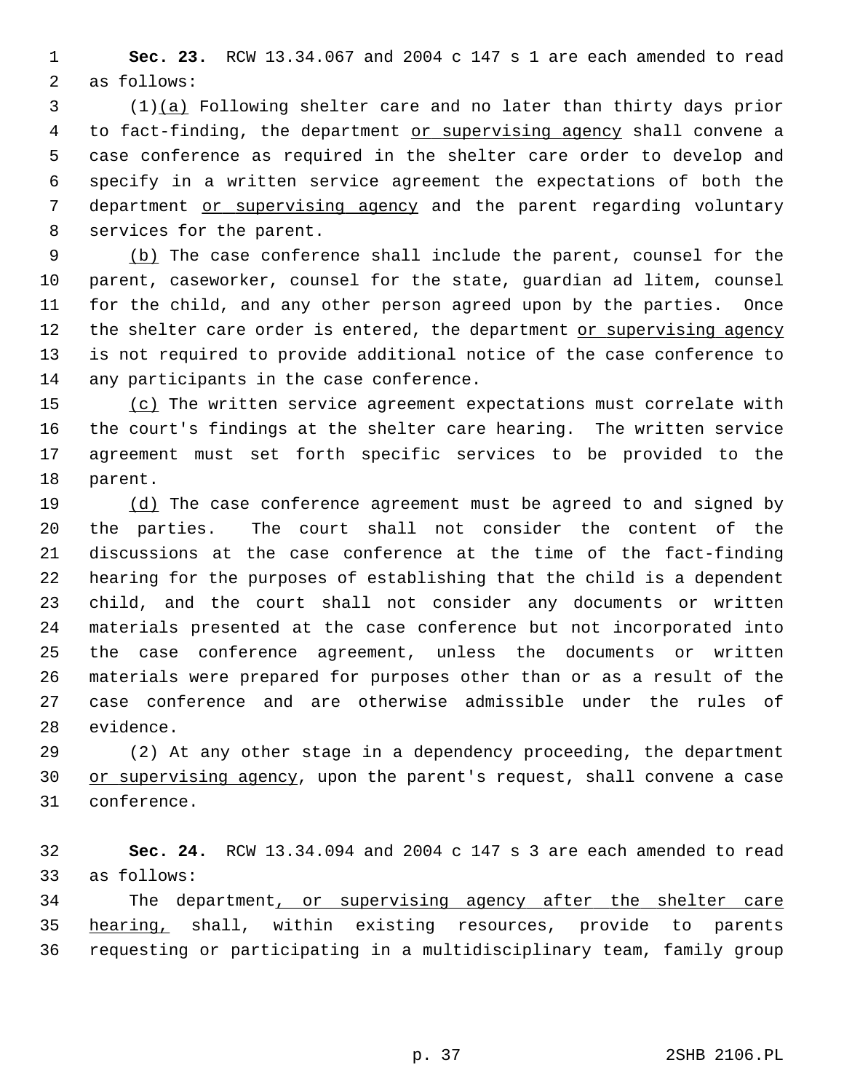1 **Sec. 23.** RCW 13.34.067 and 2004 c 147 s 1 are each amended to read 2 as follows:

 3 (1)(a) Following shelter care and no later than thirty days prior 4 to fact-finding, the department or supervising agency shall convene a 5 case conference as required in the shelter care order to develop and 6 specify in a written service agreement the expectations of both the 7 department or supervising agency and the parent regarding voluntary 8 services for the parent.

 9 (b) The case conference shall include the parent, counsel for the 10 parent, caseworker, counsel for the state, guardian ad litem, counsel 11 for the child, and any other person agreed upon by the parties. Once 12 the shelter care order is entered, the department or supervising agency 13 is not required to provide additional notice of the case conference to 14 any participants in the case conference.

15 (c) The written service agreement expectations must correlate with 16 the court's findings at the shelter care hearing. The written service 17 agreement must set forth specific services to be provided to the 18 parent.

19 (d) The case conference agreement must be agreed to and signed by 20 the parties. The court shall not consider the content of the 21 discussions at the case conference at the time of the fact-finding 22 hearing for the purposes of establishing that the child is a dependent 23 child, and the court shall not consider any documents or written 24 materials presented at the case conference but not incorporated into 25 the case conference agreement, unless the documents or written 26 materials were prepared for purposes other than or as a result of the 27 case conference and are otherwise admissible under the rules of 28 evidence.

29 (2) At any other stage in a dependency proceeding, the department 30 or supervising agency, upon the parent's request, shall convene a case 31 conference.

32 **Sec. 24.** RCW 13.34.094 and 2004 c 147 s 3 are each amended to read 33 as follows:

34 The department, or supervising agency after the shelter care 35 hearing, shall, within existing resources, provide to parents 36 requesting or participating in a multidisciplinary team, family group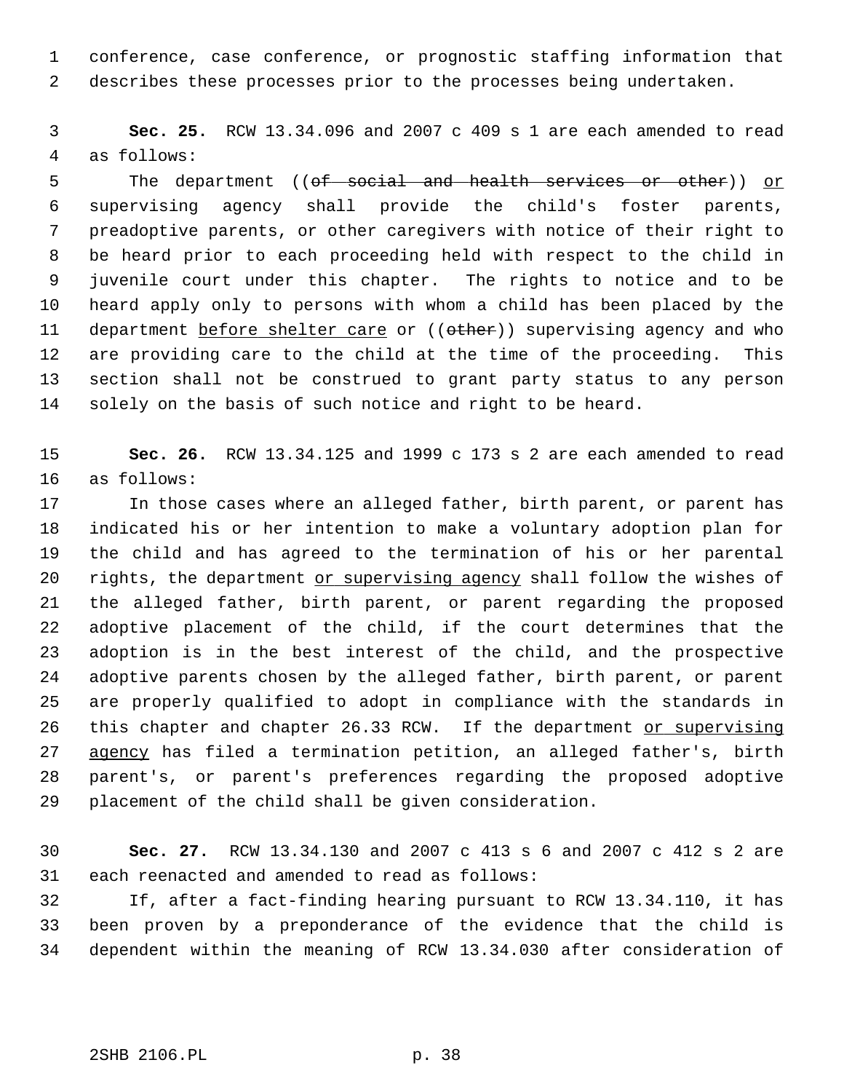1 conference, case conference, or prognostic staffing information that 2 describes these processes prior to the processes being undertaken.

 3 **Sec. 25.** RCW 13.34.096 and 2007 c 409 s 1 are each amended to read 4 as follows:

5 The department ((of social and health services or other)) or 6 supervising agency shall provide the child's foster parents, 7 preadoptive parents, or other caregivers with notice of their right to 8 be heard prior to each proceeding held with respect to the child in 9 juvenile court under this chapter. The rights to notice and to be 10 heard apply only to persons with whom a child has been placed by the 11 department before shelter care or ((other)) supervising agency and who 12 are providing care to the child at the time of the proceeding. This 13 section shall not be construed to grant party status to any person 14 solely on the basis of such notice and right to be heard.

15 **Sec. 26.** RCW 13.34.125 and 1999 c 173 s 2 are each amended to read 16 as follows:

17 In those cases where an alleged father, birth parent, or parent has 18 indicated his or her intention to make a voluntary adoption plan for 19 the child and has agreed to the termination of his or her parental 20 rights, the department or supervising agency shall follow the wishes of 21 the alleged father, birth parent, or parent regarding the proposed 22 adoptive placement of the child, if the court determines that the 23 adoption is in the best interest of the child, and the prospective 24 adoptive parents chosen by the alleged father, birth parent, or parent 25 are properly qualified to adopt in compliance with the standards in 26 this chapter and chapter 26.33 RCW. If the department or supervising 27 agency has filed a termination petition, an alleged father's, birth 28 parent's, or parent's preferences regarding the proposed adoptive 29 placement of the child shall be given consideration.

30 **Sec. 27.** RCW 13.34.130 and 2007 c 413 s 6 and 2007 c 412 s 2 are 31 each reenacted and amended to read as follows:

32 If, after a fact-finding hearing pursuant to RCW 13.34.110, it has 33 been proven by a preponderance of the evidence that the child is 34 dependent within the meaning of RCW 13.34.030 after consideration of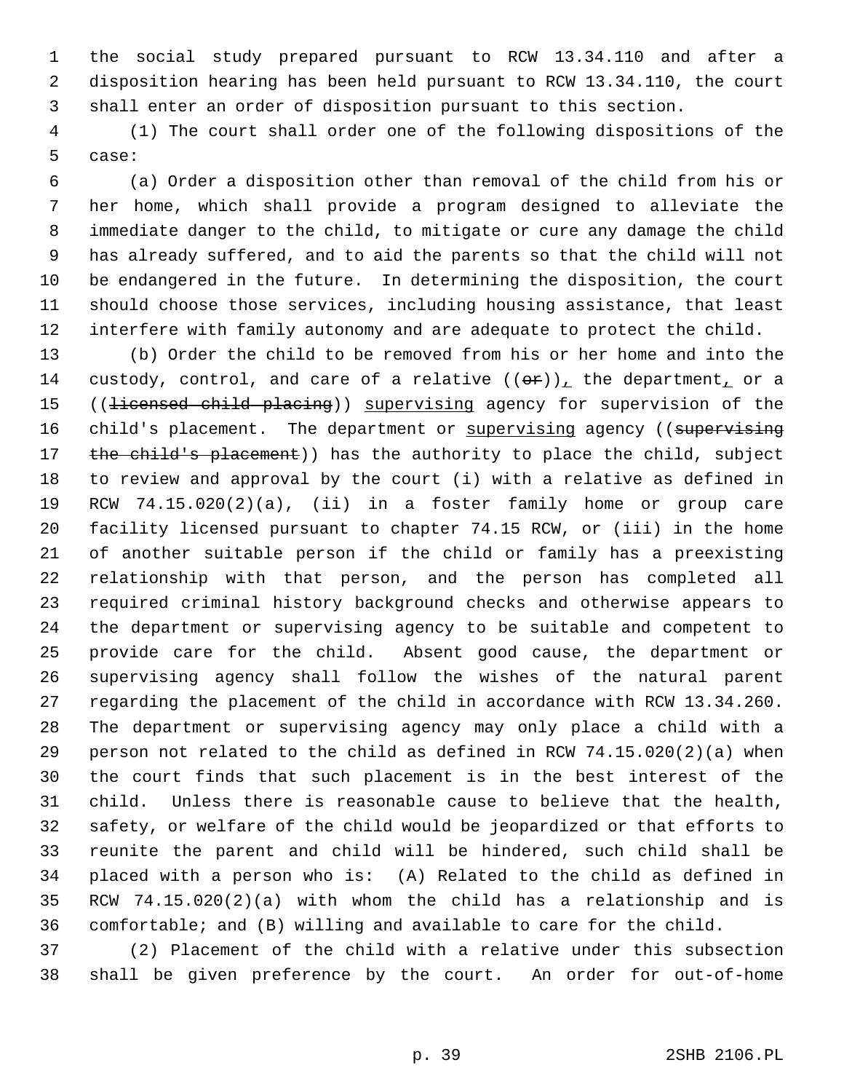1 the social study prepared pursuant to RCW 13.34.110 and after a 2 disposition hearing has been held pursuant to RCW 13.34.110, the court 3 shall enter an order of disposition pursuant to this section.

 4 (1) The court shall order one of the following dispositions of the 5 case:

 6 (a) Order a disposition other than removal of the child from his or 7 her home, which shall provide a program designed to alleviate the 8 immediate danger to the child, to mitigate or cure any damage the child 9 has already suffered, and to aid the parents so that the child will not 10 be endangered in the future. In determining the disposition, the court 11 should choose those services, including housing assistance, that least 12 interfere with family autonomy and are adequate to protect the child.

13 (b) Order the child to be removed from his or her home and into the 14 custody, control, and care of a relative  $((\theta \hat{r}))_t$ , the department, or a 15 ((<del>licensed child placing</del>)) supervising agency for supervision of the 16 child's placement. The department or supervising agency ((supervising 17 the child's placement)) has the authority to place the child, subject 18 to review and approval by the court (i) with a relative as defined in 19 RCW 74.15.020(2)(a), (ii) in a foster family home or group care 20 facility licensed pursuant to chapter 74.15 RCW, or (iii) in the home 21 of another suitable person if the child or family has a preexisting 22 relationship with that person, and the person has completed all 23 required criminal history background checks and otherwise appears to 24 the department or supervising agency to be suitable and competent to 25 provide care for the child. Absent good cause, the department or 26 supervising agency shall follow the wishes of the natural parent 27 regarding the placement of the child in accordance with RCW 13.34.260. 28 The department or supervising agency may only place a child with a 29 person not related to the child as defined in RCW 74.15.020(2)(a) when 30 the court finds that such placement is in the best interest of the 31 child. Unless there is reasonable cause to believe that the health, 32 safety, or welfare of the child would be jeopardized or that efforts to 33 reunite the parent and child will be hindered, such child shall be 34 placed with a person who is: (A) Related to the child as defined in 35 RCW 74.15.020(2)(a) with whom the child has a relationship and is 36 comfortable; and (B) willing and available to care for the child.

37 (2) Placement of the child with a relative under this subsection 38 shall be given preference by the court. An order for out-of-home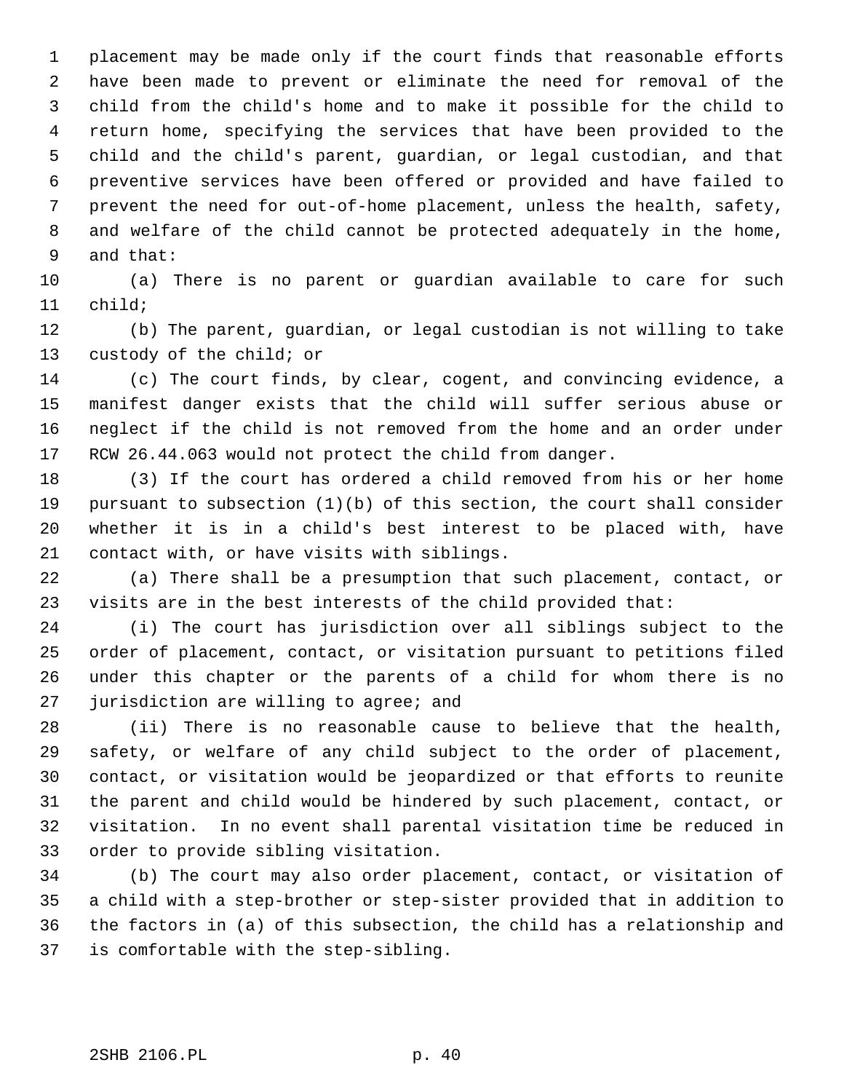1 placement may be made only if the court finds that reasonable efforts 2 have been made to prevent or eliminate the need for removal of the 3 child from the child's home and to make it possible for the child to 4 return home, specifying the services that have been provided to the 5 child and the child's parent, guardian, or legal custodian, and that 6 preventive services have been offered or provided and have failed to 7 prevent the need for out-of-home placement, unless the health, safety, 8 and welfare of the child cannot be protected adequately in the home, 9 and that:

10 (a) There is no parent or guardian available to care for such 11 child;

12 (b) The parent, guardian, or legal custodian is not willing to take 13 custody of the child; or

14 (c) The court finds, by clear, cogent, and convincing evidence, a 15 manifest danger exists that the child will suffer serious abuse or 16 neglect if the child is not removed from the home and an order under 17 RCW 26.44.063 would not protect the child from danger.

18 (3) If the court has ordered a child removed from his or her home 19 pursuant to subsection (1)(b) of this section, the court shall consider 20 whether it is in a child's best interest to be placed with, have 21 contact with, or have visits with siblings.

22 (a) There shall be a presumption that such placement, contact, or 23 visits are in the best interests of the child provided that:

24 (i) The court has jurisdiction over all siblings subject to the 25 order of placement, contact, or visitation pursuant to petitions filed 26 under this chapter or the parents of a child for whom there is no 27 jurisdiction are willing to agree; and

28 (ii) There is no reasonable cause to believe that the health, 29 safety, or welfare of any child subject to the order of placement, 30 contact, or visitation would be jeopardized or that efforts to reunite 31 the parent and child would be hindered by such placement, contact, or 32 visitation. In no event shall parental visitation time be reduced in 33 order to provide sibling visitation.

34 (b) The court may also order placement, contact, or visitation of 35 a child with a step-brother or step-sister provided that in addition to 36 the factors in (a) of this subsection, the child has a relationship and 37 is comfortable with the step-sibling.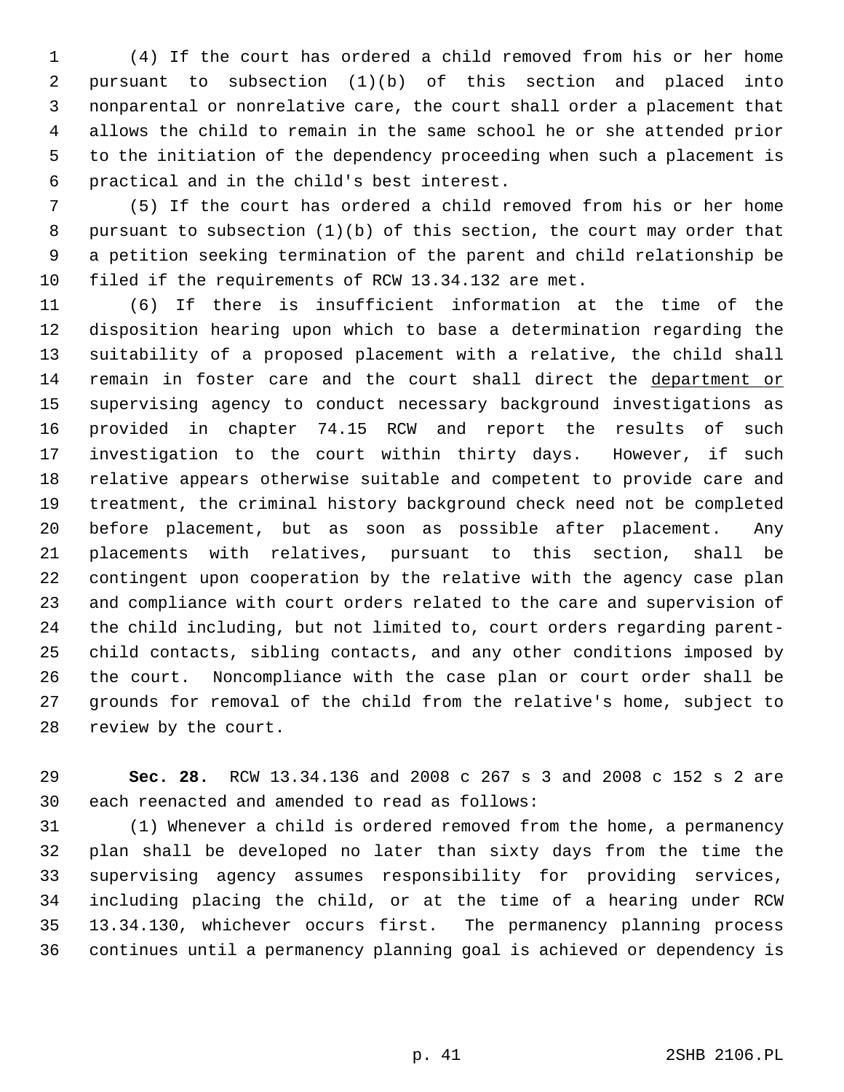1 (4) If the court has ordered a child removed from his or her home 2 pursuant to subsection (1)(b) of this section and placed into 3 nonparental or nonrelative care, the court shall order a placement that 4 allows the child to remain in the same school he or she attended prior 5 to the initiation of the dependency proceeding when such a placement is 6 practical and in the child's best interest.

 7 (5) If the court has ordered a child removed from his or her home 8 pursuant to subsection (1)(b) of this section, the court may order that 9 a petition seeking termination of the parent and child relationship be 10 filed if the requirements of RCW 13.34.132 are met.

11 (6) If there is insufficient information at the time of the 12 disposition hearing upon which to base a determination regarding the 13 suitability of a proposed placement with a relative, the child shall 14 remain in foster care and the court shall direct the department or 15 supervising agency to conduct necessary background investigations as 16 provided in chapter 74.15 RCW and report the results of such 17 investigation to the court within thirty days. However, if such 18 relative appears otherwise suitable and competent to provide care and 19 treatment, the criminal history background check need not be completed 20 before placement, but as soon as possible after placement. Any 21 placements with relatives, pursuant to this section, shall be 22 contingent upon cooperation by the relative with the agency case plan 23 and compliance with court orders related to the care and supervision of 24 the child including, but not limited to, court orders regarding parent-25 child contacts, sibling contacts, and any other conditions imposed by 26 the court. Noncompliance with the case plan or court order shall be 27 grounds for removal of the child from the relative's home, subject to 28 review by the court.

29 **Sec. 28.** RCW 13.34.136 and 2008 c 267 s 3 and 2008 c 152 s 2 are 30 each reenacted and amended to read as follows:

31 (1) Whenever a child is ordered removed from the home, a permanency 32 plan shall be developed no later than sixty days from the time the 33 supervising agency assumes responsibility for providing services, 34 including placing the child, or at the time of a hearing under RCW 35 13.34.130, whichever occurs first. The permanency planning process 36 continues until a permanency planning goal is achieved or dependency is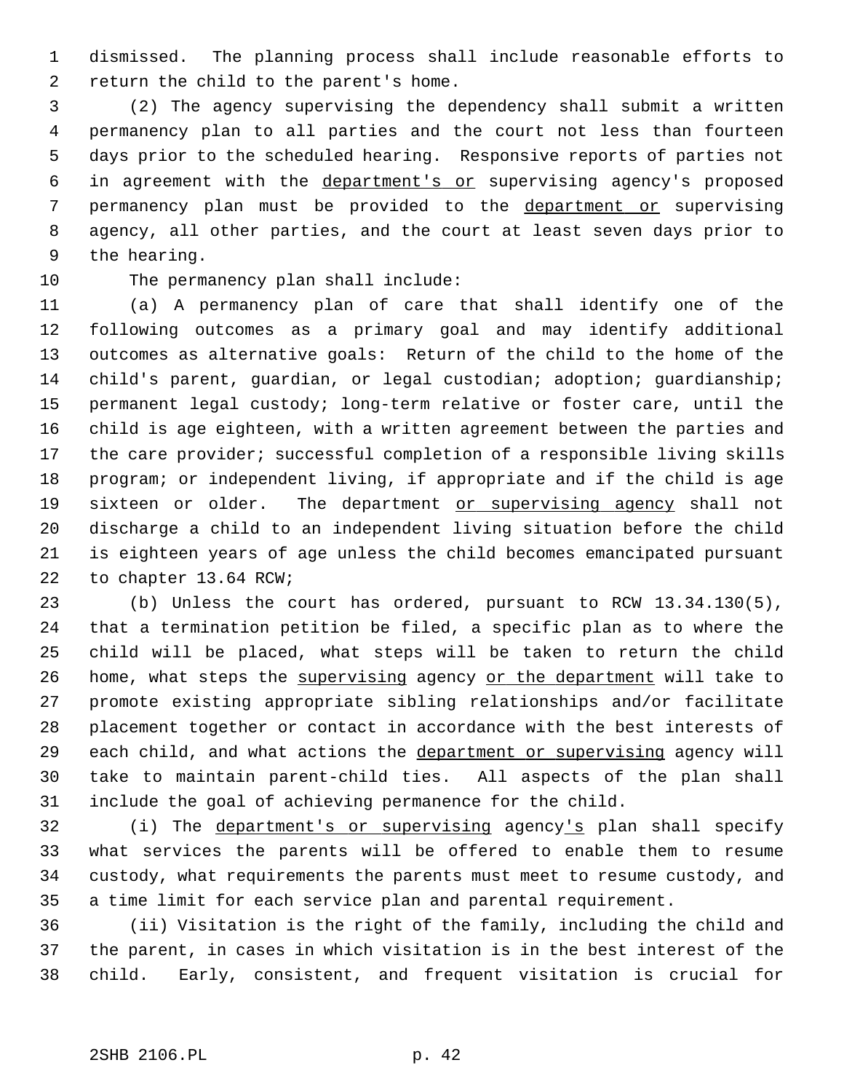1 dismissed. The planning process shall include reasonable efforts to 2 return the child to the parent's home.

 3 (2) The agency supervising the dependency shall submit a written 4 permanency plan to all parties and the court not less than fourteen 5 days prior to the scheduled hearing. Responsive reports of parties not 6 in agreement with the department's or supervising agency's proposed 7 permanency plan must be provided to the department or supervising 8 agency, all other parties, and the court at least seven days prior to 9 the hearing.

10 The permanency plan shall include:

11 (a) A permanency plan of care that shall identify one of the 12 following outcomes as a primary goal and may identify additional 13 outcomes as alternative goals: Return of the child to the home of the 14 child's parent, guardian, or legal custodian; adoption; guardianship; 15 permanent legal custody; long-term relative or foster care, until the 16 child is age eighteen, with a written agreement between the parties and 17 the care provider; successful completion of a responsible living skills 18 program; or independent living, if appropriate and if the child is age 19 sixteen or older. The department or supervising agency shall not 20 discharge a child to an independent living situation before the child 21 is eighteen years of age unless the child becomes emancipated pursuant 22 to chapter 13.64 RCW;

23 (b) Unless the court has ordered, pursuant to RCW 13.34.130(5), 24 that a termination petition be filed, a specific plan as to where the 25 child will be placed, what steps will be taken to return the child 26 home, what steps the supervising agency or the department will take to 27 promote existing appropriate sibling relationships and/or facilitate 28 placement together or contact in accordance with the best interests of 29 each child, and what actions the department or supervising agency will 30 take to maintain parent-child ties. All aspects of the plan shall 31 include the goal of achieving permanence for the child.

32 (i) The department's or supervising agency's plan shall specify 33 what services the parents will be offered to enable them to resume 34 custody, what requirements the parents must meet to resume custody, and 35 a time limit for each service plan and parental requirement.

36 (ii) Visitation is the right of the family, including the child and 37 the parent, in cases in which visitation is in the best interest of the 38 child. Early, consistent, and frequent visitation is crucial for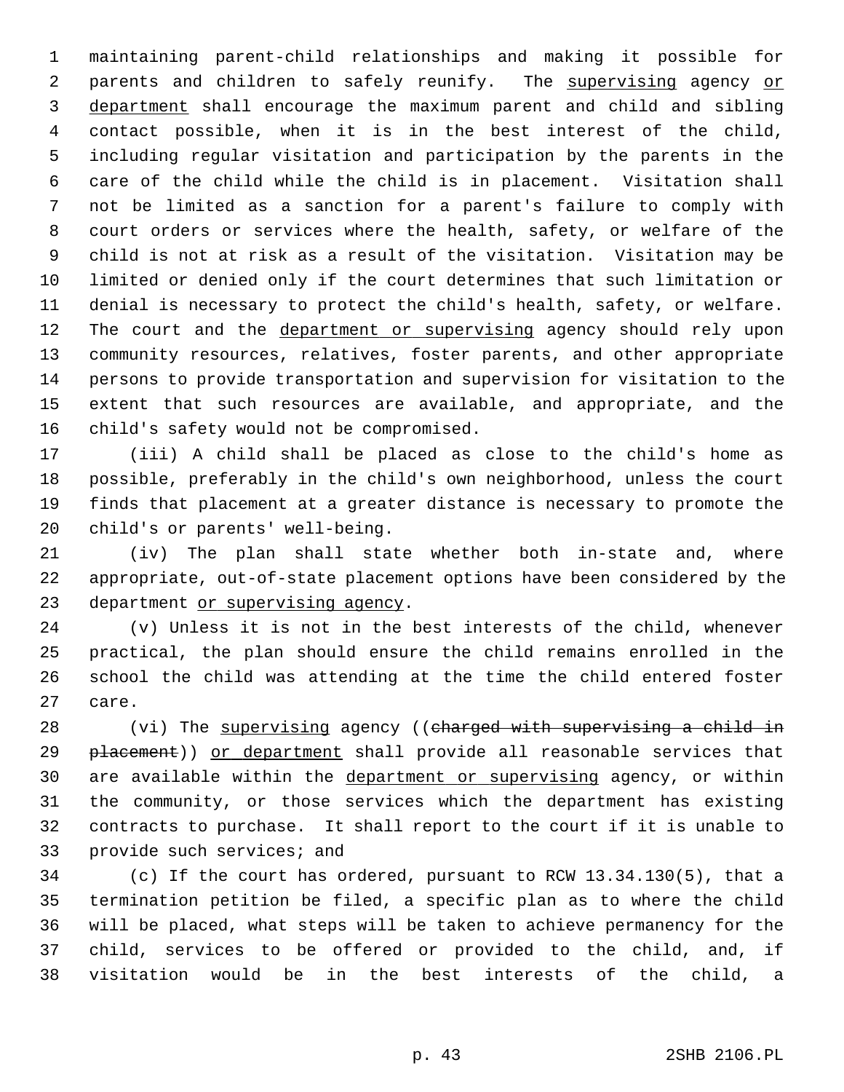1 maintaining parent-child relationships and making it possible for 2 parents and children to safely reunify. The supervising agency or 3 department shall encourage the maximum parent and child and sibling 4 contact possible, when it is in the best interest of the child, 5 including regular visitation and participation by the parents in the 6 care of the child while the child is in placement. Visitation shall 7 not be limited as a sanction for a parent's failure to comply with 8 court orders or services where the health, safety, or welfare of the 9 child is not at risk as a result of the visitation. Visitation may be 10 limited or denied only if the court determines that such limitation or 11 denial is necessary to protect the child's health, safety, or welfare. 12 The court and the department or supervising agency should rely upon 13 community resources, relatives, foster parents, and other appropriate 14 persons to provide transportation and supervision for visitation to the 15 extent that such resources are available, and appropriate, and the 16 child's safety would not be compromised.

17 (iii) A child shall be placed as close to the child's home as 18 possible, preferably in the child's own neighborhood, unless the court 19 finds that placement at a greater distance is necessary to promote the 20 child's or parents' well-being.

21 (iv) The plan shall state whether both in-state and, where 22 appropriate, out-of-state placement options have been considered by the 23 department or supervising agency.

24 (v) Unless it is not in the best interests of the child, whenever 25 practical, the plan should ensure the child remains enrolled in the 26 school the child was attending at the time the child entered foster 27 care.

28 (vi) The supervising agency ((charged with supervising a child in 29 placement)) or department shall provide all reasonable services that 30 are available within the department or supervising agency, or within 31 the community, or those services which the department has existing 32 contracts to purchase. It shall report to the court if it is unable to 33 provide such services; and

34 (c) If the court has ordered, pursuant to RCW 13.34.130(5), that a 35 termination petition be filed, a specific plan as to where the child 36 will be placed, what steps will be taken to achieve permanency for the 37 child, services to be offered or provided to the child, and, if 38 visitation would be in the best interests of the child, a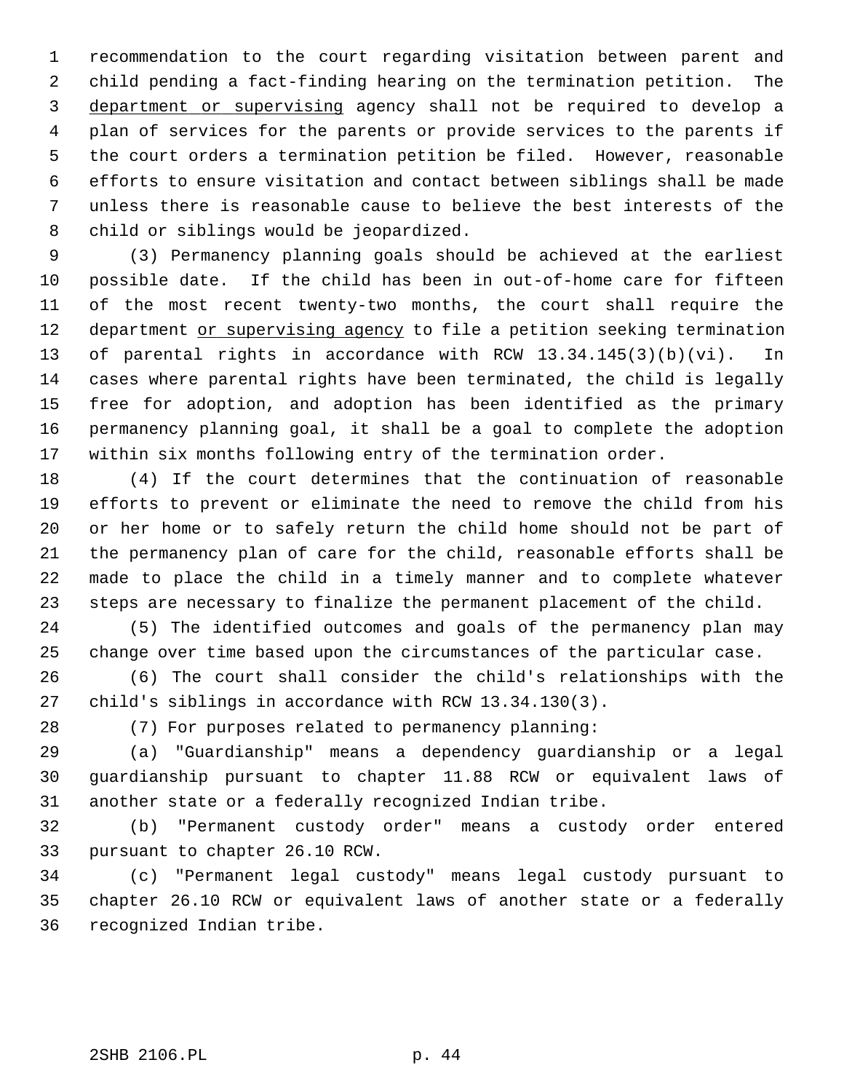1 recommendation to the court regarding visitation between parent and 2 child pending a fact-finding hearing on the termination petition. The 3 department or supervising agency shall not be required to develop a 4 plan of services for the parents or provide services to the parents if 5 the court orders a termination petition be filed. However, reasonable 6 efforts to ensure visitation and contact between siblings shall be made 7 unless there is reasonable cause to believe the best interests of the 8 child or siblings would be jeopardized.

 9 (3) Permanency planning goals should be achieved at the earliest 10 possible date. If the child has been in out-of-home care for fifteen 11 of the most recent twenty-two months, the court shall require the 12 department or supervising agency to file a petition seeking termination 13 of parental rights in accordance with RCW 13.34.145(3)(b)(vi). In 14 cases where parental rights have been terminated, the child is legally 15 free for adoption, and adoption has been identified as the primary 16 permanency planning goal, it shall be a goal to complete the adoption 17 within six months following entry of the termination order.

18 (4) If the court determines that the continuation of reasonable 19 efforts to prevent or eliminate the need to remove the child from his 20 or her home or to safely return the child home should not be part of 21 the permanency plan of care for the child, reasonable efforts shall be 22 made to place the child in a timely manner and to complete whatever 23 steps are necessary to finalize the permanent placement of the child.

24 (5) The identified outcomes and goals of the permanency plan may 25 change over time based upon the circumstances of the particular case.

26 (6) The court shall consider the child's relationships with the 27 child's siblings in accordance with RCW 13.34.130(3).

28 (7) For purposes related to permanency planning:

29 (a) "Guardianship" means a dependency guardianship or a legal 30 guardianship pursuant to chapter 11.88 RCW or equivalent laws of 31 another state or a federally recognized Indian tribe.

32 (b) "Permanent custody order" means a custody order entered 33 pursuant to chapter 26.10 RCW.

34 (c) "Permanent legal custody" means legal custody pursuant to 35 chapter 26.10 RCW or equivalent laws of another state or a federally 36 recognized Indian tribe.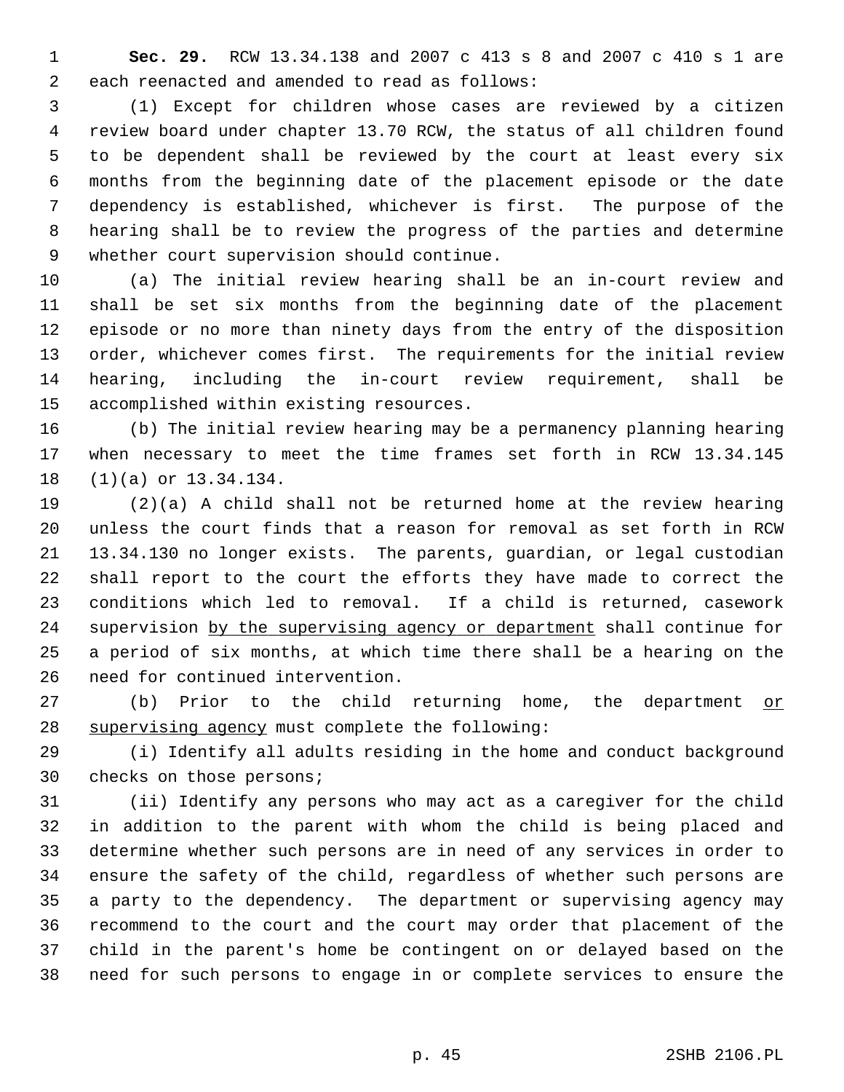1 **Sec. 29.** RCW 13.34.138 and 2007 c 413 s 8 and 2007 c 410 s 1 are 2 each reenacted and amended to read as follows:

 3 (1) Except for children whose cases are reviewed by a citizen 4 review board under chapter 13.70 RCW, the status of all children found 5 to be dependent shall be reviewed by the court at least every six 6 months from the beginning date of the placement episode or the date 7 dependency is established, whichever is first. The purpose of the 8 hearing shall be to review the progress of the parties and determine 9 whether court supervision should continue.

10 (a) The initial review hearing shall be an in-court review and 11 shall be set six months from the beginning date of the placement 12 episode or no more than ninety days from the entry of the disposition 13 order, whichever comes first. The requirements for the initial review 14 hearing, including the in-court review requirement, shall be 15 accomplished within existing resources.

16 (b) The initial review hearing may be a permanency planning hearing 17 when necessary to meet the time frames set forth in RCW 13.34.145 18 (1)(a) or 13.34.134.

19 (2)(a) A child shall not be returned home at the review hearing 20 unless the court finds that a reason for removal as set forth in RCW 21 13.34.130 no longer exists. The parents, guardian, or legal custodian 22 shall report to the court the efforts they have made to correct the 23 conditions which led to removal. If a child is returned, casework 24 supervision by the supervising agency or department shall continue for 25 a period of six months, at which time there shall be a hearing on the 26 need for continued intervention.

27 (b) Prior to the child returning home, the department or 28 supervising agency must complete the following:

29 (i) Identify all adults residing in the home and conduct background 30 checks on those persons;

31 (ii) Identify any persons who may act as a caregiver for the child 32 in addition to the parent with whom the child is being placed and 33 determine whether such persons are in need of any services in order to 34 ensure the safety of the child, regardless of whether such persons are 35 a party to the dependency. The department or supervising agency may 36 recommend to the court and the court may order that placement of the 37 child in the parent's home be contingent on or delayed based on the 38 need for such persons to engage in or complete services to ensure the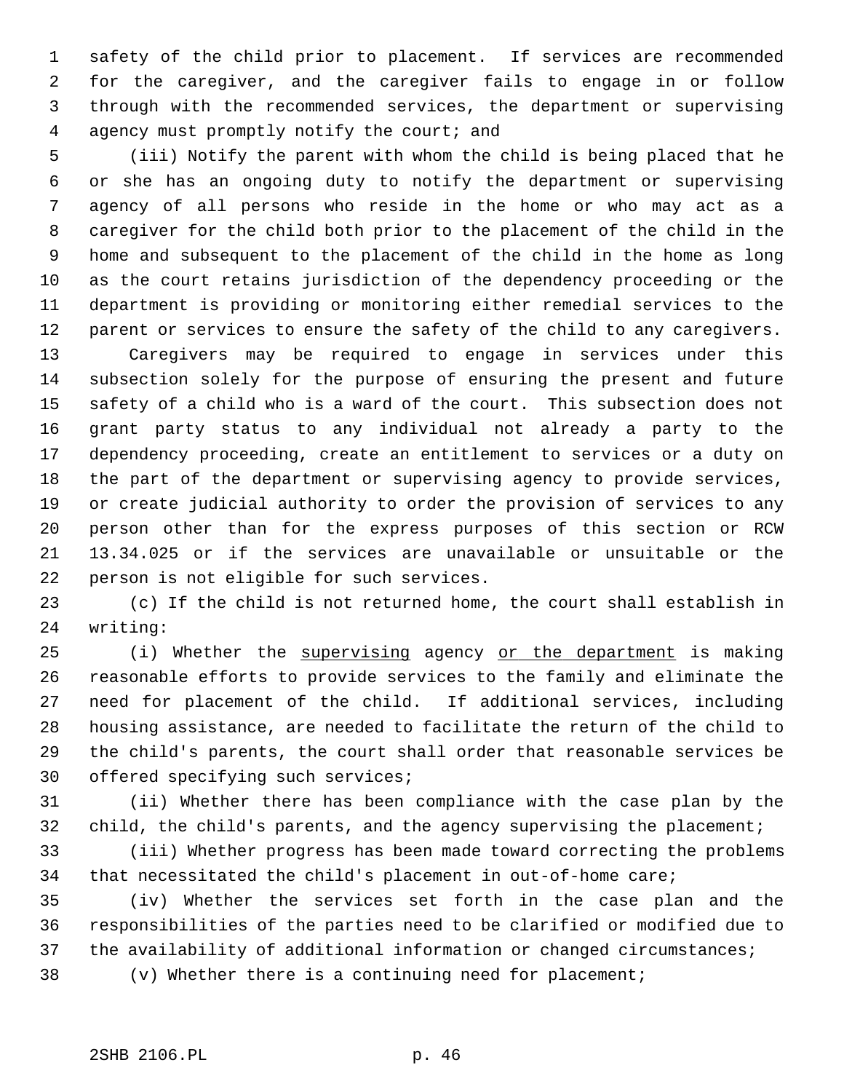1 safety of the child prior to placement. If services are recommended 2 for the caregiver, and the caregiver fails to engage in or follow 3 through with the recommended services, the department or supervising 4 agency must promptly notify the court; and

 5 (iii) Notify the parent with whom the child is being placed that he 6 or she has an ongoing duty to notify the department or supervising 7 agency of all persons who reside in the home or who may act as a 8 caregiver for the child both prior to the placement of the child in the 9 home and subsequent to the placement of the child in the home as long 10 as the court retains jurisdiction of the dependency proceeding or the 11 department is providing or monitoring either remedial services to the 12 parent or services to ensure the safety of the child to any caregivers.

13 Caregivers may be required to engage in services under this 14 subsection solely for the purpose of ensuring the present and future 15 safety of a child who is a ward of the court. This subsection does not 16 grant party status to any individual not already a party to the 17 dependency proceeding, create an entitlement to services or a duty on 18 the part of the department or supervising agency to provide services, 19 or create judicial authority to order the provision of services to any 20 person other than for the express purposes of this section or RCW 21 13.34.025 or if the services are unavailable or unsuitable or the 22 person is not eligible for such services.

23 (c) If the child is not returned home, the court shall establish in 24 writing:

25 (i) Whether the supervising agency or the department is making 26 reasonable efforts to provide services to the family and eliminate the 27 need for placement of the child. If additional services, including 28 housing assistance, are needed to facilitate the return of the child to 29 the child's parents, the court shall order that reasonable services be 30 offered specifying such services;

31 (ii) Whether there has been compliance with the case plan by the 32 child, the child's parents, and the agency supervising the placement;

33 (iii) Whether progress has been made toward correcting the problems 34 that necessitated the child's placement in out-of-home care;

35 (iv) Whether the services set forth in the case plan and the 36 responsibilities of the parties need to be clarified or modified due to 37 the availability of additional information or changed circumstances;

38 (v) Whether there is a continuing need for placement;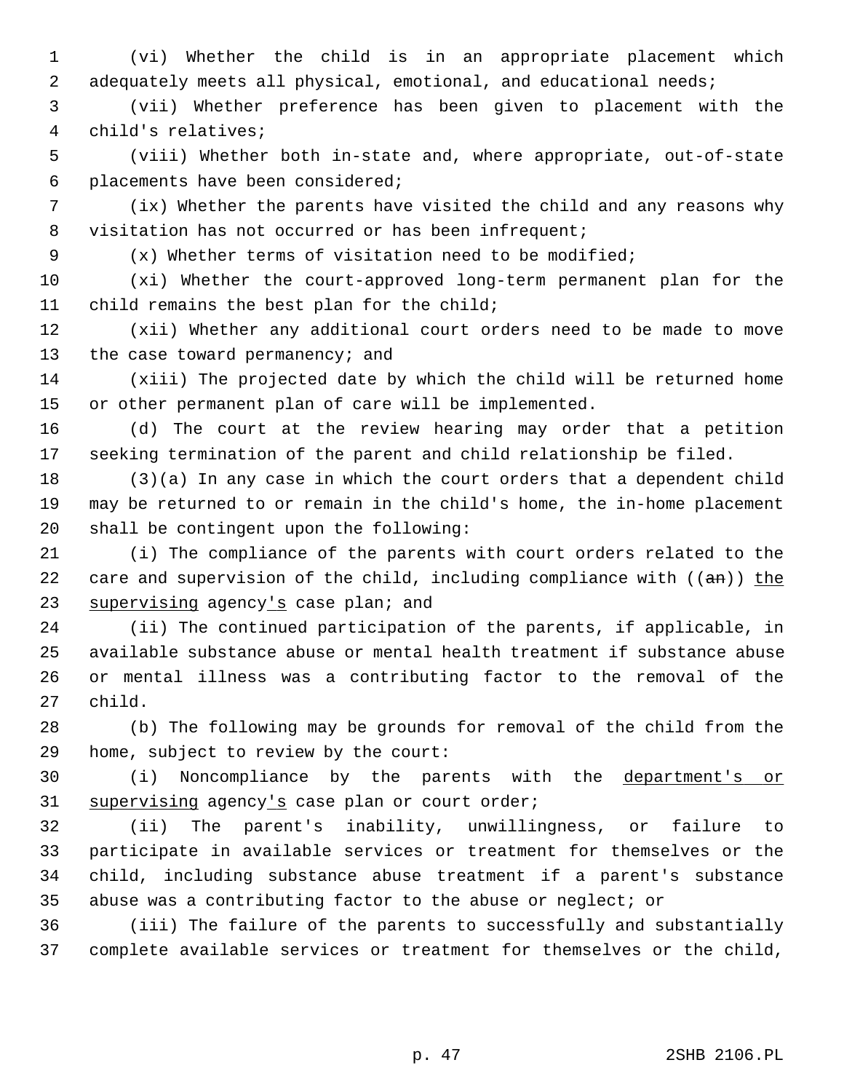1 (vi) Whether the child is in an appropriate placement which 2 adequately meets all physical, emotional, and educational needs;

 3 (vii) Whether preference has been given to placement with the 4 child's relatives;

 5 (viii) Whether both in-state and, where appropriate, out-of-state 6 placements have been considered;

 7 (ix) Whether the parents have visited the child and any reasons why 8 visitation has not occurred or has been infrequent;

9 (x) Whether terms of visitation need to be modified;

10 (xi) Whether the court-approved long-term permanent plan for the 11 child remains the best plan for the child;

12 (xii) Whether any additional court orders need to be made to move 13 the case toward permanency; and

14 (xiii) The projected date by which the child will be returned home 15 or other permanent plan of care will be implemented.

16 (d) The court at the review hearing may order that a petition 17 seeking termination of the parent and child relationship be filed.

18 (3)(a) In any case in which the court orders that a dependent child 19 may be returned to or remain in the child's home, the in-home placement 20 shall be contingent upon the following:

21 (i) The compliance of the parents with court orders related to the 22 care and supervision of the child, including compliance with  $((an))$  the 23 supervising agency's case plan; and

24 (ii) The continued participation of the parents, if applicable, in 25 available substance abuse or mental health treatment if substance abuse 26 or mental illness was a contributing factor to the removal of the 27 child.

28 (b) The following may be grounds for removal of the child from the 29 home, subject to review by the court:

30 (i) Noncompliance by the parents with the department's or 31 supervising agency's case plan or court order;

32 (ii) The parent's inability, unwillingness, or failure to 33 participate in available services or treatment for themselves or the 34 child, including substance abuse treatment if a parent's substance 35 abuse was a contributing factor to the abuse or neglect; or

36 (iii) The failure of the parents to successfully and substantially 37 complete available services or treatment for themselves or the child,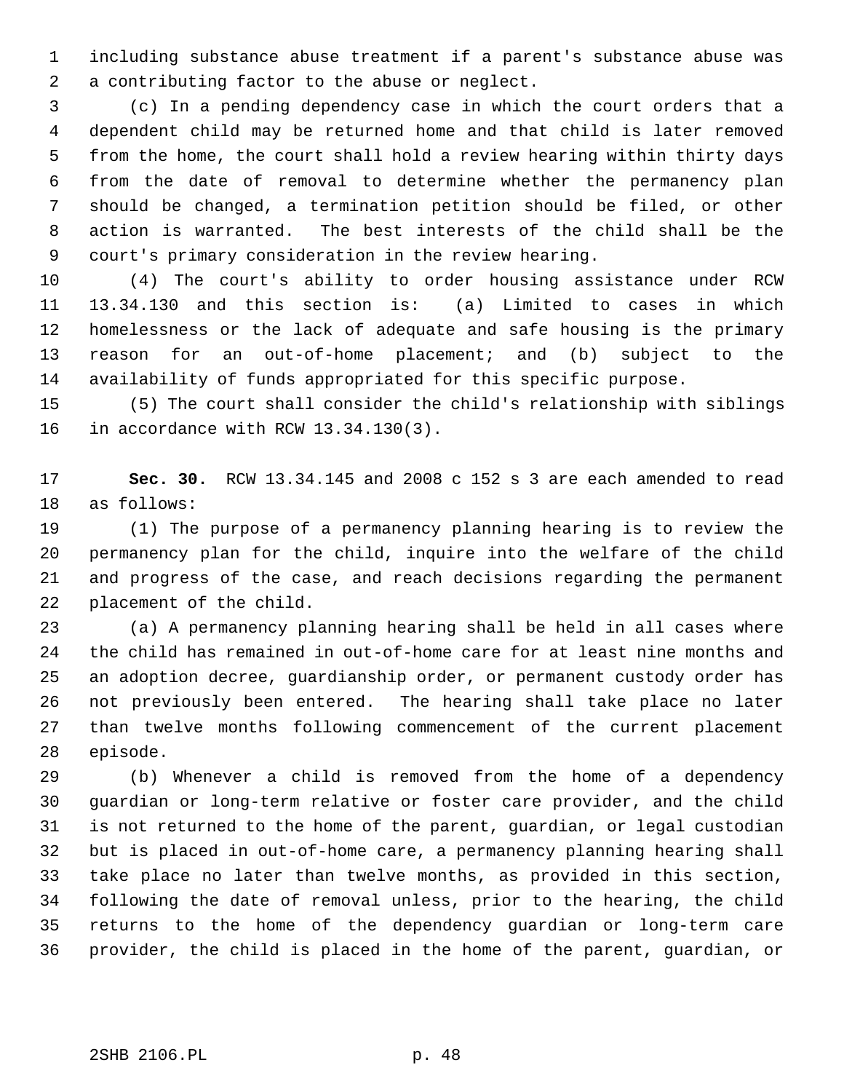1 including substance abuse treatment if a parent's substance abuse was 2 a contributing factor to the abuse or neglect.

 3 (c) In a pending dependency case in which the court orders that a 4 dependent child may be returned home and that child is later removed 5 from the home, the court shall hold a review hearing within thirty days 6 from the date of removal to determine whether the permanency plan 7 should be changed, a termination petition should be filed, or other 8 action is warranted. The best interests of the child shall be the 9 court's primary consideration in the review hearing.

10 (4) The court's ability to order housing assistance under RCW 11 13.34.130 and this section is: (a) Limited to cases in which 12 homelessness or the lack of adequate and safe housing is the primary 13 reason for an out-of-home placement; and (b) subject to the 14 availability of funds appropriated for this specific purpose.

15 (5) The court shall consider the child's relationship with siblings 16 in accordance with RCW 13.34.130(3).

17 **Sec. 30.** RCW 13.34.145 and 2008 c 152 s 3 are each amended to read 18 as follows:

19 (1) The purpose of a permanency planning hearing is to review the 20 permanency plan for the child, inquire into the welfare of the child 21 and progress of the case, and reach decisions regarding the permanent 22 placement of the child.

23 (a) A permanency planning hearing shall be held in all cases where 24 the child has remained in out-of-home care for at least nine months and 25 an adoption decree, guardianship order, or permanent custody order has 26 not previously been entered. The hearing shall take place no later 27 than twelve months following commencement of the current placement 28 episode.

29 (b) Whenever a child is removed from the home of a dependency 30 guardian or long-term relative or foster care provider, and the child 31 is not returned to the home of the parent, guardian, or legal custodian 32 but is placed in out-of-home care, a permanency planning hearing shall 33 take place no later than twelve months, as provided in this section, 34 following the date of removal unless, prior to the hearing, the child 35 returns to the home of the dependency guardian or long-term care 36 provider, the child is placed in the home of the parent, guardian, or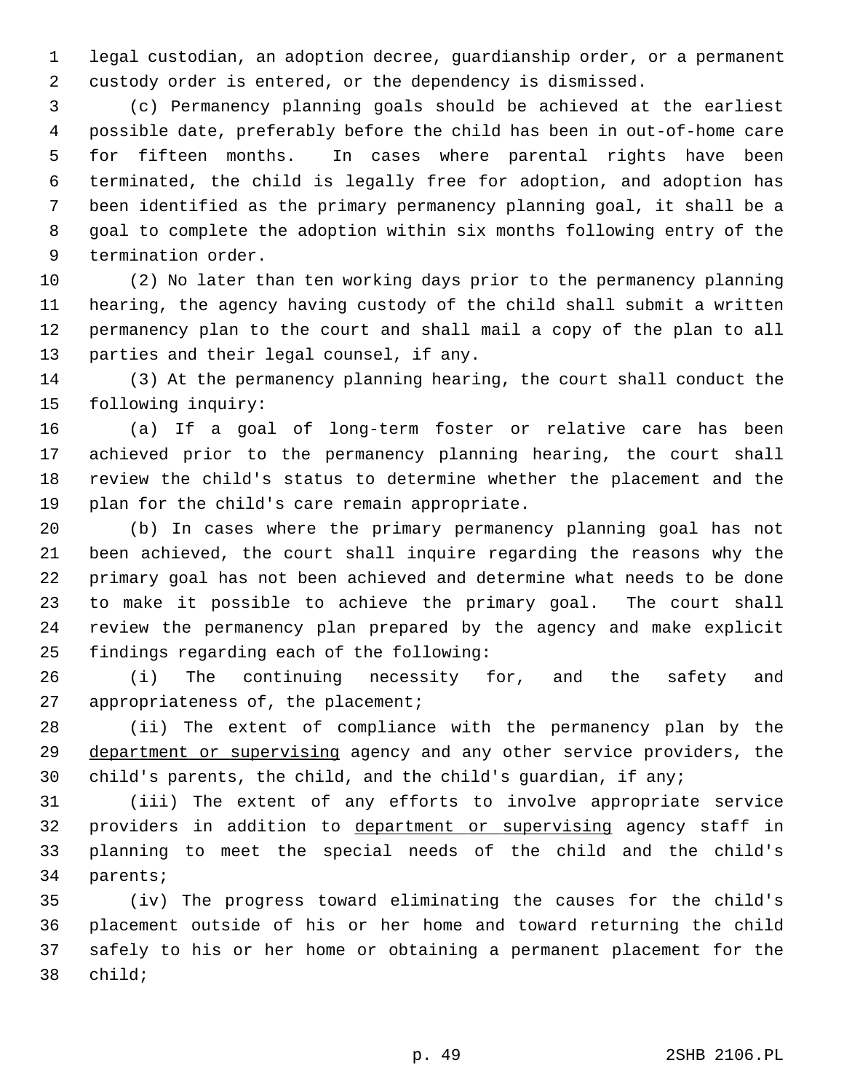1 legal custodian, an adoption decree, guardianship order, or a permanent 2 custody order is entered, or the dependency is dismissed.

 3 (c) Permanency planning goals should be achieved at the earliest 4 possible date, preferably before the child has been in out-of-home care 5 for fifteen months. In cases where parental rights have been 6 terminated, the child is legally free for adoption, and adoption has 7 been identified as the primary permanency planning goal, it shall be a 8 goal to complete the adoption within six months following entry of the 9 termination order.

10 (2) No later than ten working days prior to the permanency planning 11 hearing, the agency having custody of the child shall submit a written 12 permanency plan to the court and shall mail a copy of the plan to all 13 parties and their legal counsel, if any.

14 (3) At the permanency planning hearing, the court shall conduct the 15 following inquiry:

16 (a) If a goal of long-term foster or relative care has been 17 achieved prior to the permanency planning hearing, the court shall 18 review the child's status to determine whether the placement and the 19 plan for the child's care remain appropriate.

20 (b) In cases where the primary permanency planning goal has not 21 been achieved, the court shall inquire regarding the reasons why the 22 primary goal has not been achieved and determine what needs to be done 23 to make it possible to achieve the primary goal. The court shall 24 review the permanency plan prepared by the agency and make explicit 25 findings regarding each of the following:

26 (i) The continuing necessity for, and the safety and 27 appropriateness of, the placement;

28 (ii) The extent of compliance with the permanency plan by the 29 department or supervising agency and any other service providers, the 30 child's parents, the child, and the child's guardian, if any;

31 (iii) The extent of any efforts to involve appropriate service 32 providers in addition to department or supervising agency staff in 33 planning to meet the special needs of the child and the child's 34 parents;

35 (iv) The progress toward eliminating the causes for the child's 36 placement outside of his or her home and toward returning the child 37 safely to his or her home or obtaining a permanent placement for the 38 child;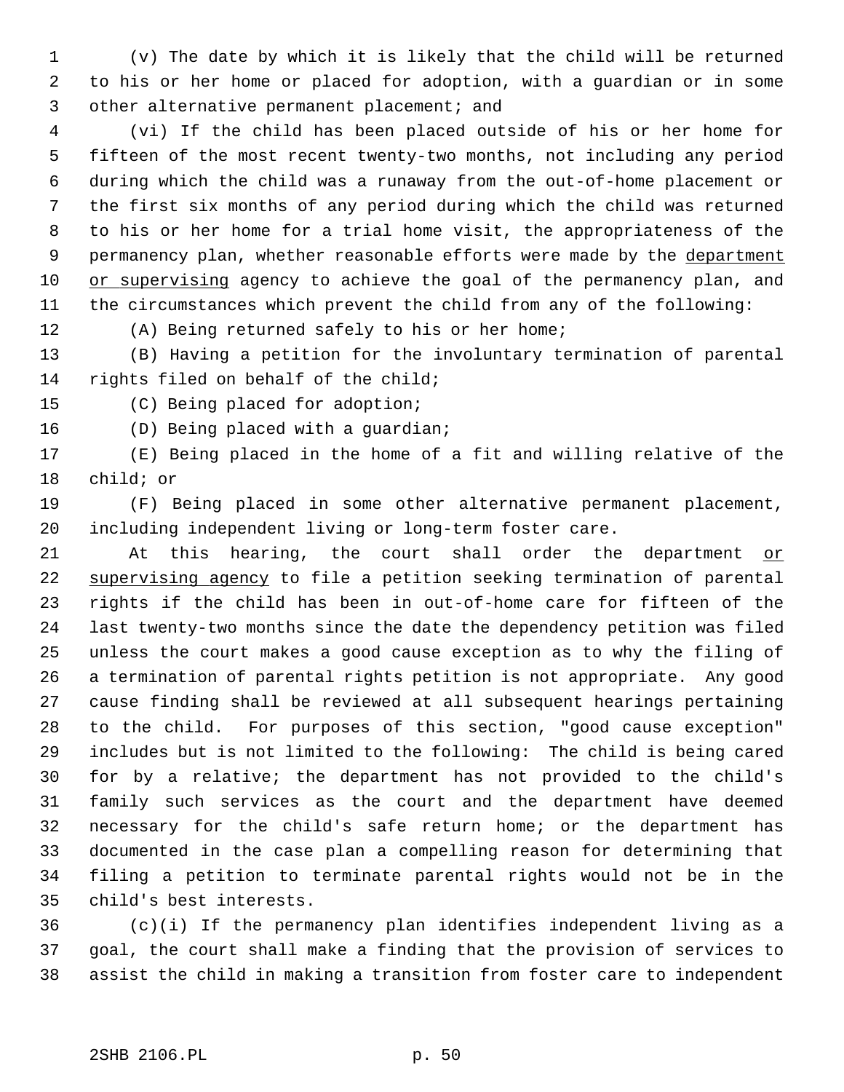1 (v) The date by which it is likely that the child will be returned 2 to his or her home or placed for adoption, with a guardian or in some 3 other alternative permanent placement; and

 4 (vi) If the child has been placed outside of his or her home for 5 fifteen of the most recent twenty-two months, not including any period 6 during which the child was a runaway from the out-of-home placement or 7 the first six months of any period during which the child was returned 8 to his or her home for a trial home visit, the appropriateness of the 9 permanency plan, whether reasonable efforts were made by the department 10 or supervising agency to achieve the goal of the permanency plan, and 11 the circumstances which prevent the child from any of the following:

12 (A) Being returned safely to his or her home;

13 (B) Having a petition for the involuntary termination of parental 14 rights filed on behalf of the child;

15 (C) Being placed for adoption;

16 (D) Being placed with a guardian;

17 (E) Being placed in the home of a fit and willing relative of the 18 child; or

19 (F) Being placed in some other alternative permanent placement, 20 including independent living or long-term foster care.

21 At this hearing, the court shall order the department or 22 supervising agency to file a petition seeking termination of parental 23 rights if the child has been in out-of-home care for fifteen of the 24 last twenty-two months since the date the dependency petition was filed 25 unless the court makes a good cause exception as to why the filing of 26 a termination of parental rights petition is not appropriate. Any good 27 cause finding shall be reviewed at all subsequent hearings pertaining 28 to the child. For purposes of this section, "good cause exception" 29 includes but is not limited to the following: The child is being cared 30 for by a relative; the department has not provided to the child's 31 family such services as the court and the department have deemed 32 necessary for the child's safe return home; or the department has 33 documented in the case plan a compelling reason for determining that 34 filing a petition to terminate parental rights would not be in the 35 child's best interests.

36 (c)(i) If the permanency plan identifies independent living as a 37 goal, the court shall make a finding that the provision of services to 38 assist the child in making a transition from foster care to independent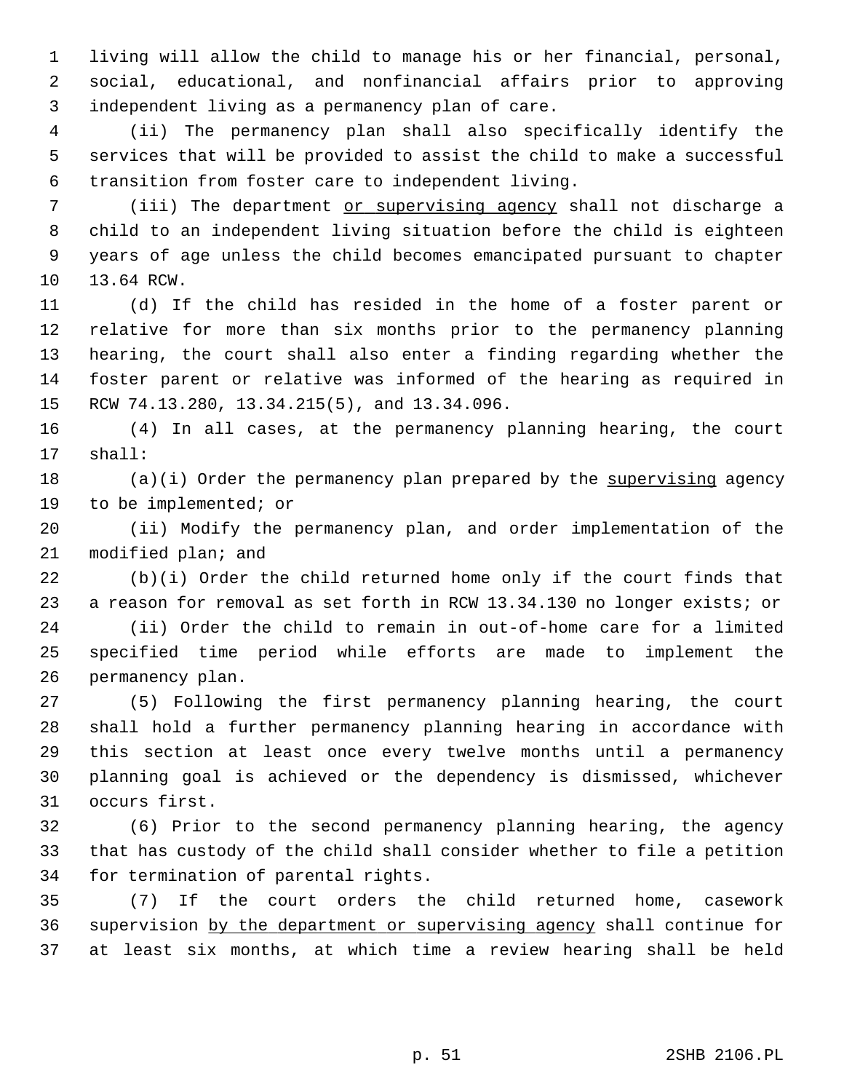1 living will allow the child to manage his or her financial, personal, 2 social, educational, and nonfinancial affairs prior to approving 3 independent living as a permanency plan of care.

 4 (ii) The permanency plan shall also specifically identify the 5 services that will be provided to assist the child to make a successful 6 transition from foster care to independent living.

 7 (iii) The department or supervising agency shall not discharge a 8 child to an independent living situation before the child is eighteen 9 years of age unless the child becomes emancipated pursuant to chapter 10 13.64 RCW.

11 (d) If the child has resided in the home of a foster parent or 12 relative for more than six months prior to the permanency planning 13 hearing, the court shall also enter a finding regarding whether the 14 foster parent or relative was informed of the hearing as required in 15 RCW 74.13.280, 13.34.215(5), and 13.34.096.

16 (4) In all cases, at the permanency planning hearing, the court 17 shall:

18 (a)(i) Order the permanency plan prepared by the supervising agency 19 to be implemented; or

20 (ii) Modify the permanency plan, and order implementation of the 21 modified plan; and

22 (b)(i) Order the child returned home only if the court finds that 23 a reason for removal as set forth in RCW 13.34.130 no longer exists; or

24 (ii) Order the child to remain in out-of-home care for a limited 25 specified time period while efforts are made to implement the 26 permanency plan.

27 (5) Following the first permanency planning hearing, the court 28 shall hold a further permanency planning hearing in accordance with 29 this section at least once every twelve months until a permanency 30 planning goal is achieved or the dependency is dismissed, whichever 31 occurs first.

32 (6) Prior to the second permanency planning hearing, the agency 33 that has custody of the child shall consider whether to file a petition 34 for termination of parental rights.

35 (7) If the court orders the child returned home, casework 36 supervision by the department or supervising agency shall continue for 37 at least six months, at which time a review hearing shall be held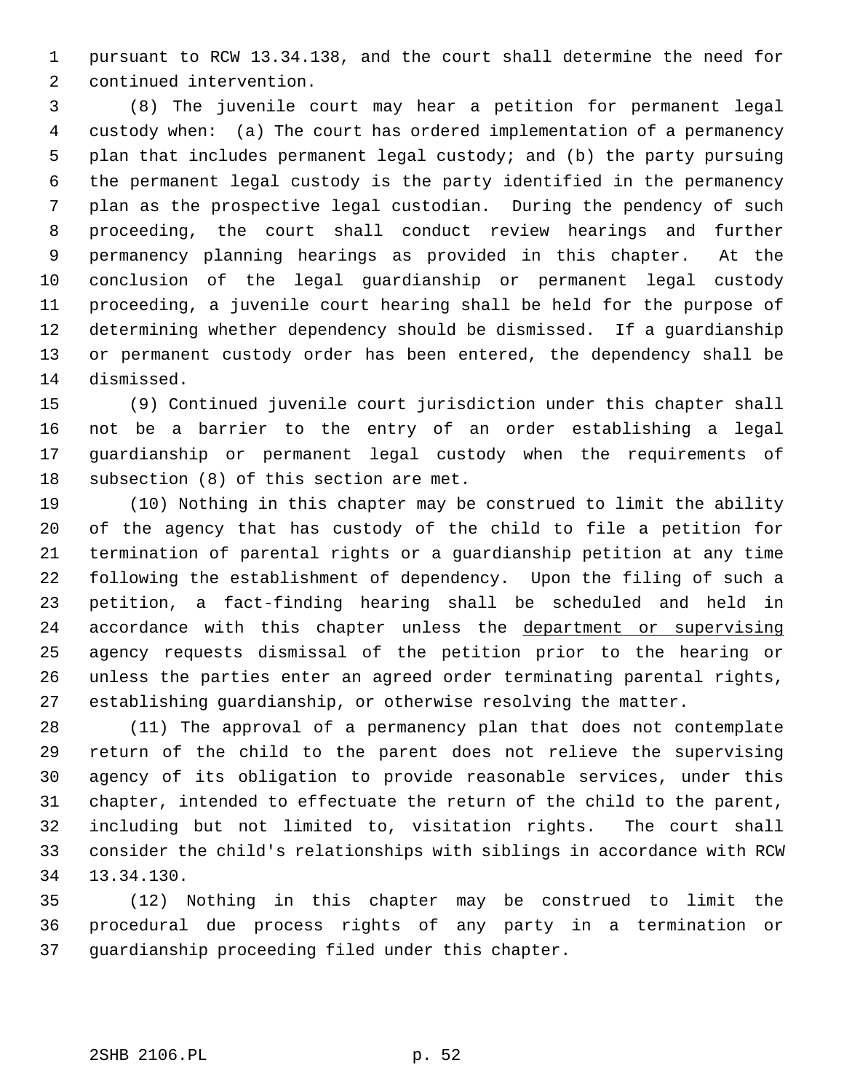1 pursuant to RCW 13.34.138, and the court shall determine the need for 2 continued intervention.

 3 (8) The juvenile court may hear a petition for permanent legal 4 custody when: (a) The court has ordered implementation of a permanency 5 plan that includes permanent legal custody; and (b) the party pursuing 6 the permanent legal custody is the party identified in the permanency 7 plan as the prospective legal custodian. During the pendency of such 8 proceeding, the court shall conduct review hearings and further 9 permanency planning hearings as provided in this chapter. At the 10 conclusion of the legal guardianship or permanent legal custody 11 proceeding, a juvenile court hearing shall be held for the purpose of 12 determining whether dependency should be dismissed. If a guardianship 13 or permanent custody order has been entered, the dependency shall be 14 dismissed.

15 (9) Continued juvenile court jurisdiction under this chapter shall 16 not be a barrier to the entry of an order establishing a legal 17 guardianship or permanent legal custody when the requirements of 18 subsection (8) of this section are met.

19 (10) Nothing in this chapter may be construed to limit the ability 20 of the agency that has custody of the child to file a petition for 21 termination of parental rights or a guardianship petition at any time 22 following the establishment of dependency. Upon the filing of such a 23 petition, a fact-finding hearing shall be scheduled and held in 24 accordance with this chapter unless the department or supervising 25 agency requests dismissal of the petition prior to the hearing or 26 unless the parties enter an agreed order terminating parental rights, 27 establishing guardianship, or otherwise resolving the matter.

28 (11) The approval of a permanency plan that does not contemplate 29 return of the child to the parent does not relieve the supervising 30 agency of its obligation to provide reasonable services, under this 31 chapter, intended to effectuate the return of the child to the parent, 32 including but not limited to, visitation rights. The court shall 33 consider the child's relationships with siblings in accordance with RCW 34 13.34.130.

35 (12) Nothing in this chapter may be construed to limit the 36 procedural due process rights of any party in a termination or 37 guardianship proceeding filed under this chapter.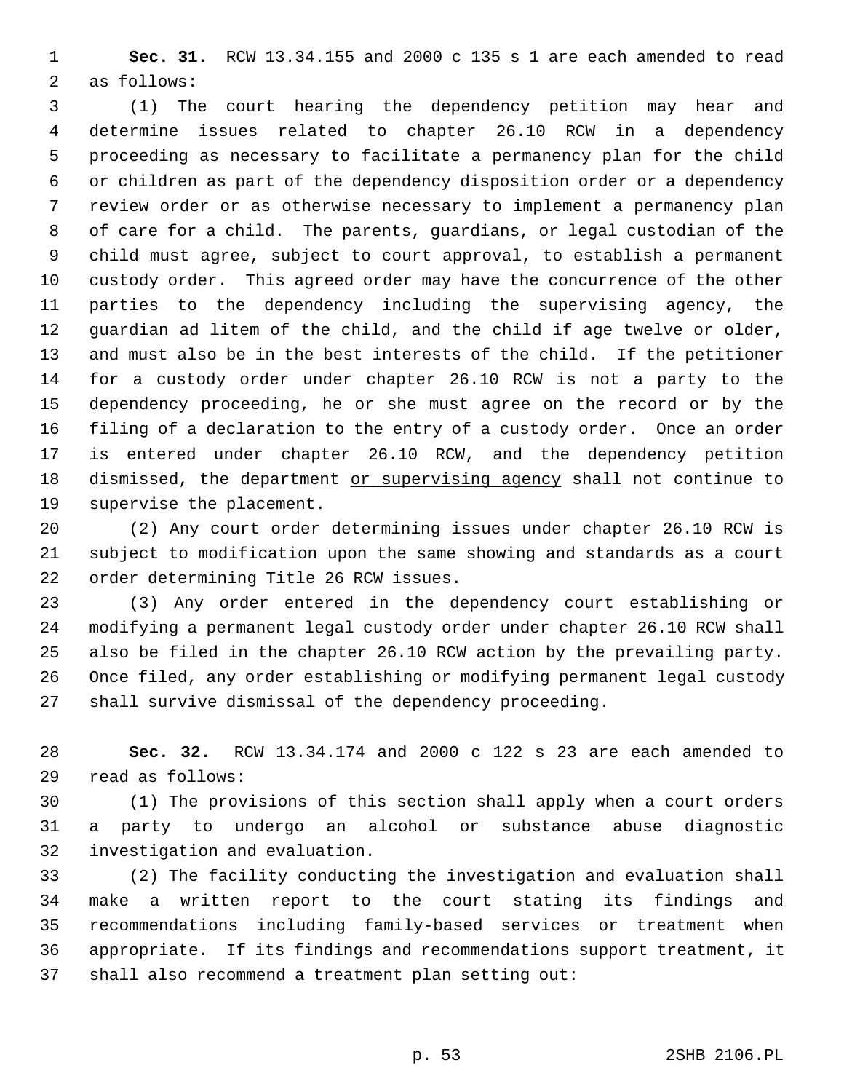1 **Sec. 31.** RCW 13.34.155 and 2000 c 135 s 1 are each amended to read 2 as follows:

 3 (1) The court hearing the dependency petition may hear and 4 determine issues related to chapter 26.10 RCW in a dependency 5 proceeding as necessary to facilitate a permanency plan for the child 6 or children as part of the dependency disposition order or a dependency 7 review order or as otherwise necessary to implement a permanency plan 8 of care for a child. The parents, guardians, or legal custodian of the 9 child must agree, subject to court approval, to establish a permanent 10 custody order. This agreed order may have the concurrence of the other 11 parties to the dependency including the supervising agency, the 12 guardian ad litem of the child, and the child if age twelve or older, 13 and must also be in the best interests of the child. If the petitioner 14 for a custody order under chapter 26.10 RCW is not a party to the 15 dependency proceeding, he or she must agree on the record or by the 16 filing of a declaration to the entry of a custody order. Once an order 17 is entered under chapter 26.10 RCW, and the dependency petition 18 dismissed, the department or supervising agency shall not continue to 19 supervise the placement.

20 (2) Any court order determining issues under chapter 26.10 RCW is 21 subject to modification upon the same showing and standards as a court 22 order determining Title 26 RCW issues.

23 (3) Any order entered in the dependency court establishing or 24 modifying a permanent legal custody order under chapter 26.10 RCW shall 25 also be filed in the chapter 26.10 RCW action by the prevailing party. 26 Once filed, any order establishing or modifying permanent legal custody 27 shall survive dismissal of the dependency proceeding.

28 **Sec. 32.** RCW 13.34.174 and 2000 c 122 s 23 are each amended to 29 read as follows:

30 (1) The provisions of this section shall apply when a court orders 31 a party to undergo an alcohol or substance abuse diagnostic 32 investigation and evaluation.

33 (2) The facility conducting the investigation and evaluation shall 34 make a written report to the court stating its findings and 35 recommendations including family-based services or treatment when 36 appropriate. If its findings and recommendations support treatment, it 37 shall also recommend a treatment plan setting out: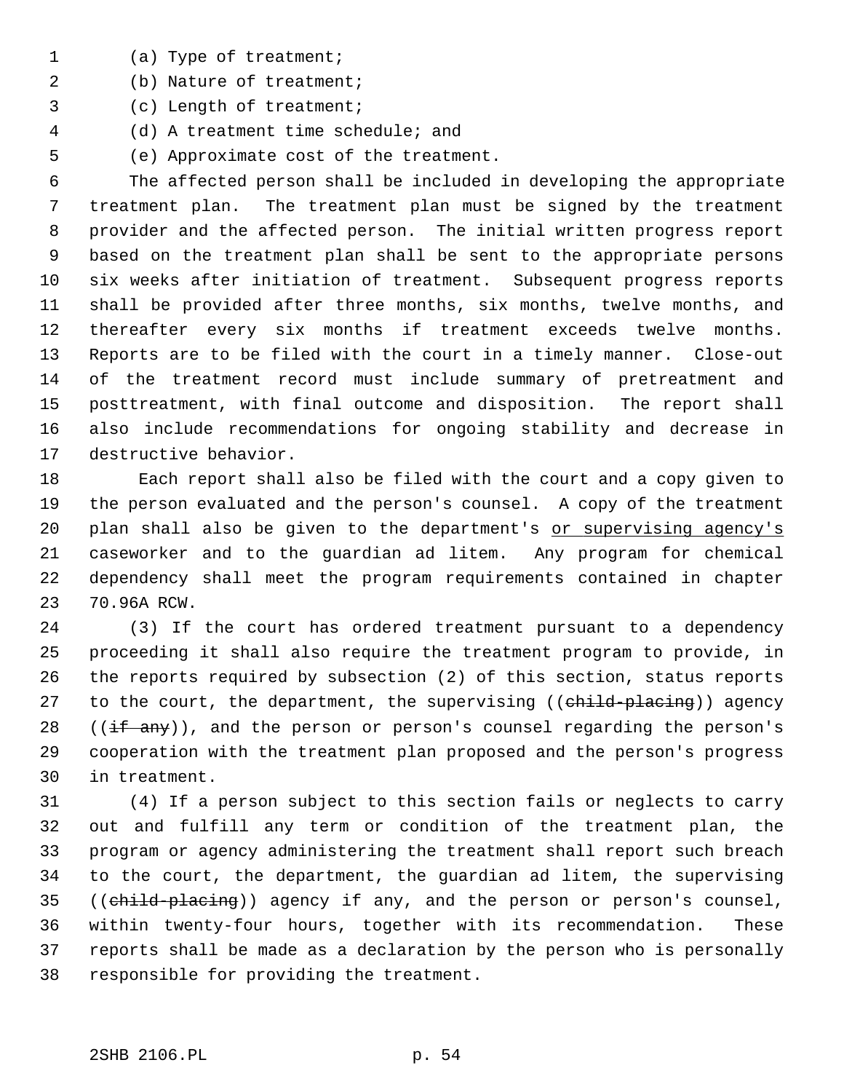- 1 (a) Type of treatment;
- 2 (b) Nature of treatment;
- 3 (c) Length of treatment;
- 4 (d) A treatment time schedule; and
- 5 (e) Approximate cost of the treatment.

 6 The affected person shall be included in developing the appropriate 7 treatment plan. The treatment plan must be signed by the treatment 8 provider and the affected person. The initial written progress report 9 based on the treatment plan shall be sent to the appropriate persons 10 six weeks after initiation of treatment. Subsequent progress reports 11 shall be provided after three months, six months, twelve months, and 12 thereafter every six months if treatment exceeds twelve months. 13 Reports are to be filed with the court in a timely manner. Close-out 14 of the treatment record must include summary of pretreatment and 15 posttreatment, with final outcome and disposition. The report shall 16 also include recommendations for ongoing stability and decrease in 17 destructive behavior.

18 Each report shall also be filed with the court and a copy given to 19 the person evaluated and the person's counsel. A copy of the treatment 20 plan shall also be given to the department's or supervising agency's 21 caseworker and to the guardian ad litem. Any program for chemical 22 dependency shall meet the program requirements contained in chapter 23 70.96A RCW.

24 (3) If the court has ordered treatment pursuant to a dependency 25 proceeding it shall also require the treatment program to provide, in 26 the reports required by subsection (2) of this section, status reports 27 to the court, the department, the supervising ((child-placing)) agency 28 ( $(if$  any)), and the person or person's counsel regarding the person's 29 cooperation with the treatment plan proposed and the person's progress 30 in treatment.

31 (4) If a person subject to this section fails or neglects to carry 32 out and fulfill any term or condition of the treatment plan, the 33 program or agency administering the treatment shall report such breach 34 to the court, the department, the guardian ad litem, the supervising 35 ((child-placing)) agency if any, and the person or person's counsel, 36 within twenty-four hours, together with its recommendation. These 37 reports shall be made as a declaration by the person who is personally 38 responsible for providing the treatment.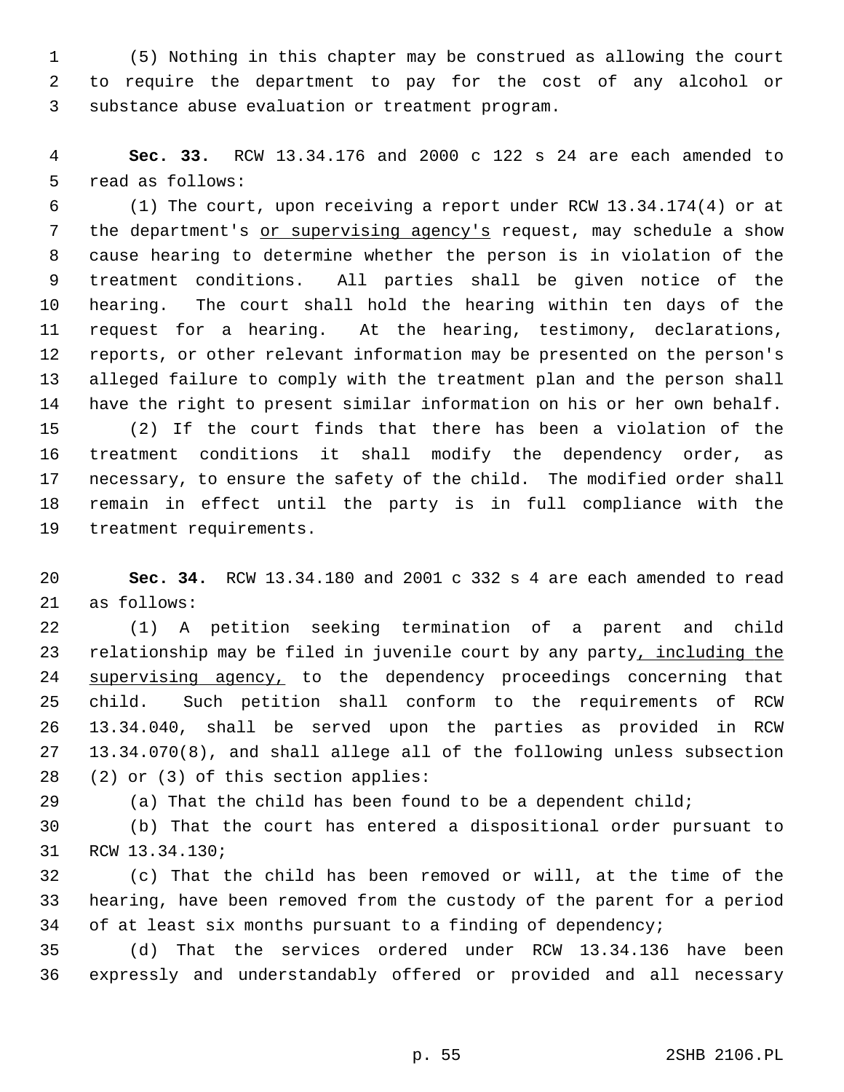1 (5) Nothing in this chapter may be construed as allowing the court 2 to require the department to pay for the cost of any alcohol or 3 substance abuse evaluation or treatment program.

 4 **Sec. 33.** RCW 13.34.176 and 2000 c 122 s 24 are each amended to 5 read as follows:

 6 (1) The court, upon receiving a report under RCW 13.34.174(4) or at 7 the department's or supervising agency's request, may schedule a show 8 cause hearing to determine whether the person is in violation of the 9 treatment conditions. All parties shall be given notice of the 10 hearing. The court shall hold the hearing within ten days of the 11 request for a hearing. At the hearing, testimony, declarations, 12 reports, or other relevant information may be presented on the person's 13 alleged failure to comply with the treatment plan and the person shall 14 have the right to present similar information on his or her own behalf. 15 (2) If the court finds that there has been a violation of the 16 treatment conditions it shall modify the dependency order, as 17 necessary, to ensure the safety of the child. The modified order shall 18 remain in effect until the party is in full compliance with the 19 treatment requirements.

20 **Sec. 34.** RCW 13.34.180 and 2001 c 332 s 4 are each amended to read 21 as follows:

22 (1) A petition seeking termination of a parent and child 23 relationship may be filed in juvenile court by any party, including the 24 supervising agency, to the dependency proceedings concerning that 25 child. Such petition shall conform to the requirements of RCW 26 13.34.040, shall be served upon the parties as provided in RCW 27 13.34.070(8), and shall allege all of the following unless subsection 28 (2) or (3) of this section applies:

29 (a) That the child has been found to be a dependent child;

30 (b) That the court has entered a dispositional order pursuant to 31 RCW 13.34.130;

32 (c) That the child has been removed or will, at the time of the 33 hearing, have been removed from the custody of the parent for a period 34 of at least six months pursuant to a finding of dependency;

35 (d) That the services ordered under RCW 13.34.136 have been 36 expressly and understandably offered or provided and all necessary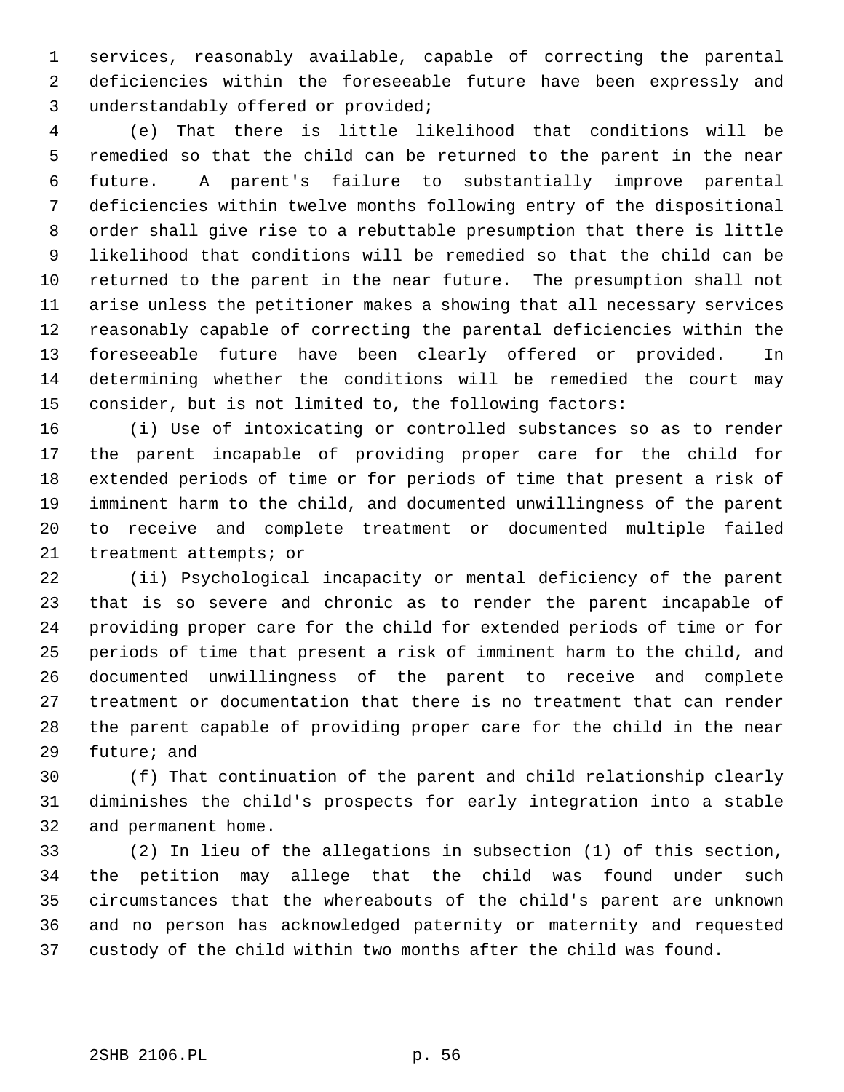1 services, reasonably available, capable of correcting the parental 2 deficiencies within the foreseeable future have been expressly and 3 understandably offered or provided;

 4 (e) That there is little likelihood that conditions will be 5 remedied so that the child can be returned to the parent in the near 6 future. A parent's failure to substantially improve parental 7 deficiencies within twelve months following entry of the dispositional 8 order shall give rise to a rebuttable presumption that there is little 9 likelihood that conditions will be remedied so that the child can be 10 returned to the parent in the near future. The presumption shall not 11 arise unless the petitioner makes a showing that all necessary services 12 reasonably capable of correcting the parental deficiencies within the 13 foreseeable future have been clearly offered or provided. In 14 determining whether the conditions will be remedied the court may 15 consider, but is not limited to, the following factors:

16 (i) Use of intoxicating or controlled substances so as to render 17 the parent incapable of providing proper care for the child for 18 extended periods of time or for periods of time that present a risk of 19 imminent harm to the child, and documented unwillingness of the parent 20 to receive and complete treatment or documented multiple failed 21 treatment attempts; or

22 (ii) Psychological incapacity or mental deficiency of the parent 23 that is so severe and chronic as to render the parent incapable of 24 providing proper care for the child for extended periods of time or for 25 periods of time that present a risk of imminent harm to the child, and 26 documented unwillingness of the parent to receive and complete 27 treatment or documentation that there is no treatment that can render 28 the parent capable of providing proper care for the child in the near 29 future; and

30 (f) That continuation of the parent and child relationship clearly 31 diminishes the child's prospects for early integration into a stable 32 and permanent home.

33 (2) In lieu of the allegations in subsection (1) of this section, 34 the petition may allege that the child was found under such 35 circumstances that the whereabouts of the child's parent are unknown 36 and no person has acknowledged paternity or maternity and requested 37 custody of the child within two months after the child was found.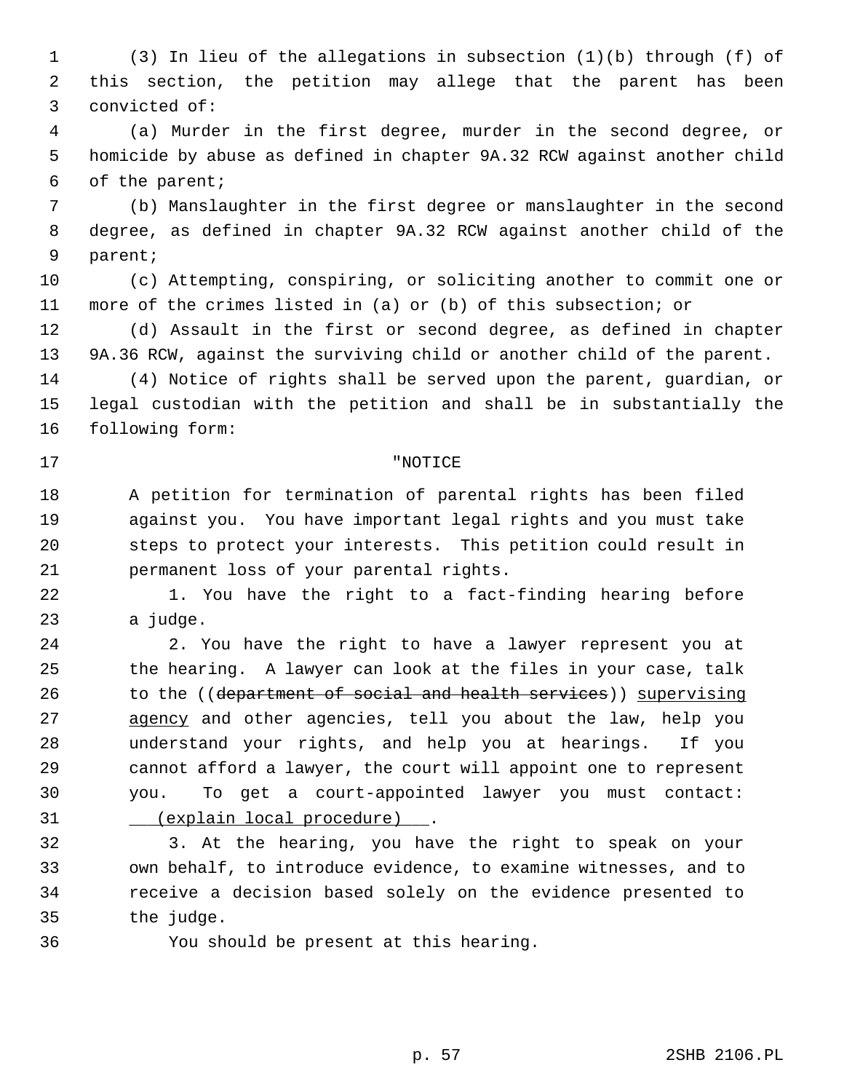1 (3) In lieu of the allegations in subsection (1)(b) through (f) of 2 this section, the petition may allege that the parent has been 3 convicted of:

 4 (a) Murder in the first degree, murder in the second degree, or 5 homicide by abuse as defined in chapter 9A.32 RCW against another child 6 of the parent;

 7 (b) Manslaughter in the first degree or manslaughter in the second 8 degree, as defined in chapter 9A.32 RCW against another child of the 9 parent;

10 (c) Attempting, conspiring, or soliciting another to commit one or 11 more of the crimes listed in (a) or (b) of this subsection; or

12 (d) Assault in the first or second degree, as defined in chapter 13 9A.36 RCW, against the surviving child or another child of the parent.

14 (4) Notice of rights shall be served upon the parent, guardian, or 15 legal custodian with the petition and shall be in substantially the 16 following form:

## 17 "NOTICE

18 A petition for termination of parental rights has been filed 19 against you. You have important legal rights and you must take 20 steps to protect your interests. This petition could result in 21 permanent loss of your parental rights.

22 1. You have the right to a fact-finding hearing before 23 a judge.

24 2. You have the right to have a lawyer represent you at 25 the hearing. A lawyer can look at the files in your case, talk 26 to the ((department of social and health services)) supervising 27 agency and other agencies, tell you about the law, help you 28 understand your rights, and help you at hearings. If you 29 cannot afford a lawyer, the court will appoint one to represent 30 you. To get a court-appointed lawyer you must contact: 31 (explain local procedure) .

32 3. At the hearing, you have the right to speak on your 33 own behalf, to introduce evidence, to examine witnesses, and to 34 receive a decision based solely on the evidence presented to 35 the judge.

36 You should be present at this hearing.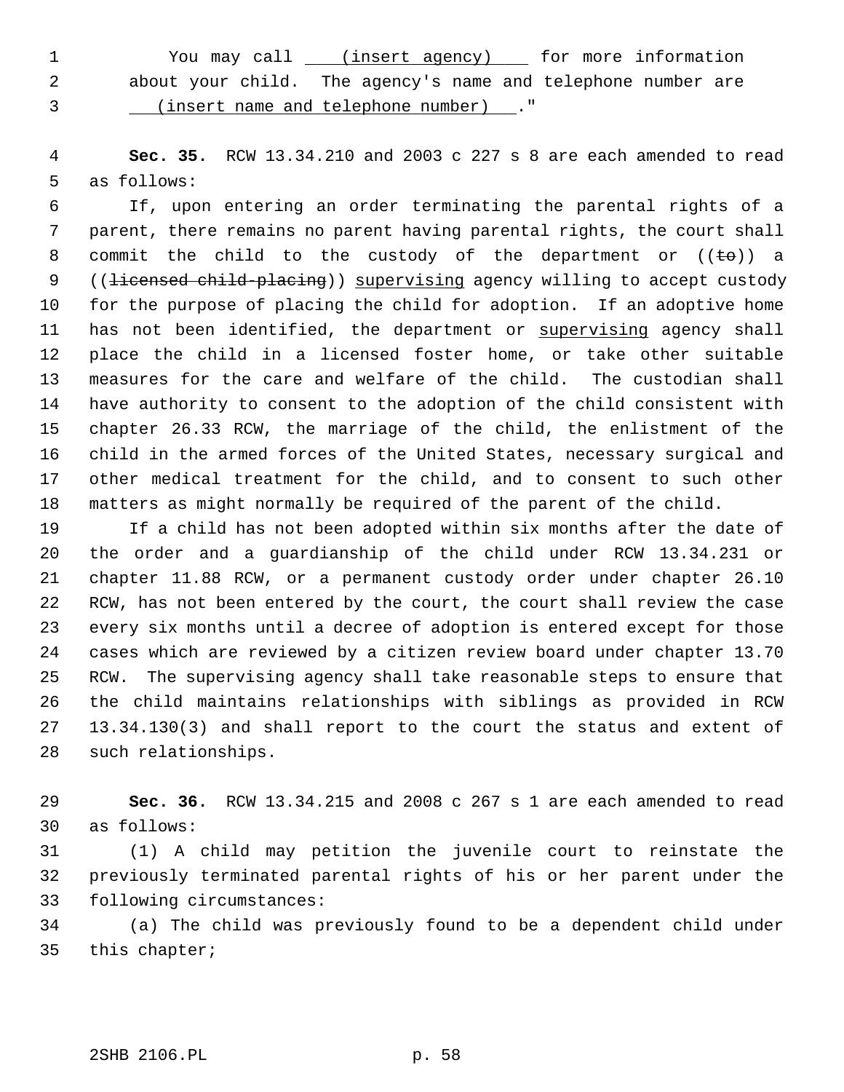1 You may call (insert agency) for more information 2 about your child. The agency's name and telephone number are 3 (insert name and telephone number) ."

 4 **Sec. 35.** RCW 13.34.210 and 2003 c 227 s 8 are each amended to read 5 as follows:

 6 If, upon entering an order terminating the parental rights of a 7 parent, there remains no parent having parental rights, the court shall 8 commit the child to the custody of the department or  $((\pm e))$  a 9 ((<del>licensed child-placing</del>)) supervising agency willing to accept custody 10 for the purpose of placing the child for adoption. If an adoptive home 11 has not been identified, the department or supervising agency shall 12 place the child in a licensed foster home, or take other suitable 13 measures for the care and welfare of the child. The custodian shall 14 have authority to consent to the adoption of the child consistent with 15 chapter 26.33 RCW, the marriage of the child, the enlistment of the 16 child in the armed forces of the United States, necessary surgical and 17 other medical treatment for the child, and to consent to such other 18 matters as might normally be required of the parent of the child.

19 If a child has not been adopted within six months after the date of 20 the order and a guardianship of the child under RCW 13.34.231 or 21 chapter 11.88 RCW, or a permanent custody order under chapter 26.10 22 RCW, has not been entered by the court, the court shall review the case 23 every six months until a decree of adoption is entered except for those 24 cases which are reviewed by a citizen review board under chapter 13.70 25 RCW. The supervising agency shall take reasonable steps to ensure that 26 the child maintains relationships with siblings as provided in RCW 27 13.34.130(3) and shall report to the court the status and extent of 28 such relationships.

29 **Sec. 36.** RCW 13.34.215 and 2008 c 267 s 1 are each amended to read 30 as follows:

31 (1) A child may petition the juvenile court to reinstate the 32 previously terminated parental rights of his or her parent under the 33 following circumstances:

34 (a) The child was previously found to be a dependent child under 35 this chapter;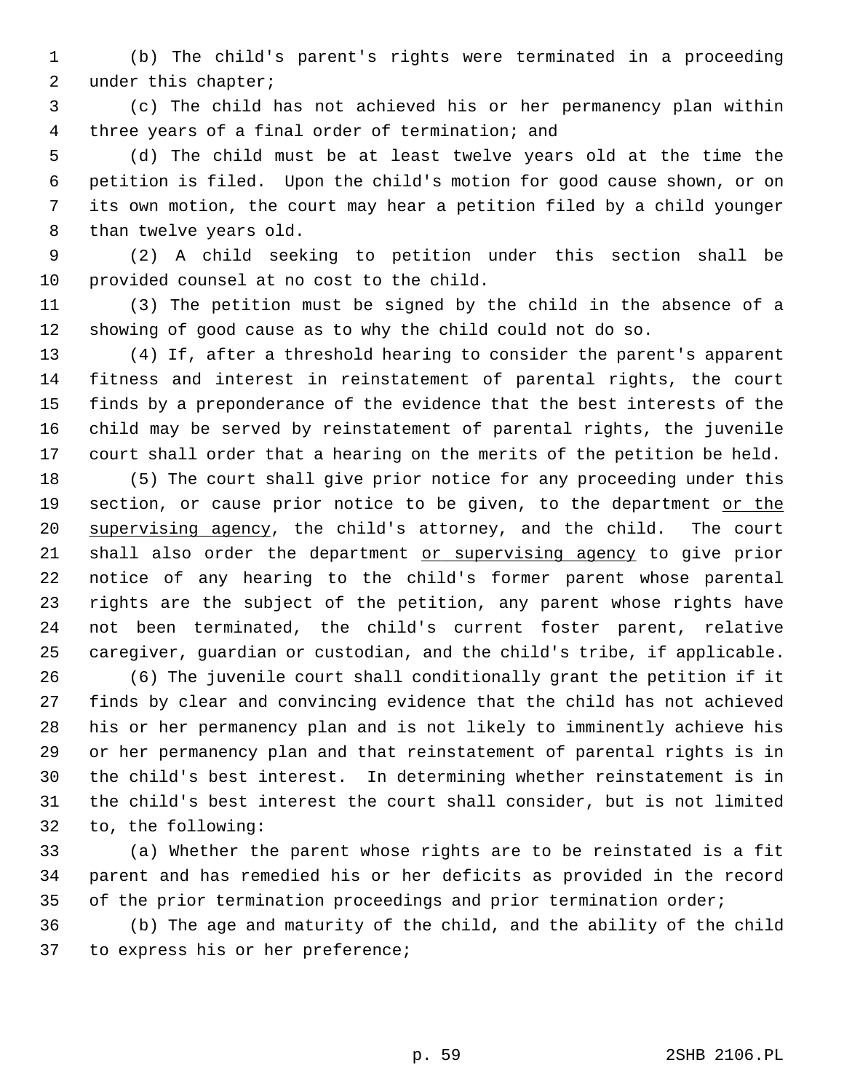1 (b) The child's parent's rights were terminated in a proceeding 2 under this chapter;

 3 (c) The child has not achieved his or her permanency plan within 4 three years of a final order of termination; and

 5 (d) The child must be at least twelve years old at the time the 6 petition is filed. Upon the child's motion for good cause shown, or on 7 its own motion, the court may hear a petition filed by a child younger 8 than twelve years old.

 9 (2) A child seeking to petition under this section shall be 10 provided counsel at no cost to the child.

11 (3) The petition must be signed by the child in the absence of a 12 showing of good cause as to why the child could not do so.

13 (4) If, after a threshold hearing to consider the parent's apparent 14 fitness and interest in reinstatement of parental rights, the court 15 finds by a preponderance of the evidence that the best interests of the 16 child may be served by reinstatement of parental rights, the juvenile 17 court shall order that a hearing on the merits of the petition be held.

18 (5) The court shall give prior notice for any proceeding under this 19 section, or cause prior notice to be given, to the department or the 20 supervising agency, the child's attorney, and the child. The court 21 shall also order the department or supervising agency to give prior 22 notice of any hearing to the child's former parent whose parental 23 rights are the subject of the petition, any parent whose rights have 24 not been terminated, the child's current foster parent, relative 25 caregiver, guardian or custodian, and the child's tribe, if applicable.

26 (6) The juvenile court shall conditionally grant the petition if it 27 finds by clear and convincing evidence that the child has not achieved 28 his or her permanency plan and is not likely to imminently achieve his 29 or her permanency plan and that reinstatement of parental rights is in 30 the child's best interest. In determining whether reinstatement is in 31 the child's best interest the court shall consider, but is not limited 32 to, the following:

33 (a) Whether the parent whose rights are to be reinstated is a fit 34 parent and has remedied his or her deficits as provided in the record 35 of the prior termination proceedings and prior termination order;

36 (b) The age and maturity of the child, and the ability of the child 37 to express his or her preference;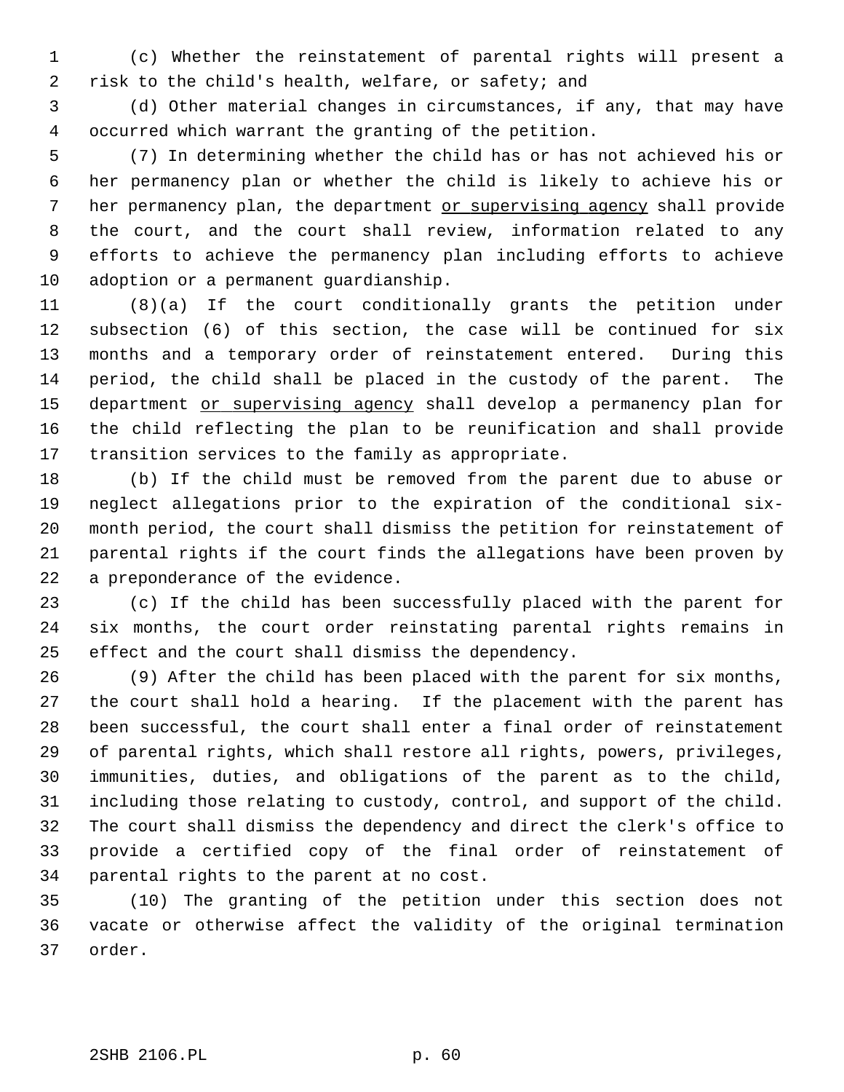1 (c) Whether the reinstatement of parental rights will present a 2 risk to the child's health, welfare, or safety; and

 3 (d) Other material changes in circumstances, if any, that may have 4 occurred which warrant the granting of the petition.

 5 (7) In determining whether the child has or has not achieved his or 6 her permanency plan or whether the child is likely to achieve his or 7 her permanency plan, the department or supervising agency shall provide 8 the court, and the court shall review, information related to any 9 efforts to achieve the permanency plan including efforts to achieve 10 adoption or a permanent guardianship.

11 (8)(a) If the court conditionally grants the petition under 12 subsection (6) of this section, the case will be continued for six 13 months and a temporary order of reinstatement entered. During this 14 period, the child shall be placed in the custody of the parent. The 15 department or supervising agency shall develop a permanency plan for 16 the child reflecting the plan to be reunification and shall provide 17 transition services to the family as appropriate.

18 (b) If the child must be removed from the parent due to abuse or 19 neglect allegations prior to the expiration of the conditional six-20 month period, the court shall dismiss the petition for reinstatement of 21 parental rights if the court finds the allegations have been proven by 22 a preponderance of the evidence.

23 (c) If the child has been successfully placed with the parent for 24 six months, the court order reinstating parental rights remains in 25 effect and the court shall dismiss the dependency.

26 (9) After the child has been placed with the parent for six months, 27 the court shall hold a hearing. If the placement with the parent has 28 been successful, the court shall enter a final order of reinstatement 29 of parental rights, which shall restore all rights, powers, privileges, 30 immunities, duties, and obligations of the parent as to the child, 31 including those relating to custody, control, and support of the child. 32 The court shall dismiss the dependency and direct the clerk's office to 33 provide a certified copy of the final order of reinstatement of 34 parental rights to the parent at no cost.

35 (10) The granting of the petition under this section does not 36 vacate or otherwise affect the validity of the original termination 37 order.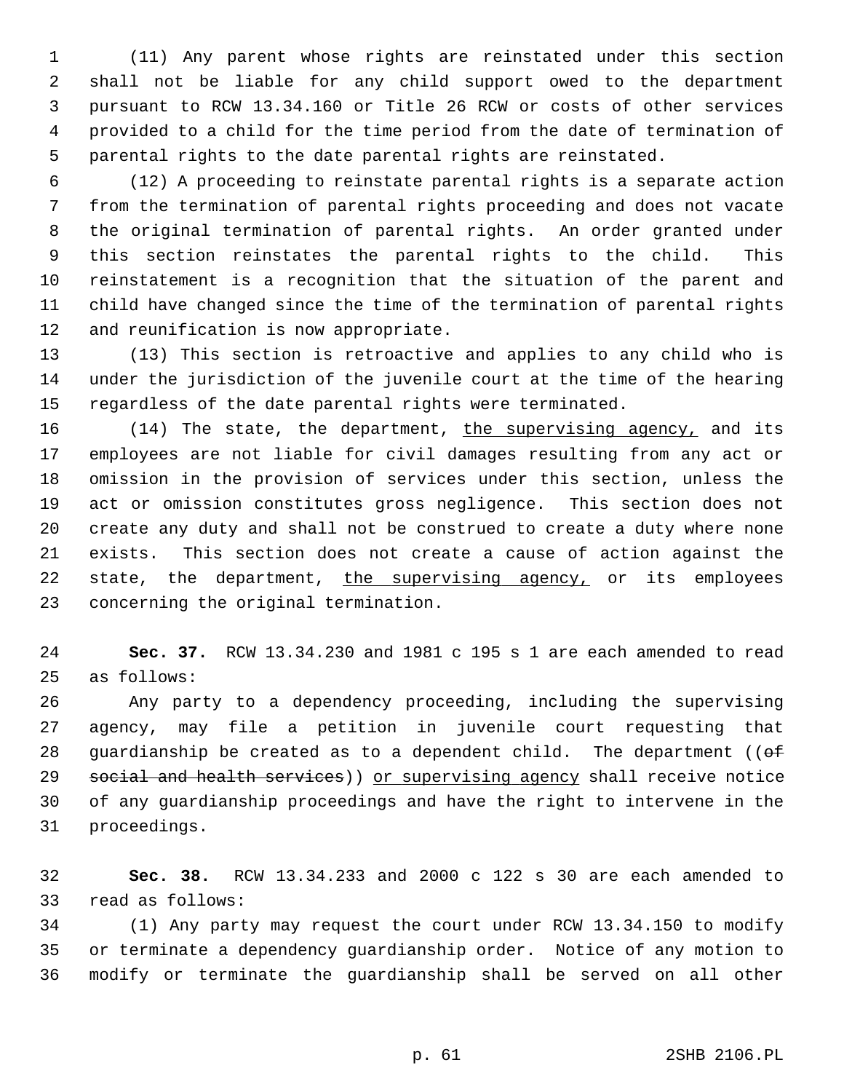1 (11) Any parent whose rights are reinstated under this section 2 shall not be liable for any child support owed to the department 3 pursuant to RCW 13.34.160 or Title 26 RCW or costs of other services 4 provided to a child for the time period from the date of termination of 5 parental rights to the date parental rights are reinstated.

 6 (12) A proceeding to reinstate parental rights is a separate action 7 from the termination of parental rights proceeding and does not vacate 8 the original termination of parental rights. An order granted under 9 this section reinstates the parental rights to the child. This 10 reinstatement is a recognition that the situation of the parent and 11 child have changed since the time of the termination of parental rights 12 and reunification is now appropriate.

13 (13) This section is retroactive and applies to any child who is 14 under the jurisdiction of the juvenile court at the time of the hearing 15 regardless of the date parental rights were terminated.

16 (14) The state, the department, the supervising agency, and its 17 employees are not liable for civil damages resulting from any act or 18 omission in the provision of services under this section, unless the 19 act or omission constitutes gross negligence. This section does not 20 create any duty and shall not be construed to create a duty where none 21 exists. This section does not create a cause of action against the 22 state, the department, the supervising agency, or its employees 23 concerning the original termination.

24 **Sec. 37.** RCW 13.34.230 and 1981 c 195 s 1 are each amended to read 25 as follows:

26 Any party to a dependency proceeding, including the supervising 27 agency, may file a petition in juvenile court requesting that 28 guardianship be created as to a dependent child. The department ( $(ef - f)$ 29 social and health services)) or supervising agency shall receive notice 30 of any guardianship proceedings and have the right to intervene in the 31 proceedings.

32 **Sec. 38.** RCW 13.34.233 and 2000 c 122 s 30 are each amended to 33 read as follows:

34 (1) Any party may request the court under RCW 13.34.150 to modify 35 or terminate a dependency guardianship order. Notice of any motion to 36 modify or terminate the guardianship shall be served on all other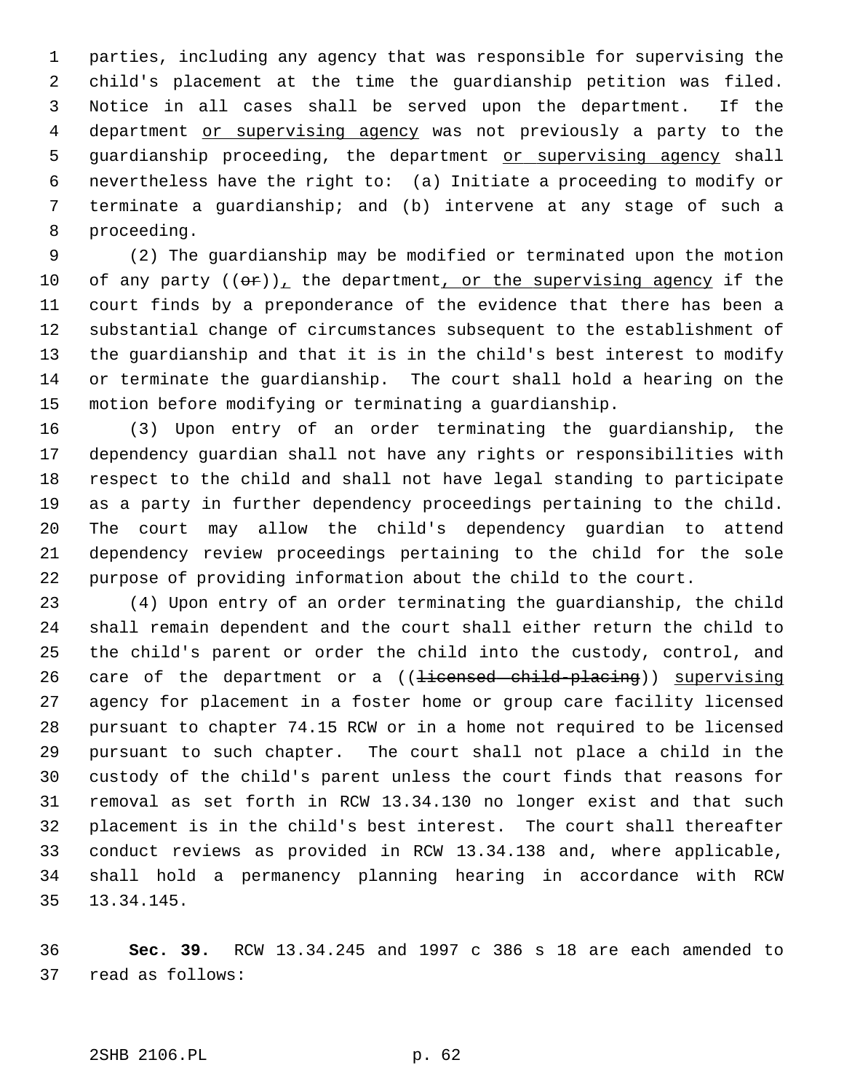1 parties, including any agency that was responsible for supervising the 2 child's placement at the time the guardianship petition was filed. 3 Notice in all cases shall be served upon the department. If the 4 department or supervising agency was not previously a party to the 5 quardianship proceeding, the department or supervising agency shall 6 nevertheless have the right to: (a) Initiate a proceeding to modify or 7 terminate a guardianship; and (b) intervene at any stage of such a 8 proceeding.

 9 (2) The guardianship may be modified or terminated upon the motion 10 of any party  $((\theta \hat{r}))_t$ , the department, or the supervising agency if the 11 court finds by a preponderance of the evidence that there has been a 12 substantial change of circumstances subsequent to the establishment of 13 the guardianship and that it is in the child's best interest to modify 14 or terminate the guardianship. The court shall hold a hearing on the 15 motion before modifying or terminating a guardianship.

16 (3) Upon entry of an order terminating the guardianship, the 17 dependency guardian shall not have any rights or responsibilities with 18 respect to the child and shall not have legal standing to participate 19 as a party in further dependency proceedings pertaining to the child. 20 The court may allow the child's dependency guardian to attend 21 dependency review proceedings pertaining to the child for the sole 22 purpose of providing information about the child to the court.

23 (4) Upon entry of an order terminating the guardianship, the child 24 shall remain dependent and the court shall either return the child to 25 the child's parent or order the child into the custody, control, and 26 care of the department or a ((<del>licensed child-placing</del>)) supervising 27 agency for placement in a foster home or group care facility licensed 28 pursuant to chapter 74.15 RCW or in a home not required to be licensed 29 pursuant to such chapter. The court shall not place a child in the 30 custody of the child's parent unless the court finds that reasons for 31 removal as set forth in RCW 13.34.130 no longer exist and that such 32 placement is in the child's best interest. The court shall thereafter 33 conduct reviews as provided in RCW 13.34.138 and, where applicable, 34 shall hold a permanency planning hearing in accordance with RCW 35 13.34.145.

36 **Sec. 39.** RCW 13.34.245 and 1997 c 386 s 18 are each amended to 37 read as follows: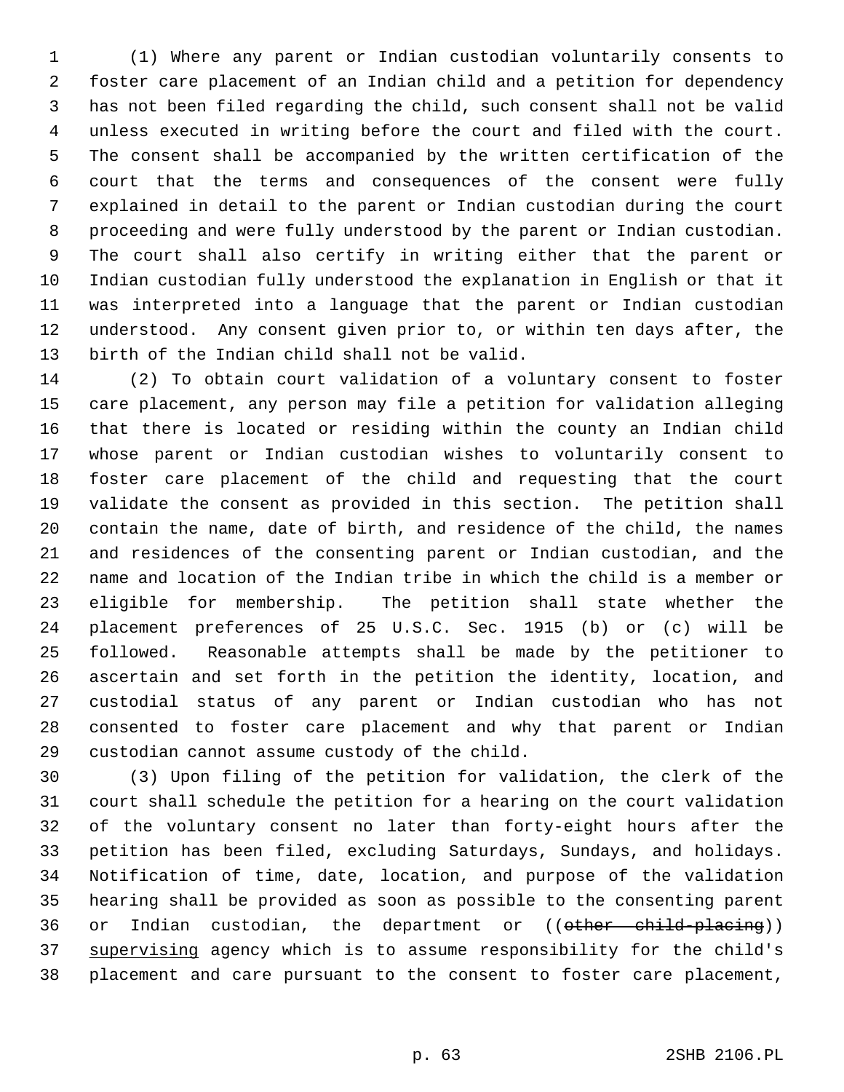1 (1) Where any parent or Indian custodian voluntarily consents to 2 foster care placement of an Indian child and a petition for dependency 3 has not been filed regarding the child, such consent shall not be valid 4 unless executed in writing before the court and filed with the court. 5 The consent shall be accompanied by the written certification of the 6 court that the terms and consequences of the consent were fully 7 explained in detail to the parent or Indian custodian during the court 8 proceeding and were fully understood by the parent or Indian custodian. 9 The court shall also certify in writing either that the parent or 10 Indian custodian fully understood the explanation in English or that it 11 was interpreted into a language that the parent or Indian custodian 12 understood. Any consent given prior to, or within ten days after, the 13 birth of the Indian child shall not be valid.

14 (2) To obtain court validation of a voluntary consent to foster 15 care placement, any person may file a petition for validation alleging 16 that there is located or residing within the county an Indian child 17 whose parent or Indian custodian wishes to voluntarily consent to 18 foster care placement of the child and requesting that the court 19 validate the consent as provided in this section. The petition shall 20 contain the name, date of birth, and residence of the child, the names 21 and residences of the consenting parent or Indian custodian, and the 22 name and location of the Indian tribe in which the child is a member or 23 eligible for membership. The petition shall state whether the 24 placement preferences of 25 U.S.C. Sec. 1915 (b) or (c) will be 25 followed. Reasonable attempts shall be made by the petitioner to 26 ascertain and set forth in the petition the identity, location, and 27 custodial status of any parent or Indian custodian who has not 28 consented to foster care placement and why that parent or Indian 29 custodian cannot assume custody of the child.

30 (3) Upon filing of the petition for validation, the clerk of the 31 court shall schedule the petition for a hearing on the court validation 32 of the voluntary consent no later than forty-eight hours after the 33 petition has been filed, excluding Saturdays, Sundays, and holidays. 34 Notification of time, date, location, and purpose of the validation 35 hearing shall be provided as soon as possible to the consenting parent 36 or Indian custodian, the department or ((other child-placing)) 37 supervising agency which is to assume responsibility for the child's 38 placement and care pursuant to the consent to foster care placement,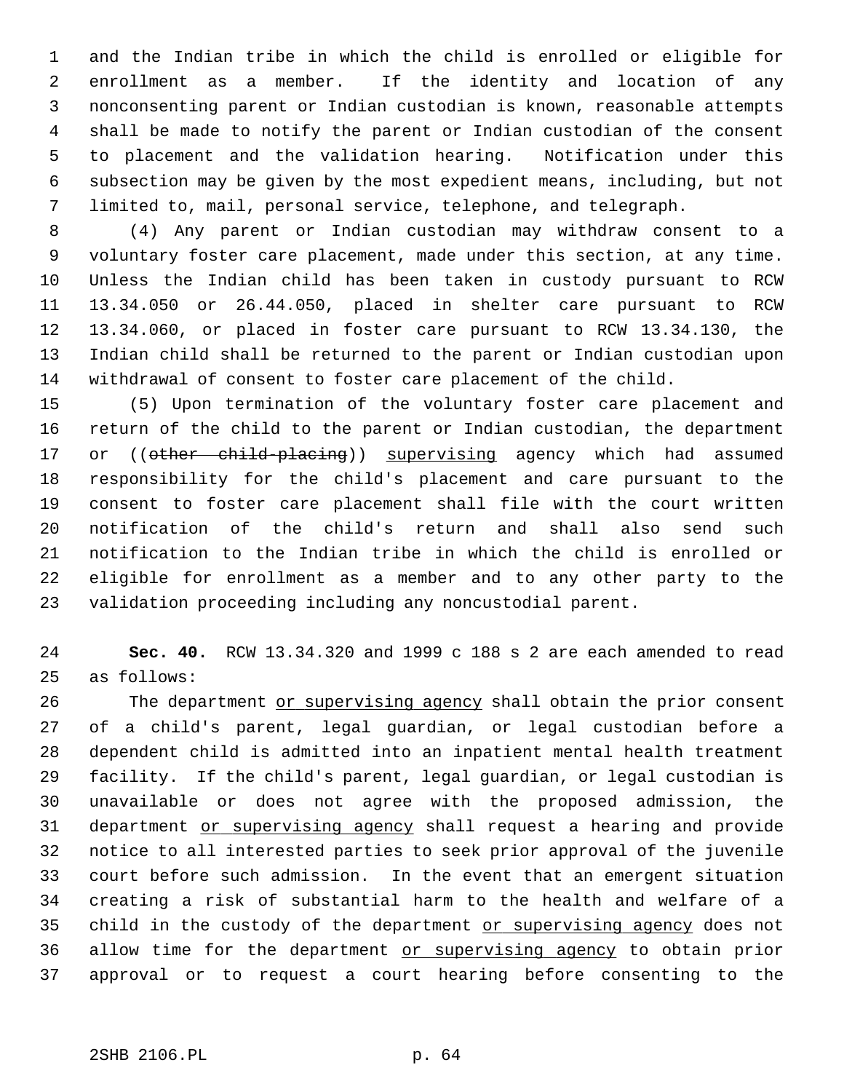1 and the Indian tribe in which the child is enrolled or eligible for 2 enrollment as a member. If the identity and location of any 3 nonconsenting parent or Indian custodian is known, reasonable attempts 4 shall be made to notify the parent or Indian custodian of the consent 5 to placement and the validation hearing. Notification under this 6 subsection may be given by the most expedient means, including, but not 7 limited to, mail, personal service, telephone, and telegraph.

 8 (4) Any parent or Indian custodian may withdraw consent to a 9 voluntary foster care placement, made under this section, at any time. 10 Unless the Indian child has been taken in custody pursuant to RCW 11 13.34.050 or 26.44.050, placed in shelter care pursuant to RCW 12 13.34.060, or placed in foster care pursuant to RCW 13.34.130, the 13 Indian child shall be returned to the parent or Indian custodian upon 14 withdrawal of consent to foster care placement of the child.

15 (5) Upon termination of the voluntary foster care placement and 16 return of the child to the parent or Indian custodian, the department 17 or ((other child-placing)) supervising agency which had assumed 18 responsibility for the child's placement and care pursuant to the 19 consent to foster care placement shall file with the court written 20 notification of the child's return and shall also send such 21 notification to the Indian tribe in which the child is enrolled or 22 eligible for enrollment as a member and to any other party to the 23 validation proceeding including any noncustodial parent.

24 **Sec. 40.** RCW 13.34.320 and 1999 c 188 s 2 are each amended to read 25 as follows:

26 The department or supervising agency shall obtain the prior consent 27 of a child's parent, legal guardian, or legal custodian before a 28 dependent child is admitted into an inpatient mental health treatment 29 facility. If the child's parent, legal guardian, or legal custodian is 30 unavailable or does not agree with the proposed admission, the 31 department or supervising agency shall request a hearing and provide 32 notice to all interested parties to seek prior approval of the juvenile 33 court before such admission. In the event that an emergent situation 34 creating a risk of substantial harm to the health and welfare of a 35 child in the custody of the department or supervising agency does not 36 allow time for the department or supervising agency to obtain prior 37 approval or to request a court hearing before consenting to the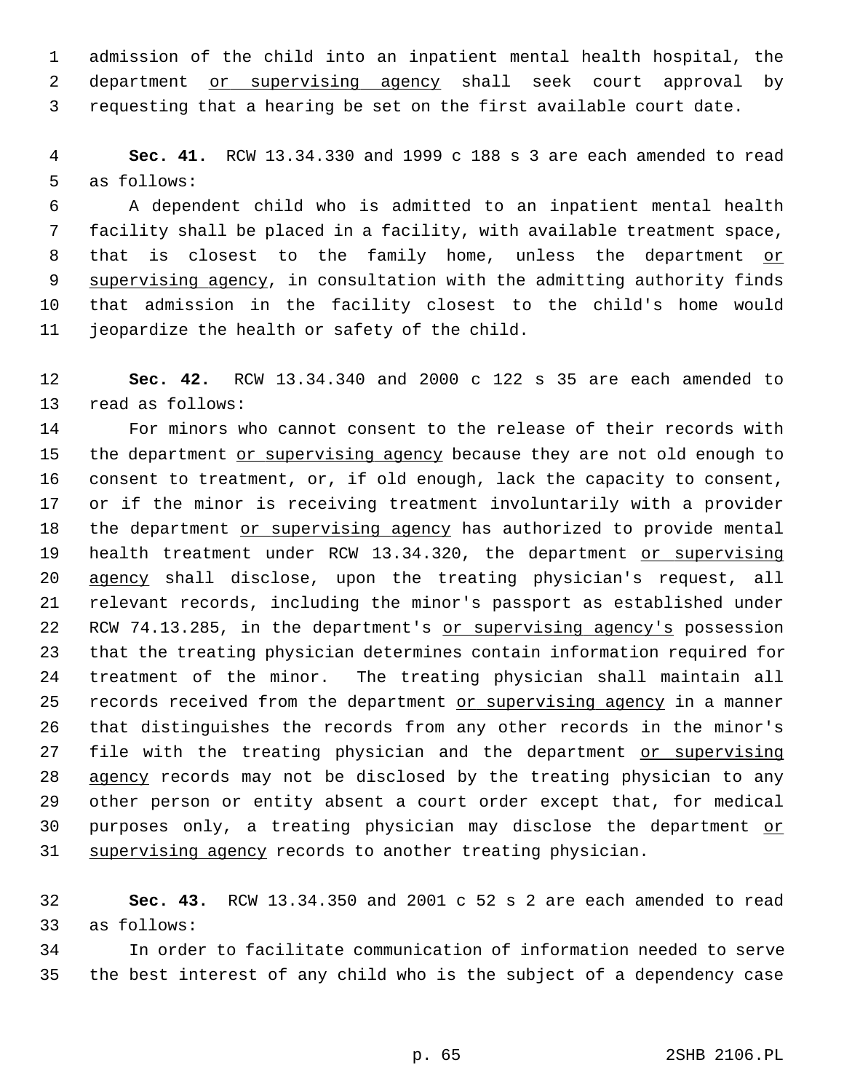1 admission of the child into an inpatient mental health hospital, the 2 department or supervising agency shall seek court approval by 3 requesting that a hearing be set on the first available court date.

 4 **Sec. 41.** RCW 13.34.330 and 1999 c 188 s 3 are each amended to read 5 as follows:

 6 A dependent child who is admitted to an inpatient mental health 7 facility shall be placed in a facility, with available treatment space, 8 that is closest to the family home, unless the department or 9 supervising agency, in consultation with the admitting authority finds 10 that admission in the facility closest to the child's home would 11 jeopardize the health or safety of the child.

12 **Sec. 42.** RCW 13.34.340 and 2000 c 122 s 35 are each amended to 13 read as follows:

14 For minors who cannot consent to the release of their records with 15 the department or supervising agency because they are not old enough to 16 consent to treatment, or, if old enough, lack the capacity to consent, 17 or if the minor is receiving treatment involuntarily with a provider 18 the department or supervising agency has authorized to provide mental 19 health treatment under RCW 13.34.320, the department or supervising 20 agency shall disclose, upon the treating physician's request, all 21 relevant records, including the minor's passport as established under 22 RCW 74.13.285, in the department's or supervising agency's possession 23 that the treating physician determines contain information required for 24 treatment of the minor. The treating physician shall maintain all 25 records received from the department or supervising agency in a manner 26 that distinguishes the records from any other records in the minor's 27 file with the treating physician and the department or supervising 28 agency records may not be disclosed by the treating physician to any 29 other person or entity absent a court order except that, for medical 30 purposes only, a treating physician may disclose the department or 31 supervising agency records to another treating physician.

32 **Sec. 43.** RCW 13.34.350 and 2001 c 52 s 2 are each amended to read 33 as follows:

34 In order to facilitate communication of information needed to serve 35 the best interest of any child who is the subject of a dependency case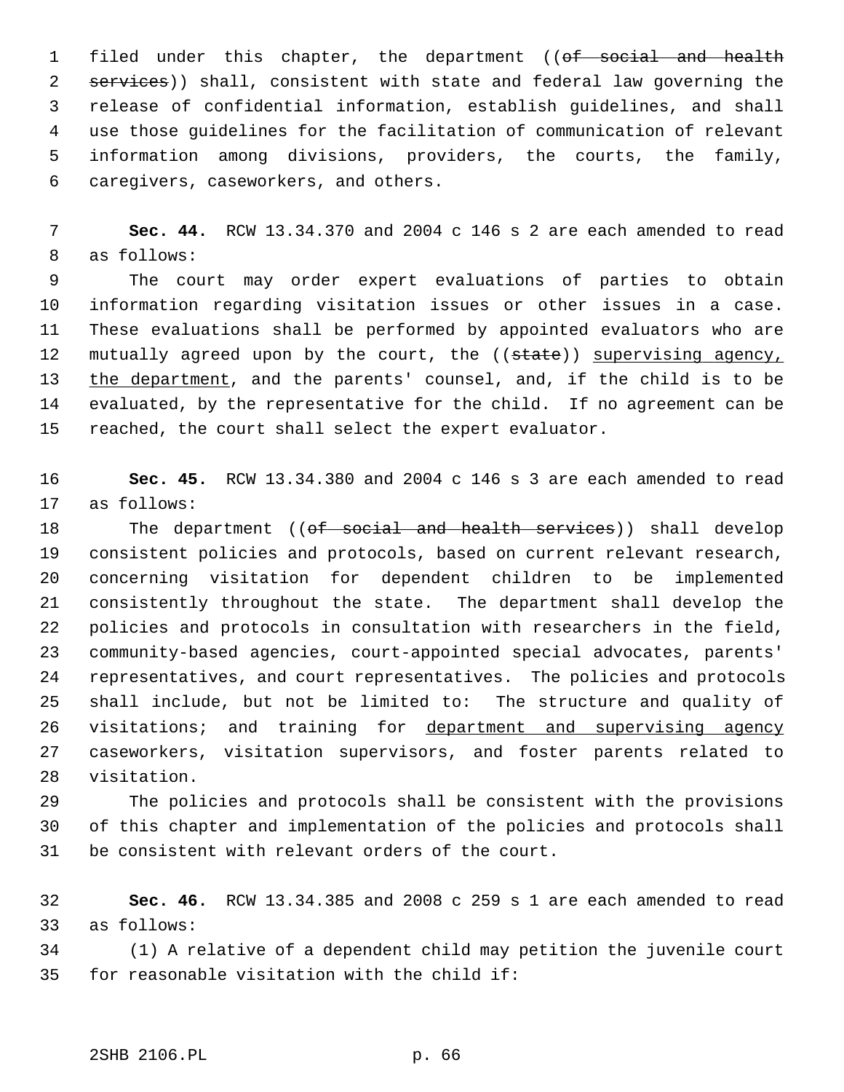1 filed under this chapter, the department ((of social and health 2 services)) shall, consistent with state and federal law governing the 3 release of confidential information, establish guidelines, and shall 4 use those guidelines for the facilitation of communication of relevant 5 information among divisions, providers, the courts, the family, 6 caregivers, caseworkers, and others.

 7 **Sec. 44.** RCW 13.34.370 and 2004 c 146 s 2 are each amended to read 8 as follows:

 9 The court may order expert evaluations of parties to obtain 10 information regarding visitation issues or other issues in a case. 11 These evaluations shall be performed by appointed evaluators who are 12 mutually agreed upon by the court, the ((state)) supervising agency, 13 the department, and the parents' counsel, and, if the child is to be 14 evaluated, by the representative for the child. If no agreement can be 15 reached, the court shall select the expert evaluator.

16 **Sec. 45.** RCW 13.34.380 and 2004 c 146 s 3 are each amended to read 17 as follows:

18 The department ((of social and health services)) shall develop 19 consistent policies and protocols, based on current relevant research, 20 concerning visitation for dependent children to be implemented 21 consistently throughout the state. The department shall develop the 22 policies and protocols in consultation with researchers in the field, 23 community-based agencies, court-appointed special advocates, parents' 24 representatives, and court representatives. The policies and protocols 25 shall include, but not be limited to: The structure and quality of 26 visitations; and training for department and supervising agency 27 caseworkers, visitation supervisors, and foster parents related to 28 visitation.

29 The policies and protocols shall be consistent with the provisions 30 of this chapter and implementation of the policies and protocols shall 31 be consistent with relevant orders of the court.

32 **Sec. 46.** RCW 13.34.385 and 2008 c 259 s 1 are each amended to read 33 as follows:

34 (1) A relative of a dependent child may petition the juvenile court 35 for reasonable visitation with the child if: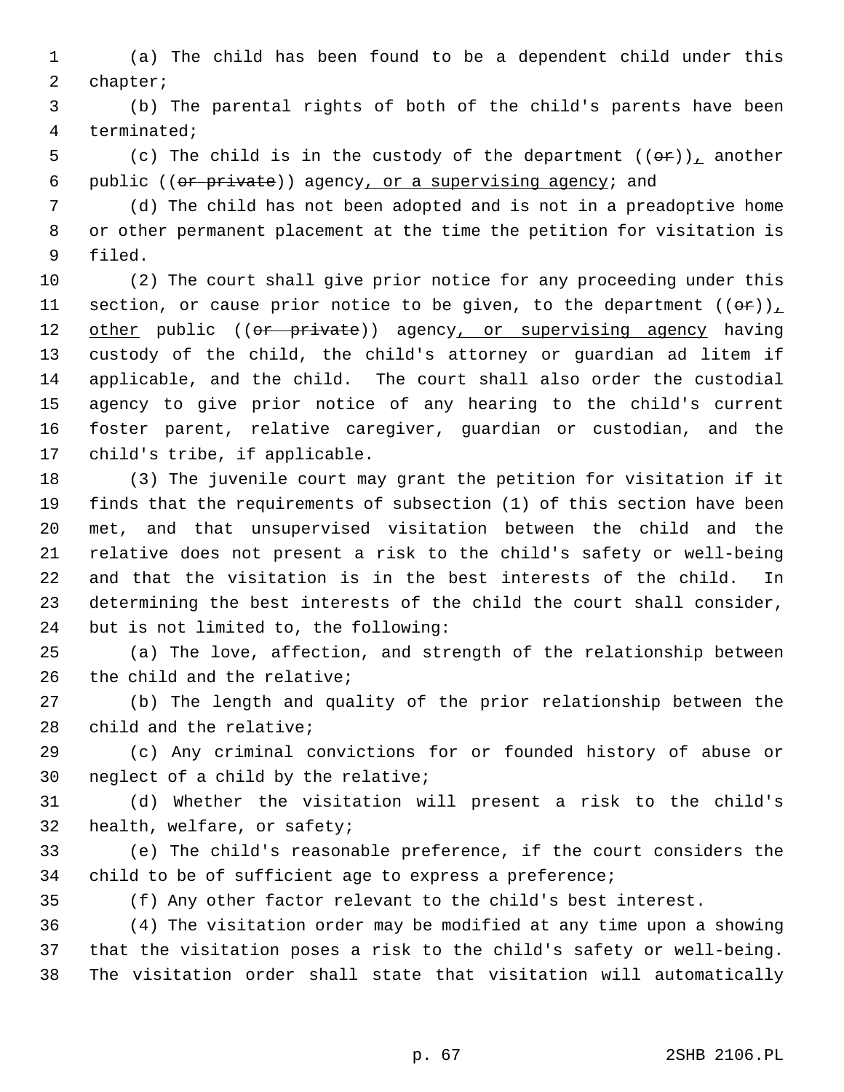1 (a) The child has been found to be a dependent child under this 2 chapter;

 3 (b) The parental rights of both of the child's parents have been 4 terminated;

5 (c) The child is in the custody of the department  $((\theta \hat{r}))_L$  another 6 public  $((or private))$  agency, or a supervising agency; and

 7 (d) The child has not been adopted and is not in a preadoptive home 8 or other permanent placement at the time the petition for visitation is 9 filed.

10 (2) The court shall give prior notice for any proceeding under this 11 section, or cause prior notice to be given, to the department  $((\theta \cdot \mathbf{r}))_+$ 12 other public ((or private)) agency, or supervising agency having 13 custody of the child, the child's attorney or guardian ad litem if 14 applicable, and the child. The court shall also order the custodial 15 agency to give prior notice of any hearing to the child's current 16 foster parent, relative caregiver, guardian or custodian, and the 17 child's tribe, if applicable.

18 (3) The juvenile court may grant the petition for visitation if it 19 finds that the requirements of subsection (1) of this section have been 20 met, and that unsupervised visitation between the child and the 21 relative does not present a risk to the child's safety or well-being 22 and that the visitation is in the best interests of the child. In 23 determining the best interests of the child the court shall consider, 24 but is not limited to, the following:

25 (a) The love, affection, and strength of the relationship between 26 the child and the relative;

27 (b) The length and quality of the prior relationship between the 28 child and the relative;

29 (c) Any criminal convictions for or founded history of abuse or 30 neglect of a child by the relative;

31 (d) Whether the visitation will present a risk to the child's 32 health, welfare, or safety;

33 (e) The child's reasonable preference, if the court considers the 34 child to be of sufficient age to express a preference;

35 (f) Any other factor relevant to the child's best interest.

36 (4) The visitation order may be modified at any time upon a showing 37 that the visitation poses a risk to the child's safety or well-being. 38 The visitation order shall state that visitation will automatically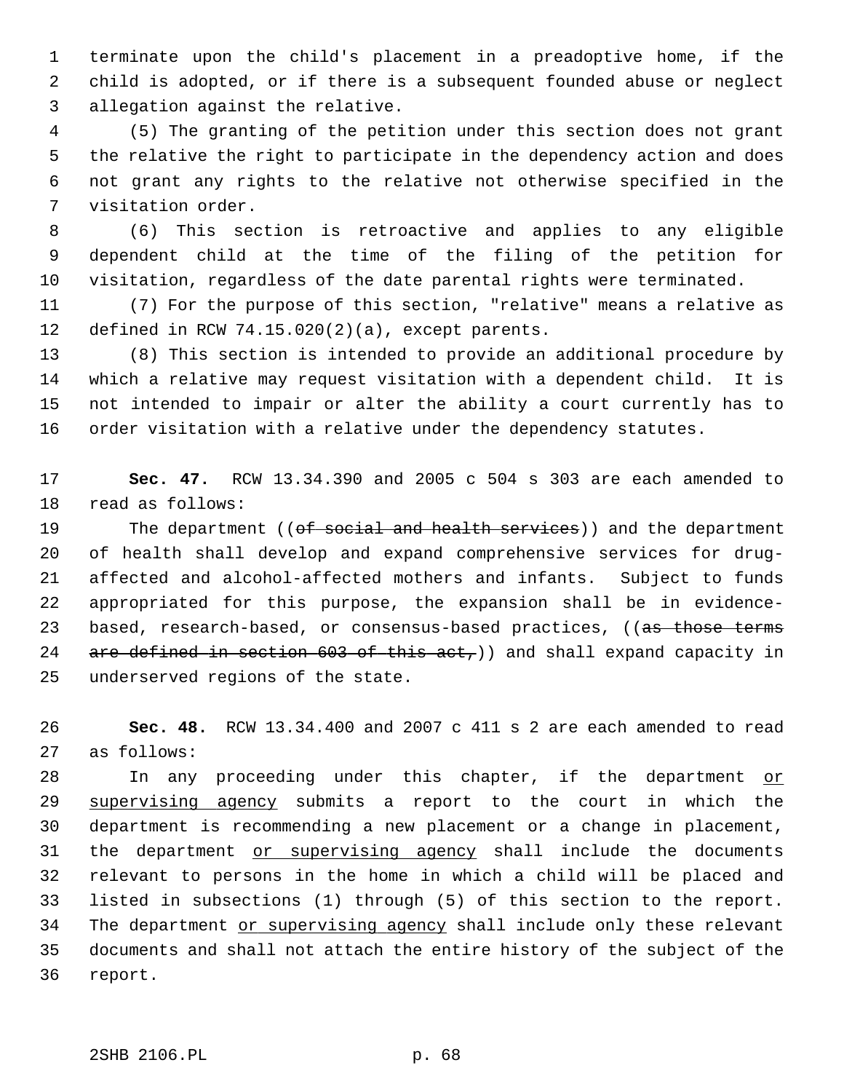1 terminate upon the child's placement in a preadoptive home, if the 2 child is adopted, or if there is a subsequent founded abuse or neglect 3 allegation against the relative.

 4 (5) The granting of the petition under this section does not grant 5 the relative the right to participate in the dependency action and does 6 not grant any rights to the relative not otherwise specified in the 7 visitation order.

 8 (6) This section is retroactive and applies to any eligible 9 dependent child at the time of the filing of the petition for 10 visitation, regardless of the date parental rights were terminated.

11 (7) For the purpose of this section, "relative" means a relative as 12 defined in RCW 74.15.020(2)(a), except parents.

13 (8) This section is intended to provide an additional procedure by 14 which a relative may request visitation with a dependent child. It is 15 not intended to impair or alter the ability a court currently has to 16 order visitation with a relative under the dependency statutes.

17 **Sec. 47.** RCW 13.34.390 and 2005 c 504 s 303 are each amended to 18 read as follows:

19 The department ((of social and health services)) and the department 20 of health shall develop and expand comprehensive services for drug-21 affected and alcohol-affected mothers and infants. Subject to funds 22 appropriated for this purpose, the expansion shall be in evidence-23 based, research-based, or consensus-based practices, ((as those terms 24 are defined in section 603 of this  $act_7$ ) and shall expand capacity in 25 underserved regions of the state.

26 **Sec. 48.** RCW 13.34.400 and 2007 c 411 s 2 are each amended to read 27 as follows:

28 In any proceeding under this chapter, if the department or 29 supervising agency submits a report to the court in which the 30 department is recommending a new placement or a change in placement, 31 the department or supervising agency shall include the documents 32 relevant to persons in the home in which a child will be placed and 33 listed in subsections (1) through (5) of this section to the report. 34 The department or supervising agency shall include only these relevant 35 documents and shall not attach the entire history of the subject of the 36 report.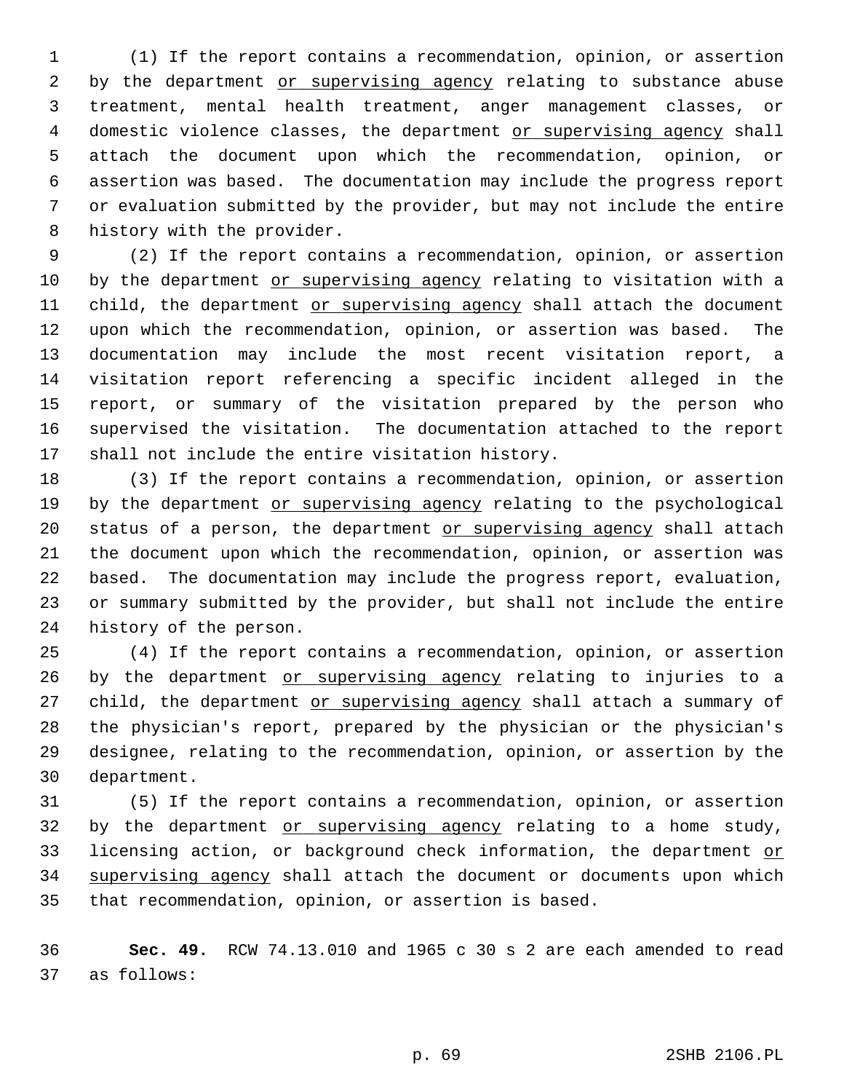1 (1) If the report contains a recommendation, opinion, or assertion 2 by the department or supervising agency relating to substance abuse 3 treatment, mental health treatment, anger management classes, or 4 domestic violence classes, the department or supervising agency shall 5 attach the document upon which the recommendation, opinion, or 6 assertion was based. The documentation may include the progress report 7 or evaluation submitted by the provider, but may not include the entire 8 history with the provider.

 9 (2) If the report contains a recommendation, opinion, or assertion 10 by the department or supervising agency relating to visitation with a 11 child, the department or supervising agency shall attach the document 12 upon which the recommendation, opinion, or assertion was based. The 13 documentation may include the most recent visitation report, a 14 visitation report referencing a specific incident alleged in the 15 report, or summary of the visitation prepared by the person who 16 supervised the visitation. The documentation attached to the report 17 shall not include the entire visitation history.

18 (3) If the report contains a recommendation, opinion, or assertion 19 by the department or supervising agency relating to the psychological 20 status of a person, the department or supervising agency shall attach 21 the document upon which the recommendation, opinion, or assertion was 22 based. The documentation may include the progress report, evaluation, 23 or summary submitted by the provider, but shall not include the entire 24 history of the person.

25 (4) If the report contains a recommendation, opinion, or assertion 26 by the department or supervising agency relating to injuries to a 27 child, the department or supervising agency shall attach a summary of 28 the physician's report, prepared by the physician or the physician's 29 designee, relating to the recommendation, opinion, or assertion by the 30 department.

31 (5) If the report contains a recommendation, opinion, or assertion 32 by the department or supervising agency relating to a home study, 33 licensing action, or background check information, the department or 34 supervising agency shall attach the document or documents upon which 35 that recommendation, opinion, or assertion is based.

36 **Sec. 49.** RCW 74.13.010 and 1965 c 30 s 2 are each amended to read 37 as follows: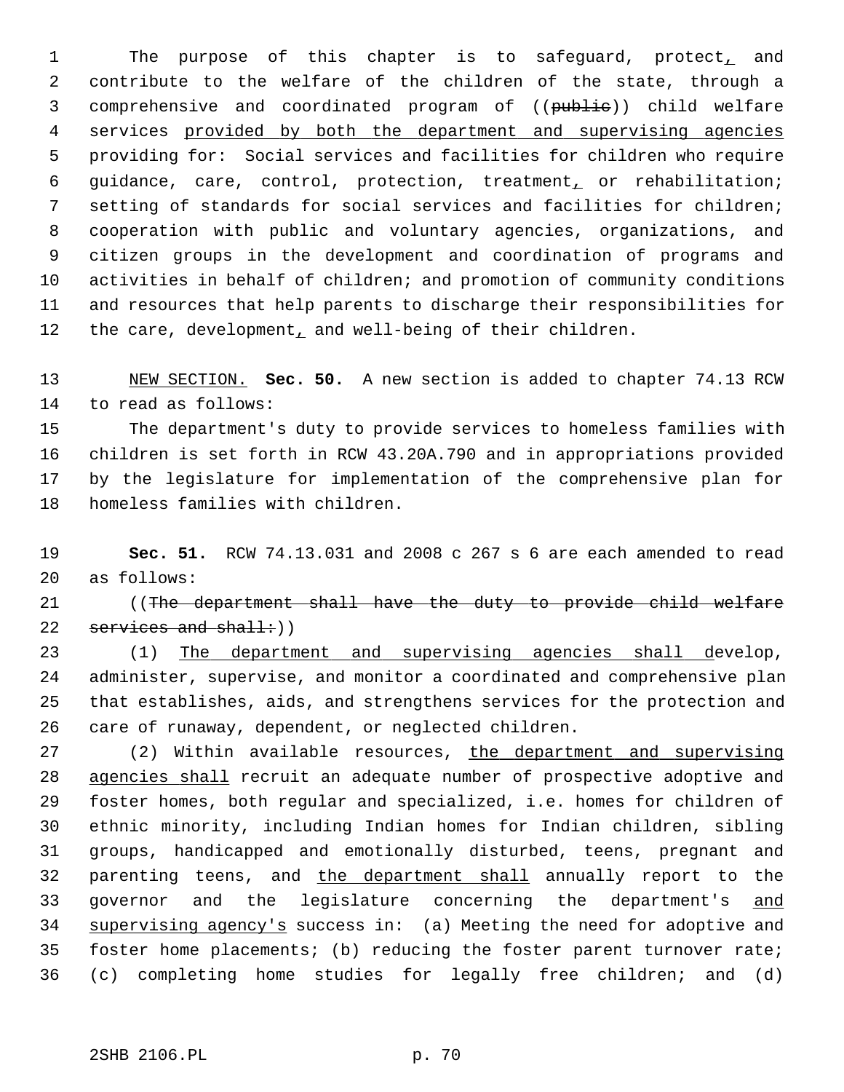1 The purpose of this chapter is to safeguard, protect, and 2 contribute to the welfare of the children of the state, through a 3 comprehensive and coordinated program of ((public)) child welfare 4 services provided by both the department and supervising agencies 5 providing for: Social services and facilities for children who require 6 guidance, care, control, protection, treatment, or rehabilitation; 7 setting of standards for social services and facilities for children; 8 cooperation with public and voluntary agencies, organizations, and 9 citizen groups in the development and coordination of programs and 10 activities in behalf of children; and promotion of community conditions 11 and resources that help parents to discharge their responsibilities for 12 the care, development, and well-being of their children.

13 NEW SECTION. **Sec. 50.** A new section is added to chapter 74.13 RCW 14 to read as follows:

15 The department's duty to provide services to homeless families with 16 children is set forth in RCW 43.20A.790 and in appropriations provided 17 by the legislature for implementation of the comprehensive plan for 18 homeless families with children.

19 **Sec. 51.** RCW 74.13.031 and 2008 c 267 s 6 are each amended to read 20 as follows:

21 ((The department shall have the duty to provide child welfare 22 services and shall:

23 (1) The department and supervising agencies shall develop, 24 administer, supervise, and monitor a coordinated and comprehensive plan 25 that establishes, aids, and strengthens services for the protection and 26 care of runaway, dependent, or neglected children.

27 (2) Within available resources, the department and supervising 28 agencies shall recruit an adequate number of prospective adoptive and 29 foster homes, both regular and specialized, i.e. homes for children of 30 ethnic minority, including Indian homes for Indian children, sibling 31 groups, handicapped and emotionally disturbed, teens, pregnant and 32 parenting teens, and the department shall annually report to the 33 governor and the legislature concerning the department's and 34 supervising agency's success in: (a) Meeting the need for adoptive and 35 foster home placements; (b) reducing the foster parent turnover rate; 36 (c) completing home studies for legally free children; and (d)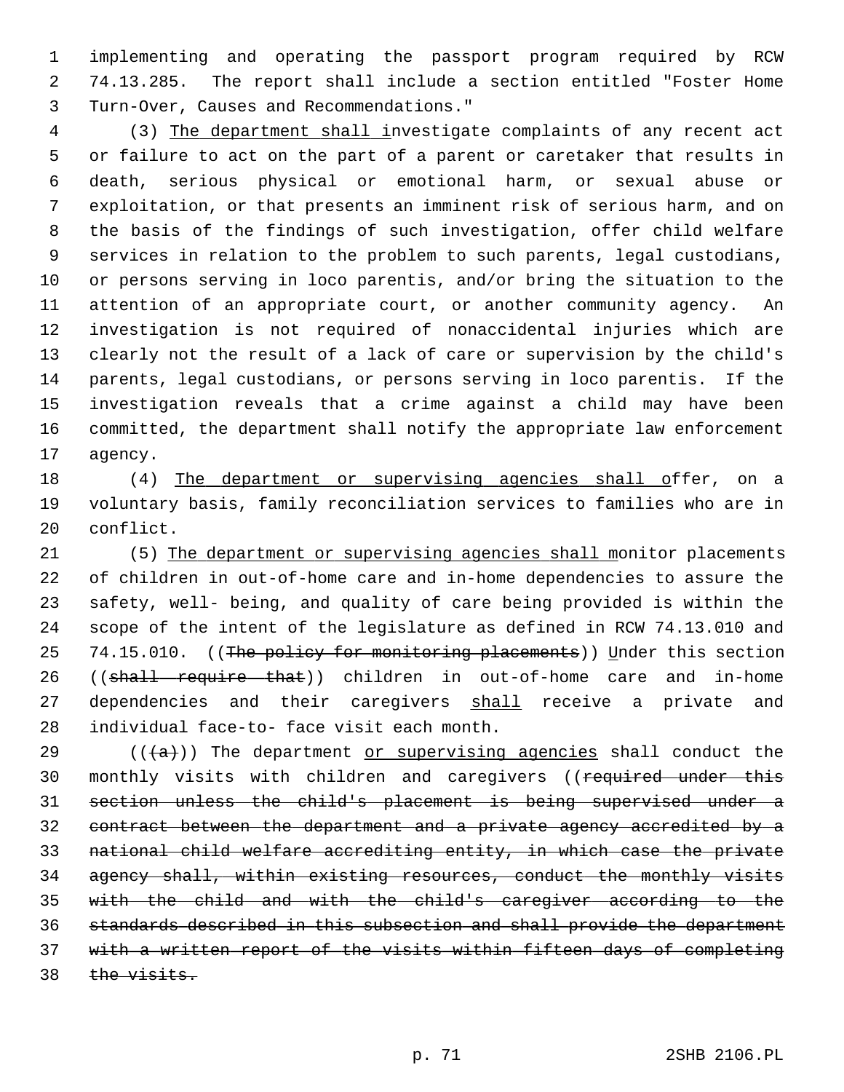1 implementing and operating the passport program required by RCW 2 74.13.285. The report shall include a section entitled "Foster Home 3 Turn-Over, Causes and Recommendations."

 4 (3) The department shall investigate complaints of any recent act 5 or failure to act on the part of a parent or caretaker that results in 6 death, serious physical or emotional harm, or sexual abuse or 7 exploitation, or that presents an imminent risk of serious harm, and on 8 the basis of the findings of such investigation, offer child welfare 9 services in relation to the problem to such parents, legal custodians, 10 or persons serving in loco parentis, and/or bring the situation to the 11 attention of an appropriate court, or another community agency. An 12 investigation is not required of nonaccidental injuries which are 13 clearly not the result of a lack of care or supervision by the child's 14 parents, legal custodians, or persons serving in loco parentis. If the 15 investigation reveals that a crime against a child may have been 16 committed, the department shall notify the appropriate law enforcement 17 agency.

18 (4) The department or supervising agencies shall offer, on a 19 voluntary basis, family reconciliation services to families who are in 20 conflict.

21 (5) The department or supervising agencies shall monitor placements 22 of children in out-of-home care and in-home dependencies to assure the 23 safety, well- being, and quality of care being provided is within the 24 scope of the intent of the legislature as defined in RCW 74.13.010 and 25 74.15.010. ((The policy for monitoring placements)) Under this section 26 ((shall require that)) children in out-of-home care and in-home 27 dependencies and their caregivers shall receive a private and 28 individual face-to- face visit each month.

29 ( $(\overline{a})$ ) The department or supervising agencies shall conduct the 30 monthly visits with children and caregivers ((required under this section unless the child's placement is being supervised under a contract between the department and a private agency accredited by a national child welfare accrediting entity, in which case the private agency shall, within existing resources, conduct the monthly visits with the child and with the child's caregiver according to the standards described in this subsection and shall provide the department with a written report of the visits within fifteen days of completing 38 the visits.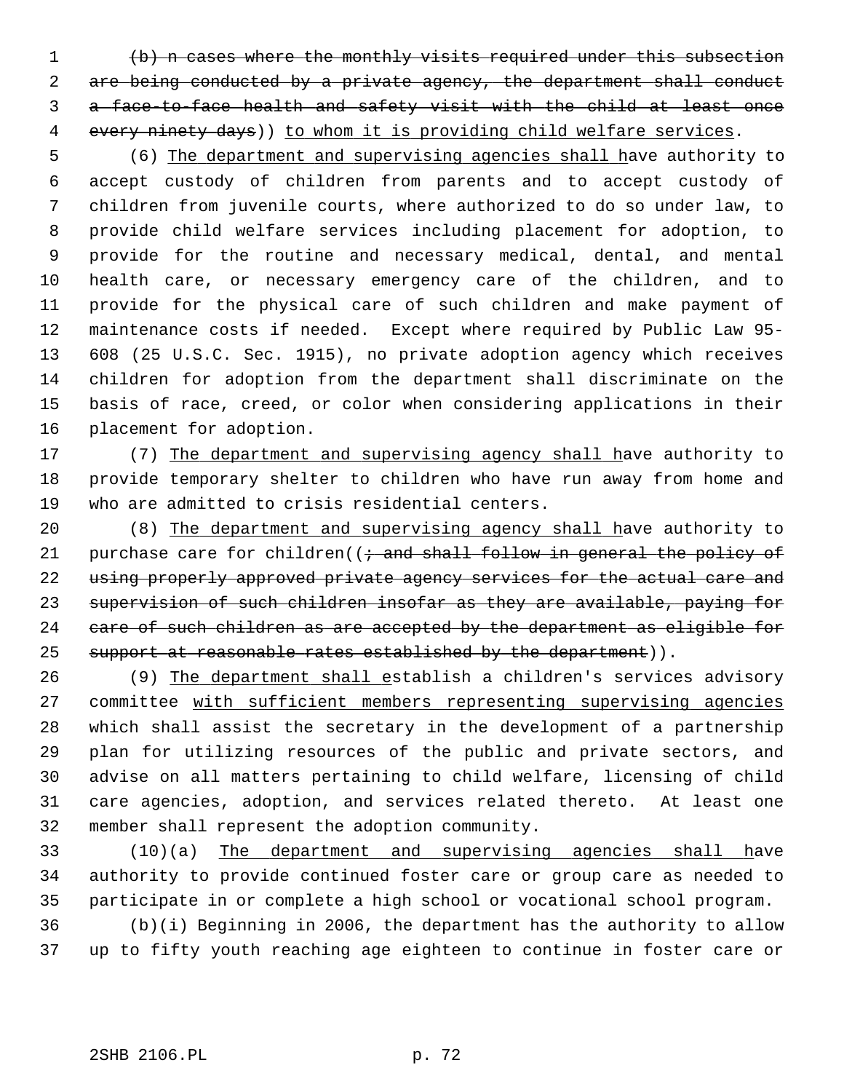1 (b) n cases where the monthly visits required under this subsection 2 are being conducted by a private agency, the department shall conduct 3 a face-to-face health and safety visit with the child at least once 4 every ninety days)) to whom it is providing child welfare services.

 5 (6) The department and supervising agencies shall have authority to 6 accept custody of children from parents and to accept custody of 7 children from juvenile courts, where authorized to do so under law, to 8 provide child welfare services including placement for adoption, to 9 provide for the routine and necessary medical, dental, and mental 10 health care, or necessary emergency care of the children, and to 11 provide for the physical care of such children and make payment of 12 maintenance costs if needed. Except where required by Public Law 95- 13 608 (25 U.S.C. Sec. 1915), no private adoption agency which receives 14 children for adoption from the department shall discriminate on the 15 basis of race, creed, or color when considering applications in their 16 placement for adoption.

17 (7) The department and supervising agency shall have authority to 18 provide temporary shelter to children who have run away from home and 19 who are admitted to crisis residential centers.

20 (8) The department and supervising agency shall have authority to 21 purchase care for children( $(i$  and shall follow in general the policy of 22 using properly approved private agency services for the actual care and 23 supervision of such children insofar as they are available, paying for 24 care of such children as are accepted by the department as eligible for 25 support at reasonable rates established by the department)).

26 (9) The department shall establish a children's services advisory 27 committee with sufficient members representing supervising agencies 28 which shall assist the secretary in the development of a partnership 29 plan for utilizing resources of the public and private sectors, and 30 advise on all matters pertaining to child welfare, licensing of child 31 care agencies, adoption, and services related thereto. At least one 32 member shall represent the adoption community.

33 (10)(a) The department and supervising agencies shall have 34 authority to provide continued foster care or group care as needed to 35 participate in or complete a high school or vocational school program.

36 (b)(i) Beginning in 2006, the department has the authority to allow 37 up to fifty youth reaching age eighteen to continue in foster care or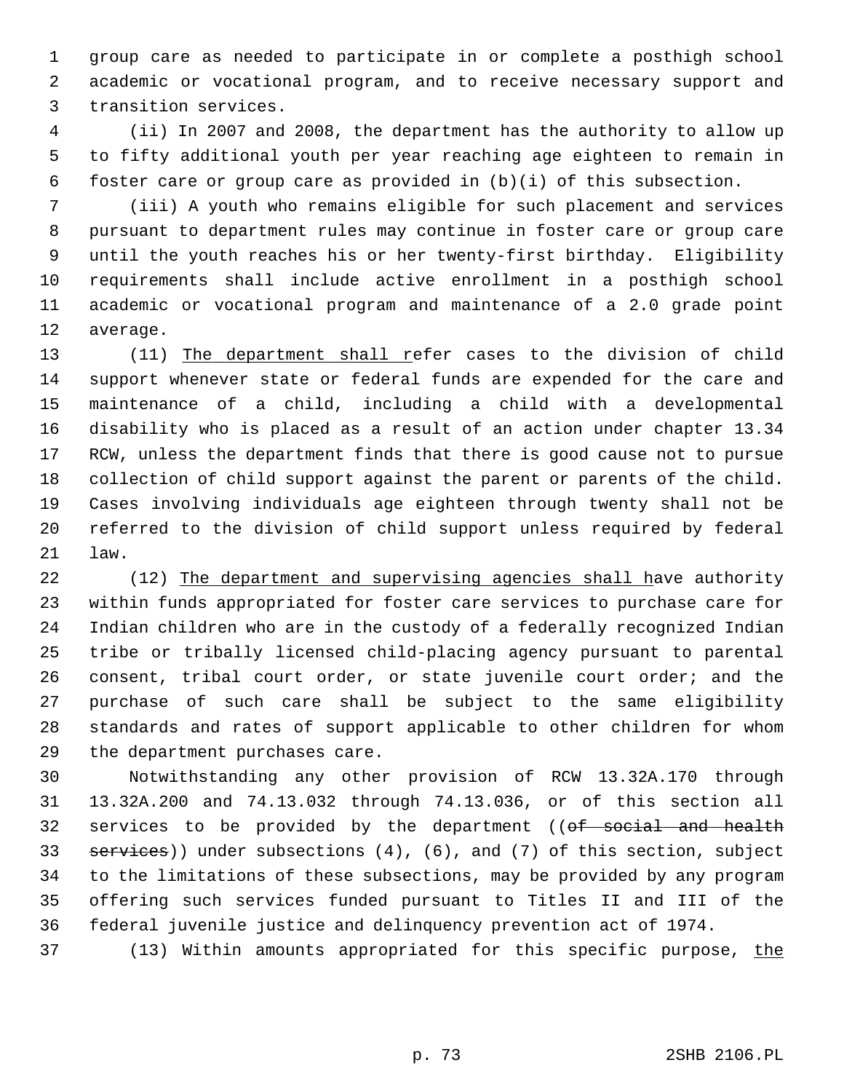1 group care as needed to participate in or complete a posthigh school 2 academic or vocational program, and to receive necessary support and 3 transition services.

 4 (ii) In 2007 and 2008, the department has the authority to allow up 5 to fifty additional youth per year reaching age eighteen to remain in 6 foster care or group care as provided in (b)(i) of this subsection.

 7 (iii) A youth who remains eligible for such placement and services 8 pursuant to department rules may continue in foster care or group care 9 until the youth reaches his or her twenty-first birthday. Eligibility 10 requirements shall include active enrollment in a posthigh school 11 academic or vocational program and maintenance of a 2.0 grade point 12 average.

13 (11) The department shall refer cases to the division of child 14 support whenever state or federal funds are expended for the care and 15 maintenance of a child, including a child with a developmental 16 disability who is placed as a result of an action under chapter 13.34 17 RCW, unless the department finds that there is good cause not to pursue 18 collection of child support against the parent or parents of the child. 19 Cases involving individuals age eighteen through twenty shall not be 20 referred to the division of child support unless required by federal 21 law.

22 (12) The department and supervising agencies shall have authority 23 within funds appropriated for foster care services to purchase care for 24 Indian children who are in the custody of a federally recognized Indian 25 tribe or tribally licensed child-placing agency pursuant to parental 26 consent, tribal court order, or state juvenile court order; and the 27 purchase of such care shall be subject to the same eligibility 28 standards and rates of support applicable to other children for whom 29 the department purchases care.

30 Notwithstanding any other provision of RCW 13.32A.170 through 31 13.32A.200 and 74.13.032 through 74.13.036, or of this section all 32 services to be provided by the department ((of social and health 33 services)) under subsections (4), (6), and (7) of this section, subject 34 to the limitations of these subsections, may be provided by any program 35 offering such services funded pursuant to Titles II and III of the 36 federal juvenile justice and delinquency prevention act of 1974.

37 (13) Within amounts appropriated for this specific purpose, the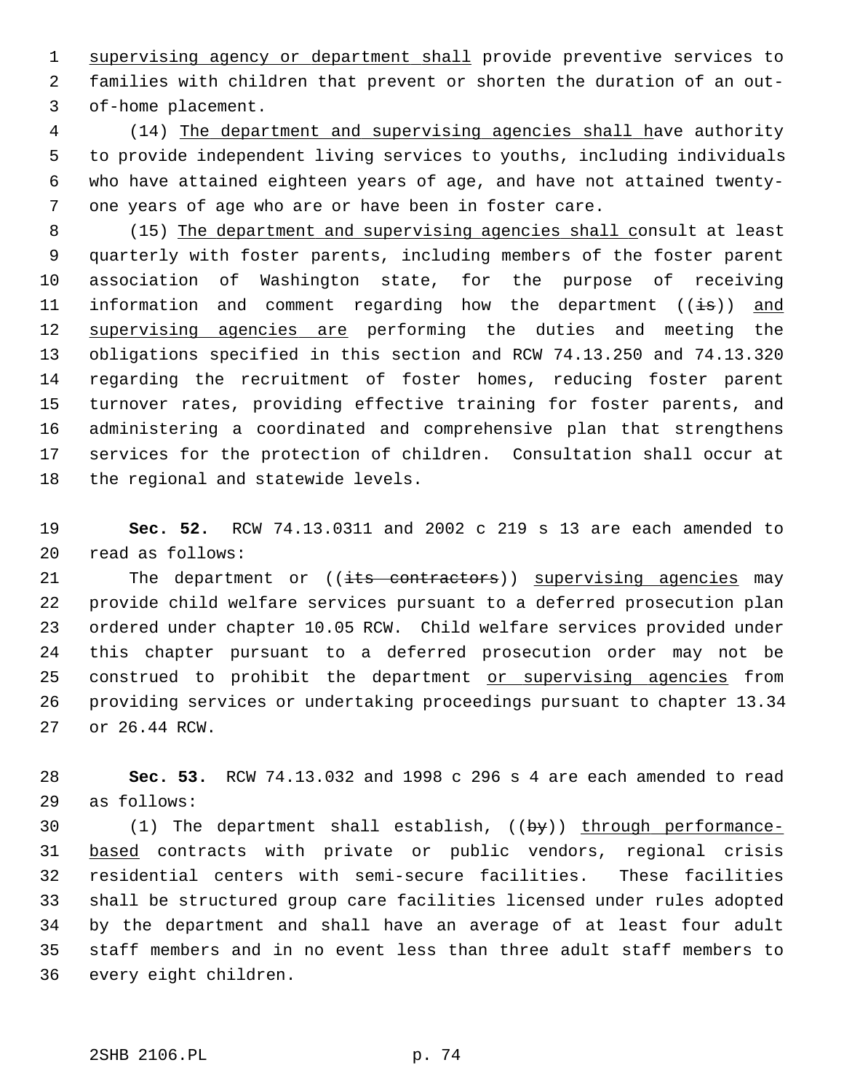1 supervising agency or department shall provide preventive services to 2 families with children that prevent or shorten the duration of an out- 3 of-home placement.

 4 (14) The department and supervising agencies shall have authority 5 to provide independent living services to youths, including individuals 6 who have attained eighteen years of age, and have not attained twenty- 7 one years of age who are or have been in foster care.

 8 (15) The department and supervising agencies shall consult at least 9 quarterly with foster parents, including members of the foster parent 10 association of Washington state, for the purpose of receiving 11 information and comment regarding how the department  $((\frac{1}{18}))$  and 12 supervising agencies are performing the duties and meeting the 13 obligations specified in this section and RCW 74.13.250 and 74.13.320 14 regarding the recruitment of foster homes, reducing foster parent 15 turnover rates, providing effective training for foster parents, and 16 administering a coordinated and comprehensive plan that strengthens 17 services for the protection of children. Consultation shall occur at 18 the regional and statewide levels.

19 **Sec. 52.** RCW 74.13.0311 and 2002 c 219 s 13 are each amended to 20 read as follows:

21 The department or ((its contractors)) supervising agencies may 22 provide child welfare services pursuant to a deferred prosecution plan 23 ordered under chapter 10.05 RCW. Child welfare services provided under 24 this chapter pursuant to a deferred prosecution order may not be 25 construed to prohibit the department or supervising agencies from 26 providing services or undertaking proceedings pursuant to chapter 13.34 27 or 26.44 RCW.

28 **Sec. 53.** RCW 74.13.032 and 1998 c 296 s 4 are each amended to read 29 as follows:

30  $(1)$  The department shall establish,  $(\overline{by})$  through performance-31 based contracts with private or public vendors, regional crisis 32 residential centers with semi-secure facilities. These facilities 33 shall be structured group care facilities licensed under rules adopted 34 by the department and shall have an average of at least four adult 35 staff members and in no event less than three adult staff members to 36 every eight children.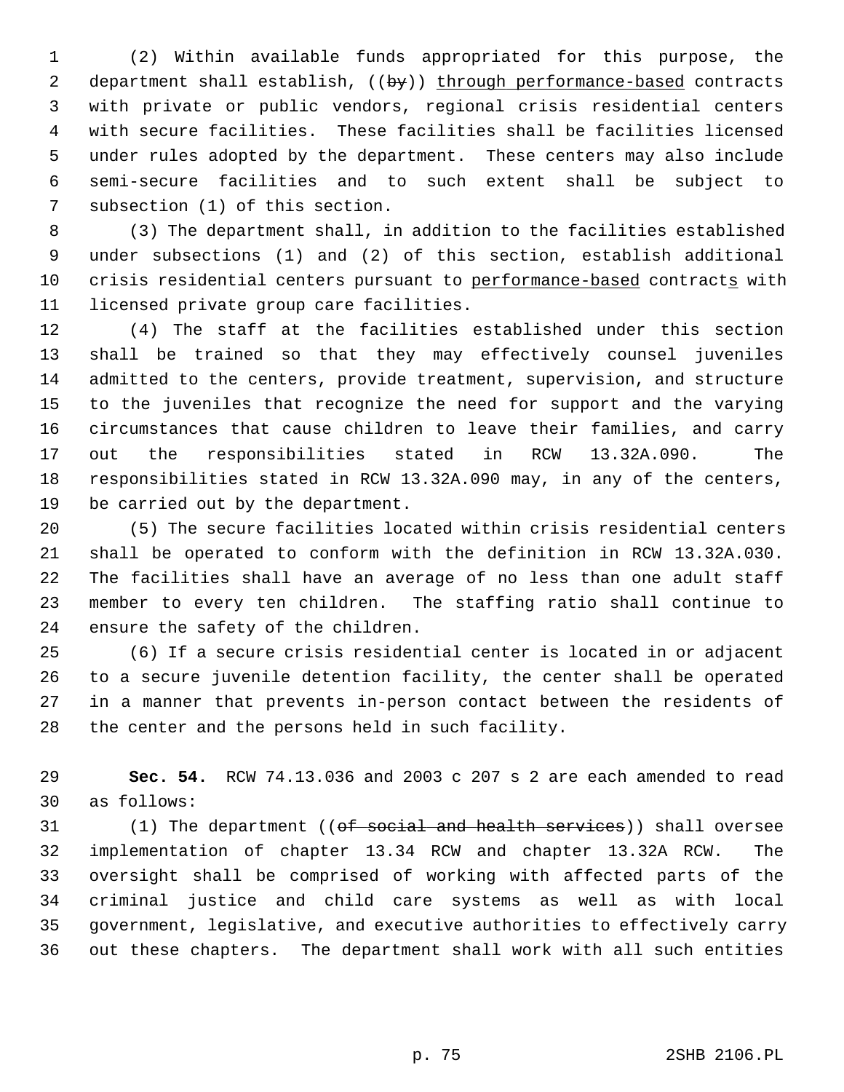1 (2) Within available funds appropriated for this purpose, the 2 department shall establish, ((by)) through performance-based contracts 3 with private or public vendors, regional crisis residential centers 4 with secure facilities. These facilities shall be facilities licensed 5 under rules adopted by the department. These centers may also include 6 semi-secure facilities and to such extent shall be subject to 7 subsection (1) of this section.

 8 (3) The department shall, in addition to the facilities established 9 under subsections (1) and (2) of this section, establish additional 10 crisis residential centers pursuant to performance-based contracts with 11 licensed private group care facilities.

12 (4) The staff at the facilities established under this section 13 shall be trained so that they may effectively counsel juveniles 14 admitted to the centers, provide treatment, supervision, and structure 15 to the juveniles that recognize the need for support and the varying 16 circumstances that cause children to leave their families, and carry 17 out the responsibilities stated in RCW 13.32A.090. The 18 responsibilities stated in RCW 13.32A.090 may, in any of the centers, 19 be carried out by the department.

20 (5) The secure facilities located within crisis residential centers 21 shall be operated to conform with the definition in RCW 13.32A.030. 22 The facilities shall have an average of no less than one adult staff 23 member to every ten children. The staffing ratio shall continue to 24 ensure the safety of the children.

25 (6) If a secure crisis residential center is located in or adjacent 26 to a secure juvenile detention facility, the center shall be operated 27 in a manner that prevents in-person contact between the residents of 28 the center and the persons held in such facility.

29 **Sec. 54.** RCW 74.13.036 and 2003 c 207 s 2 are each amended to read 30 as follows:

31 (1) The department ((of social and health services)) shall oversee 32 implementation of chapter 13.34 RCW and chapter 13.32A RCW. The 33 oversight shall be comprised of working with affected parts of the 34 criminal justice and child care systems as well as with local 35 government, legislative, and executive authorities to effectively carry 36 out these chapters. The department shall work with all such entities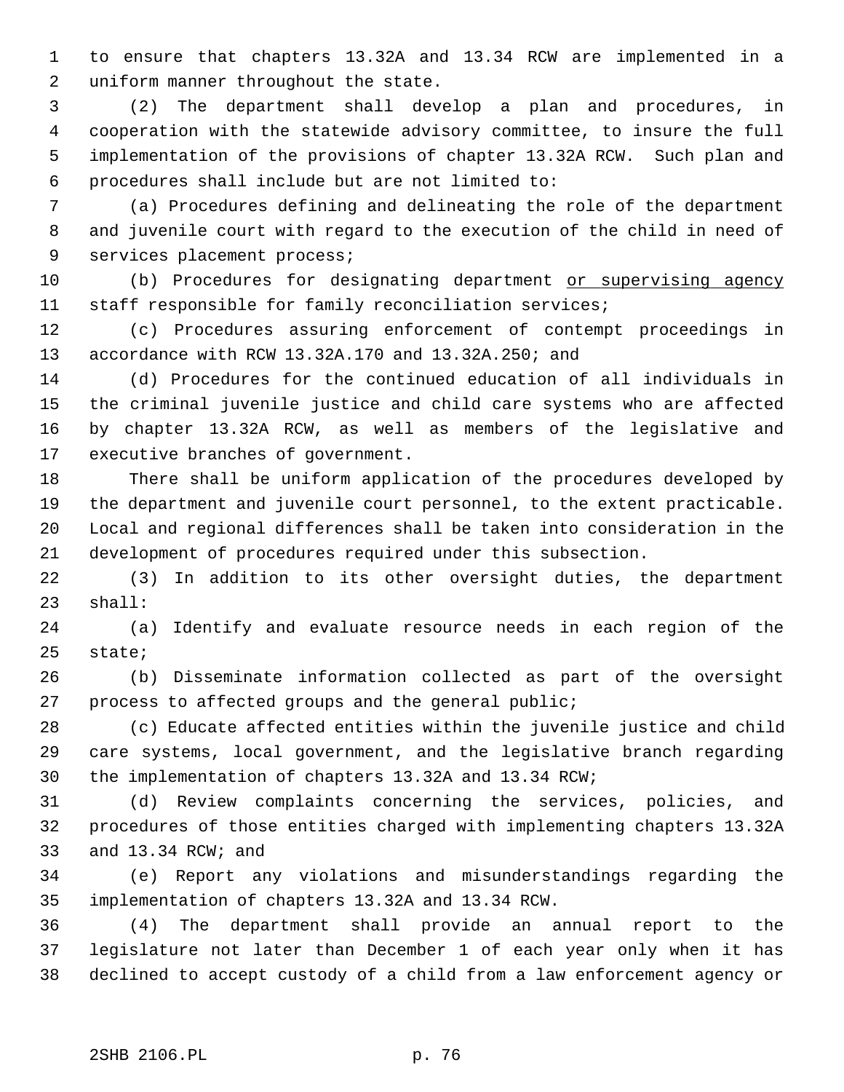1 to ensure that chapters 13.32A and 13.34 RCW are implemented in a 2 uniform manner throughout the state.

 3 (2) The department shall develop a plan and procedures, in 4 cooperation with the statewide advisory committee, to insure the full 5 implementation of the provisions of chapter 13.32A RCW. Such plan and 6 procedures shall include but are not limited to:

 7 (a) Procedures defining and delineating the role of the department 8 and juvenile court with regard to the execution of the child in need of 9 services placement process;

10 (b) Procedures for designating department or supervising agency 11 staff responsible for family reconciliation services;

12 (c) Procedures assuring enforcement of contempt proceedings in 13 accordance with RCW 13.32A.170 and 13.32A.250; and

14 (d) Procedures for the continued education of all individuals in 15 the criminal juvenile justice and child care systems who are affected 16 by chapter 13.32A RCW, as well as members of the legislative and 17 executive branches of government.

18 There shall be uniform application of the procedures developed by 19 the department and juvenile court personnel, to the extent practicable. 20 Local and regional differences shall be taken into consideration in the 21 development of procedures required under this subsection.

22 (3) In addition to its other oversight duties, the department 23 shall:

24 (a) Identify and evaluate resource needs in each region of the 25 state;

26 (b) Disseminate information collected as part of the oversight 27 process to affected groups and the general public;

28 (c) Educate affected entities within the juvenile justice and child 29 care systems, local government, and the legislative branch regarding 30 the implementation of chapters 13.32A and 13.34 RCW;

31 (d) Review complaints concerning the services, policies, and 32 procedures of those entities charged with implementing chapters 13.32A 33 and 13.34 RCW; and

34 (e) Report any violations and misunderstandings regarding the 35 implementation of chapters 13.32A and 13.34 RCW.

36 (4) The department shall provide an annual report to the 37 legislature not later than December 1 of each year only when it has 38 declined to accept custody of a child from a law enforcement agency or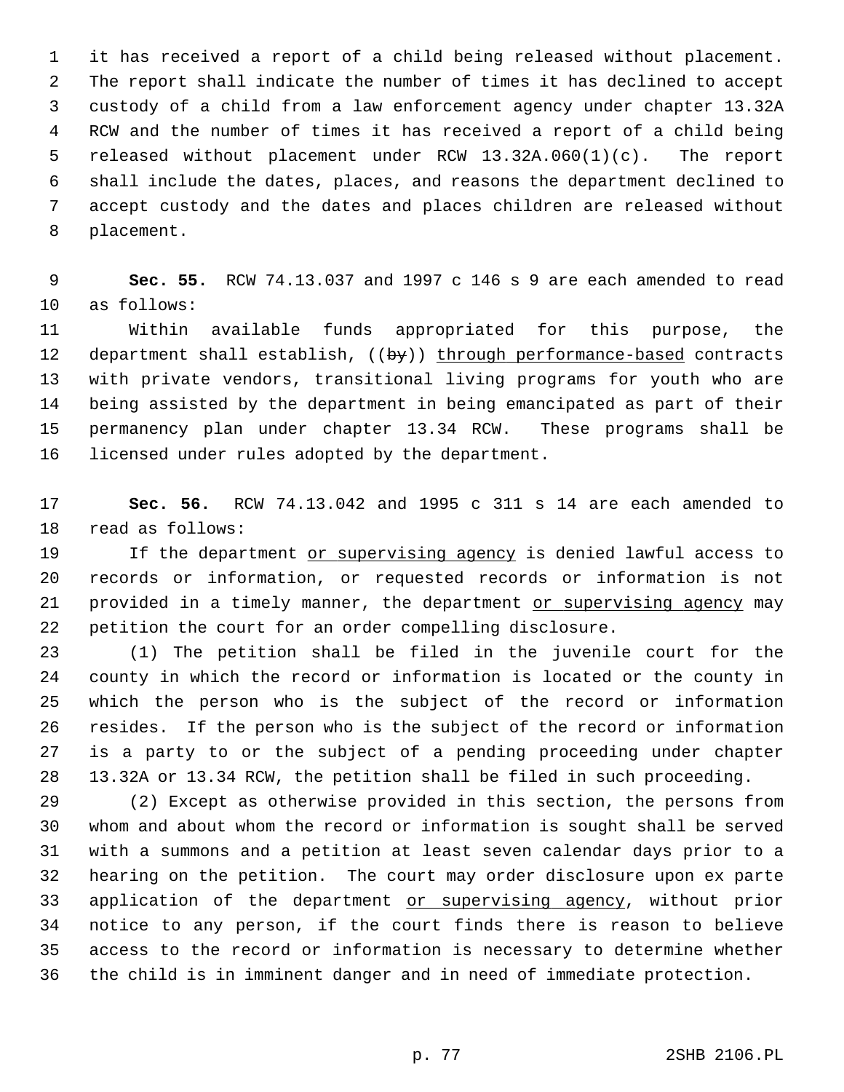1 it has received a report of a child being released without placement. 2 The report shall indicate the number of times it has declined to accept 3 custody of a child from a law enforcement agency under chapter 13.32A 4 RCW and the number of times it has received a report of a child being 5 released without placement under RCW 13.32A.060(1)(c). The report 6 shall include the dates, places, and reasons the department declined to 7 accept custody and the dates and places children are released without 8 placement.

 9 **Sec. 55.** RCW 74.13.037 and 1997 c 146 s 9 are each amended to read 10 as follows:

11 Within available funds appropriated for this purpose, the 12 department shall establish,  $((by))$  through performance-based contracts 13 with private vendors, transitional living programs for youth who are 14 being assisted by the department in being emancipated as part of their 15 permanency plan under chapter 13.34 RCW. These programs shall be 16 licensed under rules adopted by the department.

17 **Sec. 56.** RCW 74.13.042 and 1995 c 311 s 14 are each amended to 18 read as follows:

19 19 If the department or supervising agency is denied lawful access to 20 records or information, or requested records or information is not 21 provided in a timely manner, the department or supervising agency may 22 petition the court for an order compelling disclosure.

23 (1) The petition shall be filed in the juvenile court for the 24 county in which the record or information is located or the county in 25 which the person who is the subject of the record or information 26 resides. If the person who is the subject of the record or information 27 is a party to or the subject of a pending proceeding under chapter 28 13.32A or 13.34 RCW, the petition shall be filed in such proceeding.

29 (2) Except as otherwise provided in this section, the persons from 30 whom and about whom the record or information is sought shall be served 31 with a summons and a petition at least seven calendar days prior to a 32 hearing on the petition. The court may order disclosure upon ex parte 33 application of the department or supervising agency, without prior 34 notice to any person, if the court finds there is reason to believe 35 access to the record or information is necessary to determine whether 36 the child is in imminent danger and in need of immediate protection.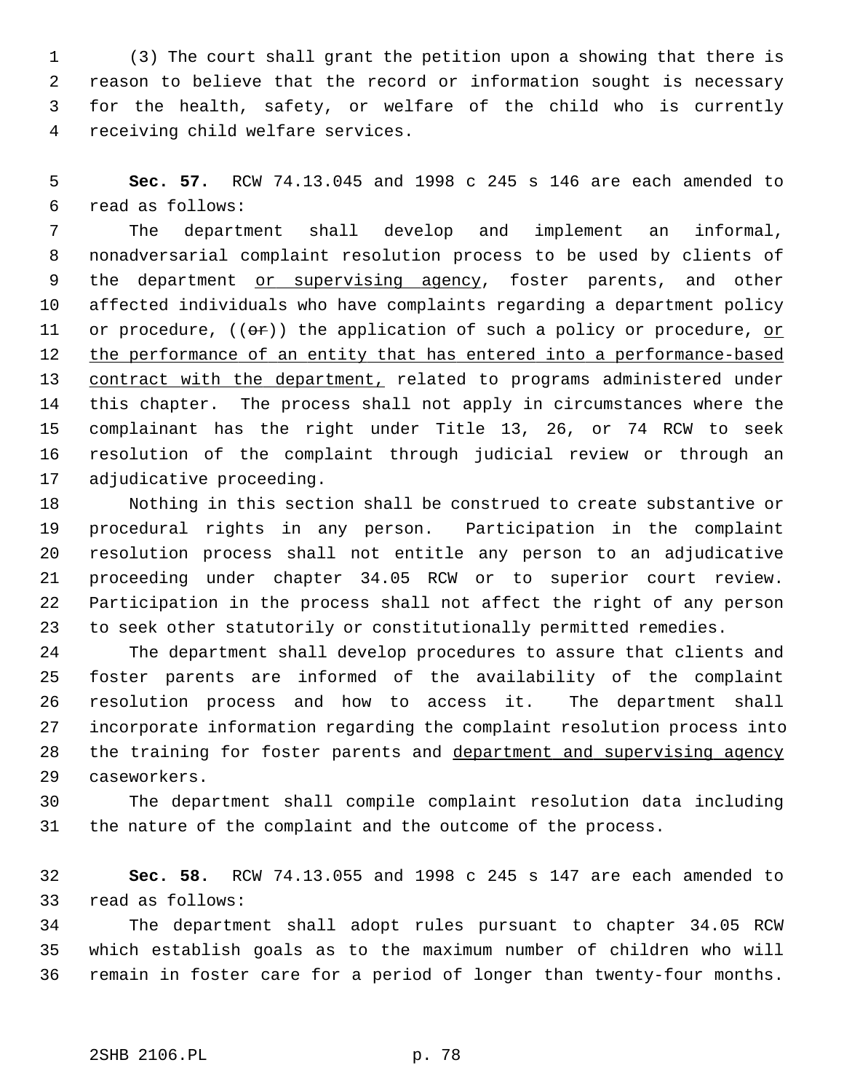1 (3) The court shall grant the petition upon a showing that there is 2 reason to believe that the record or information sought is necessary 3 for the health, safety, or welfare of the child who is currently 4 receiving child welfare services.

 5 **Sec. 57.** RCW 74.13.045 and 1998 c 245 s 146 are each amended to 6 read as follows:

 7 The department shall develop and implement an informal, 8 nonadversarial complaint resolution process to be used by clients of 9 the department or supervising agency, foster parents, and other 10 affected individuals who have complaints regarding a department policy 11 or procedure,  $((\Theta \cdot \mathbf{r}))$  the application of such a policy or procedure, or 12 the performance of an entity that has entered into a performance-based 13 contract with the department, related to programs administered under 14 this chapter. The process shall not apply in circumstances where the 15 complainant has the right under Title 13, 26, or 74 RCW to seek 16 resolution of the complaint through judicial review or through an 17 adjudicative proceeding.

18 Nothing in this section shall be construed to create substantive or 19 procedural rights in any person. Participation in the complaint 20 resolution process shall not entitle any person to an adjudicative 21 proceeding under chapter 34.05 RCW or to superior court review. 22 Participation in the process shall not affect the right of any person 23 to seek other statutorily or constitutionally permitted remedies.

24 The department shall develop procedures to assure that clients and 25 foster parents are informed of the availability of the complaint 26 resolution process and how to access it. The department shall 27 incorporate information regarding the complaint resolution process into 28 the training for foster parents and department and supervising agency 29 caseworkers.

30 The department shall compile complaint resolution data including 31 the nature of the complaint and the outcome of the process.

32 **Sec. 58.** RCW 74.13.055 and 1998 c 245 s 147 are each amended to 33 read as follows:

34 The department shall adopt rules pursuant to chapter 34.05 RCW 35 which establish goals as to the maximum number of children who will 36 remain in foster care for a period of longer than twenty-four months.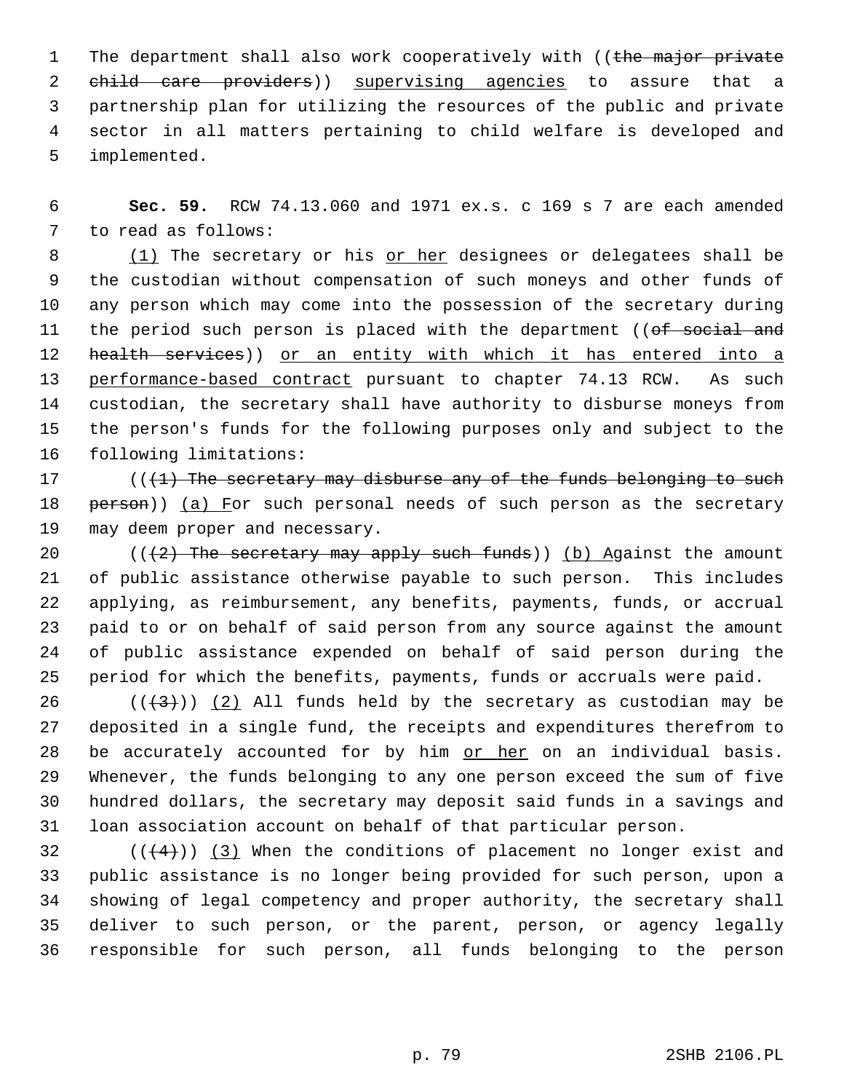1 The department shall also work cooperatively with ((the major private 2 child care providers)) supervising agencies to assure that a 3 partnership plan for utilizing the resources of the public and private 4 sector in all matters pertaining to child welfare is developed and 5 implemented.

 6 **Sec. 59.** RCW 74.13.060 and 1971 ex.s. c 169 s 7 are each amended 7 to read as follows:

 8 (1) The secretary or his or her designees or delegatees shall be 9 the custodian without compensation of such moneys and other funds of 10 any person which may come into the possession of the secretary during 11 the period such person is placed with the department ((of social and 12 health services)) or an entity with which it has entered into a 13 performance-based contract pursuant to chapter 74.13 RCW. As such 14 custodian, the secretary shall have authority to disburse moneys from 15 the person's funds for the following purposes only and subject to the 16 following limitations:

 $17$  (( $(1)$ ) The secretary may disburse any of the funds belonging to such 18 person)) (a) For such personal needs of such person as the secretary 19 may deem proper and necessary.

20 ( $(42)$  The secretary may apply such funds)) (b) Against the amount 21 of public assistance otherwise payable to such person. This includes 22 applying, as reimbursement, any benefits, payments, funds, or accrual 23 paid to or on behalf of said person from any source against the amount 24 of public assistance expended on behalf of said person during the 25 period for which the benefits, payments, funds or accruals were paid.

26 ( $(\frac{43}{})$ ) (2) All funds held by the secretary as custodian may be 27 deposited in a single fund, the receipts and expenditures therefrom to 28 be accurately accounted for by him or her on an individual basis. 29 Whenever, the funds belonging to any one person exceed the sum of five 30 hundred dollars, the secretary may deposit said funds in a savings and 31 loan association account on behalf of that particular person.

 $32$  (( $(4)$ )) (3) When the conditions of placement no longer exist and 33 public assistance is no longer being provided for such person, upon a 34 showing of legal competency and proper authority, the secretary shall 35 deliver to such person, or the parent, person, or agency legally 36 responsible for such person, all funds belonging to the person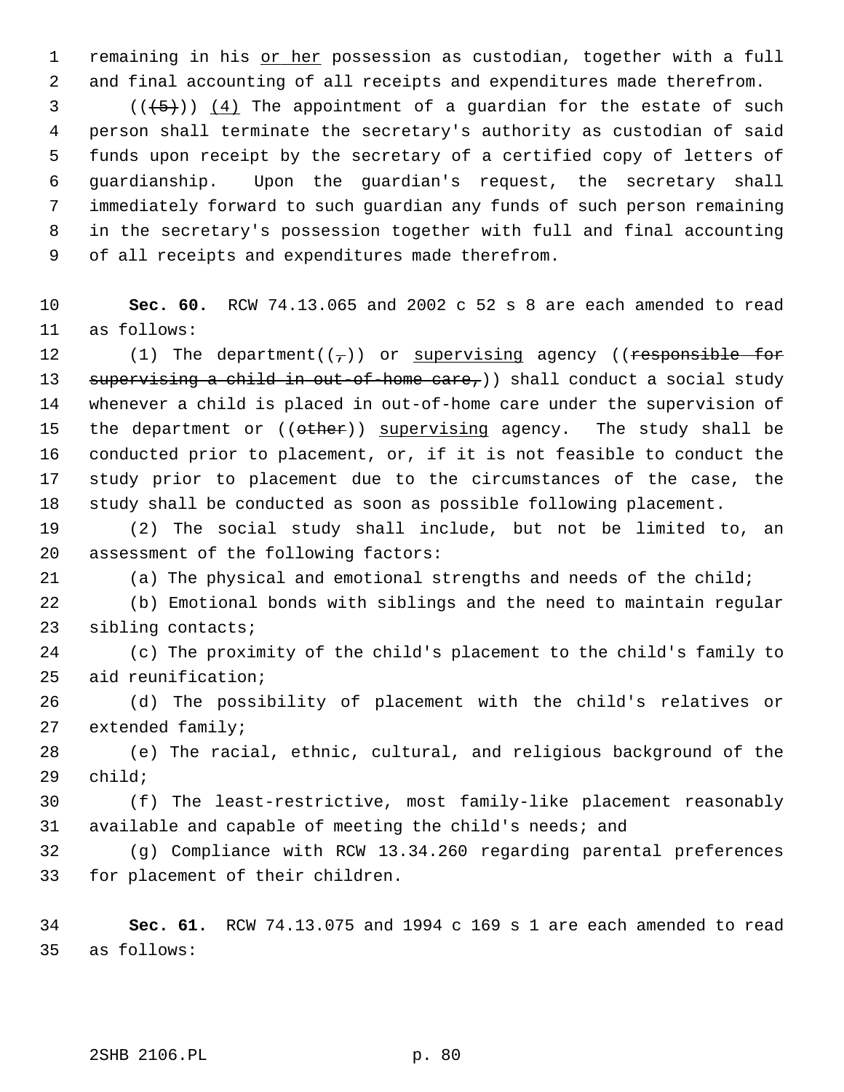1 remaining in his or her possession as custodian, together with a full 2 and final accounting of all receipts and expenditures made therefrom.

 $3$  ( $(\overline{5})$ ) (4) The appointment of a guardian for the estate of such 4 person shall terminate the secretary's authority as custodian of said 5 funds upon receipt by the secretary of a certified copy of letters of 6 guardianship. Upon the guardian's request, the secretary shall 7 immediately forward to such guardian any funds of such person remaining 8 in the secretary's possession together with full and final accounting 9 of all receipts and expenditures made therefrom.

10 **Sec. 60.** RCW 74.13.065 and 2002 c 52 s 8 are each amended to read 11 as follows:

12 (1) The department( $(\tau)$ ) or supervising agency ((responsible for 13 supervising a child in out-of-home care,)) shall conduct a social study 14 whenever a child is placed in out-of-home care under the supervision of 15 the department or  $($   $(\text{other})$  supervising agency. The study shall be 16 conducted prior to placement, or, if it is not feasible to conduct the 17 study prior to placement due to the circumstances of the case, the 18 study shall be conducted as soon as possible following placement.

19 (2) The social study shall include, but not be limited to, an 20 assessment of the following factors:

21 (a) The physical and emotional strengths and needs of the child;

22 (b) Emotional bonds with siblings and the need to maintain regular 23 sibling contacts;

24 (c) The proximity of the child's placement to the child's family to 25 aid reunification;

26 (d) The possibility of placement with the child's relatives or 27 extended family;

28 (e) The racial, ethnic, cultural, and religious background of the 29 child;

30 (f) The least-restrictive, most family-like placement reasonably 31 available and capable of meeting the child's needs; and

32 (g) Compliance with RCW 13.34.260 regarding parental preferences 33 for placement of their children.

34 **Sec. 61.** RCW 74.13.075 and 1994 c 169 s 1 are each amended to read 35 as follows: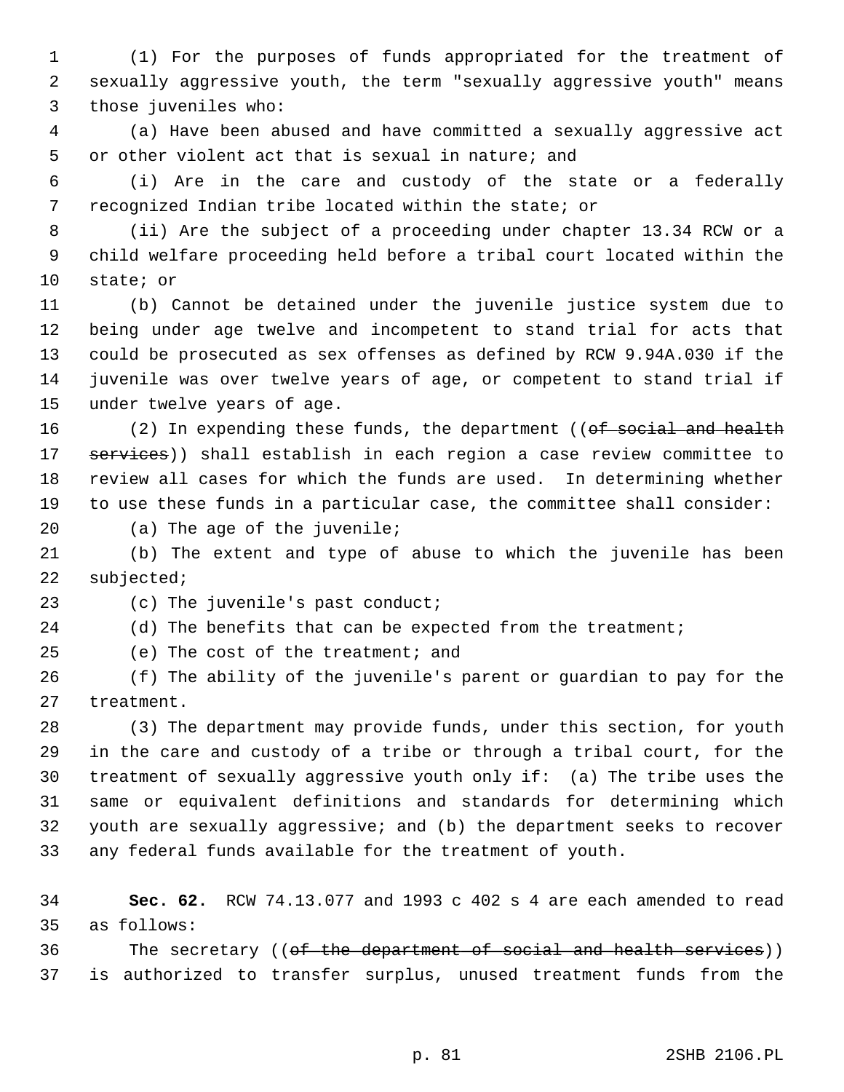1 (1) For the purposes of funds appropriated for the treatment of 2 sexually aggressive youth, the term "sexually aggressive youth" means 3 those juveniles who:

 4 (a) Have been abused and have committed a sexually aggressive act 5 or other violent act that is sexual in nature; and

 6 (i) Are in the care and custody of the state or a federally 7 recognized Indian tribe located within the state; or

 8 (ii) Are the subject of a proceeding under chapter 13.34 RCW or a 9 child welfare proceeding held before a tribal court located within the 10 state; or

11 (b) Cannot be detained under the juvenile justice system due to 12 being under age twelve and incompetent to stand trial for acts that 13 could be prosecuted as sex offenses as defined by RCW 9.94A.030 if the 14 juvenile was over twelve years of age, or competent to stand trial if 15 under twelve years of age.

16 (2) In expending these funds, the department ((of social and health 17 services)) shall establish in each region a case review committee to 18 review all cases for which the funds are used. In determining whether 19 to use these funds in a particular case, the committee shall consider:

20 (a) The age of the juvenile;

21 (b) The extent and type of abuse to which the juvenile has been 22 subjected;

23 (c) The juvenile's past conduct;

24 (d) The benefits that can be expected from the treatment;

25 (e) The cost of the treatment; and

26 (f) The ability of the juvenile's parent or guardian to pay for the 27 treatment.

28 (3) The department may provide funds, under this section, for youth 29 in the care and custody of a tribe or through a tribal court, for the 30 treatment of sexually aggressive youth only if: (a) The tribe uses the 31 same or equivalent definitions and standards for determining which 32 youth are sexually aggressive; and (b) the department seeks to recover 33 any federal funds available for the treatment of youth.

34 **Sec. 62.** RCW 74.13.077 and 1993 c 402 s 4 are each amended to read 35 as follows:

36 The secretary ((of the department of social and health services)) 37 is authorized to transfer surplus, unused treatment funds from the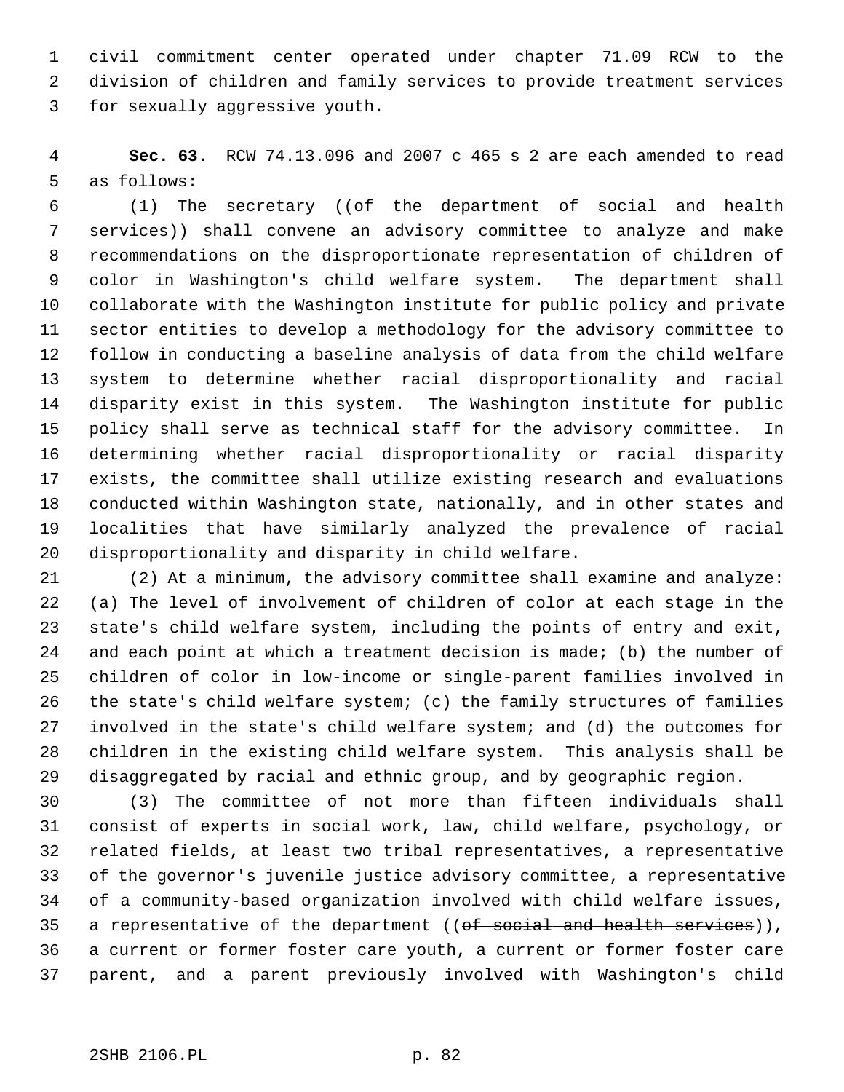1 civil commitment center operated under chapter 71.09 RCW to the 2 division of children and family services to provide treatment services 3 for sexually aggressive youth.

 4 **Sec. 63.** RCW 74.13.096 and 2007 c 465 s 2 are each amended to read 5 as follows:

 6 (1) The secretary ((of the department of social and health 7 services)) shall convene an advisory committee to analyze and make 8 recommendations on the disproportionate representation of children of 9 color in Washington's child welfare system. The department shall 10 collaborate with the Washington institute for public policy and private 11 sector entities to develop a methodology for the advisory committee to 12 follow in conducting a baseline analysis of data from the child welfare 13 system to determine whether racial disproportionality and racial 14 disparity exist in this system. The Washington institute for public 15 policy shall serve as technical staff for the advisory committee. In 16 determining whether racial disproportionality or racial disparity 17 exists, the committee shall utilize existing research and evaluations 18 conducted within Washington state, nationally, and in other states and 19 localities that have similarly analyzed the prevalence of racial 20 disproportionality and disparity in child welfare.

21 (2) At a minimum, the advisory committee shall examine and analyze: 22 (a) The level of involvement of children of color at each stage in the 23 state's child welfare system, including the points of entry and exit, 24 and each point at which a treatment decision is made; (b) the number of 25 children of color in low-income or single-parent families involved in 26 the state's child welfare system; (c) the family structures of families 27 involved in the state's child welfare system; and (d) the outcomes for 28 children in the existing child welfare system. This analysis shall be 29 disaggregated by racial and ethnic group, and by geographic region.

30 (3) The committee of not more than fifteen individuals shall 31 consist of experts in social work, law, child welfare, psychology, or 32 related fields, at least two tribal representatives, a representative 33 of the governor's juvenile justice advisory committee, a representative 34 of a community-based organization involved with child welfare issues, 35 a representative of the department (( $of$  social and health services)), 36 a current or former foster care youth, a current or former foster care 37 parent, and a parent previously involved with Washington's child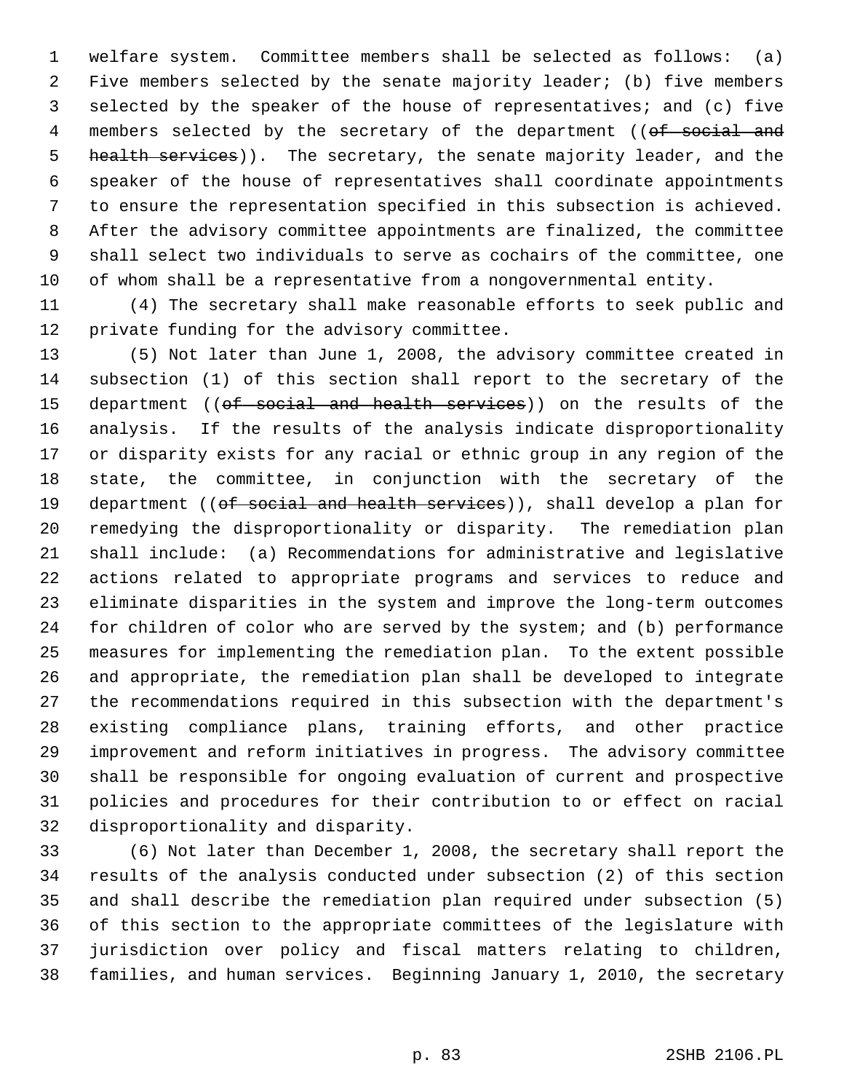1 welfare system. Committee members shall be selected as follows: (a) 2 Five members selected by the senate majority leader; (b) five members 3 selected by the speaker of the house of representatives; and (c) five 4 members selected by the secretary of the department ((of social and 5 health services)). The secretary, the senate majority leader, and the 6 speaker of the house of representatives shall coordinate appointments 7 to ensure the representation specified in this subsection is achieved. 8 After the advisory committee appointments are finalized, the committee 9 shall select two individuals to serve as cochairs of the committee, one 10 of whom shall be a representative from a nongovernmental entity.

11 (4) The secretary shall make reasonable efforts to seek public and 12 private funding for the advisory committee.

13 (5) Not later than June 1, 2008, the advisory committee created in 14 subsection (1) of this section shall report to the secretary of the 15 department ((of social and health services)) on the results of the 16 analysis. If the results of the analysis indicate disproportionality 17 or disparity exists for any racial or ethnic group in any region of the 18 state, the committee, in conjunction with the secretary of the 19 department ((of social and health services)), shall develop a plan for 20 remedying the disproportionality or disparity. The remediation plan 21 shall include: (a) Recommendations for administrative and legislative 22 actions related to appropriate programs and services to reduce and 23 eliminate disparities in the system and improve the long-term outcomes 24 for children of color who are served by the system; and (b) performance 25 measures for implementing the remediation plan. To the extent possible 26 and appropriate, the remediation plan shall be developed to integrate 27 the recommendations required in this subsection with the department's 28 existing compliance plans, training efforts, and other practice 29 improvement and reform initiatives in progress. The advisory committee 30 shall be responsible for ongoing evaluation of current and prospective 31 policies and procedures for their contribution to or effect on racial 32 disproportionality and disparity.

33 (6) Not later than December 1, 2008, the secretary shall report the 34 results of the analysis conducted under subsection (2) of this section 35 and shall describe the remediation plan required under subsection (5) 36 of this section to the appropriate committees of the legislature with 37 jurisdiction over policy and fiscal matters relating to children, 38 families, and human services. Beginning January 1, 2010, the secretary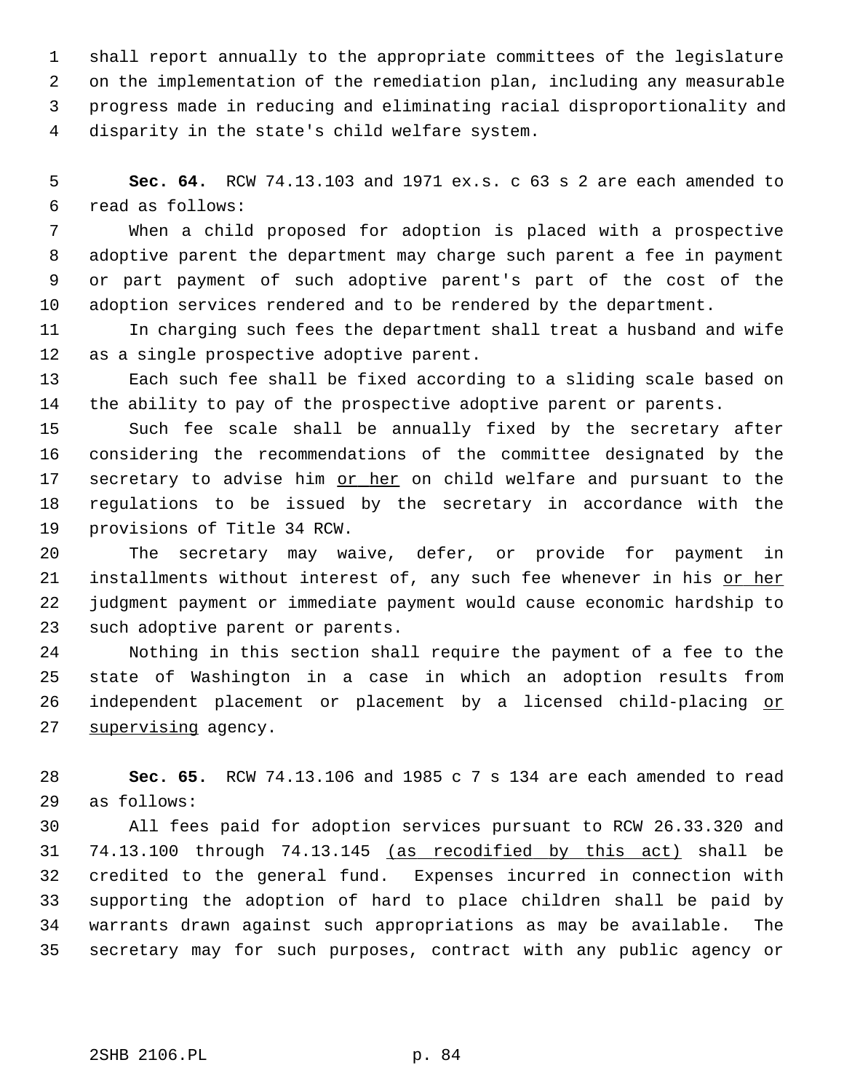1 shall report annually to the appropriate committees of the legislature 2 on the implementation of the remediation plan, including any measurable 3 progress made in reducing and eliminating racial disproportionality and 4 disparity in the state's child welfare system.

 5 **Sec. 64.** RCW 74.13.103 and 1971 ex.s. c 63 s 2 are each amended to 6 read as follows:

 7 When a child proposed for adoption is placed with a prospective 8 adoptive parent the department may charge such parent a fee in payment 9 or part payment of such adoptive parent's part of the cost of the 10 adoption services rendered and to be rendered by the department.

11 In charging such fees the department shall treat a husband and wife 12 as a single prospective adoptive parent.

13 Each such fee shall be fixed according to a sliding scale based on 14 the ability to pay of the prospective adoptive parent or parents.

15 Such fee scale shall be annually fixed by the secretary after 16 considering the recommendations of the committee designated by the 17 secretary to advise him or her on child welfare and pursuant to the 18 regulations to be issued by the secretary in accordance with the 19 provisions of Title 34 RCW.

20 The secretary may waive, defer, or provide for payment in 21 installments without interest of, any such fee whenever in his or her 22 judgment payment or immediate payment would cause economic hardship to 23 such adoptive parent or parents.

24 Nothing in this section shall require the payment of a fee to the 25 state of Washington in a case in which an adoption results from 26 independent placement or placement by a licensed child-placing or 27 supervising agency.

28 **Sec. 65.** RCW 74.13.106 and 1985 c 7 s 134 are each amended to read 29 as follows:

30 All fees paid for adoption services pursuant to RCW 26.33.320 and 31 74.13.100 through 74.13.145 (as recodified by this act) shall be 32 credited to the general fund. Expenses incurred in connection with 33 supporting the adoption of hard to place children shall be paid by 34 warrants drawn against such appropriations as may be available. The 35 secretary may for such purposes, contract with any public agency or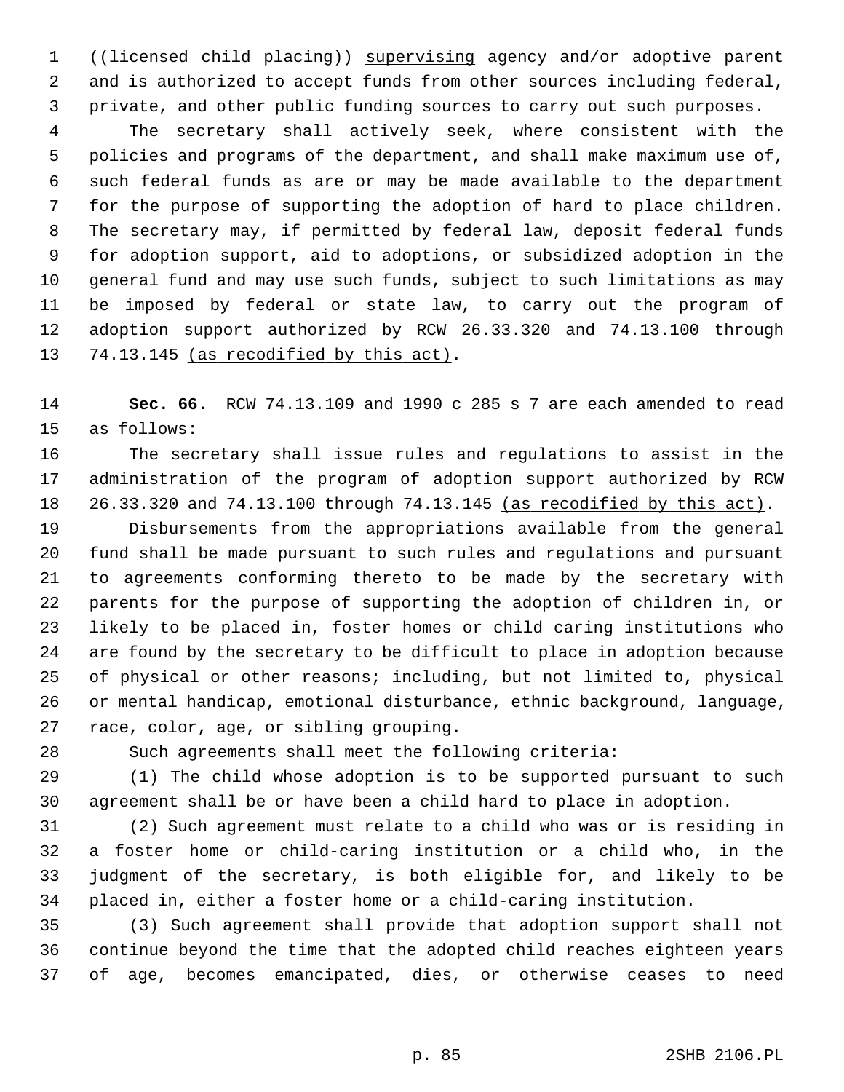1 ((licensed child placing)) supervising agency and/or adoptive parent 2 and is authorized to accept funds from other sources including federal, 3 private, and other public funding sources to carry out such purposes.

 4 The secretary shall actively seek, where consistent with the 5 policies and programs of the department, and shall make maximum use of, 6 such federal funds as are or may be made available to the department 7 for the purpose of supporting the adoption of hard to place children. 8 The secretary may, if permitted by federal law, deposit federal funds 9 for adoption support, aid to adoptions, or subsidized adoption in the 10 general fund and may use such funds, subject to such limitations as may 11 be imposed by federal or state law, to carry out the program of 12 adoption support authorized by RCW 26.33.320 and 74.13.100 through 13 74.13.145 (as recodified by this act).

14 **Sec. 66.** RCW 74.13.109 and 1990 c 285 s 7 are each amended to read 15 as follows:

16 The secretary shall issue rules and regulations to assist in the 17 administration of the program of adoption support authorized by RCW 18 26.33.320 and 74.13.100 through 74.13.145 (as recodified by this act).

19 Disbursements from the appropriations available from the general 20 fund shall be made pursuant to such rules and regulations and pursuant 21 to agreements conforming thereto to be made by the secretary with 22 parents for the purpose of supporting the adoption of children in, or 23 likely to be placed in, foster homes or child caring institutions who 24 are found by the secretary to be difficult to place in adoption because 25 of physical or other reasons; including, but not limited to, physical 26 or mental handicap, emotional disturbance, ethnic background, language, 27 race, color, age, or sibling grouping.

28 Such agreements shall meet the following criteria:

29 (1) The child whose adoption is to be supported pursuant to such 30 agreement shall be or have been a child hard to place in adoption.

31 (2) Such agreement must relate to a child who was or is residing in 32 a foster home or child-caring institution or a child who, in the 33 judgment of the secretary, is both eligible for, and likely to be 34 placed in, either a foster home or a child-caring institution.

35 (3) Such agreement shall provide that adoption support shall not 36 continue beyond the time that the adopted child reaches eighteen years 37 of age, becomes emancipated, dies, or otherwise ceases to need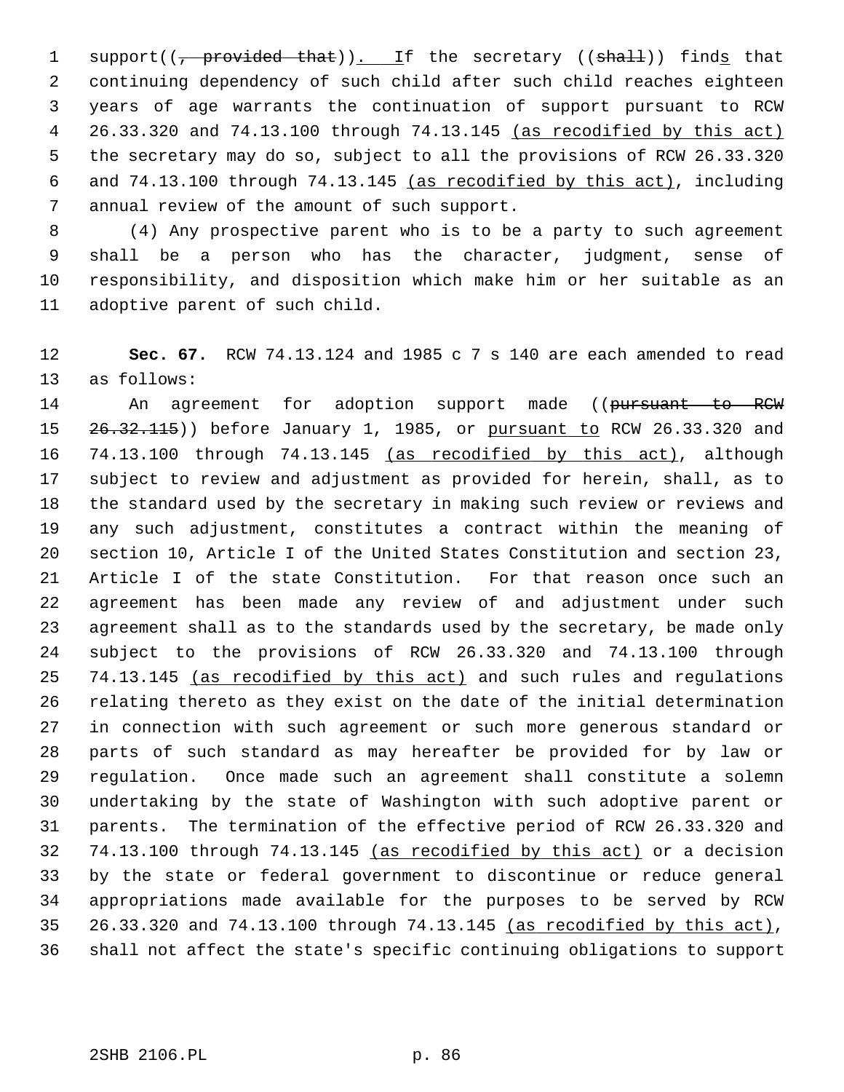1 support( $(\frac{\pi}{6}$  provided that)). If the secretary ((shall)) finds that 2 continuing dependency of such child after such child reaches eighteen 3 years of age warrants the continuation of support pursuant to RCW 4 26.33.320 and 74.13.100 through 74.13.145 (as recodified by this act) 5 the secretary may do so, subject to all the provisions of RCW 26.33.320 6 and 74.13.100 through 74.13.145 (as recodified by this act), including 7 annual review of the amount of such support.

 8 (4) Any prospective parent who is to be a party to such agreement 9 shall be a person who has the character, judgment, sense of 10 responsibility, and disposition which make him or her suitable as an 11 adoptive parent of such child.

12 **Sec. 67.** RCW 74.13.124 and 1985 c 7 s 140 are each amended to read 13 as follows:

14 an agreement for adoption support made ((pursuant to RCW 15 26.32.115)) before January 1, 1985, or pursuant to RCW 26.33.320 and 16 74.13.100 through 74.13.145 (as recodified by this act), although 17 subject to review and adjustment as provided for herein, shall, as to 18 the standard used by the secretary in making such review or reviews and 19 any such adjustment, constitutes a contract within the meaning of 20 section 10, Article I of the United States Constitution and section 23, 21 Article I of the state Constitution. For that reason once such an 22 agreement has been made any review of and adjustment under such 23 agreement shall as to the standards used by the secretary, be made only 24 subject to the provisions of RCW 26.33.320 and 74.13.100 through 25 74.13.145 (as recodified by this act) and such rules and regulations 26 relating thereto as they exist on the date of the initial determination 27 in connection with such agreement or such more generous standard or 28 parts of such standard as may hereafter be provided for by law or 29 regulation. Once made such an agreement shall constitute a solemn 30 undertaking by the state of Washington with such adoptive parent or 31 parents. The termination of the effective period of RCW 26.33.320 and 32 74.13.100 through 74.13.145 (as recodified by this act) or a decision 33 by the state or federal government to discontinue or reduce general 34 appropriations made available for the purposes to be served by RCW 35 26.33.320 and 74.13.100 through 74.13.145 (as recodified by this act), 36 shall not affect the state's specific continuing obligations to support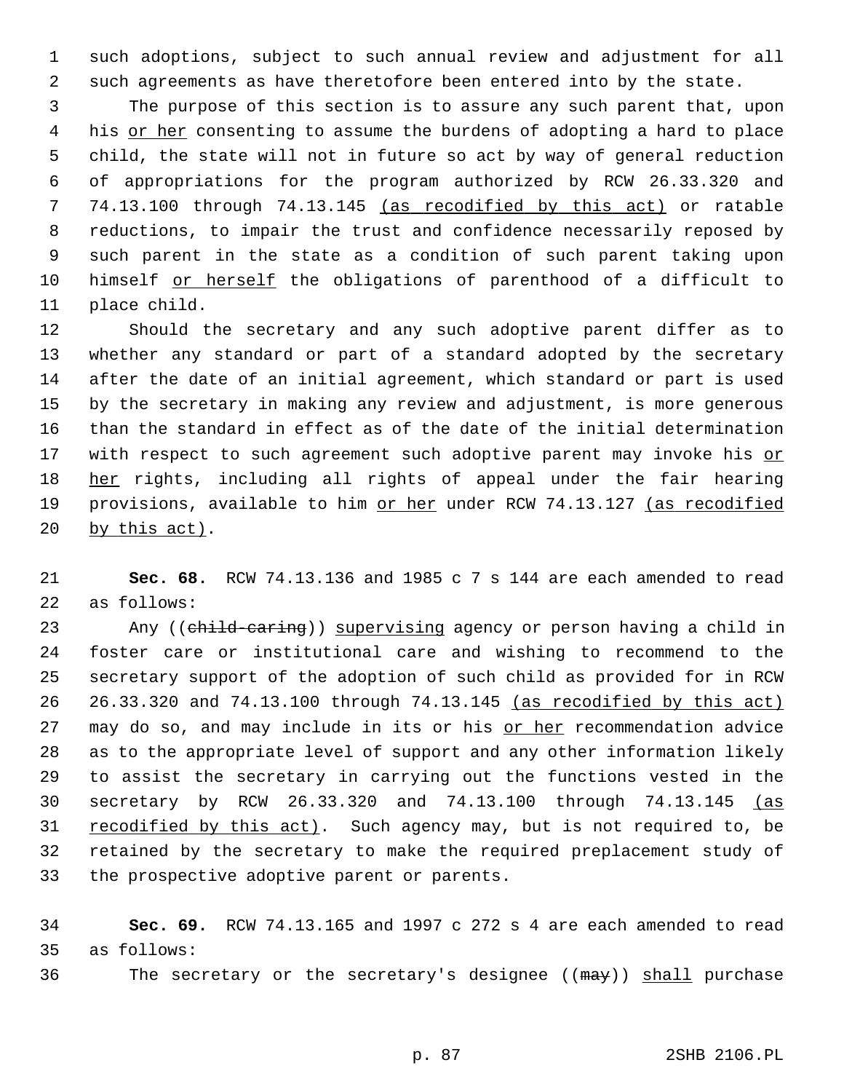1 such adoptions, subject to such annual review and adjustment for all 2 such agreements as have theretofore been entered into by the state.

 3 The purpose of this section is to assure any such parent that, upon 4 his or her consenting to assume the burdens of adopting a hard to place 5 child, the state will not in future so act by way of general reduction 6 of appropriations for the program authorized by RCW 26.33.320 and 7 74.13.100 through 74.13.145 (as recodified by this act) or ratable 8 reductions, to impair the trust and confidence necessarily reposed by 9 such parent in the state as a condition of such parent taking upon 10 himself or herself the obligations of parenthood of a difficult to 11 place child.

12 Should the secretary and any such adoptive parent differ as to 13 whether any standard or part of a standard adopted by the secretary 14 after the date of an initial agreement, which standard or part is used 15 by the secretary in making any review and adjustment, is more generous 16 than the standard in effect as of the date of the initial determination 17 with respect to such agreement such adoptive parent may invoke his or 18 her rights, including all rights of appeal under the fair hearing 19 provisions, available to him or her under RCW 74.13.127 (as recodified 20 by this act).

21 **Sec. 68.** RCW 74.13.136 and 1985 c 7 s 144 are each amended to read 22 as follows:

23 Any ((child-caring)) supervising agency or person having a child in 24 foster care or institutional care and wishing to recommend to the 25 secretary support of the adoption of such child as provided for in RCW 26 26.33.320 and 74.13.100 through 74.13.145 (as recodified by this act) 27 may do so, and may include in its or his or her recommendation advice 28 as to the appropriate level of support and any other information likely 29 to assist the secretary in carrying out the functions vested in the 30 secretary by RCW 26.33.320 and 74.13.100 through 74.13.145 (as 31 recodified by this act). Such agency may, but is not required to, be 32 retained by the secretary to make the required preplacement study of 33 the prospective adoptive parent or parents.

34 **Sec. 69.** RCW 74.13.165 and 1997 c 272 s 4 are each amended to read 35 as follows:

36 The secretary or the secretary's designee ((may)) shall purchase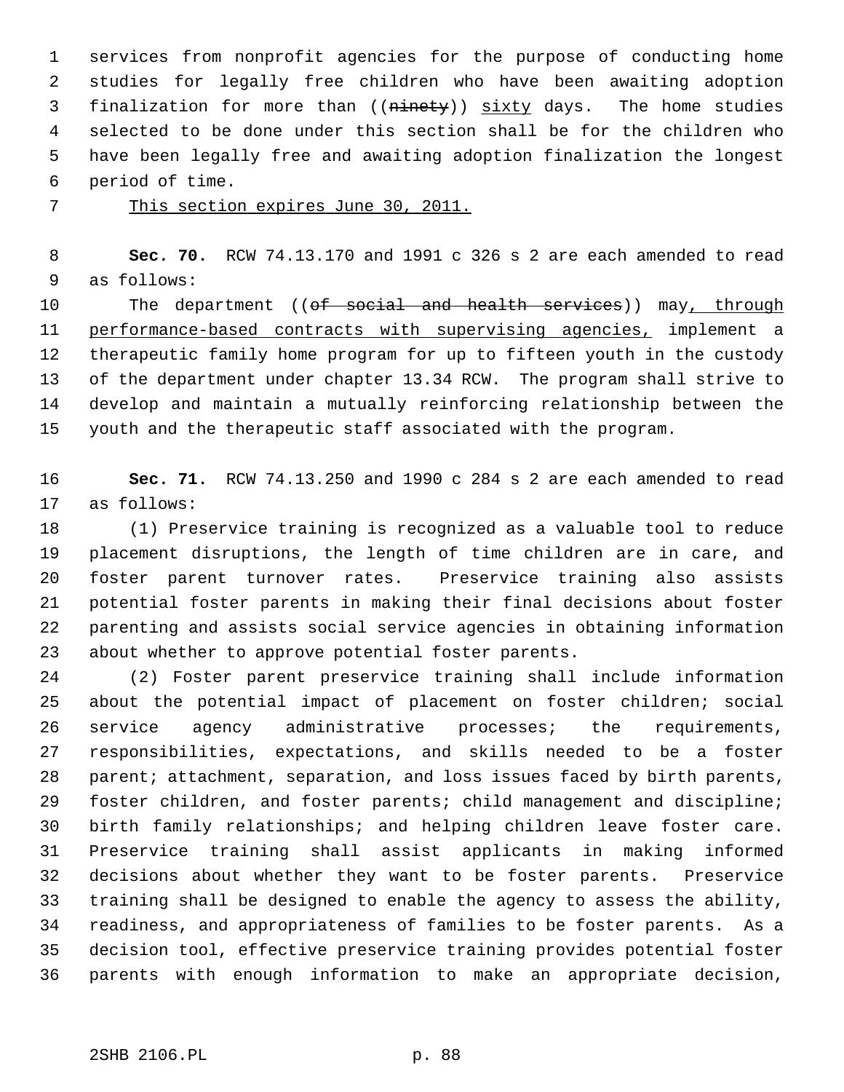1 services from nonprofit agencies for the purpose of conducting home 2 studies for legally free children who have been awaiting adoption 3 finalization for more than ((ninety)) sixty days. The home studies 4 selected to be done under this section shall be for the children who 5 have been legally free and awaiting adoption finalization the longest 6 period of time.

7 This section expires June 30, 2011.

 8 **Sec. 70.** RCW 74.13.170 and 1991 c 326 s 2 are each amended to read 9 as follows:

10 The department ((of social and health services)) may, through 11 performance-based contracts with supervising agencies, implement a 12 therapeutic family home program for up to fifteen youth in the custody 13 of the department under chapter 13.34 RCW. The program shall strive to 14 develop and maintain a mutually reinforcing relationship between the 15 youth and the therapeutic staff associated with the program.

16 **Sec. 71.** RCW 74.13.250 and 1990 c 284 s 2 are each amended to read 17 as follows:

18 (1) Preservice training is recognized as a valuable tool to reduce 19 placement disruptions, the length of time children are in care, and 20 foster parent turnover rates. Preservice training also assists 21 potential foster parents in making their final decisions about foster 22 parenting and assists social service agencies in obtaining information 23 about whether to approve potential foster parents.

24 (2) Foster parent preservice training shall include information 25 about the potential impact of placement on foster children; social 26 service agency administrative processes; the requirements, 27 responsibilities, expectations, and skills needed to be a foster 28 parent; attachment, separation, and loss issues faced by birth parents, 29 foster children, and foster parents; child management and discipline; 30 birth family relationships; and helping children leave foster care. 31 Preservice training shall assist applicants in making informed 32 decisions about whether they want to be foster parents. Preservice 33 training shall be designed to enable the agency to assess the ability, 34 readiness, and appropriateness of families to be foster parents. As a 35 decision tool, effective preservice training provides potential foster 36 parents with enough information to make an appropriate decision,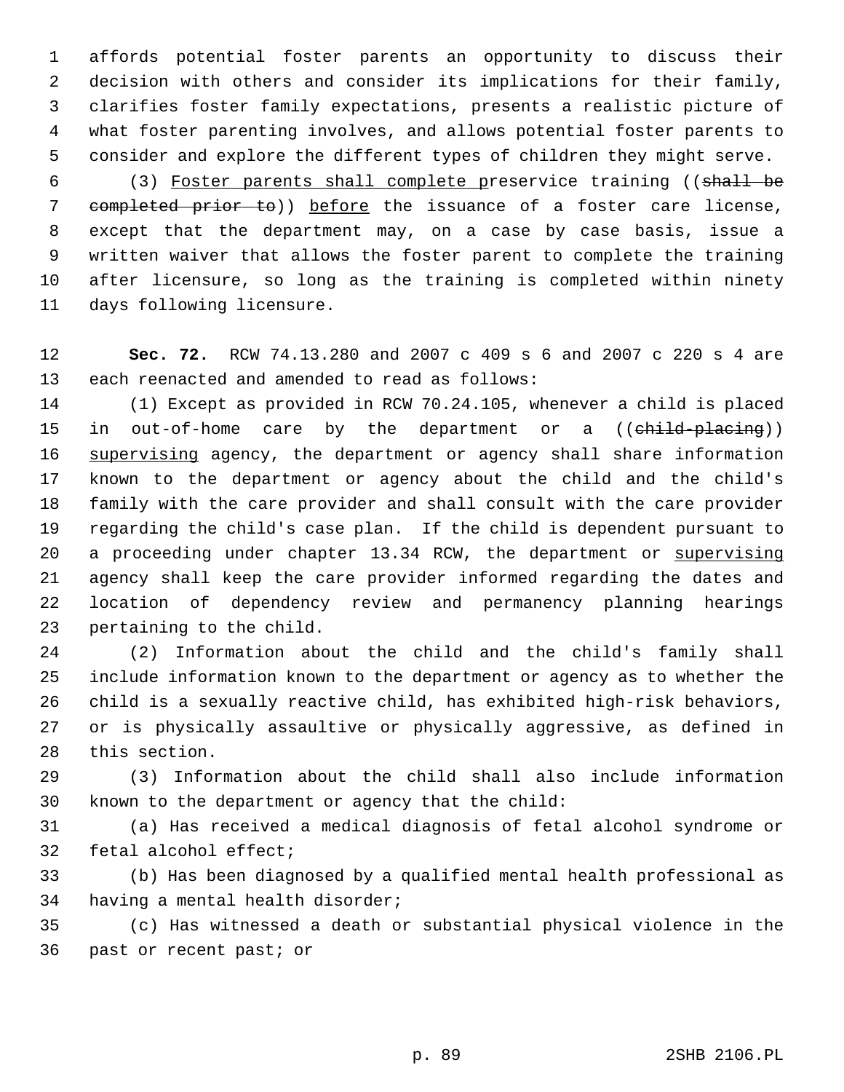1 affords potential foster parents an opportunity to discuss their 2 decision with others and consider its implications for their family, 3 clarifies foster family expectations, presents a realistic picture of 4 what foster parenting involves, and allows potential foster parents to 5 consider and explore the different types of children they might serve.

 6 (3) Foster parents shall complete preservice training ((shall be 7 completed prior to)) before the issuance of a foster care license, 8 except that the department may, on a case by case basis, issue a 9 written waiver that allows the foster parent to complete the training 10 after licensure, so long as the training is completed within ninety 11 days following licensure.

12 **Sec. 72.** RCW 74.13.280 and 2007 c 409 s 6 and 2007 c 220 s 4 are 13 each reenacted and amended to read as follows:

14 (1) Except as provided in RCW 70.24.105, whenever a child is placed 15 in out-of-home care by the department or a ((child-placing)) 16 supervising agency, the department or agency shall share information 17 known to the department or agency about the child and the child's 18 family with the care provider and shall consult with the care provider 19 regarding the child's case plan. If the child is dependent pursuant to 20 a proceeding under chapter 13.34 RCW, the department or supervising 21 agency shall keep the care provider informed regarding the dates and 22 location of dependency review and permanency planning hearings 23 pertaining to the child.

24 (2) Information about the child and the child's family shall 25 include information known to the department or agency as to whether the 26 child is a sexually reactive child, has exhibited high-risk behaviors, 27 or is physically assaultive or physically aggressive, as defined in 28 this section.

29 (3) Information about the child shall also include information 30 known to the department or agency that the child:

31 (a) Has received a medical diagnosis of fetal alcohol syndrome or 32 fetal alcohol effect;

33 (b) Has been diagnosed by a qualified mental health professional as 34 having a mental health disorder;

35 (c) Has witnessed a death or substantial physical violence in the 36 past or recent past; or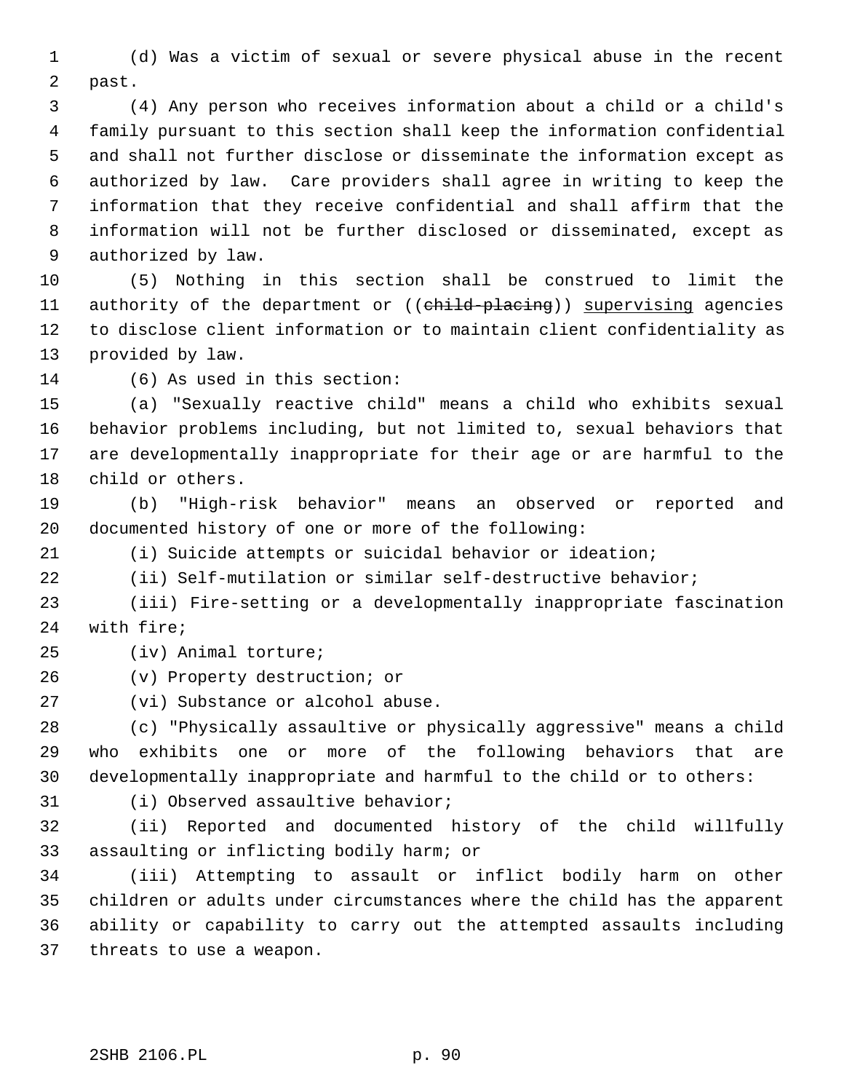1 (d) Was a victim of sexual or severe physical abuse in the recent 2 past.

 3 (4) Any person who receives information about a child or a child's 4 family pursuant to this section shall keep the information confidential 5 and shall not further disclose or disseminate the information except as 6 authorized by law. Care providers shall agree in writing to keep the 7 information that they receive confidential and shall affirm that the 8 information will not be further disclosed or disseminated, except as 9 authorized by law.

10 (5) Nothing in this section shall be construed to limit the 11 authority of the department or ((child-placing)) supervising agencies 12 to disclose client information or to maintain client confidentiality as 13 provided by law.

14 (6) As used in this section:

15 (a) "Sexually reactive child" means a child who exhibits sexual 16 behavior problems including, but not limited to, sexual behaviors that 17 are developmentally inappropriate for their age or are harmful to the 18 child or others.

19 (b) "High-risk behavior" means an observed or reported and 20 documented history of one or more of the following:

21 (i) Suicide attempts or suicidal behavior or ideation;

22 (ii) Self-mutilation or similar self-destructive behavior;

23 (iii) Fire-setting or a developmentally inappropriate fascination 24 with fire;

25 (iv) Animal torture;

26 (v) Property destruction; or

27 (vi) Substance or alcohol abuse.

28 (c) "Physically assaultive or physically aggressive" means a child 29 who exhibits one or more of the following behaviors that are 30 developmentally inappropriate and harmful to the child or to others:

31 (i) Observed assaultive behavior;

32 (ii) Reported and documented history of the child willfully 33 assaulting or inflicting bodily harm; or

34 (iii) Attempting to assault or inflict bodily harm on other 35 children or adults under circumstances where the child has the apparent 36 ability or capability to carry out the attempted assaults including 37 threats to use a weapon.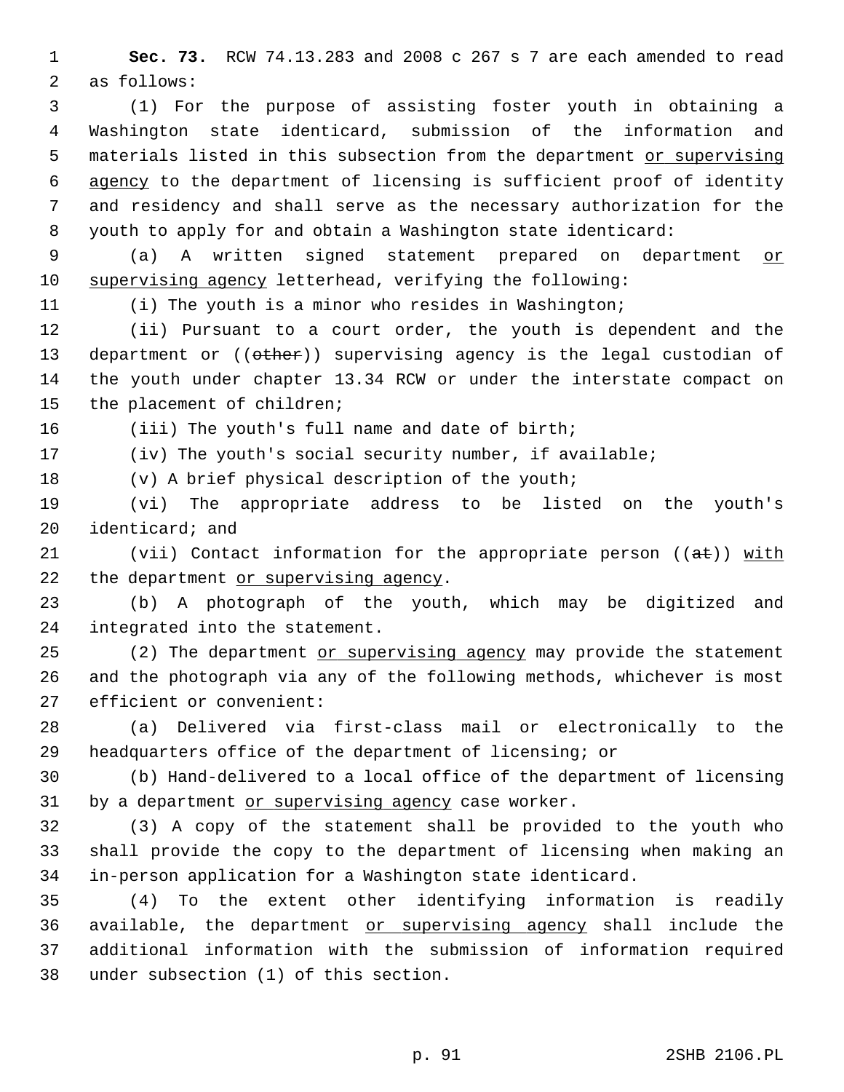1 **Sec. 73.** RCW 74.13.283 and 2008 c 267 s 7 are each amended to read 2 as follows:

 3 (1) For the purpose of assisting foster youth in obtaining a 4 Washington state identicard, submission of the information and 5 materials listed in this subsection from the department or supervising 6 agency to the department of licensing is sufficient proof of identity 7 and residency and shall serve as the necessary authorization for the 8 youth to apply for and obtain a Washington state identicard:

 9 (a) A written signed statement prepared on department or 10 supervising agency letterhead, verifying the following:

11 (i) The youth is a minor who resides in Washington;

12 (ii) Pursuant to a court order, the youth is dependent and the 13 department or ((other)) supervising agency is the legal custodian of 14 the youth under chapter 13.34 RCW or under the interstate compact on 15 the placement of children;

16 (iii) The youth's full name and date of birth;

17 (iv) The youth's social security number, if available;

18 (v) A brief physical description of the youth;

19 (vi) The appropriate address to be listed on the youth's 20 identicard; and

21 (vii) Contact information for the appropriate person ((at)) with 22 the department or supervising agency.

23 (b) A photograph of the youth, which may be digitized and 24 integrated into the statement.

25 (2) The department or supervising agency may provide the statement 26 and the photograph via any of the following methods, whichever is most 27 efficient or convenient:

28 (a) Delivered via first-class mail or electronically to the 29 headquarters office of the department of licensing; or

30 (b) Hand-delivered to a local office of the department of licensing 31 by a department or supervising agency case worker.

32 (3) A copy of the statement shall be provided to the youth who 33 shall provide the copy to the department of licensing when making an 34 in-person application for a Washington state identicard.

35 (4) To the extent other identifying information is readily 36 available, the department or supervising agency shall include the 37 additional information with the submission of information required 38 under subsection (1) of this section.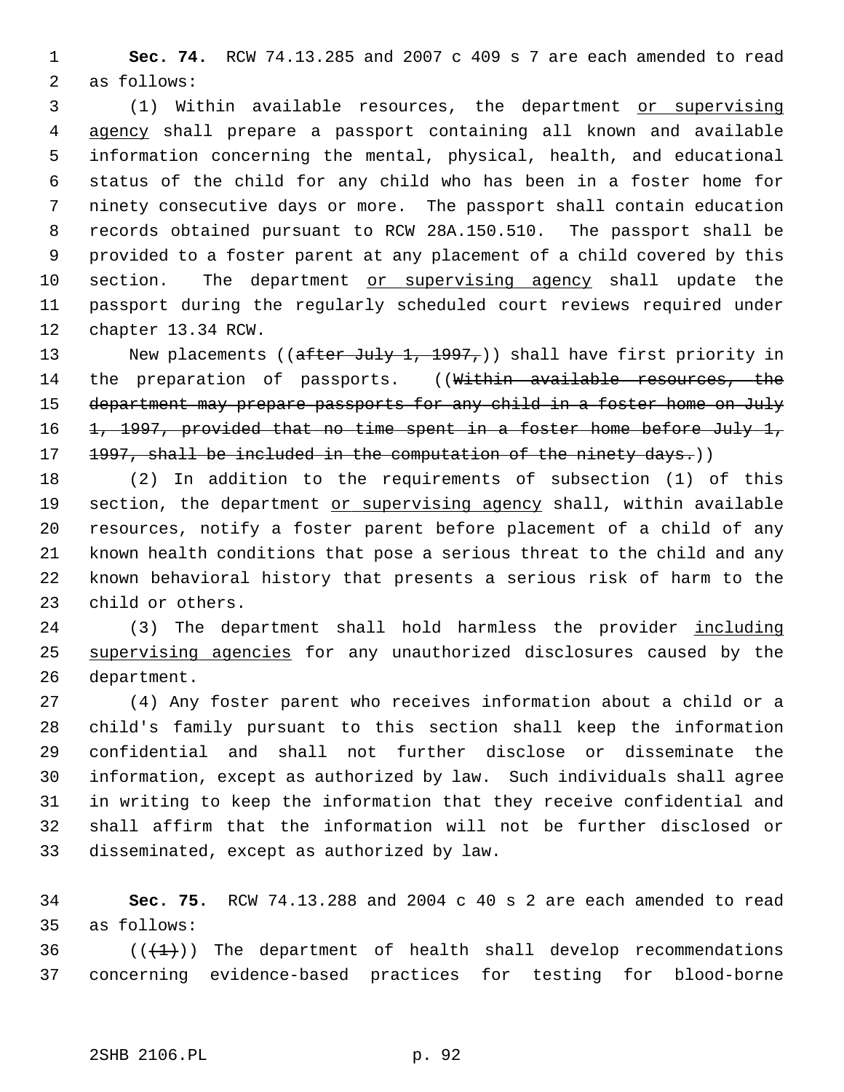1 **Sec. 74.** RCW 74.13.285 and 2007 c 409 s 7 are each amended to read 2 as follows:

 3 (1) Within available resources, the department or supervising 4 agency shall prepare a passport containing all known and available 5 information concerning the mental, physical, health, and educational 6 status of the child for any child who has been in a foster home for 7 ninety consecutive days or more. The passport shall contain education 8 records obtained pursuant to RCW 28A.150.510. The passport shall be 9 provided to a foster parent at any placement of a child covered by this 10 section. The department or supervising agency shall update the 11 passport during the regularly scheduled court reviews required under 12 chapter 13.34 RCW.

13 New placements ((after July 1, 1997,)) shall have first priority in 14 the preparation of passports. ((Within available resources, the 15 department may prepare passports for any child in a foster home on July 16 1, 1997, provided that no time spent in a foster home before July 1, 17 1997, shall be included in the computation of the ninety days.))

18 (2) In addition to the requirements of subsection (1) of this 19 section, the department or supervising agency shall, within available 20 resources, notify a foster parent before placement of a child of any 21 known health conditions that pose a serious threat to the child and any 22 known behavioral history that presents a serious risk of harm to the 23 child or others.

24 (3) The department shall hold harmless the provider including 25 supervising agencies for any unauthorized disclosures caused by the 26 department.

27 (4) Any foster parent who receives information about a child or a 28 child's family pursuant to this section shall keep the information 29 confidential and shall not further disclose or disseminate the 30 information, except as authorized by law. Such individuals shall agree 31 in writing to keep the information that they receive confidential and 32 shall affirm that the information will not be further disclosed or 33 disseminated, except as authorized by law.

34 **Sec. 75.** RCW 74.13.288 and 2004 c 40 s 2 are each amended to read 35 as follows:

36  $((+1))$  The department of health shall develop recommendations 37 concerning evidence-based practices for testing for blood-borne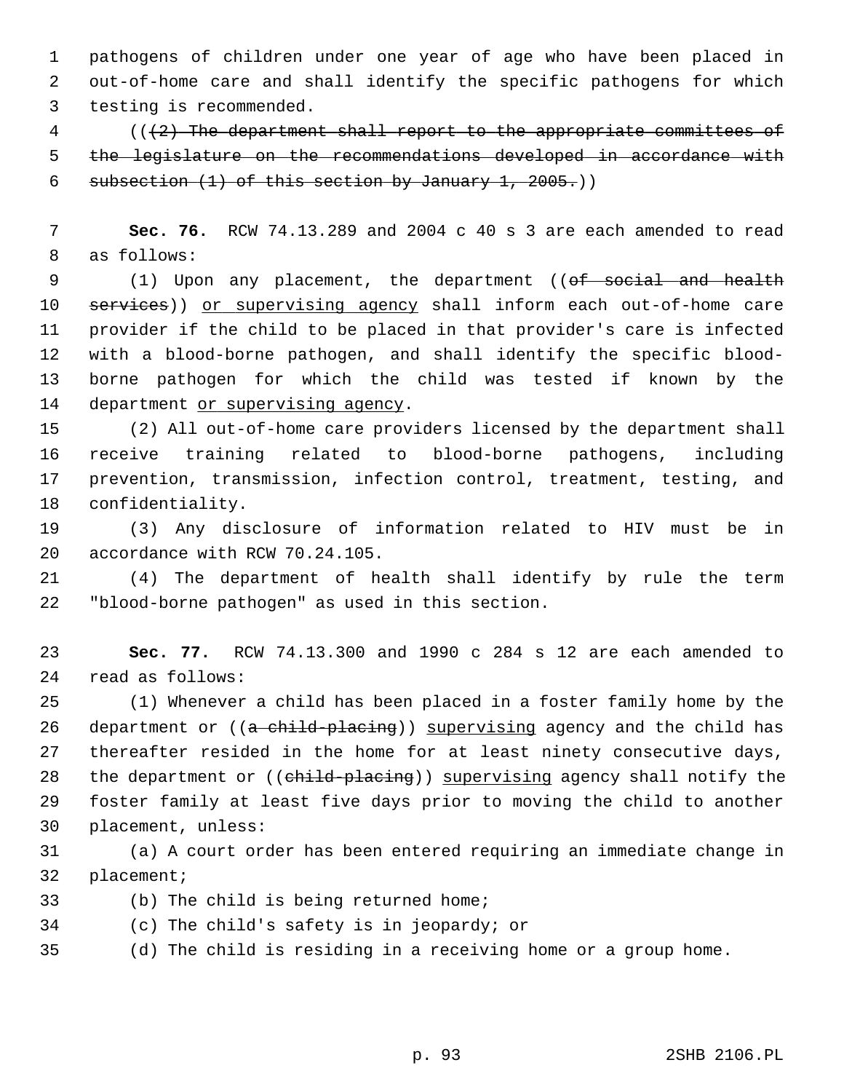1 pathogens of children under one year of age who have been placed in 2 out-of-home care and shall identify the specific pathogens for which 3 testing is recommended.

 4 (((2) The department shall report to the appropriate committees of 5 the legislature on the recommendations developed in accordance with 6 subsection  $(1)$  of this section by January 1, 2005.)

 7 **Sec. 76.** RCW 74.13.289 and 2004 c 40 s 3 are each amended to read 8 as follows:

9 (1) Upon any placement, the department ((of social and health 10 services)) or supervising agency shall inform each out-of-home care 11 provider if the child to be placed in that provider's care is infected 12 with a blood-borne pathogen, and shall identify the specific blood-13 borne pathogen for which the child was tested if known by the 14 department or supervising agency.

15 (2) All out-of-home care providers licensed by the department shall 16 receive training related to blood-borne pathogens, including 17 prevention, transmission, infection control, treatment, testing, and 18 confidentiality.

19 (3) Any disclosure of information related to HIV must be in 20 accordance with RCW 70.24.105.

21 (4) The department of health shall identify by rule the term 22 "blood-borne pathogen" as used in this section.

23 **Sec. 77.** RCW 74.13.300 and 1990 c 284 s 12 are each amended to 24 read as follows:

25 (1) Whenever a child has been placed in a foster family home by the 26 department or  $((a \text{ child} - b \text{ leading}))$  supervising agency and the child has 27 thereafter resided in the home for at least ninety consecutive days, 28 the department or ((child-placing)) supervising agency shall notify the 29 foster family at least five days prior to moving the child to another 30 placement, unless:

31 (a) A court order has been entered requiring an immediate change in 32 placement;

- 33 (b) The child is being returned home;
- 34 (c) The child's safety is in jeopardy; or

35 (d) The child is residing in a receiving home or a group home.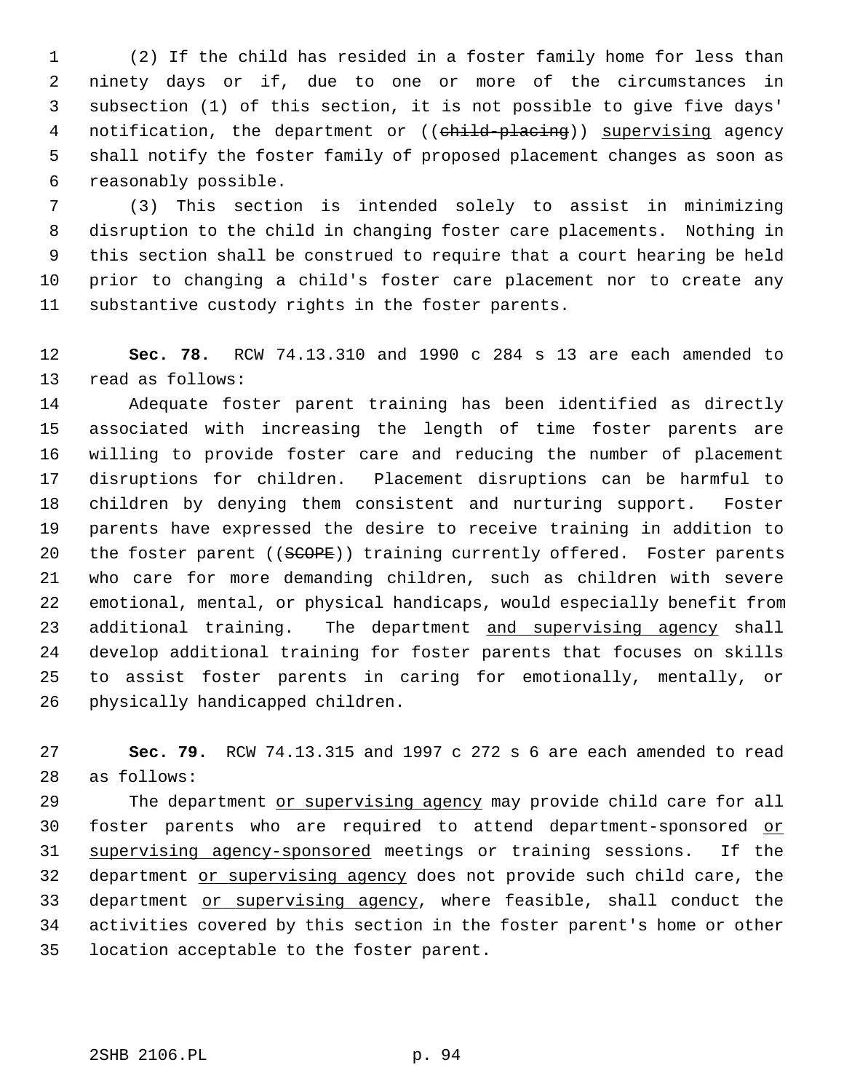1 (2) If the child has resided in a foster family home for less than 2 ninety days or if, due to one or more of the circumstances in 3 subsection (1) of this section, it is not possible to give five days' 4 notification, the department or ((child-placing)) supervising agency 5 shall notify the foster family of proposed placement changes as soon as 6 reasonably possible.

 7 (3) This section is intended solely to assist in minimizing 8 disruption to the child in changing foster care placements. Nothing in 9 this section shall be construed to require that a court hearing be held 10 prior to changing a child's foster care placement nor to create any 11 substantive custody rights in the foster parents.

12 **Sec. 78.** RCW 74.13.310 and 1990 c 284 s 13 are each amended to 13 read as follows:

14 Adequate foster parent training has been identified as directly 15 associated with increasing the length of time foster parents are 16 willing to provide foster care and reducing the number of placement 17 disruptions for children. Placement disruptions can be harmful to 18 children by denying them consistent and nurturing support. Foster 19 parents have expressed the desire to receive training in addition to 20 the foster parent ((SCOPE)) training currently offered. Foster parents 21 who care for more demanding children, such as children with severe 22 emotional, mental, or physical handicaps, would especially benefit from 23 additional training. The department and supervising agency shall 24 develop additional training for foster parents that focuses on skills 25 to assist foster parents in caring for emotionally, mentally, or 26 physically handicapped children.

27 **Sec. 79.** RCW 74.13.315 and 1997 c 272 s 6 are each amended to read 28 as follows:

29 The department or supervising agency may provide child care for all 30 foster parents who are required to attend department-sponsored or 31 supervising agency-sponsored meetings or training sessions. If the 32 department or supervising agency does not provide such child care, the 33 department or supervising agency, where feasible, shall conduct the 34 activities covered by this section in the foster parent's home or other 35 location acceptable to the foster parent.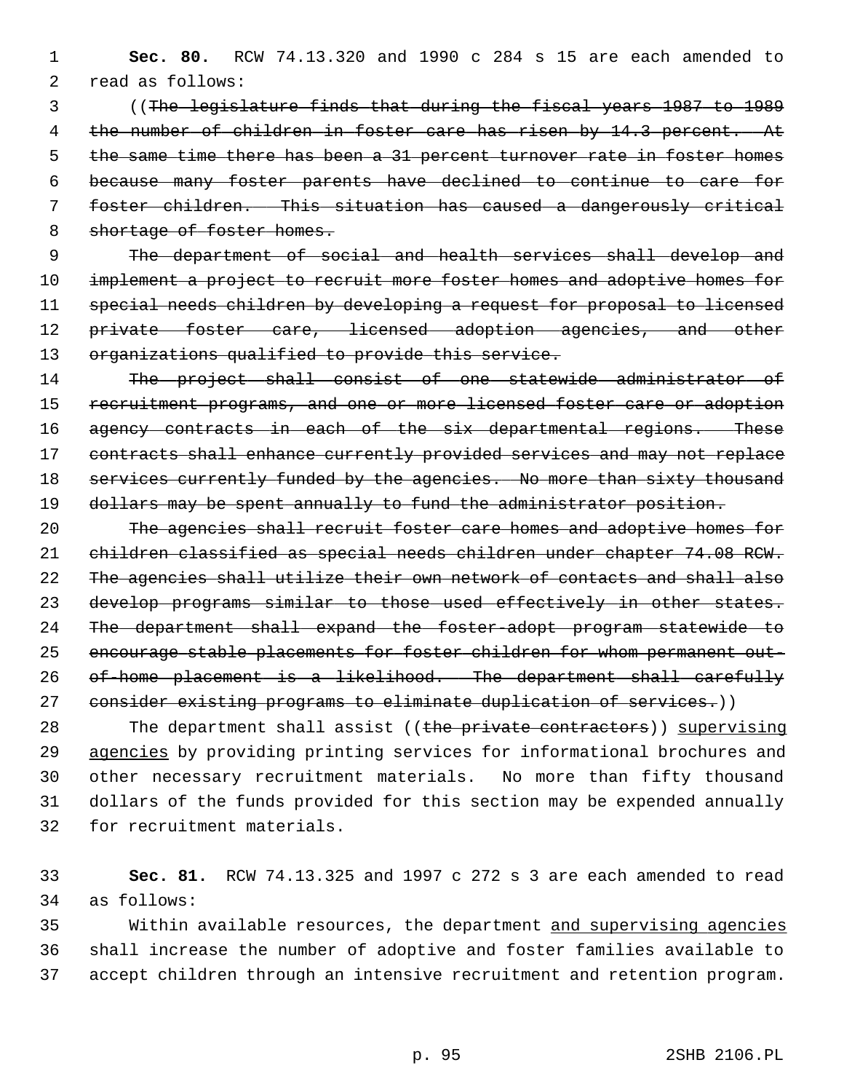1 **Sec. 80.** RCW 74.13.320 and 1990 c 284 s 15 are each amended to 2 read as follows:

 3 ((The legislature finds that during the fiscal years 1987 to 1989 4 the number of children in foster care has risen by 14.3 percent. At 5 the same time there has been a 31 percent turnover rate in foster homes 6 because many foster parents have declined to continue to care for 7 foster children. This situation has caused a dangerously critical 8 shortage of foster homes.

 9 The department of social and health services shall develop and 10 implement a project to recruit more foster homes and adoptive homes for 11 special needs children by developing a request for proposal to licensed 12 private foster care, licensed adoption agencies, and other 13 organizations qualified to provide this service.

14 The project shall consist of one statewide administrator of 15 recruitment programs, and one or more licensed foster care or adoption 16 agency contracts in each of the six departmental regions. These 17 contracts shall enhance currently provided services and may not replace 18 services currently funded by the agencies. No more than sixty thousand 19 dollars may be spent annually to fund the administrator position.

 The agencies shall recruit foster care homes and adoptive homes for children classified as special needs children under chapter 74.08 RCW. The agencies shall utilize their own network of contacts and shall also 23 develop programs similar to those used effectively in other states. The department shall expand the foster-adopt program statewide to encourage stable placements for foster children for whom permanent out-26 of-home placement is a likelihood. The department shall carefully 27 consider existing programs to eliminate duplication of services.))

28 The department shall assist ((the private contractors)) supervising 29 agencies by providing printing services for informational brochures and 30 other necessary recruitment materials. No more than fifty thousand 31 dollars of the funds provided for this section may be expended annually 32 for recruitment materials.

33 **Sec. 81.** RCW 74.13.325 and 1997 c 272 s 3 are each amended to read 34 as follows:

35 Within available resources, the department and supervising agencies 36 shall increase the number of adoptive and foster families available to 37 accept children through an intensive recruitment and retention program.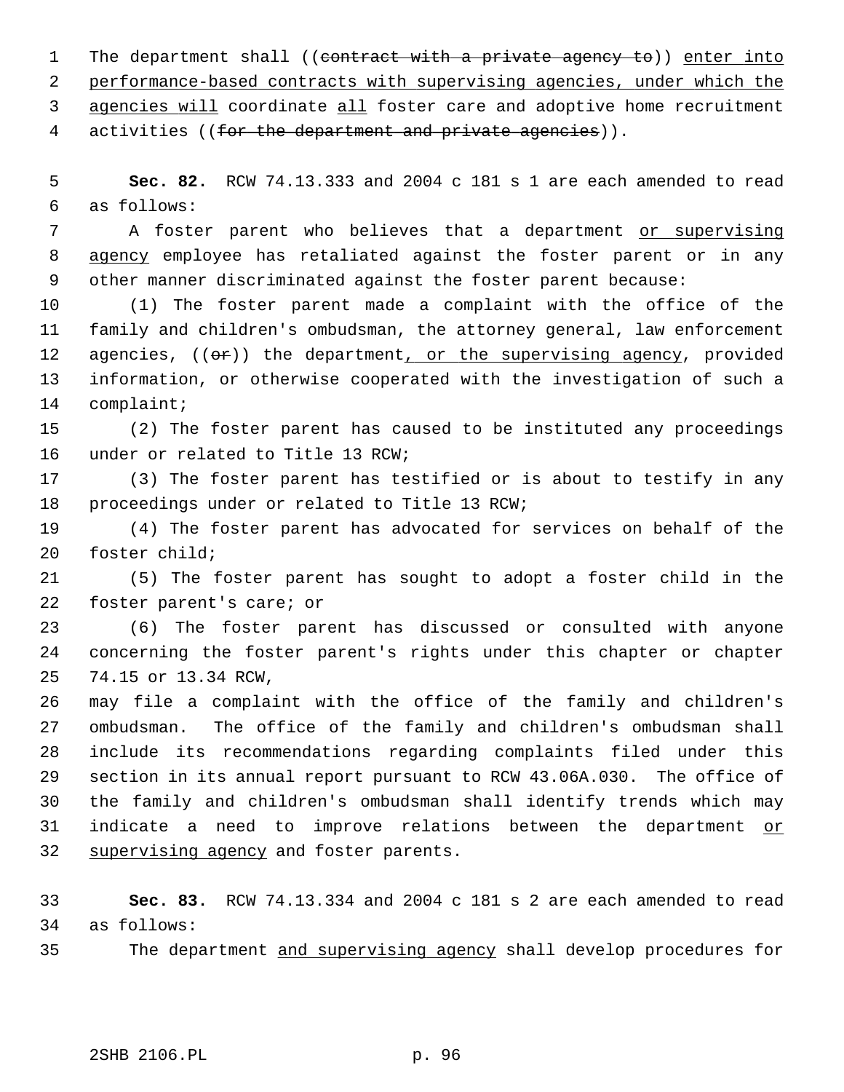1 The department shall ((contract with a private agency to)) enter into 2 performance-based contracts with supervising agencies, under which the 3 agencies will coordinate all foster care and adoptive home recruitment 4 activities ((for the department and private agencies)).

 5 **Sec. 82.** RCW 74.13.333 and 2004 c 181 s 1 are each amended to read 6 as follows:

 7 A foster parent who believes that a department or supervising 8 agency employee has retaliated against the foster parent or in any 9 other manner discriminated against the foster parent because:

10 (1) The foster parent made a complaint with the office of the 11 family and children's ombudsman, the attorney general, law enforcement 12 agencies,  $((\sigma \cdot r))$  the department, or the supervising agency, provided 13 information, or otherwise cooperated with the investigation of such a 14 complaint;

15 (2) The foster parent has caused to be instituted any proceedings 16 under or related to Title 13 RCW;

17 (3) The foster parent has testified or is about to testify in any 18 proceedings under or related to Title 13 RCW;

19 (4) The foster parent has advocated for services on behalf of the 20 foster child;

21 (5) The foster parent has sought to adopt a foster child in the 22 foster parent's care; or

23 (6) The foster parent has discussed or consulted with anyone 24 concerning the foster parent's rights under this chapter or chapter 25 74.15 or 13.34 RCW,

26 may file a complaint with the office of the family and children's 27 ombudsman. The office of the family and children's ombudsman shall 28 include its recommendations regarding complaints filed under this 29 section in its annual report pursuant to RCW 43.06A.030. The office of 30 the family and children's ombudsman shall identify trends which may 31 indicate a need to improve relations between the department or 32 supervising agency and foster parents.

33 **Sec. 83.** RCW 74.13.334 and 2004 c 181 s 2 are each amended to read 34 as follows:

35 The department and supervising agency shall develop procedures for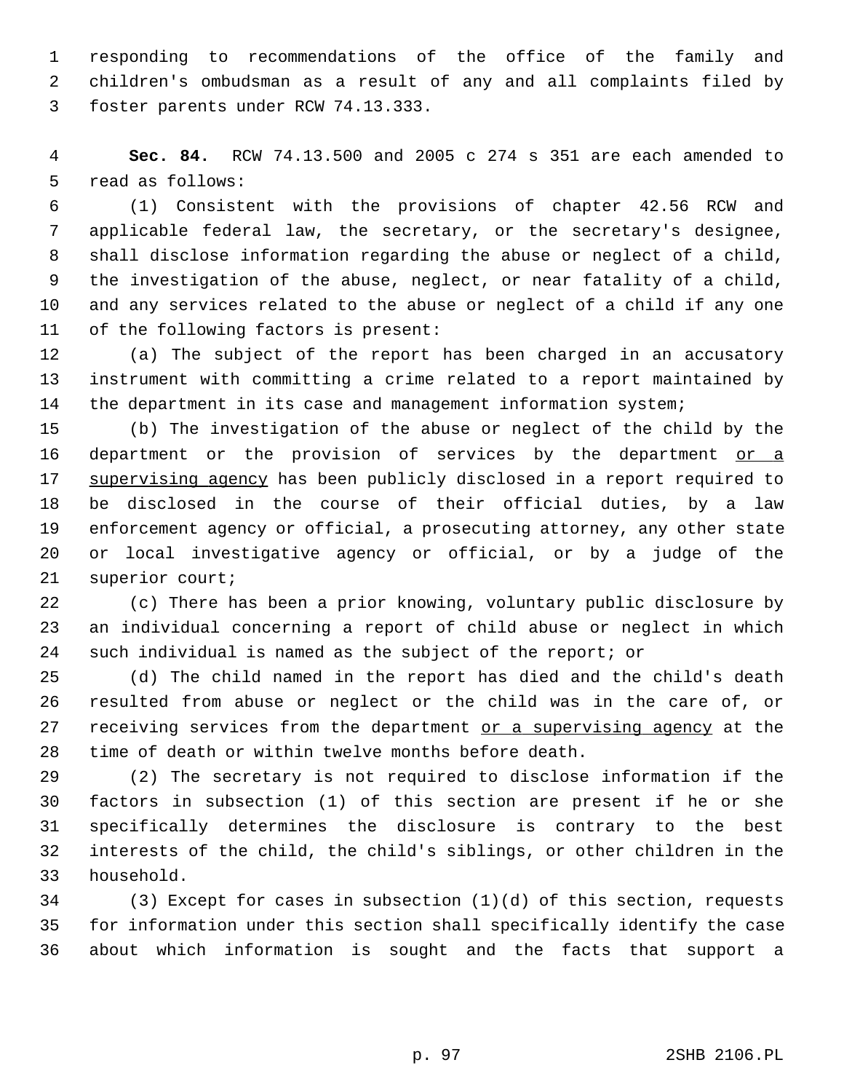1 responding to recommendations of the office of the family and 2 children's ombudsman as a result of any and all complaints filed by 3 foster parents under RCW 74.13.333.

 4 **Sec. 84.** RCW 74.13.500 and 2005 c 274 s 351 are each amended to 5 read as follows:

 6 (1) Consistent with the provisions of chapter 42.56 RCW and 7 applicable federal law, the secretary, or the secretary's designee, 8 shall disclose information regarding the abuse or neglect of a child, 9 the investigation of the abuse, neglect, or near fatality of a child, 10 and any services related to the abuse or neglect of a child if any one 11 of the following factors is present:

12 (a) The subject of the report has been charged in an accusatory 13 instrument with committing a crime related to a report maintained by 14 the department in its case and management information system;

15 (b) The investigation of the abuse or neglect of the child by the 16 department or the provision of services by the department or a 17 supervising agency has been publicly disclosed in a report required to 18 be disclosed in the course of their official duties, by a law 19 enforcement agency or official, a prosecuting attorney, any other state 20 or local investigative agency or official, or by a judge of the 21 superior court;

22 (c) There has been a prior knowing, voluntary public disclosure by 23 an individual concerning a report of child abuse or neglect in which 24 such individual is named as the subject of the report; or

25 (d) The child named in the report has died and the child's death 26 resulted from abuse or neglect or the child was in the care of, or 27 receiving services from the department or a supervising agency at the 28 time of death or within twelve months before death.

29 (2) The secretary is not required to disclose information if the 30 factors in subsection (1) of this section are present if he or she 31 specifically determines the disclosure is contrary to the best 32 interests of the child, the child's siblings, or other children in the 33 household.

34 (3) Except for cases in subsection (1)(d) of this section, requests 35 for information under this section shall specifically identify the case 36 about which information is sought and the facts that support a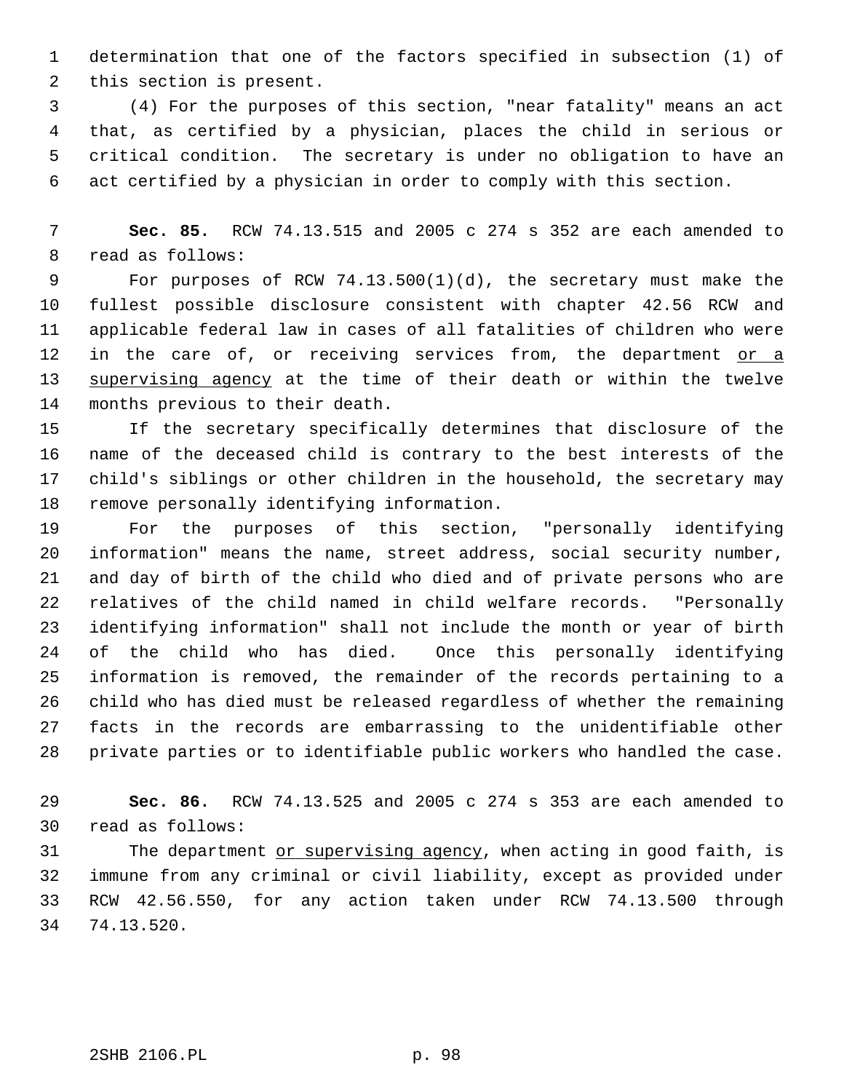1 determination that one of the factors specified in subsection (1) of 2 this section is present.

 3 (4) For the purposes of this section, "near fatality" means an act 4 that, as certified by a physician, places the child in serious or 5 critical condition. The secretary is under no obligation to have an 6 act certified by a physician in order to comply with this section.

 7 **Sec. 85.** RCW 74.13.515 and 2005 c 274 s 352 are each amended to 8 read as follows:

 9 For purposes of RCW 74.13.500(1)(d), the secretary must make the 10 fullest possible disclosure consistent with chapter 42.56 RCW and 11 applicable federal law in cases of all fatalities of children who were 12 in the care of, or receiving services from, the department or a 13 supervising agency at the time of their death or within the twelve 14 months previous to their death.

15 If the secretary specifically determines that disclosure of the 16 name of the deceased child is contrary to the best interests of the 17 child's siblings or other children in the household, the secretary may 18 remove personally identifying information.

19 For the purposes of this section, "personally identifying 20 information" means the name, street address, social security number, 21 and day of birth of the child who died and of private persons who are 22 relatives of the child named in child welfare records. "Personally 23 identifying information" shall not include the month or year of birth 24 of the child who has died. Once this personally identifying 25 information is removed, the remainder of the records pertaining to a 26 child who has died must be released regardless of whether the remaining 27 facts in the records are embarrassing to the unidentifiable other 28 private parties or to identifiable public workers who handled the case.

29 **Sec. 86.** RCW 74.13.525 and 2005 c 274 s 353 are each amended to 30 read as follows:

31 The department or supervising agency, when acting in good faith, is 32 immune from any criminal or civil liability, except as provided under 33 RCW 42.56.550, for any action taken under RCW 74.13.500 through 34 74.13.520.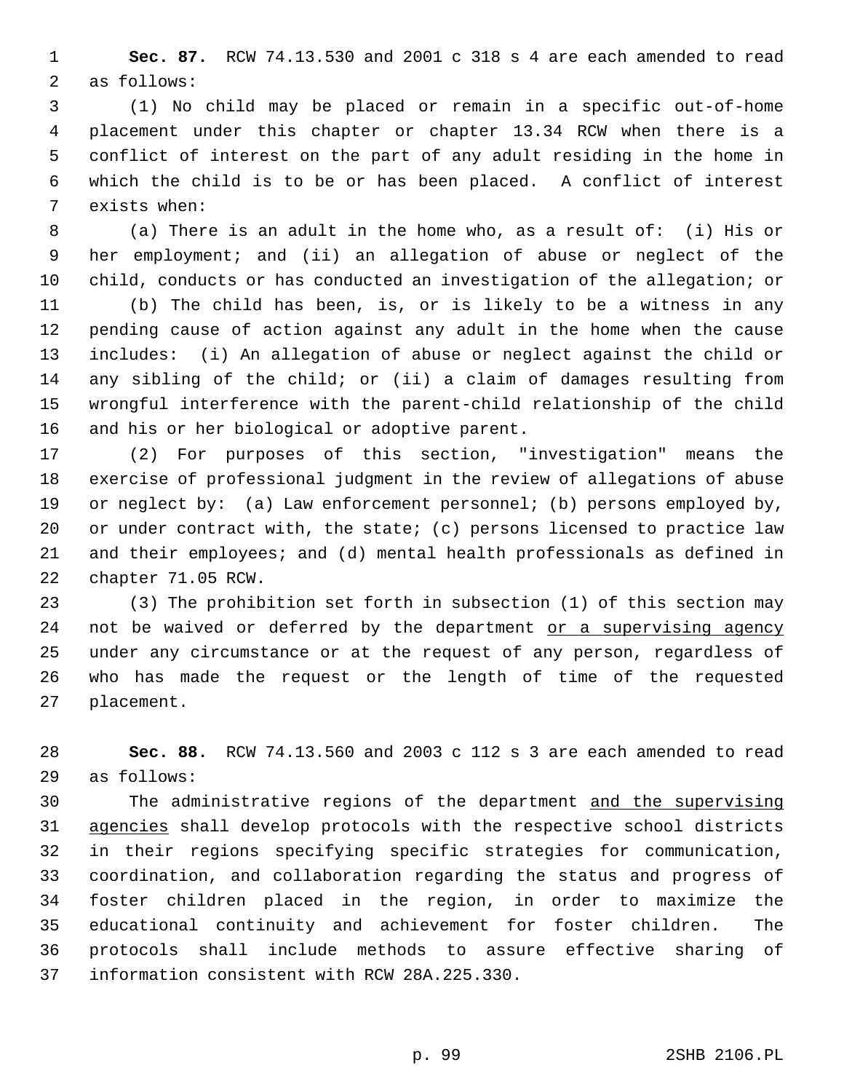1 **Sec. 87.** RCW 74.13.530 and 2001 c 318 s 4 are each amended to read 2 as follows:

 3 (1) No child may be placed or remain in a specific out-of-home 4 placement under this chapter or chapter 13.34 RCW when there is a 5 conflict of interest on the part of any adult residing in the home in 6 which the child is to be or has been placed. A conflict of interest 7 exists when:

 8 (a) There is an adult in the home who, as a result of: (i) His or 9 her employment; and (ii) an allegation of abuse or neglect of the 10 child, conducts or has conducted an investigation of the allegation; or

11 (b) The child has been, is, or is likely to be a witness in any 12 pending cause of action against any adult in the home when the cause 13 includes: (i) An allegation of abuse or neglect against the child or 14 any sibling of the child; or (ii) a claim of damages resulting from 15 wrongful interference with the parent-child relationship of the child 16 and his or her biological or adoptive parent.

17 (2) For purposes of this section, "investigation" means the 18 exercise of professional judgment in the review of allegations of abuse 19 or neglect by: (a) Law enforcement personnel; (b) persons employed by, 20 or under contract with, the state; (c) persons licensed to practice law 21 and their employees; and (d) mental health professionals as defined in 22 chapter 71.05 RCW.

23 (3) The prohibition set forth in subsection (1) of this section may 24 not be waived or deferred by the department or a supervising agency 25 under any circumstance or at the request of any person, regardless of 26 who has made the request or the length of time of the requested 27 placement.

28 **Sec. 88.** RCW 74.13.560 and 2003 c 112 s 3 are each amended to read 29 as follows:

30 The administrative regions of the department and the supervising 31 agencies shall develop protocols with the respective school districts 32 in their regions specifying specific strategies for communication, 33 coordination, and collaboration regarding the status and progress of 34 foster children placed in the region, in order to maximize the 35 educational continuity and achievement for foster children. The 36 protocols shall include methods to assure effective sharing of 37 information consistent with RCW 28A.225.330.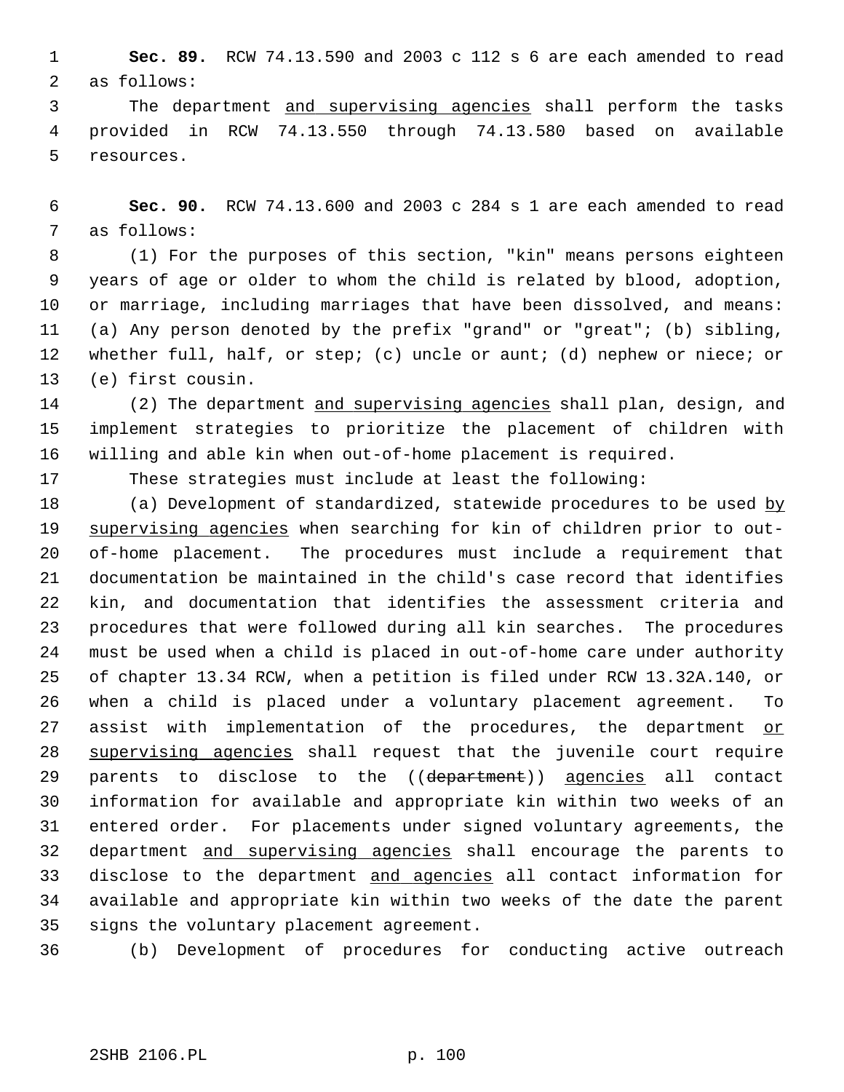1 **Sec. 89.** RCW 74.13.590 and 2003 c 112 s 6 are each amended to read 2 as follows:

 3 The department and supervising agencies shall perform the tasks 4 provided in RCW 74.13.550 through 74.13.580 based on available 5 resources.

 6 **Sec. 90.** RCW 74.13.600 and 2003 c 284 s 1 are each amended to read 7 as follows:

 8 (1) For the purposes of this section, "kin" means persons eighteen 9 years of age or older to whom the child is related by blood, adoption, 10 or marriage, including marriages that have been dissolved, and means: 11 (a) Any person denoted by the prefix "grand" or "great"; (b) sibling, 12 whether full, half, or step; (c) uncle or aunt; (d) nephew or niece; or 13 (e) first cousin.

14 (2) The department and supervising agencies shall plan, design, and 15 implement strategies to prioritize the placement of children with 16 willing and able kin when out-of-home placement is required.

17 These strategies must include at least the following:

18 (a) Development of standardized, statewide procedures to be used by 19 supervising agencies when searching for kin of children prior to out-20 of-home placement. The procedures must include a requirement that 21 documentation be maintained in the child's case record that identifies 22 kin, and documentation that identifies the assessment criteria and 23 procedures that were followed during all kin searches. The procedures 24 must be used when a child is placed in out-of-home care under authority 25 of chapter 13.34 RCW, when a petition is filed under RCW 13.32A.140, or 26 when a child is placed under a voluntary placement agreement. To 27 assist with implementation of the procedures, the department or 28 supervising agencies shall request that the juvenile court require 29 parents to disclose to the ((department)) agencies all contact 30 information for available and appropriate kin within two weeks of an 31 entered order. For placements under signed voluntary agreements, the 32 department and supervising agencies shall encourage the parents to 33 disclose to the department and agencies all contact information for 34 available and appropriate kin within two weeks of the date the parent 35 signs the voluntary placement agreement.

36 (b) Development of procedures for conducting active outreach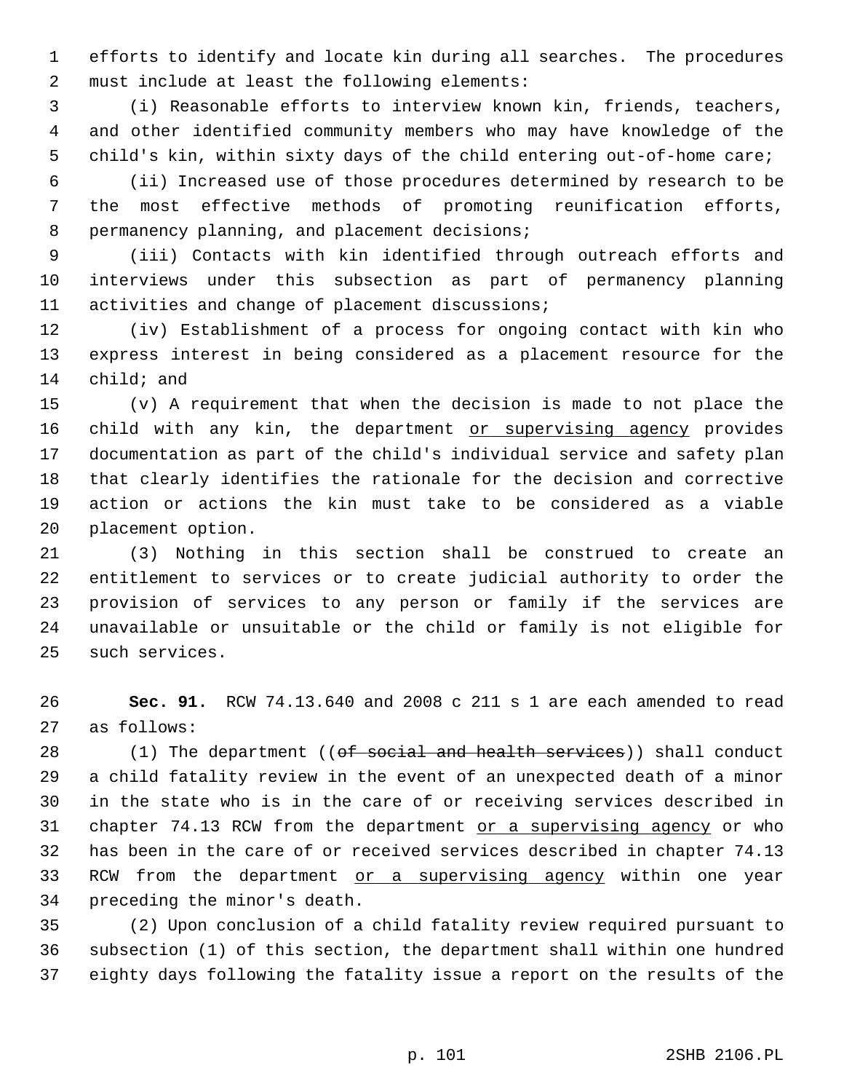1 efforts to identify and locate kin during all searches. The procedures 2 must include at least the following elements:

 3 (i) Reasonable efforts to interview known kin, friends, teachers, 4 and other identified community members who may have knowledge of the 5 child's kin, within sixty days of the child entering out-of-home care;

 6 (ii) Increased use of those procedures determined by research to be 7 the most effective methods of promoting reunification efforts, 8 permanency planning, and placement decisions;

 9 (iii) Contacts with kin identified through outreach efforts and 10 interviews under this subsection as part of permanency planning 11 activities and change of placement discussions;

12 (iv) Establishment of a process for ongoing contact with kin who 13 express interest in being considered as a placement resource for the 14 child; and

15 (v) A requirement that when the decision is made to not place the 16 child with any kin, the department or supervising agency provides 17 documentation as part of the child's individual service and safety plan 18 that clearly identifies the rationale for the decision and corrective 19 action or actions the kin must take to be considered as a viable 20 placement option.

21 (3) Nothing in this section shall be construed to create an 22 entitlement to services or to create judicial authority to order the 23 provision of services to any person or family if the services are 24 unavailable or unsuitable or the child or family is not eligible for 25 such services.

26 **Sec. 91.** RCW 74.13.640 and 2008 c 211 s 1 are each amended to read 27 as follows:

28  $(1)$  The department (( $\theta$  social and health services)) shall conduct 29 a child fatality review in the event of an unexpected death of a minor 30 in the state who is in the care of or receiving services described in 31 chapter 74.13 RCW from the department or a supervising agency or who 32 has been in the care of or received services described in chapter 74.13 33 RCW from the department or a supervising agency within one year 34 preceding the minor's death.

35 (2) Upon conclusion of a child fatality review required pursuant to 36 subsection (1) of this section, the department shall within one hundred 37 eighty days following the fatality issue a report on the results of the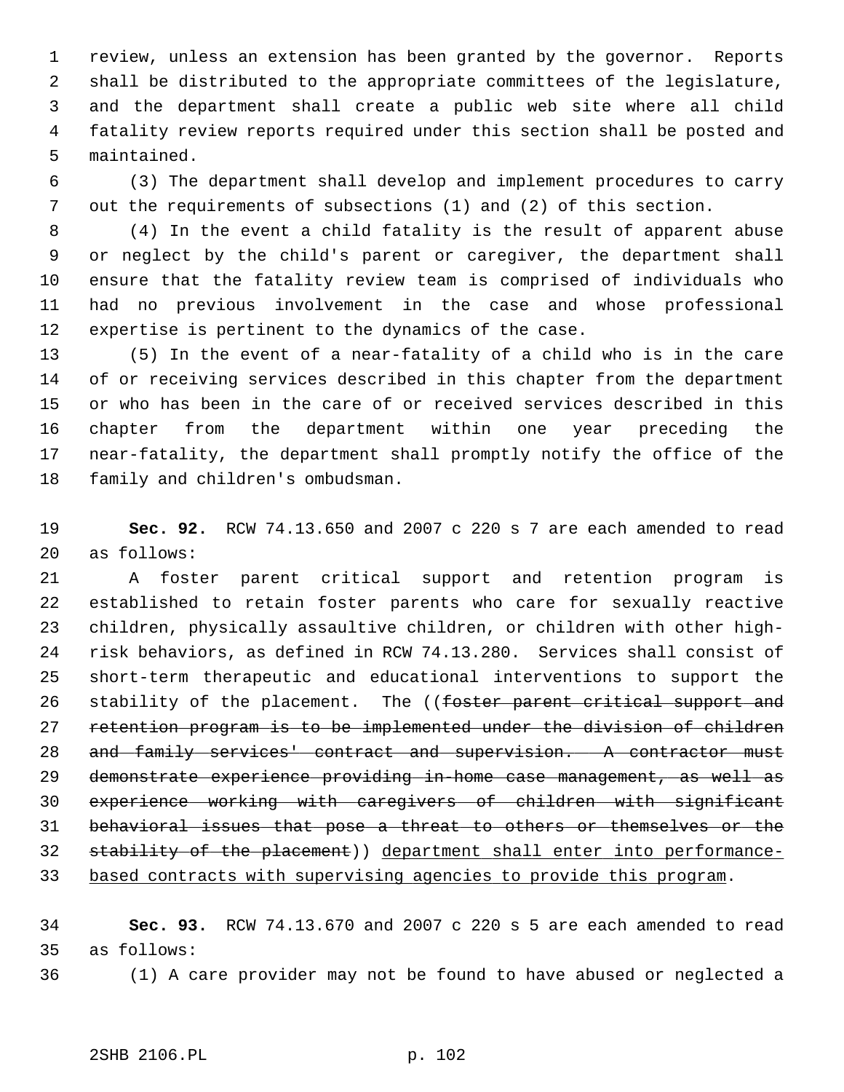1 review, unless an extension has been granted by the governor. Reports 2 shall be distributed to the appropriate committees of the legislature, 3 and the department shall create a public web site where all child 4 fatality review reports required under this section shall be posted and 5 maintained.

 6 (3) The department shall develop and implement procedures to carry 7 out the requirements of subsections (1) and (2) of this section.

 8 (4) In the event a child fatality is the result of apparent abuse 9 or neglect by the child's parent or caregiver, the department shall 10 ensure that the fatality review team is comprised of individuals who 11 had no previous involvement in the case and whose professional 12 expertise is pertinent to the dynamics of the case.

13 (5) In the event of a near-fatality of a child who is in the care 14 of or receiving services described in this chapter from the department 15 or who has been in the care of or received services described in this 16 chapter from the department within one year preceding the 17 near-fatality, the department shall promptly notify the office of the 18 family and children's ombudsman.

19 **Sec. 92.** RCW 74.13.650 and 2007 c 220 s 7 are each amended to read 20 as follows:

21 A foster parent critical support and retention program is 22 established to retain foster parents who care for sexually reactive 23 children, physically assaultive children, or children with other high-24 risk behaviors, as defined in RCW 74.13.280. Services shall consist of 25 short-term therapeutic and educational interventions to support the 26 stability of the placement. The ((foster parent critical support and 27 retention program is to be implemented under the division of children 28 and family services' contract and supervision. A contractor must 29 demonstrate experience providing in-home case management, as well as 30 experience working with caregivers of children with significant 31 behavioral issues that pose a threat to others or themselves or the 32 stability of the placement)) department shall enter into performance-33 based contracts with supervising agencies to provide this program.

34 **Sec. 93.** RCW 74.13.670 and 2007 c 220 s 5 are each amended to read 35 as follows:

36 (1) A care provider may not be found to have abused or neglected a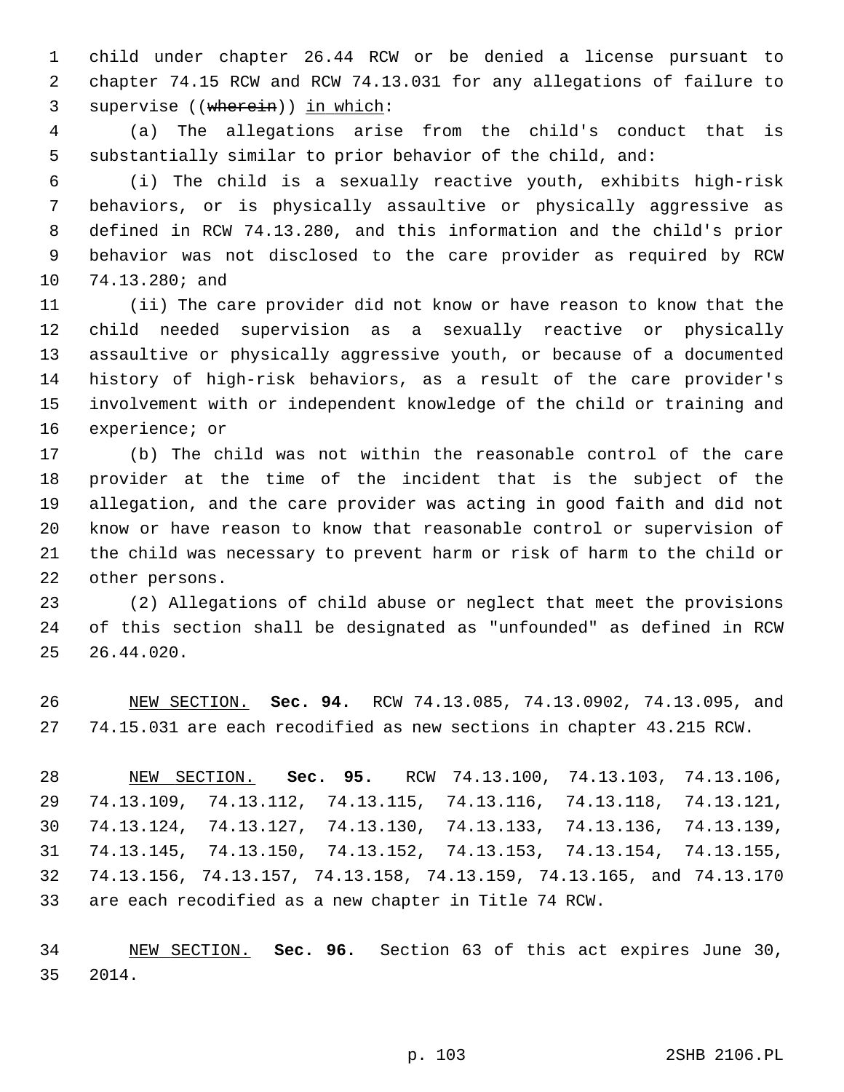1 child under chapter 26.44 RCW or be denied a license pursuant to 2 chapter 74.15 RCW and RCW 74.13.031 for any allegations of failure to 3 supervise ((wherein)) in which:

 4 (a) The allegations arise from the child's conduct that is 5 substantially similar to prior behavior of the child, and:

 6 (i) The child is a sexually reactive youth, exhibits high-risk 7 behaviors, or is physically assaultive or physically aggressive as 8 defined in RCW 74.13.280, and this information and the child's prior 9 behavior was not disclosed to the care provider as required by RCW 10 74.13.280; and

11 (ii) The care provider did not know or have reason to know that the 12 child needed supervision as a sexually reactive or physically 13 assaultive or physically aggressive youth, or because of a documented 14 history of high-risk behaviors, as a result of the care provider's 15 involvement with or independent knowledge of the child or training and 16 experience; or

17 (b) The child was not within the reasonable control of the care 18 provider at the time of the incident that is the subject of the 19 allegation, and the care provider was acting in good faith and did not 20 know or have reason to know that reasonable control or supervision of 21 the child was necessary to prevent harm or risk of harm to the child or 22 other persons.

23 (2) Allegations of child abuse or neglect that meet the provisions 24 of this section shall be designated as "unfounded" as defined in RCW 25 26.44.020.

26 NEW SECTION. **Sec. 94.** RCW 74.13.085, 74.13.0902, 74.13.095, and 27 74.15.031 are each recodified as new sections in chapter 43.215 RCW.

28 NEW SECTION. **Sec. 95.** RCW 74.13.100, 74.13.103, 74.13.106, 29 74.13.109, 74.13.112, 74.13.115, 74.13.116, 74.13.118, 74.13.121, 30 74.13.124, 74.13.127, 74.13.130, 74.13.133, 74.13.136, 74.13.139, 31 74.13.145, 74.13.150, 74.13.152, 74.13.153, 74.13.154, 74.13.155, 32 74.13.156, 74.13.157, 74.13.158, 74.13.159, 74.13.165, and 74.13.170 33 are each recodified as a new chapter in Title 74 RCW.

34 NEW SECTION. **Sec. 96.** Section 63 of this act expires June 30, 35 2014.

p. 103 2SHB 2106.PL